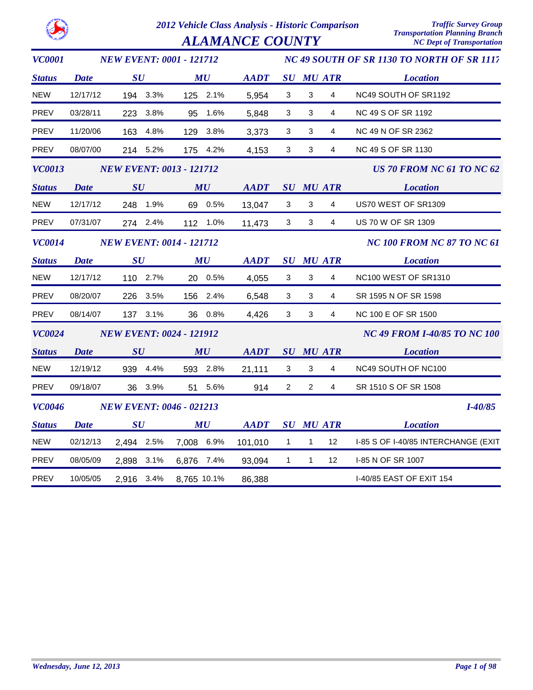| <b>ALAMANCE COUNTY</b> |  |
|------------------------|--|
|                        |  |

| <b>VC0001</b> |             | <b>NEW EVENT: 0001 - 121712</b> |                                |                                                            |                |                |                                     | NC 49 SOUTH OF SR 1130 TO NORTH OF SR 1117   |
|---------------|-------------|---------------------------------|--------------------------------|------------------------------------------------------------|----------------|----------------|-------------------------------------|----------------------------------------------|
| <b>Status</b> | <b>Date</b> | SU                              | MU                             | <b>AADT</b>                                                |                |                | <b>SU MU ATR</b>                    | <b>Location</b>                              |
| <b>NEW</b>    | 12/17/12    | 194 3.3%                        | 125 2.1%                       | 5,954                                                      | 3              | 3              | 4                                   | NC49 SOUTH OF SR1192                         |
| <b>PREV</b>   | 03/28/11    | 223 3.8%                        | 95 1.6%                        | 5,848                                                      | 3              | $\mathbf{3}$   | 4                                   | NC 49 S OF SR 1192                           |
| <b>PREV</b>   | 11/20/06    | 163 4.8%                        | 3.8%<br>129                    | 3,373                                                      | $\mathbf{3}$   | 3              | 4                                   | NC 49 N OF SR 2362                           |
| PREV          | 08/07/00    | 214 5.2%                        | 175 4.2%                       | 4,153                                                      | 3              | 3              | 4                                   | NC 49 S OF SR 1130                           |
| <b>VC0013</b> |             | <b>NEW EVENT: 0013 - 121712</b> |                                |                                                            |                |                |                                     | <b>US 70 FROM NC 61 TO NC 62</b>             |
| <b>Status</b> | <b>Date</b> | SU                              | MU                             | <b>AADT</b>                                                |                |                | <b>SU MU ATR</b>                    | <b>Location</b>                              |
| <b>NEW</b>    | 12/17/12    | 248 1.9%                        | 69 0.5%                        | 13,047                                                     | $\mathbf{3}$   | $\mathbf{3}$   | 4                                   | US70 WEST OF SR1309                          |
| PREV          | 07/31/07    | 274 2.4%                        | 112 1.0%                       | 11,473                                                     | $\mathbf{3}$   | $\mathbf{3}$   | $\overline{4}$                      | US 70 W OF SR 1309                           |
| <b>VC0014</b> |             | <b>NEW EVENT: 0014 - 121712</b> |                                |                                                            |                |                |                                     | <b>NC 100 FROM NC 87 TO NC 61</b>            |
| <b>Status</b> | <b>Date</b> | SU                              | MU                             | <b>AADT</b>                                                |                |                | <b>SU MU ATR</b>                    | <b>Location</b>                              |
| <b>NEW</b>    | 12/17/12    | 110 2.7%                        | 20 0.5%                        | 4,055                                                      | $\mathbf{3}$   | 3              | 4                                   | NC <sub>100</sub> WEST OF SR <sub>1310</sub> |
| PREV          | 08/20/07    | 226 3.5%                        | 156 2.4%                       | 6,548                                                      | 3              | 3              | 4                                   | SR 1595 N OF SR 1598                         |
| PREV          | 08/14/07    | 137 3.1%                        | 36 0.8%                        | 4,426                                                      | $\mathbf{3}$   | 3              | $\overline{4}$                      | NC 100 E OF SR 1500                          |
| <b>VC0024</b> |             | <b>NEW EVENT: 0024 - 121912</b> |                                |                                                            |                |                | <b>NC 49 FROM I-40/85 TO NC 100</b> |                                              |
| <b>Status</b> | <b>Date</b> | SU                              | MU                             | AADT                                                       |                |                | SU MU ATR                           | <b>Location</b>                              |
| <b>NEW</b>    | 12/19/12    | 939 4.4%                        | 593 2.8%                       | 21,111                                                     | $\mathbf{3}$   | $\mathbf{3}$   | 4                                   | NC49 SOUTH OF NC100                          |
| PREV          | 09/18/07    | 36 3.9%                         | 51 5.6%                        | 914                                                        | $\overline{2}$ | 2              | 4                                   | SR 1510 S OF SR 1508                         |
| <b>VC0046</b> |             | <b>NEW EVENT: 0046 - 021213</b> |                                |                                                            |                |                |                                     | $I - 40/85$                                  |
| <b>Status</b> | <b>Date</b> | SU                              | $\boldsymbol{M}\boldsymbol{U}$ | $\boldsymbol{A}\boldsymbol{A}\boldsymbol{D}\boldsymbol{T}$ |                |                | <b>SU MU ATR</b>                    | <b>Location</b>                              |
| <b>NEW</b>    | 02/12/13    | 2,494 2.5%                      | 7,008 6.9%                     | 101,010                                                    | 1              | $\overline{1}$ | 12                                  | I-85 S OF I-40/85 INTERCHANGE (EXIT          |
| <b>PREV</b>   | 08/05/09    | 2,898 3.1%                      | 6,876 7.4%                     | 93,094                                                     | $\overline{1}$ | $\mathbf{1}$   | 12                                  | I-85 N OF SR 1007                            |
| PREV          | 10/05/05    | 3.4%<br>2,916                   | 8,765 10.1%                    | 86,388                                                     |                |                |                                     | <b>I-40/85 EAST OF EXIT 154</b>              |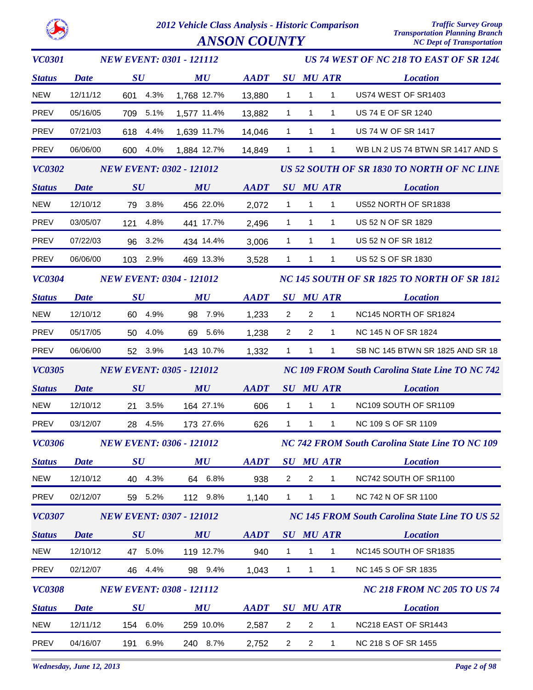

*ANSON COUNTY* 

| <b>VC0301</b> | <b>NEW EVENT: 0301 - 121112</b> |                                 | US 74 WEST OF NC 218 TO EAST OF SR 1240 |                                                            |                                                        |                                            |                                                 |                                                       |
|---------------|---------------------------------|---------------------------------|-----------------------------------------|------------------------------------------------------------|--------------------------------------------------------|--------------------------------------------|-------------------------------------------------|-------------------------------------------------------|
| <b>Status</b> | <b>Date</b>                     | $\boldsymbol{S}\boldsymbol{U}$  | MU                                      | <b>AADT</b>                                                |                                                        |                                            | <b>SU MU ATR</b>                                | <b>Location</b>                                       |
| <b>NEW</b>    | 12/11/12                        | 601 4.3%                        | 1,768 12.7%                             | 13,880                                                     | $\mathbf{1}$                                           | $\overline{1}$                             | $\mathbf{1}$                                    | US74 WEST OF SR1403                                   |
| PREV          | 05/16/05                        | 709 5.1%                        | 1,577 11.4%                             | 13,882                                                     | $\mathbf{1}$                                           | $\overline{1}$                             | $\mathbf{1}$                                    | <b>US 74 E OF SR 1240</b>                             |
| PREV          | 07/21/03                        | 618 4.4%                        | 1,639 11.7%                             | 14,046                                                     | $\mathbf{1}$                                           | $\overline{1}$                             | $\mathbf{1}$                                    | US 74 W OF SR 1417                                    |
| PREV          | 06/06/00                        | 600 4.0%                        | 1,884 12.7%                             | 14,849                                                     | $\mathbf{1}$                                           | $\overline{1}$                             | $\mathbf{1}$                                    | WB LN 2 US 74 BTWN SR 1417 AND S                      |
| <b>VC0302</b> | <b>NEW EVENT: 0302 - 121012</b> |                                 |                                         |                                                            |                                                        | US 52 SOUTH OF SR 1830 TO NORTH OF NC LINE |                                                 |                                                       |
| <b>Status</b> | <b>Date</b>                     | SU                              | MU                                      | $\boldsymbol{A}\boldsymbol{A}\boldsymbol{D}\boldsymbol{T}$ |                                                        |                                            | SU MU ATR                                       | <b>Location</b>                                       |
| <b>NEW</b>    | 12/10/12                        | 79 3.8%                         | 456 22.0%                               | 2,072                                                      | $\overline{1}$                                         | $\overline{1}$                             | $\overline{1}$                                  | US52 NORTH OF SR1838                                  |
| PREV          | 03/05/07                        | 121 4.8%                        | 441 17.7%                               | 2,496                                                      | $\mathbf{1}$                                           | $\mathbf{1}$                               | $\mathbf{1}$                                    | US 52 N OF SR 1829                                    |
| PREV          | 07/22/03                        | 96 3.2%                         | 434 14.4%                               | 3,006                                                      | $\mathbf{1}$                                           | $\mathbf{1}$                               | $\mathbf{1}$                                    | US 52 N OF SR 1812                                    |
| PREV          | 06/06/00                        | 103 2.9%                        | 469 13.3%                               | 3,528                                                      |                                                        | $1 \quad 1$                                | $\mathbf{1}$                                    | US 52 S OF SR 1830                                    |
| <b>VC0304</b> |                                 | <b>NEW EVENT: 0304 - 121012</b> |                                         |                                                            |                                                        |                                            | NC 145 SOUTH OF SR 1825 TO NORTH OF SR 1812     |                                                       |
| <b>Status</b> | <b>Date</b>                     | $\boldsymbol{S}\boldsymbol{U}$  | MU                                      | <b>AADT</b>                                                |                                                        |                                            | <b>SU MU ATR</b>                                | <b>Location</b>                                       |
| <b>NEW</b>    | 12/10/12                        | 60 4.9%                         | 98 7.9%                                 | 1,233                                                      | $\overline{2}$                                         | $\overline{2}$                             | $\mathbf{1}$                                    | NC145 NORTH OF SR1824                                 |
| PREV          | 05/17/05                        | 50 4.0%                         | 69 5.6%                                 | 1,238                                                      | $\overline{2}$                                         | $\overline{2}$                             | $\mathbf{1}$                                    | NC 145 N OF SR 1824                                   |
| PREV          | 06/06/00                        | 52 3.9%                         | 143 10.7%                               | 1,332                                                      | $\mathbf{1}$                                           | $\mathbf{1}$                               | $\mathbf{1}$                                    | SB NC 145 BTWN SR 1825 AND SR 18                      |
| <b>VC0305</b> |                                 | <b>NEW EVENT: 0305 - 121012</b> |                                         |                                                            |                                                        |                                            | NC 109 FROM South Carolina State Line TO NC 742 |                                                       |
| <b>Status</b> | <b>Date</b>                     | SU                              | MU                                      | <b>AADT</b>                                                | <b>SU MU ATR</b>                                       |                                            |                                                 | <b>Location</b>                                       |
| <b>NEW</b>    | 12/10/12                        | 21 3.5%                         | 164 27.1%                               | 606                                                        | $\mathbf{1}$                                           |                                            | $1 \quad 1$                                     | NC109 SOUTH OF SR1109                                 |
| <b>PREV</b>   | 03/12/07                        | 28 4.5%                         | 173 27.6%                               | 626                                                        | $\mathbf{1}$                                           | $\mathbf{1}$                               | 1                                               | NC 109 S OF SR 1109                                   |
|               |                                 | VC0306 NEW EVENT: 0306 - 121012 |                                         |                                                            | <b>NC 742 FROM South Carolina State Line TO NC 109</b> |                                            |                                                 |                                                       |
| <b>Status</b> | <b>Date</b>                     | $\boldsymbol{S}\boldsymbol{U}$  | MU                                      | <b>AADT</b>                                                |                                                        |                                            | <b>SU MU ATR</b>                                | <b>Location</b>                                       |
| <b>NEW</b>    | 12/10/12                        | 40 4.3%                         | 64 6.8%                                 | 938                                                        | $\overline{2}$                                         | $\overline{2}$                             | $\mathbf{1}$                                    | NC742 SOUTH OF SR1100                                 |
| PREV          | 02/12/07                        | 59 5.2%                         | 112 9.8%                                | 1,140                                                      | $\mathbf{1}$                                           | $\mathbf{1}$                               | $\mathbf{1}$                                    | NC 742 N OF SR 1100                                   |
| <b>VC0307</b> |                                 | <b>NEW EVENT: 0307 - 121012</b> |                                         |                                                            |                                                        |                                            |                                                 | <b>NC 145 FROM South Carolina State Line TO US 52</b> |
| <b>Status</b> | <b>Date</b>                     | $\boldsymbol{S}\boldsymbol{U}$  | MU                                      | <b>AADT</b>                                                |                                                        |                                            | <b>SU MU ATR</b>                                | <b>Location</b>                                       |
| <b>NEW</b>    | 12/10/12                        | 47 5.0%                         | 119 12.7%                               | 940                                                        | $\mathbf{1}$                                           | $\mathbf{1}$                               | $\mathbf{1}$                                    | NC145 SOUTH OF SR1835                                 |
| PREV          | 02/12/07                        | 46 4.4%                         | 98 9.4%                                 | 1,043                                                      | 1                                                      | $\overline{1}$                             | $\mathbf{1}$                                    | NC 145 S OF SR 1835                                   |
| <b>VC0308</b> |                                 | <b>NEW EVENT: 0308 - 121112</b> |                                         |                                                            |                                                        |                                            |                                                 | <b>NC 218 FROM NC 205 TO US 74</b>                    |
| <b>Status</b> | <b>Date</b>                     | $\boldsymbol{S}\boldsymbol{U}$  | MU                                      | <b>AADT</b>                                                |                                                        |                                            | <b>SU MU ATR</b>                                | <b>Location</b>                                       |
| <b>NEW</b>    | 12/11/12                        | 154 6.0%                        | 259 10.0%                               | 2,587                                                      | 2                                                      | $\overline{2}$                             | $\mathbf{1}$                                    | NC218 EAST OF SR1443                                  |
| PREV          | 04/16/07                        | 191 6.9%                        | 240 8.7%                                | 2,752                                                      | $\overline{2}$                                         | $\overline{2}$                             | $\mathbf{1}$                                    | NC 218 S OF SR 1455                                   |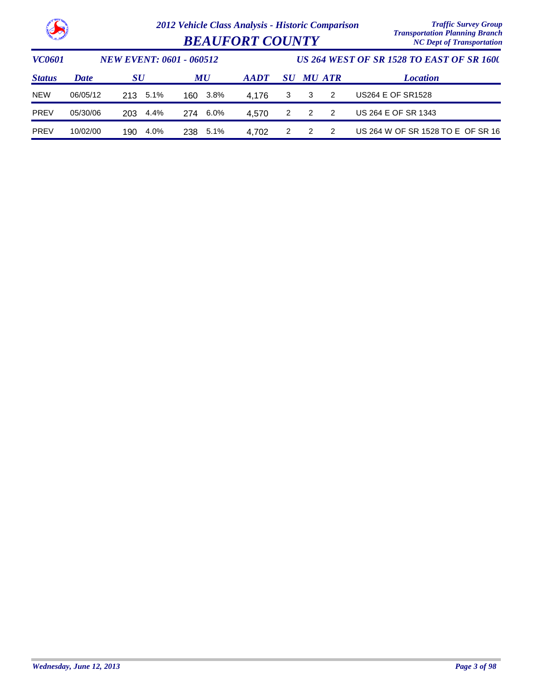

|                        | Transportanon I tanning Dramen   |
|------------------------|----------------------------------|
| <b>BEAUFORT COUNTY</b> | <b>NC Dept of Transportation</b> |

| <i><b>VC0601</b></i> |             | <b>NEW EVENT: 0601 - 060512</b> |          |             | US 264 WEST OF SR 1528 TO EAST OF SR 1600 |                  |     |                                   |
|----------------------|-------------|---------------------------------|----------|-------------|-------------------------------------------|------------------|-----|-----------------------------------|
| <b>Status</b>        | <b>Date</b> | SU                              | MU       | <b>AADT</b> |                                           | <b>SU MU ATR</b> |     | <b>Location</b>                   |
| <b>NEW</b>           | 06/05/12    | 5.1%<br>213                     | 160 3.8% | 4.176       | 3                                         | 3                | -2  | US264 E OF SR1528                 |
| <b>PREV</b>          | 05/30/06    | 4.4%<br>203                     | 274 6.0% | 4.570       | 2                                         | $\overline{2}$   | - 2 | US 264 E OF SR 1343               |
| <b>PREV</b>          | 10/02/00    | 4.0%<br>190                     | 238 5.1% | 4.702       | 2                                         | $\mathcal{P}$    | -2  | US 264 W OF SR 1528 TO E OF SR 16 |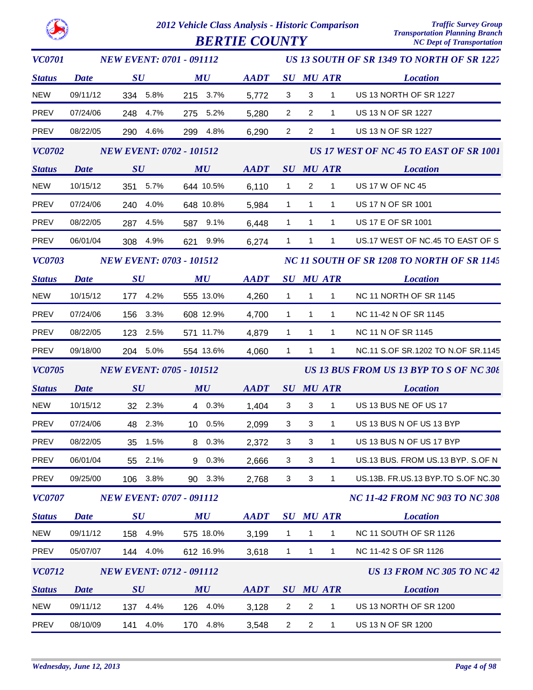**BERTIE COUNTY** 

| <b>VC0701</b> | <b>NEW EVENT: 0701 - 091112</b> |                                 |          |  |                                | US 13 SOUTH OF SR 1349 TO NORTH OF SR 1227 |                |                |                        |                                            |
|---------------|---------------------------------|---------------------------------|----------|--|--------------------------------|--------------------------------------------|----------------|----------------|------------------------|--------------------------------------------|
| <b>Status</b> | <b>Date</b>                     | $\boldsymbol{S}\boldsymbol{U}$  |          |  | $\boldsymbol{M}\boldsymbol{U}$ | <b>AADT</b>                                |                |                | <b>SU MU ATR</b>       | <b>Location</b>                            |
| NEW           | 09/11/12                        |                                 | 334 5.8% |  | 215 3.7%                       | 5,772                                      | $\mathbf{3}$   | 3              | $\mathbf{1}$           | US 13 NORTH OF SR 1227                     |
| PREV          | 07/24/06                        |                                 | 248 4.7% |  | 275 5.2%                       | 5,280                                      | $\overline{2}$ | $\overline{2}$ | 1                      | US 13 N OF SR 1227                         |
| PREV          | 08/22/05                        |                                 | 290 4.6% |  | 299 4.8%                       | 6,290                                      | $\overline{2}$ | $\overline{2}$ | $\mathbf{1}$           | US 13 N OF SR 1227                         |
| <b>VC0702</b> |                                 | <b>NEW EVENT: 0702 - 101512</b> |          |  |                                |                                            |                |                |                        | US 17 WEST OF NC 45 TO EAST OF SR 1001     |
| <b>Status</b> | <b>Date</b>                     | SU                              |          |  | MU                             | <b>AADT</b>                                |                |                | <i>SU MU ATR</i>       | <b>Location</b>                            |
| <b>NEW</b>    | 10/15/12                        |                                 | 351 5.7% |  | 644 10.5%                      | 6,110                                      | $\overline{1}$ | $\overline{2}$ | $\mathbf{1}$           | <b>US 17 W OF NC 45</b>                    |
| PREV          | 07/24/06                        |                                 | 240 4.0% |  | 648 10.8%                      | 5,984                                      | $\mathbf{1}$   | $\overline{1}$ | $\mathbf{1}$           | US 17 N OF SR 1001                         |
| PREV          | 08/22/05                        |                                 | 287 4.5% |  | 587 9.1%                       | 6,448                                      | $\overline{1}$ | $\mathbf{1}$   | $\mathbf{1}$           | US 17 E OF SR 1001                         |
| PREV          | 06/01/04                        |                                 | 308 4.9% |  | 621 9.9%                       | 6,274                                      | $\mathbf{1}$   | $\overline{1}$ | $\mathbf{1}$           | US.17 WEST OF NC.45 TO EAST OF S           |
| <b>VC0703</b> | <b>NEW EVENT: 0703 - 101512</b> |                                 |          |  |                                |                                            |                |                |                        | NC 11 SOUTH OF SR 1208 TO NORTH OF SR 1145 |
| <b>Status</b> | <b>Date</b>                     | $\bm{S}\bm{U}$                  |          |  | $\boldsymbol{M}\boldsymbol{U}$ | <b>AADT</b>                                |                |                | <b>SU MU ATR</b>       | <b>Location</b>                            |
| <b>NEW</b>    | 10/15/12                        |                                 | 177 4.2% |  | 555 13.0%                      | 4,260                                      | $\overline{1}$ | $\overline{1}$ | $\mathbf{1}$           | NC 11 NORTH OF SR 1145                     |
| PREV          | 07/24/06                        |                                 | 156 3.3% |  | 608 12.9%                      | 4,700                                      | $\mathbf{1}$   | $\overline{1}$ | $\mathbf{1}$           | NC 11-42 N OF SR 1145                      |
| PREV          | 08/22/05                        |                                 | 123 2.5% |  | 571 11.7%                      | 4,879                                      | $\mathbf{1}$   | $\overline{1}$ | 1                      | NC 11 N OF SR 1145                         |
| PREV          | 09/18/00                        |                                 | 204 5.0% |  | 554 13.6%                      | 4,060                                      | $\mathbf{1}$   | $\overline{1}$ | $\mathbf{1}$           | NC.11 S.OF SR.1202 TO N.OF SR.1145         |
| <b>VC0705</b> |                                 | <b>NEW EVENT: 0705 - 101512</b> |          |  |                                |                                            |                |                |                        | US 13 BUS FROM US 13 BYP TO S OF NC 308    |
| <b>Status</b> | <b>Date</b>                     | SU                              |          |  | MU                             | <b>AADT</b>                                |                |                | SU MU ATR              | <b>Location</b>                            |
| <b>NEW</b>    | 10/15/12                        |                                 | 32 2.3%  |  | 4 0.3%                         | 1,404                                      | 3              | 3              | $\overline{1}$         | US 13 BUS NE OF US 17                      |
| PREV          | 07/24/06                        |                                 | 48 2.3%  |  | 10 0.5%                        | 2,099                                      | $\mathbf{3}$   | $\mathbf{3}$   | $\mathbf{1}$           | US 13 BUS N OF US 13 BYP                   |
| PREV          | 08/22/05                        |                                 | 35 1.5%  |  | 8 0.3%                         | 2,372                                      | 3              | 3              | $1 \quad \blacksquare$ | US 13 BUS N OF US 17 BYP                   |
| PREV          | 06/01/04                        |                                 | 55 2.1%  |  | 9 0.3%                         | 2,666                                      | 3              | 3              | $\mathbf{1}$           | US.13 BUS. FROM US.13 BYP. S.OF N          |
| PREV          | 09/25/00                        |                                 | 106 3.8% |  | 90 3.3%                        | 2,768                                      | 3              | 3              | 1                      | US.13B. FR.US.13 BYP.TO S.OF NC.30         |
| <b>VC0707</b> |                                 | <b>NEW EVENT: 0707 - 091112</b> |          |  |                                |                                            |                |                |                        | <b>NC 11-42 FROM NC 903 TO NC 308</b>      |
| <b>Status</b> | <b>Date</b>                     | $\boldsymbol{S}\boldsymbol{U}$  |          |  | $\boldsymbol{M}\boldsymbol{U}$ | <b>AADT</b>                                |                |                | <b>SU MU ATR</b>       | <b>Location</b>                            |
| <b>NEW</b>    | 09/11/12                        |                                 | 158 4.9% |  | 575 18.0%                      | 3,199                                      | $\overline{1}$ | $\mathbf{1}$   | $\mathbf{1}$           | NC 11 SOUTH OF SR 1126                     |
| PREV          | 05/07/07                        |                                 | 144 4.0% |  | 612 16.9%                      | 3,618                                      | $\mathbf{1}$   | 1              | $\mathbf{1}$           | NC 11-42 S OF SR 1126                      |
| <b>VC0712</b> |                                 | <b>NEW EVENT: 0712 - 091112</b> |          |  |                                |                                            |                |                |                        | <b>US 13 FROM NC 305 TO NC 42</b>          |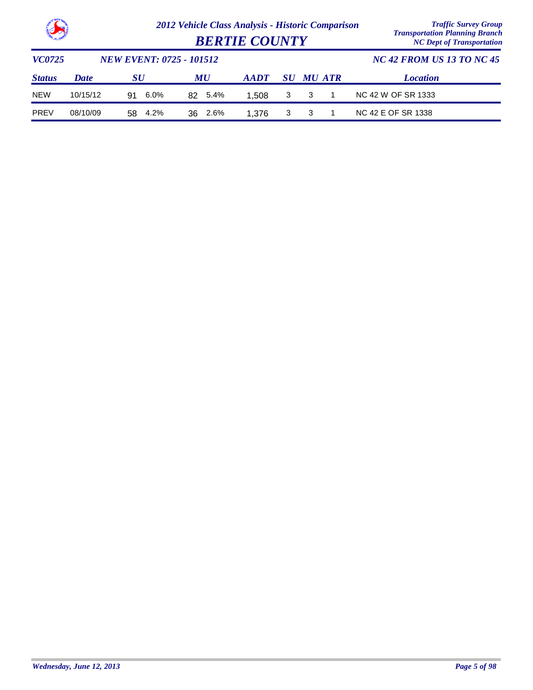

| <b>Clean Contract of Contract of Contract of Contract of Contract of Contract of Contract of Contract of Contract of Contract of Contract of Contract of Contract of Contract of Contract of Contract of Contract of Contract of</b> |             |                                 | <b>Transportation Flamming Dranch</b><br><b>NC Dept of Transportation</b> |                |   |                  |  |                                  |
|--------------------------------------------------------------------------------------------------------------------------------------------------------------------------------------------------------------------------------------|-------------|---------------------------------|---------------------------------------------------------------------------|----------------|---|------------------|--|----------------------------------|
| <i>VC0725</i>                                                                                                                                                                                                                        |             | <b>NEW EVENT: 0725 - 101512</b> |                                                                           |                |   |                  |  | <b>NC 42 FROM US 13 TO NC 45</b> |
| <b>Status</b>                                                                                                                                                                                                                        | <b>Date</b> | <b>SU</b>                       | MU                                                                        | $A$ <i>ADT</i> |   | <b>SU MU ATR</b> |  | <b>Location</b>                  |
| <b>NEW</b>                                                                                                                                                                                                                           | 10/15/12    | $6.0\%$<br>91                   | 5.4%<br>82.                                                               | 1.508          | 3 | -3               |  | NC 42 W OF SR 1333               |
| <b>PREV</b>                                                                                                                                                                                                                          | 08/10/09    | 4.2%<br>58                      | 2.6%<br>36                                                                | 1.376          |   |                  |  | NC 42 E OF SR 1338               |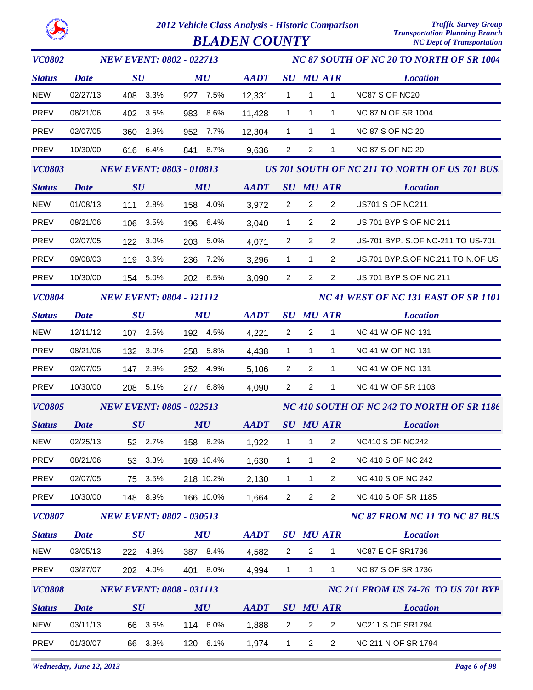

*VC0802*

*2012 Vehicle Class Analysis - Historic Comparison Traffic Survey Group*

*NEW EVENT: 0802 - 022713*

*NC 87 SOUTH OF NC 20 TO NORTH OF SR 1004*

*Status SU MU SU ATR Location AADT MU Date* NEW 02/27/13 408 3.3% 927 7.5% 12,331 1 1 1 NC87 S OF NC20 PREV 08/21/06 402 3.5% 983 8.6% 11,428 1 1 1 NC 87 N OF SR 1004 PREV 02/07/05 360 2.9% 952 7.7% 12,304 1 1 1 NC 87 S OF NC 20 PREV 10/30/00 616 6.4% 841 8.7% 9,636 2 2 1 NC 87 S OF NC 20 *VC0803 Status SU MU SU ATR Location AADT MU US 701 SOUTH OF NC 211 TO NORTH OF US 701 BUS. NEW EVENT: 0803 - 010813 Date* NEW 01/08/13 111 2.8% 158 4.0% 2 3,972 2 2 US701 S OF NC211 PREV 08/21/06 106 3.5% 196 6.4% 3,040 1 2 2 US 701 BYP S OF NC 211 PREV 02/07/05 122 3.0% 203 5.0% 2 4,071 2 2 US-701 BYP. S.OF NC-211 TO US-701 PREV 09/08/03 119 3.6% 236 7.2% 3,296 1 1 2 US.701 BYP.S.OF NC.211 TO N.OF US PREV 10/30/00 154 5.0% 202 6.5% 3,090 2 2 2 US 701 BYP S OF NC 211 *VC0804 Status SU MU SU ATR Location AADT MU NC 41 WEST OF NC 131 EAST OF SR 1101 NEW EVENT: 0804 - 121112 Date* NEW 12/11/12 107 2.5% 192 4.5% 4,221 2 2 1 NC 41 W OF NC 131 PREV 08/21/06 132 3.0% 258 5.8% 4.438 1 1 1 NC 41 W OF NC 131 PREV 02/07/05 147 2.9% 252 4.9% 5,106 2 2 1 NC 41 W OF NC 131 PREV 10/30/00 208 5.1% 277 6.8% 4,090 2 2 1 NC 41 W OF SR 1103 *VC0805 Status SU MU SU ATR Location AADT MU NC 410 SOUTH OF NC 242 TO NORTH OF SR 1186 NEW EVENT: 0805 - 022513 Date* NEW 02/25/13 52 2.7% 158 8.2% 1,922 1 1 2 NC410 S OF NC242 PREV 08/21/06 53 3.3% 169 10.4% 1,630 1 1 2 NC 410 S OF NC 242 PREV 02/07/05 75 3.5% 218 10.2% 2,130 1 1 2 NC 410 S OF NC 242 PREV 10/30/00 148 8.9% 166 10.0% 2 1,664 2 2 NC 410 S OF SR 1185 *VC0807 Status SU MU SU ATR Location NC 87 FROM NC 11 TO NC 87 BUS AADT MU NEW EVENT: 0807 - 030513 Date* NEW 03/05/13 222 4.8% 387 8.4% 2 4,582 2 1 NC87 E OF SR1736 PREV 03/27/07 202 4.0% 401 8.0% 4.994 1 1 1 NC 87 S OF SR 1736 *VC0808 Status SU MU SU ATR Location NC 211 FROM US 74-76 TO US 701 BYP* **AADT** SU MU ATR *NEW EVENT: 0808 - 031113 Date* NEW 03/11/13 66 3.5% 114 6.0% 1,888 2 2 2 NC211 S OF SR1794 PREV 01/30/07 66 3.3% 120 6.1% 1,974 1 2 2 NC 211 N OF SR 1794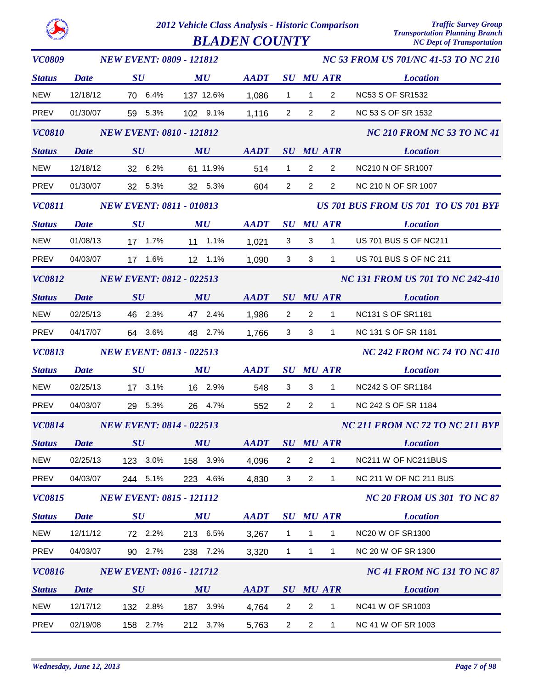|--|

| <b>VC0809</b> |             | <b>NEW EVENT: 0809 - 121812</b> |                                |                                                            |                |                |                                      | <b>NC 53 FROM US 701/NC 41-53 TO NC 210</b> |
|---------------|-------------|---------------------------------|--------------------------------|------------------------------------------------------------|----------------|----------------|--------------------------------------|---------------------------------------------|
| <b>Status</b> | <b>Date</b> | $\boldsymbol{S}\boldsymbol{U}$  | $\boldsymbol{M}\boldsymbol{U}$ | AADT SU MU ATR                                             |                |                |                                      | <b>Location</b>                             |
| <b>NEW</b>    | 12/18/12    | 70 6.4%                         | 137 12.6%                      | 1,086                                                      | $\mathbf{1}$   | $\mathbf{1}$   | $\overline{2}$                       | <b>NC53 S OF SR1532</b>                     |
| PREV          | 01/30/07    | 59 5.3%                         | 102 9.1%                       | 1,116                                                      | $\overline{2}$ | $\overline{2}$ | $\overline{2}$                       | NC 53 S OF SR 1532                          |
| <b>VC0810</b> |             | <b>NEW EVENT: 0810 - 121812</b> |                                |                                                            |                |                |                                      | <b>NC 210 FROM NC 53 TO NC 41</b>           |
| <b>Status</b> | <b>Date</b> | SU                              | MU                             | AADT SU MU ATR                                             |                |                |                                      | <b>Location</b>                             |
| <b>NEW</b>    | 12/18/12    | 32 6.2%                         | 61 11.9%                       | 514                                                        | $\mathbf{1}$   | $\overline{2}$ | $\overline{2}$                       | NC210 N OF SR1007                           |
| PREV          | 01/30/07    | 32 5.3%                         | 32 5.3%                        | 604                                                        | $\overline{2}$ | $\overline{2}$ | $\overline{2}$                       | NC 210 N OF SR 1007                         |
| <b>VC0811</b> |             | <b>NEW EVENT: 0811 - 010813</b> |                                |                                                            |                |                | US 701 BUS FROM US 701 TO US 701 BYP |                                             |
| <b>Status</b> | <b>Date</b> | $\bm{S}\bm{U}$                  | $\boldsymbol{M}\boldsymbol{U}$ | $\boldsymbol{A}\boldsymbol{A}\boldsymbol{D}\boldsymbol{T}$ |                |                | <b>SU MU ATR</b>                     | <b>Location</b>                             |
| <b>NEW</b>    | 01/08/13    | 17 1.7%                         | 11 1.1%                        | 1,021                                                      | 3              | $3^{\circ}$    | 1                                    | US 701 BUS S OF NC211                       |
| PREV          | 04/03/07    | 17 1.6%                         | 12 1.1%                        | 1,090                                                      | $\mathbf{3}$   | $\mathbf{3}$   | $1 \quad$                            | US 701 BUS S OF NC 211                      |
| <b>VC0812</b> |             | <b>NEW EVENT: 0812 - 022513</b> |                                |                                                            |                |                |                                      | <b>NC 131 FROM US 701 TO NC 242-410</b>     |
| <b>Status</b> | <b>Date</b> | SU                              | MU                             | AADT SU MU ATR                                             |                |                |                                      | <b>Location</b>                             |
| <b>NEW</b>    | 02/25/13    | 46 2.3%                         | 47 2.4%                        | 1,986                                                      | $\overline{2}$ | $\overline{2}$ | $\mathbf{1}$                         | NC131 S OF SR1181                           |
| PREV          | 04/17/07    | 64 3.6%                         | 48 2.7%                        | 1,766                                                      | 3 <sup>1</sup> | $\mathbf{3}$   | 1                                    | NC 131 S OF SR 1181                         |
| <b>VC0813</b> |             | <b>NEW EVENT: 0813 - 022513</b> |                                |                                                            |                |                |                                      | <b>NC 242 FROM NC 74 TO NC 410</b>          |
| <b>Status</b> | <b>Date</b> | $\boldsymbol{S}\boldsymbol{U}$  | $\boldsymbol{M}\boldsymbol{U}$ | AADT SU MU ATR                                             |                |                |                                      | <b>Location</b>                             |
| <b>NEW</b>    | 02/25/13    | 17 3.1%                         | 16 2.9%                        | 548                                                        | 3              | 3              | $\mathbf{1}$                         | NC242 S OF SR1184                           |
| <b>PREV</b>   | 04/03/07    | 29 5.3%                         | 26 4.7%                        | 552                                                        | $\overline{2}$ | $\overline{2}$ | 1                                    | NC 242 S OF SR 1184                         |
| <b>VC0814</b> |             | <b>NEW EVENT: 0814 - 022513</b> |                                |                                                            |                |                |                                      | NC 211 FROM NC 72 TO NC 211 BYP             |
| <b>Status</b> | Date        | SU                              | MU                             | <b>AADT</b>                                                |                |                | <b>SU MU ATR</b>                     | <b>Location</b>                             |
| <b>NEW</b>    | 02/25/13    | 123 3.0%                        | 158 3.9%                       | 4,096                                                      | 2              | $\overline{2}$ | $\mathbf{1}$                         | NC211 W OF NC211BUS                         |
| PREV          | 04/03/07    | 244 5.1%                        | 223 4.6%                       | 4,830                                                      | 3              | $\overline{2}$ | $\mathbf{1}$                         | NC 211 W OF NC 211 BUS                      |
| <b>VC0815</b> |             | <b>NEW EVENT: 0815 - 121112</b> |                                |                                                            |                |                |                                      | <b>NC 20 FROM US 301 TO NC 87</b>           |
| <b>Status</b> | <b>Date</b> | SU                              | MU                             | <b>AADT</b>                                                |                |                | <b>SU MU ATR</b>                     | <b>Location</b>                             |
| <b>NEW</b>    | 12/11/12    | 72 2.2%                         | 213 6.5%                       | 3,267                                                      | $\mathbf{1}$   | $\mathbf{1}$   | 1                                    | <b>NC20 W OF SR1300</b>                     |
| PREV          | 04/03/07    | 90 2.7%                         | 238 7.2%                       | 3,320                                                      | $\mathbf{1}$   | $\mathbf{1}$   | $\mathbf{1}$                         | NC 20 W OF SR 1300                          |
| <b>VC0816</b> |             | <b>NEW EVENT: 0816 - 121712</b> |                                |                                                            |                |                |                                      | <b>NC 41 FROM NC 131 TO NC 87</b>           |
| <b>Status</b> | <b>Date</b> | SU                              | MU                             | <b>AADT</b>                                                |                |                | <b>SU MU ATR</b>                     | <b>Location</b>                             |
| <b>NEW</b>    | 12/17/12    | 132 2.8%                        | 187 3.9%                       | 4,764                                                      | 2              | $\overline{2}$ | $\mathbf{1}$                         | <b>NC41 W OF SR1003</b>                     |
| PREV          | 02/19/08    | 158 2.7%                        | 212 3.7%                       | 5,763                                                      | $\overline{2}$ | $\overline{2}$ | $\mathbf{1}$                         | NC 41 W OF SR 1003                          |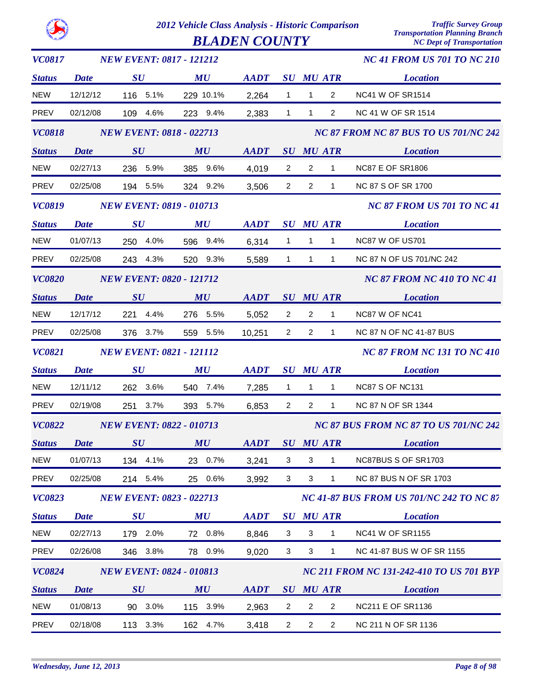*BLADEN COUNTY* 

| <i>VC0817</i> |             | <b>NEW EVENT: 0817 - 121212</b> |                                |                |                           |                                              |                                    | <b>NC 41 FROM US 701 TO NC 210</b>              |
|---------------|-------------|---------------------------------|--------------------------------|----------------|---------------------------|----------------------------------------------|------------------------------------|-------------------------------------------------|
| <b>Status</b> | <b>Date</b> | SU                              | MU                             | <b>AADT</b>    |                           |                                              | <b>SU MU ATR</b>                   | <b>Location</b>                                 |
| <b>NEW</b>    | 12/12/12    | 116 5.1%                        | 229 10.1%                      | 2,264          | $\mathbf{1}$              | $\mathbf{1}$                                 | $\overline{2}$                     | <b>NC41 W OF SR1514</b>                         |
| PREV          | 02/12/08    | 109 4.6%                        | 223 9.4%                       | 2,383          | $\mathbf{1}$              | $\mathbf{1}$                                 | $\overline{2}$                     | NC 41 W OF SR 1514                              |
| <b>VC0818</b> |             | <b>NEW EVENT: 0818 - 022713</b> |                                |                |                           |                                              |                                    | NC 87 FROM NC 87 BUS TO US 701/NC 242           |
| <b>Status</b> | <b>Date</b> | SU                              | MU                             | <b>AADT</b>    |                           |                                              | SU MU ATR                          | <b>Location</b>                                 |
| <b>NEW</b>    | 02/27/13    | 236 5.9%                        | 385 9.6%                       | 4,019          | $\overline{2}$            | $\overline{2}$                               | $\mathbf{1}$                       | <b>NC87 E OF SR1806</b>                         |
| PREV          | 02/25/08    | 194 5.5%                        | 324 9.2%                       | 3,506          | $2^{\circ}$               | $\overline{2}$                               | $\mathbf{1}$                       | NC 87 S OF SR 1700                              |
| <b>VC0819</b> |             | <b>NEW EVENT: 0819 - 010713</b> |                                |                |                           |                                              |                                    | <b>NC 87 FROM US 701 TO NC 41</b>               |
| <b>Status</b> | <b>Date</b> | $\boldsymbol{S}\boldsymbol{U}$  | $\boldsymbol{M}\boldsymbol{U}$ | <b>AADT</b>    |                           |                                              | <i>SU MU ATR</i>                   | <b>Location</b>                                 |
| <b>NEW</b>    | 01/07/13    | 250 4.0%                        | 596 9.4%                       | 6,314          | $\mathbf{1}$              | $\mathbf{1}$                                 | $\mathbf{1}$                       | NC87 W OF US701                                 |
| <b>PREV</b>   | 02/25/08    | 243 4.3%                        | 520 9.3%                       | 5,589          | $\mathbf 1$               | $\mathbf{1}$                                 | $\mathbf{1}$                       | NC 87 N OF US 701/NC 242                        |
| <b>VC0820</b> |             | <b>NEW EVENT: 0820 - 121712</b> |                                |                |                           |                                              |                                    | <b>NC 87 FROM NC 410 TO NC 41</b>               |
| <b>Status</b> | <b>Date</b> | SU                              | MU                             | AADT SU MU ATR |                           |                                              |                                    | <i>Location</i>                                 |
| <b>NEW</b>    | 12/17/12    | 221 4.4%                        | 276 5.5%                       | 5,052          | $\overline{2}$            | $\overline{2}$                               | $\mathbf{1}$                       | NC87 W OF NC41                                  |
| <b>PREV</b>   | 02/25/08    | 376 3.7%                        | 559 5.5%                       | 10,251         | $\overline{2}$            | $\overline{2}$                               | $\mathbf{1}$                       | NC 87 N OF NC 41-87 BUS                         |
| <b>VC0821</b> |             | <b>NEW EVENT: 0821 - 121112</b> |                                |                |                           |                                              | <b>NC 87 FROM NC 131 TO NC 410</b> |                                                 |
| <b>Status</b> | <b>Date</b> | $\boldsymbol{S}\boldsymbol{U}$  | MU                             | <b>AADT</b>    |                           |                                              | <b>SU MU ATR</b>                   | <b>Location</b>                                 |
| <b>NEW</b>    | 12/11/12    | 262 3.6%                        | 540 7.4%                       | 7,285          | $\mathbf{1}$              | $\mathbf{1}$                                 | $\mathbf{1}$                       | NC87 S OF NC131                                 |
| <b>PREV</b>   | 02/19/08    | 251 3.7%                        | 393 5.7%                       | 6,853          | $\overline{2}$            | $\overline{2}$                               | $\mathbf{1}$                       | NC 87 N OF SR 1344                              |
| <b>VC0822</b> |             | <b>NEW EVENT: 0822 - 010713</b> |                                |                |                           | <b>NC 87 BUS FROM NC 87 TO US 701/NC 242</b> |                                    |                                                 |
| <b>Status</b> |             | Date SU                         | MU                             |                |                           |                                              |                                    | AADT SU MU ATR Location                         |
| <b>NEW</b>    | 01/07/13    | 134<br>4.1%                     | 0.7%<br>23                     | 3,241          | 3                         | 3                                            | 1                                  | NC87BUS S OF SR1703                             |
| <b>PREV</b>   | 02/25/08    | 214 5.4%                        | 25 0.6%                        | 3,992          | 3                         | $\sqrt{3}$                                   | $\mathbf{1}$                       | <b>NC 87 BUS N OF SR 1703</b>                   |
| <b>VC0823</b> |             | <b>NEW EVENT: 0823 - 022713</b> |                                |                |                           |                                              |                                    | <b>NC 41-87 BUS FROM US 701/NC 242 TO NC 87</b> |
| <b>Status</b> | <b>Date</b> | SU                              | MU                             | <b>AADT</b>    |                           |                                              | <b>SU MU ATR</b>                   | <b>Location</b>                                 |
| <b>NEW</b>    | 02/27/13    | 179 2.0%                        | 72 0.8%                        | 8,846          | $\mathbf{3}$              | $\mathbf{3}$                                 | $\mathbf{1}$                       | <b>NC41 W OF SR1155</b>                         |
| <b>PREV</b>   | 02/26/08    | 346 3.8%                        | 78 0.9%                        | 9,020          | $\ensuremath{\mathsf{3}}$ | $\sqrt{3}$                                   | $\mathbf{1}$                       | NC 41-87 BUS W OF SR 1155                       |
| <b>VC0824</b> |             | <b>NEW EVENT: 0824 - 010813</b> |                                |                |                           |                                              |                                    | <b>NC 211 FROM NC 131-242-410 TO US 701 BYP</b> |
| <b>Status</b> | <b>Date</b> | SU                              | MU                             | <b>AADT</b>    |                           |                                              | <b>SU MU ATR</b>                   | <b>Location</b>                                 |
| <b>NEW</b>    | 01/08/13    | 90<br>3.0%                      | 115 3.9%                       | 2,963          | $\overline{2}$            | $\overline{2}$                               | $\overline{c}$                     | <b>NC211 E OF SR1136</b>                        |
| <b>PREV</b>   | 02/18/08    | 113 3.3%                        | 162 4.7%                       | 3,418          | $\overline{a}$            | $\overline{c}$                               | $\overline{2}$                     | NC 211 N OF SR 1136                             |
|               |             |                                 |                                |                |                           |                                              |                                    |                                                 |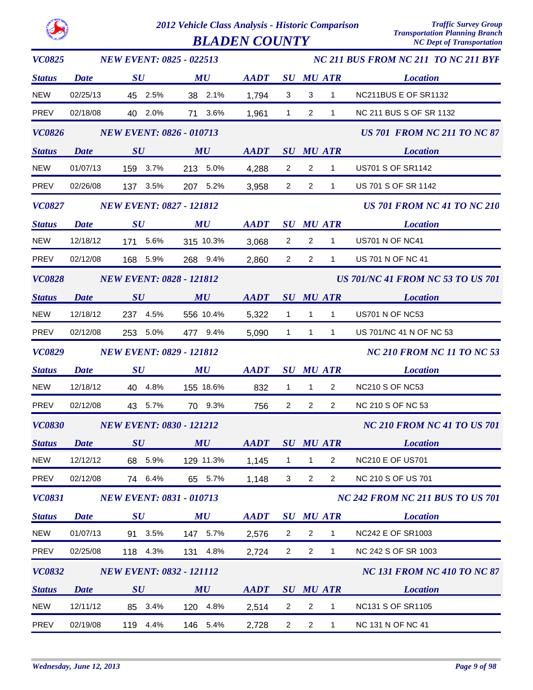|               |             |                                 | 2012 Vehicle Class Analysis - Historic Comparison<br><b>BLADEN COUNTY</b> |                            |                                |                |                  | <b>Traffic Survey Group</b><br><b>Transportation Planning Branch</b><br><b>NC Dept of Transportation</b> |
|---------------|-------------|---------------------------------|---------------------------------------------------------------------------|----------------------------|--------------------------------|----------------|------------------|----------------------------------------------------------------------------------------------------------|
| <b>VC0825</b> |             | <b>NEW EVENT: 0825 - 022513</b> |                                                                           |                            |                                |                |                  | NC 211 BUS FROM NC 211 TO NC 211 BYP                                                                     |
| <b>Status</b> | Date        | $\boldsymbol{S}\boldsymbol{U}$  | MU                                                                        | <b>AADT</b>                | $\boldsymbol{S}\boldsymbol{U}$ |                | <b>MU ATR</b>    | <b>Location</b>                                                                                          |
| <b>NEW</b>    | 02/25/13    | 2.5%<br>45                      | 2.1%<br>38                                                                | 1,794                      | 3                              | 3              | $\mathbf{1}$     | NC211BUS E OF SR1132                                                                                     |
| <b>PREV</b>   | 02/18/08    | 40 2.0%                         | 3.6%<br>71                                                                | 1,961                      | 1                              | $\overline{2}$ | $\mathbf{1}$     | NC 211 BUS S OF SR 1132                                                                                  |
| <b>VC0826</b> |             | <b>NEW EVENT: 0826 - 010713</b> |                                                                           |                            |                                |                |                  | <b>US 701 FROM NC 211 TO NC 87</b>                                                                       |
| <b>Status</b> | <b>Date</b> | SU                              | MU                                                                        | <b>AADT</b>                | $\bm{S}\bm{U}$                 |                | <b>MU ATR</b>    | <b>Location</b>                                                                                          |
| <b>NEW</b>    | 01/07/13    | 3.7%<br>159                     | 5.0%<br>213                                                               | 4,288                      | 2                              | $\overline{c}$ | $\mathbf{1}$     | <b>US701 S OF SR1142</b>                                                                                 |
| <b>PREV</b>   | 02/26/08    | 3.5%<br>137                     | 207 5.2%                                                                  | 3,958                      | 2                              | $\overline{c}$ | $\mathbf{1}$     | US 701 S OF SR 1142                                                                                      |
| <b>VC0827</b> |             | <b>NEW EVENT: 0827 - 121812</b> |                                                                           |                            |                                |                |                  | <b>US 701 FROM NC 41 TO NC 210</b>                                                                       |
| <b>Status</b> | Date        | SU                              | MU                                                                        | <b>AADT</b>                | $\boldsymbol{S}\boldsymbol{U}$ |                | <b>MU ATR</b>    | <b>Location</b>                                                                                          |
| <b>NEW</b>    | 12/18/12    | 5.6%<br>171                     | 315 10.3%                                                                 | 3,068                      | 2                              | 2              | 1                | <b>US701 N OF NC41</b>                                                                                   |
| <b>PREV</b>   | 02/12/08    | 5.9%<br>168                     | 268 9.4%                                                                  | 2,860                      | 2                              | 2              | 1                | US 701 N OF NC 41                                                                                        |
| <b>VC0828</b> |             | <b>NEW EVENT: 0828 - 121812</b> |                                                                           |                            |                                |                |                  | <b>US 701/NC 41 FROM NC 53 TO US 701</b>                                                                 |
| <b>Status</b> | Date        | SU                              | MU                                                                        | <b>AADT</b>                |                                |                | <b>SU MU ATR</b> | <b>Location</b>                                                                                          |
| <b>NEW</b>    | 12/18/12    | 4.5%<br>237                     | 556 10.4%                                                                 | 5,322                      | $\mathbf 1$                    | $\mathbf{1}$   | 1                | <b>US701 N OF NC53</b>                                                                                   |
| <b>PREV</b>   | 02/12/08    | 5.0%<br>253                     | 477 9.4%                                                                  | 5,090                      | 1                              | 1              | 1                | US 701/NC 41 N OF NC 53                                                                                  |
| <b>VC0829</b> |             | <b>NEW EVENT: 0829 - 121812</b> |                                                                           |                            |                                |                |                  | <b>NC 210 FROM NC 11 TO NC 53</b>                                                                        |
| <b>Status</b> | Date        | SU                              | MU                                                                        | <b>AADT</b>                | $\boldsymbol{S}\boldsymbol{U}$ |                | <b>MU ATR</b>    | <b>Location</b>                                                                                          |
| <b>NEW</b>    | 12/18/12    | 4.8%<br>40                      | 155 18.6%                                                                 | 832                        | $\mathbf{1}$                   | $\mathbf 1$    | 2                | <b>NC210 S OF NC53</b>                                                                                   |
| <b>PREV</b>   | 02/12/08    | 5.7%<br>43                      | 70<br>9.3%                                                                | 756                        | 2                              | $\overline{2}$ | 2                | <b>NC 210 S OF NC 53</b>                                                                                 |
| <b>VC0830</b> |             | <b>NEW EVENT: 0830 - 121212</b> |                                                                           |                            |                                |                |                  | <b>NC 210 FROM NC 41 TO US 701</b>                                                                       |
| <b>Status</b> | <b>Date</b> | SU                              | MU                                                                        | AADT SU MU ATR             |                                |                |                  | <b>Location</b>                                                                                          |
| <b>NEW</b>    | 12/12/12    | 68 5.9%                         | 129 11.3%                                                                 | 1,145                      | $\mathbf{1}$                   | $\mathbf{1}$   | 2                | <b>NC210 E OF US701</b>                                                                                  |
| PREV          | 02/12/08    | 74 6.4%                         | 65 5.7%                                                                   | 1,148                      | $\mathbf{3}$                   | $\overline{2}$ | $\overline{2}$   | <b>NC 210 S OF US 701</b>                                                                                |
| <b>VC0831</b> |             | <b>NEW EVENT: 0831 - 010713</b> |                                                                           |                            |                                |                |                  | <b>NC 242 FROM NC 211 BUS TO US 701</b>                                                                  |
| <b>Status</b> | <b>Date</b> | SU                              | $\boldsymbol{M}\boldsymbol{U}$                                            | $\bm{A}\bm{A}\bm{D}\bm{T}$ |                                |                | <b>SU MU ATR</b> | <b>Location</b>                                                                                          |
| <b>NEW</b>    | 01/07/13    | 91 3.5%                         | 147 5.7%                                                                  | 2,576                      | $\overline{2}$                 | $\overline{2}$ | $\mathbf{1}$     | <b>NC242 E OF SR1003</b>                                                                                 |
| PREV          | 02/25/08    | 118 4.3%                        | 131 4.8%                                                                  | 2,724                      | $\overline{2}$                 | $\overline{2}$ | $\mathbf{1}$     | NC 242 S OF SR 1003                                                                                      |
| <b>VC0832</b> |             | <b>NEW EVENT: 0832 - 121112</b> |                                                                           |                            |                                |                |                  | <b>NC 131 FROM NC 410 TO NC 87</b>                                                                       |
| <b>Status</b> | <b>Date</b> | SU                              | MU                                                                        | AADT SU MU ATR             |                                |                |                  | <b>Location</b>                                                                                          |
| <b>NEW</b>    | 12/11/12    | 85 3.4%                         | 120 4.8%                                                                  | 2,514                      | $\overline{2}$                 | $\overline{2}$ | $\mathbf{1}$     | NC131 S OF SR1105                                                                                        |
| PREV          | 02/19/08    | 119 4.4%                        | 146 5.4%                                                                  | 2,728                      | $\overline{2}$                 | $\overline{2}$ | $\mathbf{1}$     | NC 131 N OF NC 41                                                                                        |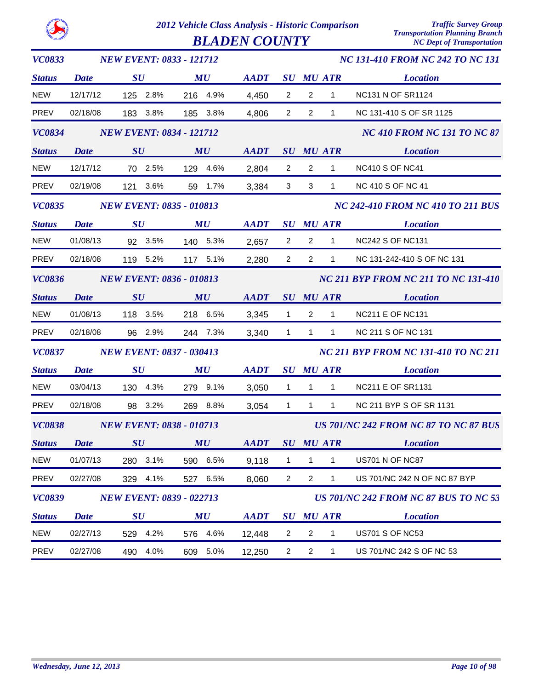| <b>VC0833</b>      |                   | <b>NEW EVENT: 0833 - 121712</b> |                                |             |                |                |                  | <b>NC 131-410 FROM NC 242 TO NC 131</b>      |
|--------------------|-------------------|---------------------------------|--------------------------------|-------------|----------------|----------------|------------------|----------------------------------------------|
| <b>Status</b>      | <b>Date</b>       | $\boldsymbol{S}\boldsymbol{U}$  | MU                             | <b>AADT</b> |                |                | <b>SU MU ATR</b> | <b>Location</b>                              |
| <b>NEW</b>         | 12/17/12          | 125 2.8%                        | 216 4.9%                       | 4,450       | $\overline{2}$ | $\overline{2}$ | 1                | <b>NC131 N OF SR1124</b>                     |
| PREV               | 02/18/08          | 183 3.8%                        | 185 3.8%                       | 4,806       | $\overline{2}$ | 2              | $\mathbf{1}$     | NC 131-410 S OF SR 1125                      |
| <b>VC0834</b>      |                   | <b>NEW EVENT: 0834 - 121712</b> |                                |             |                |                |                  | <b>NC 410 FROM NC 131 TO NC 87</b>           |
| <b>Status</b>      | <b>Date</b>       | SU                              | MU                             | <b>AADT</b> |                |                | <b>SU MU ATR</b> | <b>Location</b>                              |
| <b>NEW</b>         | 12/17/12          | 70 2.5%                         | 129 4.6%                       | 2,804       | $\overline{2}$ | $\overline{2}$ | $\mathbf{1}$     | <b>NC410 S OF NC41</b>                       |
| <b>PREV</b>        | 02/19/08          | 121 3.6%                        | 59 1.7%                        | 3,384       | 3              | $\mathbf{3}$   | $\mathbf{1}$     | <b>NC 410 S OF NC 41</b>                     |
| <b>VC0835</b>      |                   | <b>NEW EVENT: 0835 - 010813</b> |                                |             |                |                |                  | <b>NC 242-410 FROM NC 410 TO 211 BUS</b>     |
| <b>Status</b>      | <b>Date</b>       | SU                              | MU                             | <b>AADT</b> |                |                | <b>SU MU ATR</b> | <b>Location</b>                              |
| <b>NEW</b>         | 01/08/13          | 92 3.5%                         | 140 5.3%                       | 2,657       | $\overline{2}$ | $\overline{2}$ | $\mathbf{1}$     | <b>NC242 S OF NC131</b>                      |
| <b>PREV</b>        | 02/18/08          | 119 5.2%                        | 117 5.1%                       | 2,280       | $\overline{2}$ | $\overline{2}$ | $\mathbf{1}$     | NC 131-242-410 S OF NC 131                   |
| <b>VC0836</b>      |                   | <b>NEW EVENT: 0836 - 010813</b> |                                |             |                |                |                  | <b>NC 211 BYP FROM NC 211 TO NC 131-410</b>  |
| <b>Status</b>      | SU<br><b>Date</b> |                                 | MU                             | <b>AADT</b> |                |                | <b>SU MU ATR</b> | <b>Location</b>                              |
| <b>NEW</b>         | 01/08/13          | 118 3.5%                        | 218 6.5%                       | 3,345       | $\overline{1}$ | $\overline{2}$ | $\mathbf{1}$     | <b>NC211 E OF NC131</b>                      |
| <b>PREV</b>        | 02/18/08          | 96 2.9%                         | 244 7.3%                       | 3,340       | $\mathbf{1}$   | $\mathbf{1}$   | 1                | NC 211 S OF NC 131                           |
| <b>VC0837</b>      |                   | <b>NEW EVENT: 0837 - 030413</b> |                                |             |                |                |                  | <b>NC 211 BYP FROM NC 131-410 TO NC 211</b>  |
| <b>Status</b>      | <b>Date</b>       | SU                              | MU                             | <b>AADT</b> |                |                | <b>SU MU ATR</b> | <b>Location</b>                              |
| <b>NEW</b>         | 03/04/13          | 130 4.3%                        | 279 9.1%                       | 3,050       | $\overline{1}$ | $\overline{1}$ | $\mathbf{1}$     | <b>NC211 E OF SR1131</b>                     |
| <b>PREV</b>        | 02/18/08          | 98 3.2%                         | 269 8.8%                       | 3,054       | $\mathbf{1}$   | $\mathbf{1}$   | $\mathbf{1}$     | NC 211 BYP S OF SR 1131                      |
| <b>VC0838</b>      |                   | <b>NEW EVENT: 0838 - 010713</b> |                                |             |                |                |                  | <b>US 701/NC 242 FROM NC 87 TO NC 87 BUS</b> |
| <b>Status</b> Date |                   | $\boldsymbol{S}\boldsymbol{U}$  | MU                             | <b>AADT</b> |                |                | <b>SU MU ATR</b> | <b>Location</b>                              |
| <b>NEW</b>         | 01/07/13          | 280 3.1%                        | 590 6.5%                       | 9,118       | 1              | 1              | 1                | <b>US701 N OF NC87</b>                       |
| PREV               | 02/27/08          | 329 4.1%                        | 527 6.5%                       | 8,060       | $\overline{2}$ | $\overline{a}$ | 1                | US 701/NC 242 N OF NC 87 BYP                 |
| <b>VC0839</b>      |                   | <b>NEW EVENT: 0839 - 022713</b> |                                |             |                |                |                  | <b>US 701/NC 242 FROM NC 87 BUS TO NC 53</b> |
| <b>Status</b>      | <b>Date</b>       | $\boldsymbol{S}\boldsymbol{U}$  | $\boldsymbol{M}\boldsymbol{U}$ | <b>AADT</b> | $\bm{S}\bm{U}$ |                | <b>MU ATR</b>    | <b>Location</b>                              |
| <b>NEW</b>         | 02/27/13          | 529 4.2%                        | 576 4.6%                       | 12,448      | $\overline{c}$ | 2              | 1                | <b>US701 S OF NC53</b>                       |
| PREV               | 02/27/08          | 490<br>4.0%                     | 609 5.0%                       | 12,250      | $\overline{a}$ | $\overline{a}$ | 1                | US 701/NC 242 S OF NC 53                     |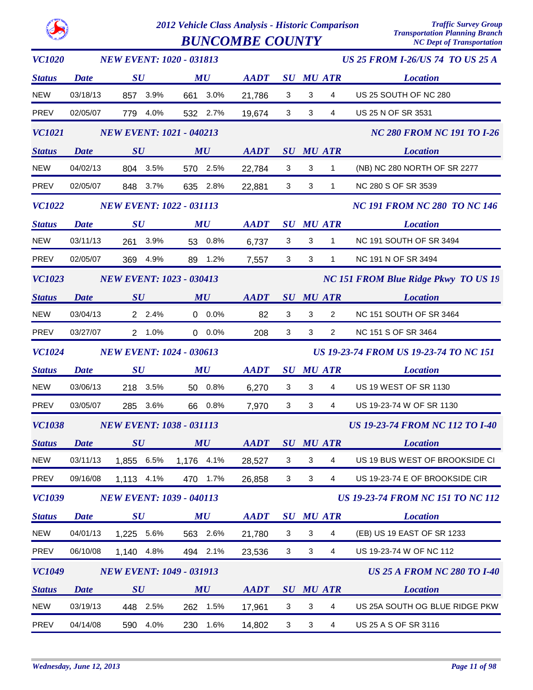|--|

*2012 Vehicle Class Analysis - Historic Comparison Traffic Survey Group* **BUNCOMBE COUNTY** 

| <b>VC1020</b> | <b>NEW EVENT: 1020 - 031813</b> |                                |          |                                 |         |             | <b>US 25 FROM I-26/US 74 TO US 25 A</b> |              |                                   |                                               |  |  |
|---------------|---------------------------------|--------------------------------|----------|---------------------------------|---------|-------------|-----------------------------------------|--------------|-----------------------------------|-----------------------------------------------|--|--|
| <b>Status</b> | <b>Date</b>                     | $\boldsymbol{S}\boldsymbol{U}$ |          | MU                              |         | <b>AADT</b> | $\boldsymbol{S}\boldsymbol{U}$          |              | <b>MU ATR</b>                     | <b>Location</b>                               |  |  |
| <b>NEW</b>    | 03/18/13                        | 857 3.9%                       |          | 661 3.0%                        |         | 21,786      | 3                                       | $\sqrt{3}$   | 4                                 | US 25 SOUTH OF NC 280                         |  |  |
| PREV          | 02/05/07                        |                                | 779 4.0% | 532 2.7%                        |         | 19,674      | 3                                       | $\mathbf{3}$ | 4                                 | US 25 N OF SR 3531                            |  |  |
| <b>VC1021</b> | <b>NEW EVENT: 1021 - 040213</b> |                                |          |                                 |         |             |                                         |              | <b>NC 280 FROM NC 191 TO I-26</b> |                                               |  |  |
| <b>Status</b> | <b>Date</b>                     | SU                             |          | MU                              |         | <b>AADT</b> |                                         |              | <b>SU MU ATR</b>                  | <b>Location</b>                               |  |  |
| <b>NEW</b>    | 04/02/13                        | 804 3.5%                       |          | 570 2.5%                        |         | 22,784      | $\mathbf 3$                             | 3            | 1                                 | (NB) NC 280 NORTH OF SR 2277                  |  |  |
| PREV          | 02/05/07                        |                                | 848 3.7% | 635 2.8%                        |         | 22,881      | 3                                       | 3            | $\mathbf{1}$                      | NC 280 S OF SR 3539                           |  |  |
| <b>VC1022</b> |                                 |                                |          | <b>NEW EVENT: 1022 - 031113</b> |         |             |                                         |              |                                   | <b>NC 191 FROM NC 280 TO NC 146</b>           |  |  |
| <b>Status</b> | <b>Date</b>                     | SU                             |          | MU                              |         | <b>AADT</b> |                                         |              | <b>SU MU ATR</b>                  | <b>Location</b>                               |  |  |
| <b>NEW</b>    | 03/11/13                        | 261 3.9%                       |          | 53 0.8%                         |         | 6,737       | 3                                       | 3            | $\mathbf{1}$                      | NC 191 SOUTH OF SR 3494                       |  |  |
| <b>PREV</b>   | 02/05/07                        | 369                            | 4.9%     | 89 1.2%                         |         | 7,557       | 3                                       | 3            | $\mathbf{1}$                      | NC 191 N OF SR 3494                           |  |  |
| <b>VC1023</b> |                                 |                                |          | <b>NEW EVENT: 1023 - 030413</b> |         |             |                                         |              |                                   | <b>NC 151 FROM Blue Ridge Pkwy TO US 19</b>   |  |  |
| <b>Status</b> | <b>Date</b>                     | SU                             |          | MU                              |         | <b>AADT</b> | $\boldsymbol{S}\boldsymbol{U}$          |              | <b>MU ATR</b>                     | <b>Location</b>                               |  |  |
| <b>NEW</b>    | 03/04/13                        |                                | 2 2.4%   |                                 | $0.0\%$ | 82          | 3                                       | $\mathbf{3}$ | $\overline{2}$                    | NC 151 SOUTH OF SR 3464                       |  |  |
| PREV          | 03/27/07                        |                                | 2 1.0%   |                                 | $0.0\%$ | 208         | 3                                       | 3            | $\overline{2}$                    | NC 151 S OF SR 3464                           |  |  |
| <b>VC1024</b> |                                 |                                |          | <b>NEW EVENT: 1024 - 030613</b> |         |             |                                         |              |                                   | <b>US 19-23-74 FROM US 19-23-74 TO NC 151</b> |  |  |
| <b>Status</b> | <b>Date</b>                     | SU                             |          | MU                              |         | <b>AADT</b> | $\boldsymbol{S}\boldsymbol{U}$          |              | <b>MU ATR</b>                     | <b>Location</b>                               |  |  |
| <b>NEW</b>    | 03/06/13                        | 218 3.5%                       |          | 50 0.8%                         |         | 6,270       | 3                                       | $\mathbf{3}$ | 4                                 | US 19 WEST OF SR 1130                         |  |  |
| PREV          | 03/05/07                        | 285                            | 3.6%     | 66 0.8%                         |         | 7,970       | 3                                       | 3            | 4                                 | US 19-23-74 W OF SR 1130                      |  |  |
| <b>VC1038</b> |                                 |                                |          | <b>NEW EVENT: 1038 - 031113</b> |         |             |                                         |              |                                   | <b>US 19-23-74 FROM NC 112 TO I-40</b>        |  |  |
| <b>Status</b> | <b>Date</b>                     | $\boldsymbol{S}\boldsymbol{U}$ |          | MU                              |         | <b>AADT</b> |                                         |              | <b>SU MU ATR</b>                  | <b>Location</b>                               |  |  |
| <b>NEW</b>    | 03/11/13                        | 1,855                          | 6.5%     | 1,176 4.1%                      |         | 28,527      | 3                                       | 3            | 4                                 | US 19 BUS WEST OF BROOKSIDE CI                |  |  |
| <b>PREV</b>   | 09/16/08                        | 1,113 4.1%                     |          | 470                             | 1.7%    | 26,858      | 3                                       | 3            | 4                                 | US 19-23-74 E OF BROOKSIDE CIR                |  |  |
| <b>VC1039</b> |                                 |                                |          | <b>NEW EVENT: 1039 - 040113</b> |         |             |                                         |              |                                   | <b>US 19-23-74 FROM NC 151 TO NC 112</b>      |  |  |
| <b>Status</b> | <b>Date</b>                     | $\boldsymbol{S}\boldsymbol{U}$ |          | MU                              |         | <b>AADT</b> |                                         |              | <b>SU MU ATR</b>                  | <b>Location</b>                               |  |  |
| <b>NEW</b>    | 04/01/13                        | 1,225 5.6%                     |          | 563 2.6%                        |         | 21,780      | 3                                       | 3            | 4                                 | (EB) US 19 EAST OF SR 1233                    |  |  |
| <b>PREV</b>   | 06/10/08                        | 1,140 4.8%                     |          | 494 2.1%                        |         | 23,536      | 3                                       | 3            | 4                                 | US 19-23-74 W OF NC 112                       |  |  |
| <b>VC1049</b> |                                 |                                |          | <b>NEW EVENT: 1049 - 031913</b> |         |             |                                         |              |                                   | <b>US 25 A FROM NC 280 TO 1-40</b>            |  |  |
| <b>Status</b> | Date                            | $\boldsymbol{S}\boldsymbol{U}$ |          | MU                              |         | <b>AADT</b> |                                         |              | <b>SU MU ATR</b>                  | <b>Location</b>                               |  |  |
| <b>NEW</b>    | 03/19/13                        | 448 2.5%                       |          | 262                             | 1.5%    | 17,961      | 3                                       | 3            | 4                                 | US 25A SOUTH OG BLUE RIDGE PKW                |  |  |
| PREV          | 04/14/08                        | 590                            | 4.0%     | 230                             | 1.6%    | 14,802      | 3                                       | 3            | 4                                 | US 25 A S OF SR 3116                          |  |  |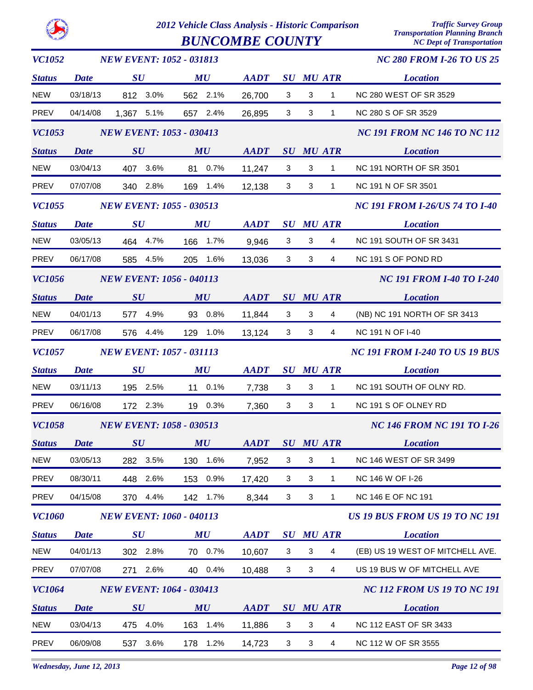|               | 2012 Vehicle Class Analysis - Historic Comparison<br><b>BUNCOMBE COUNTY</b> |                                 |      |           |          |             |                                       | <b>Traffic Survey Group</b><br><b>Transportation Planning Branch</b><br><b>NC Dept of Transportation</b> |                         |                                     |  |
|---------------|-----------------------------------------------------------------------------|---------------------------------|------|-----------|----------|-------------|---------------------------------------|----------------------------------------------------------------------------------------------------------|-------------------------|-------------------------------------|--|
| <b>VC1052</b> |                                                                             | <b>NEW EVENT: 1052 - 031813</b> |      |           |          |             |                                       |                                                                                                          |                         | <b>NC 280 FROM I-26 TO US 25</b>    |  |
| <b>Status</b> | Date                                                                        | SU                              |      | MU        |          | <b>AADT</b> |                                       |                                                                                                          | <b>SU MU ATR</b>        | <b>Location</b>                     |  |
| <b>NEW</b>    | 03/18/13                                                                    | 812                             | 3.0% | 562       | 2.1%     | 26,700      | 3                                     | 3                                                                                                        | 1                       | <b>NC 280 WEST OF SR 3529</b>       |  |
| <b>PREV</b>   | 04/14/08                                                                    | 1,367                           | 5.1% | 657       | 2.4%     | 26,895      | 3                                     | 3                                                                                                        | 1                       | NC 280 S OF SR 3529                 |  |
| <i>VC1053</i> |                                                                             | <b>NEW EVENT: 1053 - 030413</b> |      |           |          |             |                                       |                                                                                                          |                         | <b>NC 191 FROM NC 146 TO NC 112</b> |  |
| <b>Status</b> | <b>Date</b>                                                                 | SU                              |      | MU        |          | <b>AADT</b> |                                       |                                                                                                          | <b>SU MU ATR</b>        | <b>Location</b>                     |  |
| <b>NEW</b>    | 03/04/13                                                                    | 407                             | 3.6% | 81        | 0.7%     | 11,247      | 3                                     | 3                                                                                                        | 1                       | <b>NC 191 NORTH OF SR 3501</b>      |  |
| <b>PREV</b>   | 07/07/08                                                                    | 340                             | 2.8% | 169       | 1.4%     | 12,138      | 3                                     | 3                                                                                                        | 1                       | NC 191 N OF SR 3501                 |  |
| <b>VC1055</b> |                                                                             | <b>NEW EVENT: 1055 - 030513</b> |      |           |          |             |                                       | <b>NC 191 FROM I-26/US 74 TO I-40</b>                                                                    |                         |                                     |  |
| <b>Status</b> | <b>Date</b>                                                                 | SU                              |      | <b>MU</b> |          | <b>AADT</b> |                                       |                                                                                                          | <b>SU MU ATR</b>        | <b>Location</b>                     |  |
| <b>NEW</b>    | 03/05/13                                                                    | 464 4.7%                        |      | 166       | 1.7%     | 9,946       | 3                                     | 3                                                                                                        | 4                       | NC 191 SOUTH OF SR 3431             |  |
| <b>PREV</b>   | 06/17/08                                                                    | 585                             | 4.5% | 205       | 1.6%     | 13,036      | 3                                     | 3                                                                                                        | 4                       | NC 191 S OF POND RD                 |  |
| <b>VC1056</b> |                                                                             | <b>NEW EVENT: 1056 - 040113</b> |      |           |          |             |                                       |                                                                                                          |                         | <b>NC 191 FROM I-40 TO I-240</b>    |  |
| <b>Status</b> | <b>Date</b>                                                                 | SU                              |      | MU        |          | <b>AADT</b> |                                       |                                                                                                          | <b>SU MU ATR</b>        | <b>Location</b>                     |  |
| <b>NEW</b>    | 04/01/13                                                                    | 577                             | 4.9% | 93        | 0.8%     | 11,844      | 3                                     | 3                                                                                                        | 4                       | (NB) NC 191 NORTH OF SR 3413        |  |
| <b>PREV</b>   | 06/17/08                                                                    | 576                             | 4.4% | 129       | 1.0%     | 13,124      | 3                                     | 3                                                                                                        | 4                       | <b>NC 191 N OF I-40</b>             |  |
| <b>VC1057</b> |                                                                             | <b>NEW EVENT: 1057 - 031113</b> |      |           |          |             | <b>NC 191 FROM I-240 TO US 19 BUS</b> |                                                                                                          |                         |                                     |  |
| <b>Status</b> | <b>Date</b>                                                                 | SU                              |      | <b>MU</b> |          | <b>AADT</b> |                                       |                                                                                                          | <b>SU MU ATR</b>        | <b>Location</b>                     |  |
| <b>NEW</b>    | 03/11/13                                                                    | 195                             | 2.5% | 11        | 0.1%     | 7,738       | 3                                     | 3                                                                                                        | 1                       | NC 191 SOUTH OF OLNY RD.            |  |
| <b>PREV</b>   | 06/16/08                                                                    | 172 2.3%                        |      | 19        | 0.3%     | 7,360       | 3                                     | 3                                                                                                        | 1                       | NC 191 S OF OLNEY RD                |  |
| <b>VC1058</b> |                                                                             | <b>NEW EVENT: 1058 - 030513</b> |      |           |          |             |                                       |                                                                                                          |                         | <b>NC 146 FROM NC 191 TO I-26</b>   |  |
| <b>Status</b> | <b>Date</b>                                                                 | SU                              |      | MU        |          | <b>AADT</b> |                                       |                                                                                                          | <b>SU MU ATR</b>        | <b>Location</b>                     |  |
| <b>NEW</b>    | 03/05/13                                                                    | 282 3.5%                        |      |           | 130 1.6% | 7,952       | 3                                     | 3                                                                                                        | $\mathbf{1}$            | NC 146 WEST OF SR 3499              |  |
| <b>PREV</b>   | 08/30/11                                                                    | 448 2.6%                        |      |           | 153 0.9% | 17,420      | 3                                     | 3                                                                                                        | 1                       | NC 146 W OF I-26                    |  |
| <b>PREV</b>   | 04/15/08                                                                    | 370 4.4%                        |      |           | 142 1.7% | 8,344       | $\mathbf{3}$                          | $\mathbf{3}$                                                                                             | $\mathbf 1$             | <b>NC 146 E OF NC 191</b>           |  |
| <b>VC1060</b> |                                                                             | <b>NEW EVENT: 1060 - 040113</b> |      |           |          |             |                                       |                                                                                                          |                         | US 19 BUS FROM US 19 TO NC 191      |  |
| <b>Status</b> | <b>Date</b>                                                                 | SU                              |      | MU        |          | <b>AADT</b> |                                       |                                                                                                          | <b>SU MU ATR</b>        | <b>Location</b>                     |  |
| <b>NEW</b>    | 04/01/13                                                                    | 302 2.8%                        |      |           | 70 0.7%  | 10,607      | 3                                     | 3                                                                                                        | $\overline{4}$          | (EB) US 19 WEST OF MITCHELL AVE.    |  |
| PREV          | 07/07/08                                                                    | 271                             | 2.6% |           | 40 0.4%  | 10,488      | 3                                     | $\mathbf{3}$                                                                                             | 4                       | US 19 BUS W OF MITCHELL AVE         |  |
| <b>VC1064</b> |                                                                             | <b>NEW EVENT: 1064 - 030413</b> |      |           |          |             |                                       |                                                                                                          |                         | <b>NC 112 FROM US 19 TO NC 191</b>  |  |
| <b>Status</b> | <b>Date</b>                                                                 | SU                              |      | MU        |          | <b>AADT</b> |                                       |                                                                                                          | <b>SU MU ATR</b>        | <b>Location</b>                     |  |
| <b>NEW</b>    | 03/04/13                                                                    | 475 4.0%                        |      |           | 163 1.4% | 11,886      | 3                                     | $\mathbf{3}$                                                                                             | $\overline{\mathbf{4}}$ | <b>NC 112 EAST OF SR 3433</b>       |  |
| PREV          | 06/09/08                                                                    | 537                             | 3.6% |           | 178 1.2% | 14,723      | 3                                     | $\mathbf{3}$                                                                                             | $\overline{4}$          | NC 112 W OF SR 3555                 |  |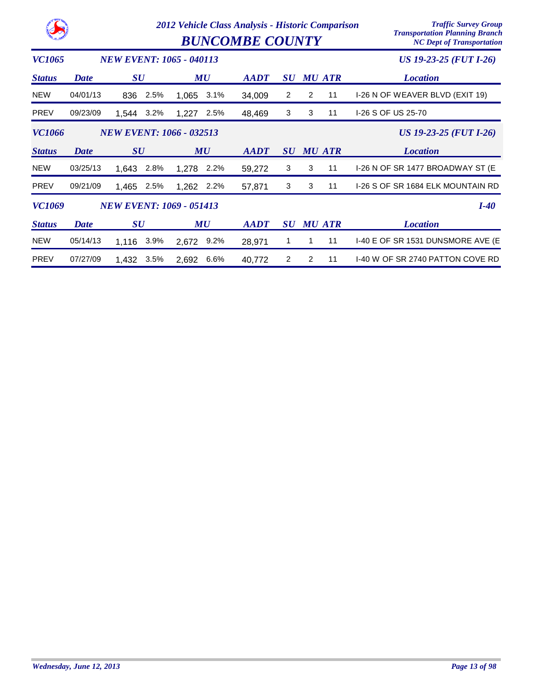|               |             |                                 | 2012 Vehicle Class Analysis - Historic Comparison<br><b>BUNCOMBE COUNTY</b> | <b>Traffic Survey Group</b><br><b>Transportation Planning Branch</b><br><b>NC Dept of Transportation</b> |                                |   |               |                                   |
|---------------|-------------|---------------------------------|-----------------------------------------------------------------------------|----------------------------------------------------------------------------------------------------------|--------------------------------|---|---------------|-----------------------------------|
| <b>VC1065</b> |             | <b>NEW EVENT: 1065 - 040113</b> |                                                                             |                                                                                                          |                                |   |               | US 19-23-25 (FUT I-26)            |
| <b>Status</b> | Date        | $\bm{S}\bm{U}$                  | MU                                                                          | <b>AADT</b>                                                                                              | $\boldsymbol{S}\boldsymbol{U}$ |   | <b>MU ATR</b> | <b>Location</b>                   |
| <b>NEW</b>    | 04/01/13    | 2.5%<br>836                     | 3.1%<br>1,065                                                               | 34,009                                                                                                   | 2                              | 2 | 11            | I-26 N OF WEAVER BLVD (EXIT 19)   |
| <b>PREV</b>   | 09/23/09    | 3.2%<br>1.544                   | 1,227<br>2.5%                                                               | 48,469                                                                                                   | 3                              | 3 | 11            | I-26 S OF US 25-70                |
| <b>VC1066</b> |             |                                 | <b>NEW EVENT: 1066 - 032513</b>                                             |                                                                                                          |                                |   |               | US 19-23-25 (FUT I-26)            |
| <b>Status</b> | <b>Date</b> | $\boldsymbol{S}\boldsymbol{U}$  | MU                                                                          | $\boldsymbol{A}\boldsymbol{A}\boldsymbol{D}\boldsymbol{T}$                                               | $\boldsymbol{S}\boldsymbol{U}$ |   | <b>MU ATR</b> | <b>Location</b>                   |
| <b>NEW</b>    | 03/25/13    | 1,643<br>2.8%                   | 1,278<br>2.2%                                                               | 59,272                                                                                                   | 3                              | 3 | 11            | I-26 N OF SR 1477 BROADWAY ST (E  |
| <b>PREV</b>   | 09/21/09    | 1,465<br>2.5%                   | 1,262<br>2.2%                                                               | 57,871                                                                                                   | 3                              | 3 | 11            | I-26 S OF SR 1684 ELK MOUNTAIN RD |
| <b>VC1069</b> |             | <b>NEW EVENT: 1069 - 051413</b> |                                                                             |                                                                                                          |                                |   |               | $I-40$                            |
| <b>Status</b> | <b>Date</b> | $\bm{S}\bm{U}$                  | MU                                                                          | <b>AADT</b>                                                                                              | $\boldsymbol{S}\boldsymbol{U}$ |   | <b>MU ATR</b> | <b>Location</b>                   |
|               |             |                                 |                                                                             |                                                                                                          |                                |   |               |                                   |
| <b>NEW</b>    | 05/14/13    | 3.9%<br>1.116                   | $9.2\%$<br>2,672                                                            | 28,971                                                                                                   | 1                              | 1 | 11            | I-40 E OF SR 1531 DUNSMORE AVE (E |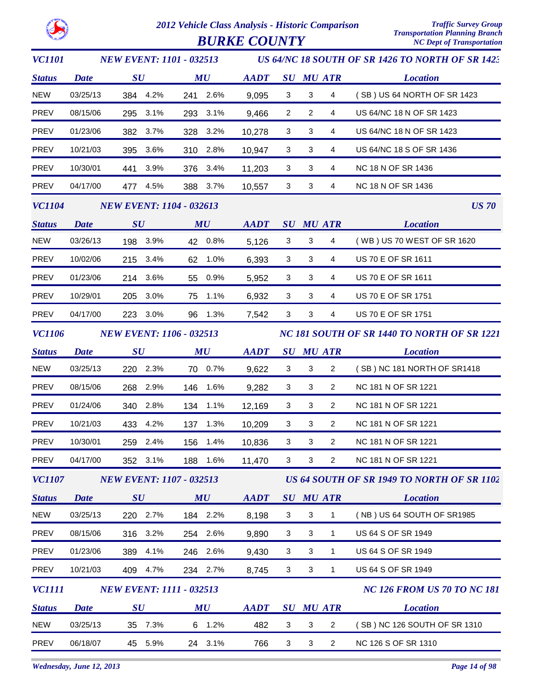

| <i>VC1101</i> |                                 |                                 |          | <b>NEW EVENT: 1101 - 032513</b> |          |             |                                             |                           |                         | US 64/NC 18 SOUTH OF SR 1426 TO NORTH OF SR 1423 |
|---------------|---------------------------------|---------------------------------|----------|---------------------------------|----------|-------------|---------------------------------------------|---------------------------|-------------------------|--------------------------------------------------|
| <b>Status</b> | <b>Date</b>                     | $\boldsymbol{S}\boldsymbol{U}$  |          |                                 | MU       | <b>AADT</b> |                                             |                           | <b>SU MU ATR</b>        | <b>Location</b>                                  |
| <b>NEW</b>    | 03/25/13                        |                                 | 384 4.2% |                                 | 241 2.6% | 9,095       | $\mathbf{3}$                                | $\mathbf{3}$              | 4                       | (SB) US 64 NORTH OF SR 1423                      |
| PREV          | 08/15/06                        |                                 | 295 3.1% |                                 | 293 3.1% | 9,466       | $\overline{2}$                              | $\overline{2}$            | 4                       | US 64/NC 18 N OF SR 1423                         |
| <b>PREV</b>   | 01/23/06                        | 382                             | 3.7%     |                                 | 328 3.2% | 10,278      | $\mathbf{3}$                                | 3                         | 4                       | US 64/NC 18 N OF SR 1423                         |
| PREV          | 10/21/03                        |                                 | 395 3.6% |                                 | 310 2.8% | 10,947      | 3                                           | 3                         | 4                       | US 64/NC 18 S OF SR 1436                         |
| <b>PREV</b>   | 10/30/01                        |                                 | 441 3.9% |                                 | 376 3.4% | 11,203      | 3                                           | 3                         | 4                       | NC 18 N OF SR 1436                               |
| <b>PREV</b>   | 04/17/00                        |                                 | 477 4.5% |                                 | 388 3.7% | 10,557      | 3                                           | 3                         | 4                       | NC 18 N OF SR 1436                               |
| <b>VC1104</b> | <b>NEW EVENT: 1104 - 032613</b> |                                 |          |                                 |          |             |                                             |                           |                         | <b>US 70</b>                                     |
| <b>Status</b> | <b>Date</b>                     | SU                              |          |                                 | MU       | <b>AADT</b> |                                             |                           | <b>SU MU ATR</b>        | <b>Location</b>                                  |
| <b>NEW</b>    | 03/26/13                        |                                 | 198 3.9% |                                 | 42 0.8%  | 5,126       | 3                                           | 3                         | $\overline{\mathbf{4}}$ | (WB) US 70 WEST OF SR 1620                       |
| PREV          | 10/02/06                        |                                 | 215 3.4% |                                 | 62 1.0%  | 6,393       | 3                                           | 3                         | 4                       | US 70 E OF SR 1611                               |
| PREV          | 01/23/06                        |                                 | 214 3.6% | 55                              | $0.9\%$  | 5,952       | $\mathbf{3}$                                | $\mathbf{3}$              | 4                       | US 70 E OF SR 1611                               |
| PREV          | 10/29/01                        |                                 | 205 3.0% |                                 | 75 1.1%  | 6,932       | 3                                           | 3                         | 4                       | US 70 E OF SR 1751                               |
| <b>PREV</b>   | 04/17/00                        |                                 | 223 3.0% |                                 | 96 1.3%  | 7,542       | $\mathbf{3}$                                | $\mathbf{3}$              | 4                       | US 70 E OF SR 1751                               |
| <b>VC1106</b> |                                 | <b>NEW EVENT: 1106 - 032513</b> |          |                                 |          |             | NC 181 SOUTH OF SR 1440 TO NORTH OF SR 1221 |                           |                         |                                                  |
| <b>Status</b> | <b>Date</b>                     | $\boldsymbol{S}\boldsymbol{U}$  |          |                                 | MU       | <b>AADT</b> |                                             |                           | <b>SU MU ATR</b>        | <b>Location</b>                                  |
| <b>NEW</b>    | 03/25/13                        |                                 | 220 2.3% |                                 | 70 0.7%  | 9,622       | $\mathbf{3}$                                | 3                         | $\overline{2}$          | (SB) NC 181 NORTH OF SR1418                      |
| PREV          | 08/15/06                        | 268                             | 2.9%     |                                 | 146 1.6% | 9,282       | 3                                           | 3                         | $\overline{2}$          | NC 181 N OF SR 1221                              |
| PREV          | 01/24/06                        |                                 | 340 2.8% |                                 | 134 1.1% | 12,169      | 3                                           | $\mathbf{3}$              | $\overline{2}$          | NC 181 N OF SR 1221                              |
| PREV          | 10/21/03                        |                                 | 433 4.2% | 137                             | 1.3%     | 10,209      | 3                                           | 3                         | $\overline{2}$          | NC 181 N OF SR 1221                              |
| <b>PREV</b>   | 10/30/01                        |                                 | 259 2.4% |                                 | 156 1.4% | 10,836      | 3                                           | 3                         | 2                       | NC 181 N OF SR 1221                              |
| <b>PREV</b>   | 04/17/00                        | 352                             | 3.1%     | 188                             | 1.6%     | 11,470      | 3                                           | 3                         | $\overline{2}$          | NC 181 N OF SR 1221                              |
| <b>VC1107</b> |                                 |                                 |          | <b>NEW EVENT: 1107 - 032513</b> |          |             |                                             |                           |                         | US 64 SOUTH OF SR 1949 TO NORTH OF SR 1102       |
| <b>Status</b> | <b>Date</b>                     | $\boldsymbol{S}\boldsymbol{U}$  |          |                                 | MU       | <b>AADT</b> |                                             |                           | <b>SU MU ATR</b>        | <b>Location</b>                                  |
| <b>NEW</b>    | 03/25/13                        |                                 | 220 2.7% |                                 | 184 2.2% | 8,198       | 3                                           | $\ensuremath{\mathsf{3}}$ | 1                       | (NB) US 64 SOUTH OF SR1985                       |
| PREV          | 08/15/06                        | 316                             | 3.2%     |                                 | 254 2.6% | 9,890       | 3                                           | 3                         | $\mathbf{1}$            | US 64 S OF SR 1949                               |
| <b>PREV</b>   | 01/23/06                        | 389                             | 4.1%     |                                 | 246 2.6% | 9,430       | $\mathbf{3}$                                | 3                         | $\mathbf{1}$            | <b>US 64 S OF SR 1949</b>                        |
| PREV          | 10/21/03                        | 409                             | 4.7%     |                                 | 234 2.7% | 8,745       | 3                                           | $\mathbf{3}$              | $\mathbf{1}$            | US 64 S OF SR 1949                               |
| <i>VC1111</i> |                                 |                                 |          | <b>NEW EVENT: 1111 - 032513</b> |          |             |                                             |                           |                         | <b>NC 126 FROM US 70 TO NC 181</b>               |
| <b>Status</b> | <b>Date</b>                     | SU                              |          |                                 | MU       | <b>AADT</b> |                                             |                           | <b>SU MU ATR</b>        | <b>Location</b>                                  |
| <b>NEW</b>    | 03/25/13                        |                                 | 35 7.3%  |                                 | 6 1.2%   | 482         | $\mathbf{3}$                                | $\sqrt{3}$                | $\overline{c}$          | (SB) NC 126 SOUTH OF SR 1310                     |
| PREV          | 06/18/07                        | 45                              | 5.9%     |                                 | 24 3.1%  | 766         | $\ensuremath{\mathsf{3}}$                   | 3                         | $\overline{2}$          | NC 126 S OF SR 1310                              |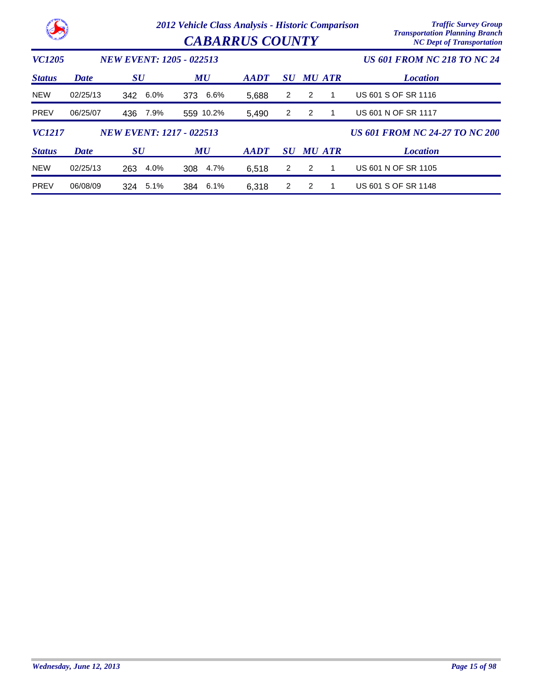|               |          | 2012 Vehicle Class Analysis - Historic Comparison | <b>Traffic Survey Group</b><br><b>Transportation Planning Branch</b><br><b>NC Dept of Transportation</b> |                                    |                |                |   |                                       |
|---------------|----------|---------------------------------------------------|----------------------------------------------------------------------------------------------------------|------------------------------------|----------------|----------------|---|---------------------------------------|
| <b>VC1205</b> |          | <b>NEW EVENT: 1205 - 022513</b>                   |                                                                                                          | <b>US 601 FROM NC 218 TO NC 24</b> |                |                |   |                                       |
| <b>Status</b> | Date     | <b>SU</b>                                         | MU                                                                                                       | $A$ <i>ADT</i>                     | SU             | <b>MU ATR</b>  |   | <b>Location</b>                       |
| <b>NEW</b>    | 02/25/13 | 6.0%<br>342                                       | 6.6%<br>373                                                                                              | 5,688                              | $\overline{2}$ | 2              | 1 | US 601 S OF SR 1116                   |
| <b>PREV</b>   | 06/25/07 | 7.9%<br>436                                       | 559 10.2%                                                                                                | 5,490                              | 2              | $\overline{2}$ |   | <b>US 601 N OF SR 1117</b>            |
| <b>VC1217</b> |          | <b>NEW EVENT: 1217 - 022513</b>                   |                                                                                                          |                                    |                |                |   | <b>US 601 FROM NC 24-27 TO NC 200</b> |
| <b>Status</b> | Date     | $\boldsymbol{S}\boldsymbol{U}$                    | MU                                                                                                       | <b>AADT</b>                        | <b>SU</b>      | <b>MU ATR</b>  |   | <b>Location</b>                       |
| <b>NEW</b>    | 02/25/13 | 263<br>4.0%                                       | 308<br>4.7%                                                                                              | 6,518                              | $\overline{2}$ | 2              |   | US 601 N OF SR 1105                   |
| <b>PREV</b>   | 06/08/09 | 5.1%<br>324                                       | 6.1%<br>384                                                                                              | 6,318                              | $\overline{2}$ | 2              |   | US 601 S OF SR 1148                   |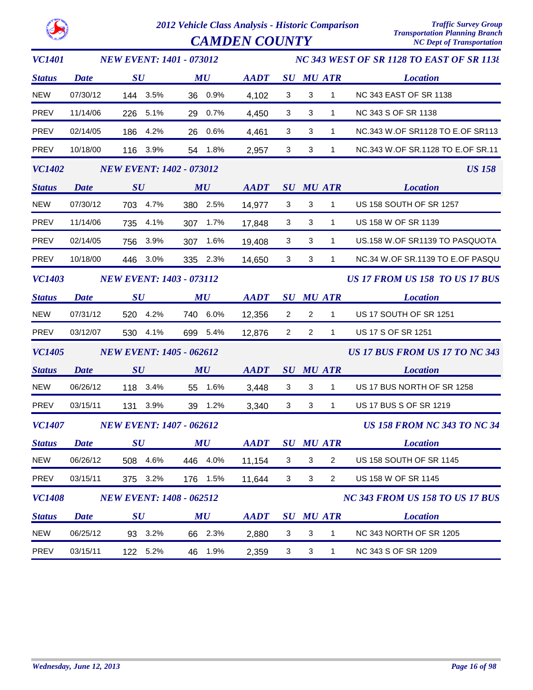$CAMDEN COUNTY$ 

| <b>VC1401</b> |             | <b>NEW EVENT: 1401 - 073012</b> |             |             |                |                           |                  | NC 343 WEST OF SR 1128 TO EAST OF SR 1138 |
|---------------|-------------|---------------------------------|-------------|-------------|----------------|---------------------------|------------------|-------------------------------------------|
| <b>Status</b> | <b>Date</b> | SU                              | MU          | <b>AADT</b> |                |                           | <b>SU MU ATR</b> | <b>Location</b>                           |
| <b>NEW</b>    | 07/30/12    | 144 3.5%                        | 36 0.9%     | 4,102       | 3              | $\mathbf{3}$              | 1                | <b>NC 343 EAST OF SR 1138</b>             |
| <b>PREV</b>   | 11/14/06    | 226 5.1%                        | 29 0.7%     | 4,450       | 3              | $\mathbf{3}$              | $\mathbf{1}$     | NC 343 S OF SR 1138                       |
| <b>PREV</b>   | 02/14/05    | 186 4.2%                        | 26 0.6%     | 4,461       | 3              | 3                         | 1                | NC.343 W.OF SR1128 TO E.OF SR113          |
| <b>PREV</b>   | 10/18/00    | 116 3.9%                        | 54 1.8%     | 2,957       | $\mathbf{3}$   | $\mathbf{3}$              | $\mathbf{1}$     | NC.343 W.OF SR.1128 TO E.OF SR.11         |
| <b>VC1402</b> |             | <b>NEW EVENT: 1402 - 073012</b> |             |             |                |                           |                  | <b>US 158</b>                             |
| <b>Status</b> | <b>Date</b> | SU                              | MU          | <b>AADT</b> |                |                           | <b>SU MU ATR</b> | <b>Location</b>                           |
| <b>NEW</b>    | 07/30/12    | 703 4.7%                        | 380 2.5%    | 14,977      | 3              | 3                         | $\mathbf{1}$     | US 158 SOUTH OF SR 1257                   |
| <b>PREV</b>   | 11/14/06    | 735 4.1%                        | 307 1.7%    | 17,848      | 3              | $\mathbf{3}$              | $\mathbf{1}$     | US 158 W OF SR 1139                       |
| <b>PREV</b>   | 02/14/05    | 756 3.9%                        | 307<br>1.6% | 19,408      | 3              | 3                         | 1                | US.158 W.OF SR1139 TO PASQUOTA            |
| <b>PREV</b>   | 10/18/00    | 446 3.0%                        | 335 2.3%    | 14,650      | $\mathbf{3}$   | $\ensuremath{\mathsf{3}}$ | $\mathbf{1}$     | NC.34 W.OF SR.1139 TO E.OF PASQU          |
| <b>VC1403</b> |             | <b>NEW EVENT: 1403 - 073112</b> |             |             |                |                           |                  | US 17 FROM US 158 TO US 17 BUS            |
| <b>Status</b> | <b>Date</b> | $\boldsymbol{S}\boldsymbol{U}$  | MU          | <b>AADT</b> |                |                           | <b>SU MU ATR</b> | <b>Location</b>                           |
| <b>NEW</b>    | 07/31/12    | 520 4.2%                        | 740 6.0%    | 12,356      | $\overline{2}$ | $\overline{2}$            | $\mathbf{1}$     | US 17 SOUTH OF SR 1251                    |
| <b>PREV</b>   | 03/12/07    | 530 4.1%                        | 699 5.4%    | 12,876      | $\overline{2}$ | $\overline{2}$            | $\mathbf{1}$     | US 17 S OF SR 1251                        |
| <b>VC1405</b> |             | <b>NEW EVENT: 1405 - 062612</b> |             |             |                |                           |                  | US 17 BUS FROM US 17 TO NC 343            |
| <b>Status</b> | <b>Date</b> | SU                              | MU          | <b>AADT</b> |                |                           | <b>SU MU ATR</b> | <b>Location</b>                           |
| <b>NEW</b>    | 06/26/12    | 118 3.4%                        | 55 1.6%     | 3,448       | 3              | $\mathbf{3}$              | $\mathbf{1}$     | US 17 BUS NORTH OF SR 1258                |
| <b>PREV</b>   | 03/15/11    | 131 3.9%                        | 39 1.2%     | 3,340       | 3              | $\mathbf{3}$              | $\mathbf{1}$     | US 17 BUS S OF SR 1219                    |
| <b>VC1407</b> |             | <b>NEW EVENT: 1407 - 062612</b> |             |             |                |                           |                  | <b>US 158 FROM NC 343 TO NC 34</b>        |
| <b>Status</b> | <b>Date</b> | SU                              | MU          | <b>AADT</b> |                |                           | <b>SU MU ATR</b> | <b>Location</b>                           |
| <b>NEW</b>    | 06/26/12    | 508 4.6%                        | 446 4.0%    | 11,154      | 3              | 3                         | $\overline{c}$   | US 158 SOUTH OF SR 1145                   |
| <b>PREV</b>   | 03/15/11    | 375 3.2%                        | 176 1.5%    | 11,644      | $\mathbf{3}$   | $\mathbf{3}$              | $\overline{a}$   | US 158 W OF SR 1145                       |
| <b>VC1408</b> |             | <b>NEW EVENT: 1408 - 062512</b> |             |             |                |                           |                  | NC 343 FROM US 158 TO US 17 BUS           |
| <b>Status</b> | <b>Date</b> | $\boldsymbol{S}\boldsymbol{U}$  | MU          | <b>AADT</b> |                |                           | <b>SU MU ATR</b> | <b>Location</b>                           |
| <b>NEW</b>    | 06/25/12    | 93 3.2%                         | 66 2.3%     | 2,880       | 3              | 3                         | 1                | NC 343 NORTH OF SR 1205                   |
| <b>PREV</b>   | 03/15/11    | 122 5.2%                        | 1.9%<br>46  | 2,359       | $\mathbf{3}$   | $\sqrt{3}$                | $\mathbf{1}$     | NC 343 S OF SR 1209                       |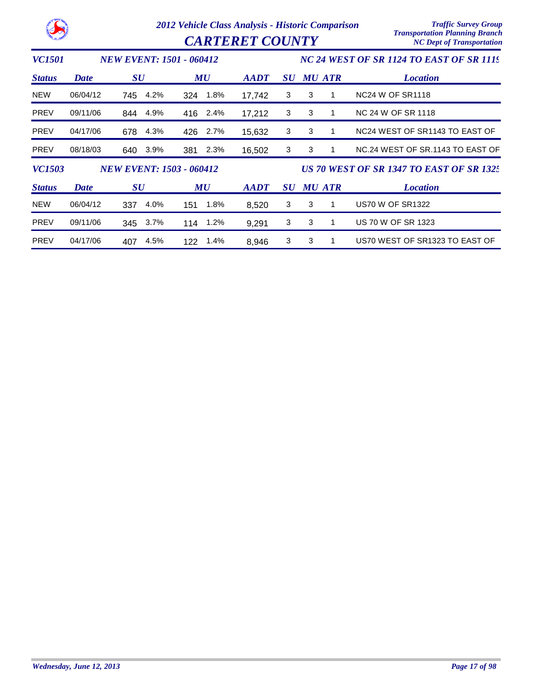*2012 Vehicle Class Analysis - Historic Comparison Traffic Survey Group*  $CARTERET COUNTY$ 

| <i><b>VC1501</b></i> |             | <b>NEW EVENT: 1501 - 060412</b> |             |             | NC 24 WEST OF SR 1124 TO EAST OF SR 1119 |   |               |                                                        |  |  |
|----------------------|-------------|---------------------------------|-------------|-------------|------------------------------------------|---|---------------|--------------------------------------------------------|--|--|
| <b>Status</b>        | Date        | <b>SU</b>                       | MU          | <b>AADT</b> | <b>SU</b>                                |   | <b>MU ATR</b> | <b>Location</b>                                        |  |  |
| <b>NEW</b>           | 06/04/12    | 4.2%<br>745                     | 1.8%<br>324 | 17,742      | 3                                        | 3 |               | NC <sub>24</sub> W OF SR <sub>1118</sub>               |  |  |
| <b>PREV</b>          | 09/11/06    | 4.9%<br>844                     | 416 2.4%    | 17,212      | 3                                        | 3 |               | NC 24 W OF SR 1118                                     |  |  |
| <b>PREV</b>          | 04/17/06    | 4.3%<br>678                     | 426 2.7%    | 15,632      | 3                                        | 3 |               | NC <sub>24</sub> WEST OF SR <sub>1143</sub> TO EAST OF |  |  |
| <b>PREV</b>          | 08/18/03    | 3.9%<br>640                     | 2.3%<br>381 | 16,502      | 3                                        | 3 |               | NC.24 WEST OF SR.1143 TO EAST OF                       |  |  |
| <b>VC1503</b>        |             | <b>NEW EVENT: 1503 - 060412</b> |             |             |                                          |   |               | <b>US 70 WEST OF SR 1347 TO EAST OF SR 1325</b>        |  |  |
| <b>Status</b>        | <b>Date</b> | $\boldsymbol{S}\boldsymbol{U}$  | MU          | <b>AADT</b> | <b>SU</b>                                |   | <b>MU ATR</b> | <b>Location</b>                                        |  |  |
| <b>NEW</b>           | 06/04/12    | 4.0%<br>337                     | 1.8%<br>151 | 8,520       | 3                                        | 3 | 1             | <b>US70 W OF SR1322</b>                                |  |  |
| <b>PREV</b>          | 09/11/06    | 345 3.7%                        | 1.2%<br>114 | 9,291       | 3                                        | 3 |               | US 70 W OF SR 1323                                     |  |  |
| <b>PREV</b>          | 04/17/06    | 4.5%<br>407                     | 1.4%<br>122 | 8.946       | 3                                        | 3 | 1             | US70 WEST OF SR1323 TO EAST OF                         |  |  |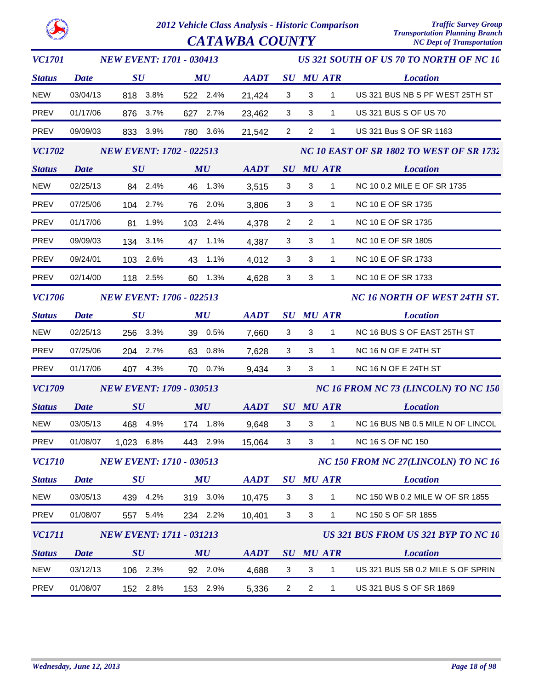| <b>VC1701</b> |                                                                                                                                                                                                                                     | <b>NEW EVENT: 1701 - 030413</b> |                                 | US 321 SOUTH OF US 70 TO NORTH OF NC 10 |                |                                      |                |                  |                                          |  |
|---------------|-------------------------------------------------------------------------------------------------------------------------------------------------------------------------------------------------------------------------------------|---------------------------------|---------------------------------|-----------------------------------------|----------------|--------------------------------------|----------------|------------------|------------------------------------------|--|
| <b>Status</b> | <b>Date</b>                                                                                                                                                                                                                         | $\boldsymbol{S}\boldsymbol{U}$  | $\boldsymbol{M}\boldsymbol{U}$  |                                         | <b>AADT</b>    |                                      |                | SU MU ATR        | <b>Location</b>                          |  |
| <b>NEW</b>    | 03/04/13                                                                                                                                                                                                                            | 818 3.8%                        | 522 2.4%                        |                                         | 21,424         | $\mathbf{3}$                         | $\mathbf{3}$   | $\mathbf{1}$     | US 321 BUS NB S PF WEST 25TH ST          |  |
| <b>PREV</b>   | 01/17/06                                                                                                                                                                                                                            | 876 3.7%                        | 627 2.7%                        |                                         | 23,462         | 3                                    | 3              | $\mathbf{1}$     | US 321 BUS S OF US 70                    |  |
| PREV          | 09/09/03                                                                                                                                                                                                                            | 833 3.9%                        | 780 3.6%                        |                                         | 21,542         | $\overline{2}$                       | $\overline{2}$ | $\mathbf{1}$     | US 321 Bus S OF SR 1163                  |  |
| <i>VC1702</i> |                                                                                                                                                                                                                                     |                                 | <b>NEW EVENT: 1702 - 022513</b> |                                         |                |                                      |                |                  | NC 10 EAST OF SR 1802 TO WEST OF SR 1732 |  |
| <b>Status</b> | <b>Date</b>                                                                                                                                                                                                                         | SU                              | MU                              |                                         | <b>AADT</b>    |                                      |                | <i>SU MU ATR</i> | <b>Location</b>                          |  |
| <b>NEW</b>    | 02/25/13                                                                                                                                                                                                                            | 84 2.4%                         | 46 1.3%                         |                                         | 3,515          | 3                                    | 3              | $\mathbf{1}$     | NC 10 0.2 MILE E OF SR 1735              |  |
| PREV          | 07/25/06                                                                                                                                                                                                                            | 104 2.7%                        | 76 2.0%                         |                                         | 3,806          | $\mathbf{3}$                         | 3              | $\mathbf{1}$     | NC 10 E OF SR 1735                       |  |
| PREV          | 01/17/06                                                                                                                                                                                                                            | 81 1.9%                         | 103 2.4%                        |                                         | 4,378          | $\overline{2}$                       | $\overline{2}$ | $\mathbf{1}$     | NC 10 E OF SR 1735                       |  |
| PREV          | 09/09/03                                                                                                                                                                                                                            | 134 3.1%                        | 47 1.1%                         |                                         | 4,387          | 3                                    | 3              | $\mathbf{1}$     | <b>NC 10 E OF SR 1805</b>                |  |
| <b>PREV</b>   | 09/24/01                                                                                                                                                                                                                            | 103 2.6%                        | 43 1.1%                         |                                         | 4,012          | 3                                    | 3              | $\mathbf{1}$     | NC 10 E OF SR 1733                       |  |
| PREV          | 02/14/00                                                                                                                                                                                                                            | 118 2.5%                        | 60 1.3%                         |                                         | 4,628          | 3                                    | $\mathbf{3}$   | $\mathbf{1}$     | NC 10 E OF SR 1733                       |  |
| <i>VC1706</i> |                                                                                                                                                                                                                                     |                                 | <b>NEW EVENT: 1706 - 022513</b> |                                         |                |                                      |                |                  | NC 16 NORTH OF WEST 24TH ST.             |  |
| <b>Status</b> | <b>Date</b>                                                                                                                                                                                                                         | $\boldsymbol{S}\boldsymbol{U}$  | MU                              |                                         | AADT SU MU ATR |                                      |                |                  | <b>Location</b>                          |  |
| <b>NEW</b>    | 02/25/13                                                                                                                                                                                                                            | 256 3.3%                        | 39 0.5%                         |                                         | 7,660          | $\mathbf{3}$                         | 3              | $\mathbf{1}$     | NC 16 BUS S OF EAST 25TH ST              |  |
| PREV          | 07/25/06                                                                                                                                                                                                                            | 204 2.7%                        | 63 0.8%                         |                                         | 7,628          | 3                                    | 3              | $\mathbf{1}$     | NC 16 N OF E 24TH ST                     |  |
| PREV          | 01/17/06                                                                                                                                                                                                                            | 407 4.3%                        | 70 0.7%                         |                                         | 9,434          | 3                                    | 3              | $\mathbf{1}$     | NC 16 N OF E 24TH ST                     |  |
| <b>VC1709</b> |                                                                                                                                                                                                                                     |                                 | <b>NEW EVENT: 1709 - 030513</b> |                                         |                | NC 16 FROM NC 73 (LINCOLN) TO NC 150 |                |                  |                                          |  |
| <b>Status</b> | <b>Date</b> by the same of the same of the same of the same of the same of the same of the same of the same of the same of the same of the same of the same of the same of the same of the same of the same of the same of the same | $\boldsymbol{S}\boldsymbol{U}$  |                                 | MU                                      | AADT SU MU ATR |                                      |                |                  | <b>Location</b>                          |  |
| <b>NEW</b>    | 03/05/13                                                                                                                                                                                                                            | 468 4.9%                        | 174 1.8%                        |                                         | 9,648          | 3                                    | 3              | 1                | NC 16 BUS NB 0.5 MILE N OF LINCOL        |  |
| PREV          | 01/08/07                                                                                                                                                                                                                            | 1,023 6.8%                      | 443 2.9%                        |                                         | 15,064         | 3                                    | 3              | $\mathbf{1}$     | <b>NC 16 S OF NC 150</b>                 |  |
| <b>VC1710</b> |                                                                                                                                                                                                                                     |                                 | <b>NEW EVENT: 1710 - 030513</b> |                                         |                |                                      |                |                  | NC 150 FROM NC 27(LINCOLN) TO NC 16      |  |
| <b>Status</b> | <b>Date</b>                                                                                                                                                                                                                         | $\boldsymbol{S}\boldsymbol{U}$  | MU                              |                                         | <b>AADT</b>    |                                      |                | <b>SU MU ATR</b> | <b>Location</b>                          |  |
| <b>NEW</b>    | 03/05/13                                                                                                                                                                                                                            | 439 4.2%                        | 319 3.0%                        |                                         | 10,475         | 3                                    | 3              | $\mathbf{1}$     | NC 150 WB 0.2 MILE W OF SR 1855          |  |
| <b>PREV</b>   | 01/08/07                                                                                                                                                                                                                            | 557 5.4%                        | 234 2.2%                        |                                         | 10,401         | 3                                    | 3              | $\mathbf{1}$     | NC 150 S OF SR 1855                      |  |
| <i>VC1711</i> |                                                                                                                                                                                                                                     |                                 | <b>NEW EVENT: 1711 - 031213</b> |                                         |                |                                      |                |                  | US 321 BUS FROM US 321 BYP TO NC 10      |  |
| <b>Status</b> | Date                                                                                                                                                                                                                                | SU                              | MU                              |                                         | <b>AADT</b>    |                                      |                | <b>SU MU ATR</b> | <b>Location</b>                          |  |
| <b>NEW</b>    | 03/12/13                                                                                                                                                                                                                            | 106 2.3%                        | 92 2.0%                         |                                         | 4,688          | 3                                    | 3              | 1                | US 321 BUS SB 0.2 MILE S OF SPRIN        |  |
| PREV          | 01/08/07                                                                                                                                                                                                                            | 152 2.8%                        | 153 2.9%                        |                                         | 5,336          | $\overline{a}$                       | $\overline{2}$ | $\mathbf{1}$     | US 321 BUS S OF SR 1869                  |  |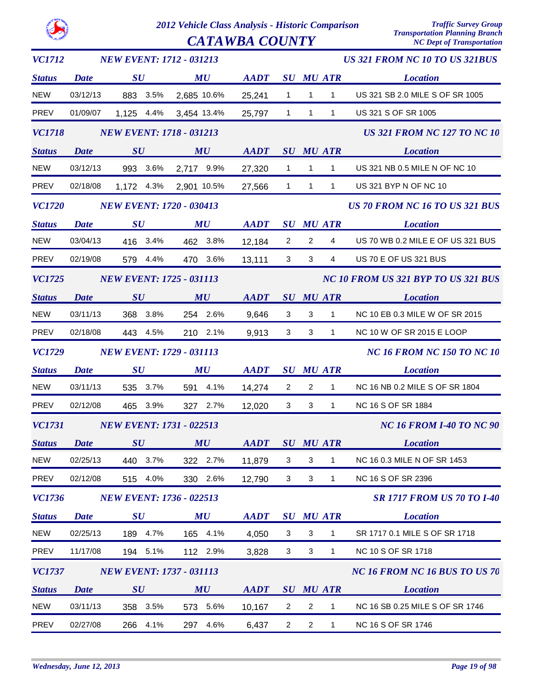|--|

| <b>VC1712</b> |             | <b>NEW EVENT: 1712 - 031213</b> |             |                |                |                           |                  | <b>US 321 FROM NC 10 TO US 321BUS</b> |
|---------------|-------------|---------------------------------|-------------|----------------|----------------|---------------------------|------------------|---------------------------------------|
| <b>Status</b> | <b>Date</b> | $\boldsymbol{S}\boldsymbol{U}$  | MU          | AADT SU MU ATR |                |                           |                  | <b>Location</b>                       |
| <b>NEW</b>    | 03/12/13    | 883 3.5%                        | 2,685 10.6% | 25,241         | $\mathbf{1}$   | $\mathbf{1}$              | $\mathbf{1}$     | US 321 SB 2.0 MILE S OF SR 1005       |
| PREV          | 01/09/07    | 1,125 4.4%                      | 3,454 13.4% | 25,797         | 1              | $\overline{1}$            | $\mathbf{1}$     | US 321 S OF SR 1005                   |
| <b>VC1718</b> |             | <b>NEW EVENT: 1718 - 031213</b> |             |                |                |                           |                  | <b>US 321 FROM NC 127 TO NC 10</b>    |
| <b>Status</b> | <b>Date</b> | SU                              | MU          | <b>AADT</b>    |                |                           | <b>SU MU ATR</b> | <b>Location</b>                       |
| <b>NEW</b>    | 03/12/13    | 993 3.6%                        | 2,717 9.9%  | 27,320         | $\mathbf{1}$   | $\mathbf{1}$              | $\mathbf{1}$     | US 321 NB 0.5 MILE N OF NC 10         |
| PREV          | 02/18/08    | 1,172 4.3%                      | 2,901 10.5% | 27,566         | $\overline{1}$ | $\mathbf{1}$              | $\mathbf{1}$     | US 321 BYP N OF NC 10                 |
| <b>VC1720</b> |             | <b>NEW EVENT: 1720 - 030413</b> |             |                |                |                           |                  | <b>US 70 FROM NC 16 TO US 321 BUS</b> |
| <b>Status</b> | <b>Date</b> | $\boldsymbol{S}\boldsymbol{U}$  | MU          | AADT SU MU ATR |                |                           |                  | <b>Location</b>                       |
| <b>NEW</b>    | 03/04/13    | 416 3.4%                        | 462 3.8%    | 12,184         | $\overline{2}$ | $\overline{2}$            | 4                | US 70 WB 0.2 MILE E OF US 321 BUS     |
| PREV          | 02/19/08    | 579 4.4%                        | 470 3.6%    | 13,111         | 3 <sup>1</sup> | 3                         | $\overline{4}$   | US 70 E OF US 321 BUS                 |
| <b>VC1725</b> |             | <b>NEW EVENT: 1725 - 031113</b> |             |                |                |                           |                  | NC 10 FROM US 321 BYP TO US 321 BUS   |
| <b>Status</b> | <b>Date</b> | SU                              | MU          | <b>AADT</b>    |                |                           | <b>SU MU ATR</b> | <b>Location</b>                       |
| <b>NEW</b>    | 03/11/13    | 368 3.8%                        | 254 2.6%    | 9,646          | 3              | 3                         | $\mathbf{1}$     | NC 10 EB 0.3 MILE W OF SR 2015        |
| PREV          | 02/18/08    | 443 4.5%                        | 210 2.1%    | 9,913          | $\mathbf{3}$   | 3                         | $\mathbf{1}$     | NC 10 W OF SR 2015 E LOOP             |
| <b>VC1729</b> |             | <b>NEW EVENT: 1729 - 031113</b> |             |                |                |                           |                  | <b>NC 16 FROM NC 150 TO NC 10</b>     |
| <b>Status</b> | <b>Date</b> | $\boldsymbol{S}\boldsymbol{U}$  | MU          | <b>AADT</b>    |                |                           | <b>SU MU ATR</b> | <b>Location</b>                       |
| <b>NEW</b>    | 03/11/13    | 535 3.7%                        | 591 4.1%    | 14,274         | $\overline{2}$ | $\overline{2}$            | $\mathbf{1}$     | NC 16 NB 0.2 MILE S OF SR 1804        |
| <b>PREV</b>   | 02/12/08    | 465 3.9%                        | 327 2.7%    | 12,020         | 3              | 3                         | $\mathbf{1}$     | NC 16 S OF SR 1884                    |
| <b>VC1731</b> |             | <b>NEW EVENT: 1731 - 022513</b> |             |                |                |                           |                  | <b>NC 16 FROM I-40 TO NC 90</b>       |
| <b>Status</b> | Date        | SU                              | MU          | <b>AADT</b>    |                |                           | <b>SU MU ATR</b> | <b>Location</b>                       |
| <b>NEW</b>    | 02/25/13    | 440 3.7%                        | 322 2.7%    | 11,879         | 3              | 3                         | 1                | NC 16 0.3 MILE N OF SR 1453           |
| PREV          | 02/12/08    | 515 4.0%                        | 330 2.6%    | 12,790         | 3              | $\ensuremath{\mathsf{3}}$ | $\mathbf{1}$     | NC 16 S OF SR 2396                    |
| <b>VC1736</b> |             | <b>NEW EVENT: 1736 - 022513</b> |             |                |                |                           |                  | <b>SR 1717 FROM US 70 TO 1-40</b>     |
| <b>Status</b> | <b>Date</b> | SU                              | MU          | <b>AADT</b>    |                |                           | <b>SU MU ATR</b> | <b>Location</b>                       |
| <b>NEW</b>    | 02/25/13    | 189 4.7%                        | 165 4.1%    | 4,050          | 3              | 3                         | $\mathbf{1}$     | SR 1717 0.1 MILE S OF SR 1718         |
| <b>PREV</b>   | 11/17/08    | 194 5.1%                        | 112 2.9%    | 3,828          | 3              | $\sqrt{3}$                | $\mathbf{1}$     | NC 10 S OF SR 1718                    |
| <b>VC1737</b> |             | <b>NEW EVENT: 1737 - 031113</b> |             |                |                |                           |                  | <b>NC 16 FROM NC 16 BUS TO US 70</b>  |
| <b>Status</b> | <b>Date</b> | SU                              | MU          | <b>AADT</b>    |                |                           | <b>SU MU ATR</b> | <b>Location</b>                       |
| <b>NEW</b>    | 03/11/13    | 358 3.5%                        | 573 5.6%    | 10,167         | $\overline{2}$ | $\overline{c}$            | 1                | NC 16 SB 0.25 MILE S OF SR 1746       |
| PREV          | 02/27/08    | 266<br>4.1%                     | 297 4.6%    | 6,437          | $\overline{2}$ | $\overline{2}$            | $\mathbf{1}$     | NC 16 S OF SR 1746                    |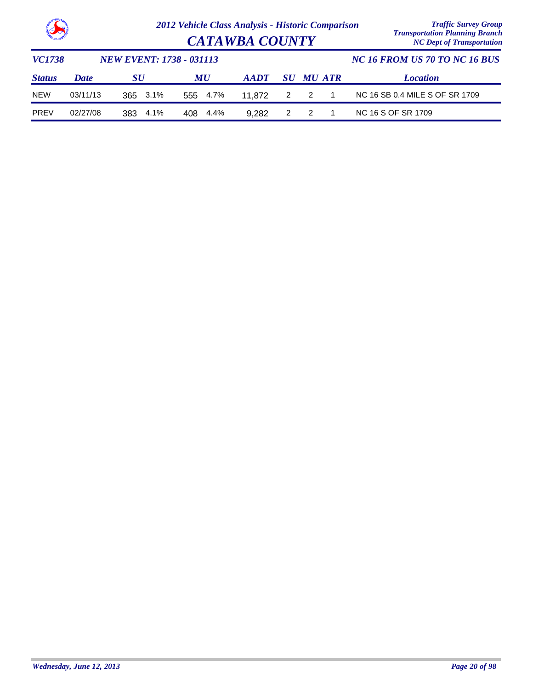

|               | <b>Contract of the Seat of the Seat of the Seat of the Seat of the Seat of the Seat of the Seat of the Seat of the Seat of the Seat of the Seat of the Seat of the Seat of the Seat of the Seat of the Seat of the Seat of the S</b><br><b>CATAWBA COUNTY</b> |                                 |             |             |     |                  |                | <b>Transportation Planning Branch</b><br><b>NC Dept of Transportation</b> |  |
|---------------|---------------------------------------------------------------------------------------------------------------------------------------------------------------------------------------------------------------------------------------------------------------|---------------------------------|-------------|-------------|-----|------------------|----------------|---------------------------------------------------------------------------|--|
| VC1738        |                                                                                                                                                                                                                                                               | <b>NEW EVENT: 1738 - 031113</b> |             |             |     |                  |                | NC 16 FROM US 70 TO NC 16 BUS                                             |  |
| <b>Status</b> | <b>Date</b>                                                                                                                                                                                                                                                   | SU                              | <b>MU</b>   | <b>AADT</b> |     | <b>SU MU ATR</b> |                | <b>Location</b>                                                           |  |
| <b>NEW</b>    | 03/11/13                                                                                                                                                                                                                                                      | 365 3.1%                        | 555 4.7%    | 11.872      | 2 2 |                  | $\overline{1}$ | NC 16 SB 0.4 MILE S OF SR 1709                                            |  |
| <b>PREV</b>   | 02/27/08                                                                                                                                                                                                                                                      | 4.1%<br>383                     | 4.4%<br>408 | 9.282       | 2   | -2               |                | NC 16 S OF SR 1709                                                        |  |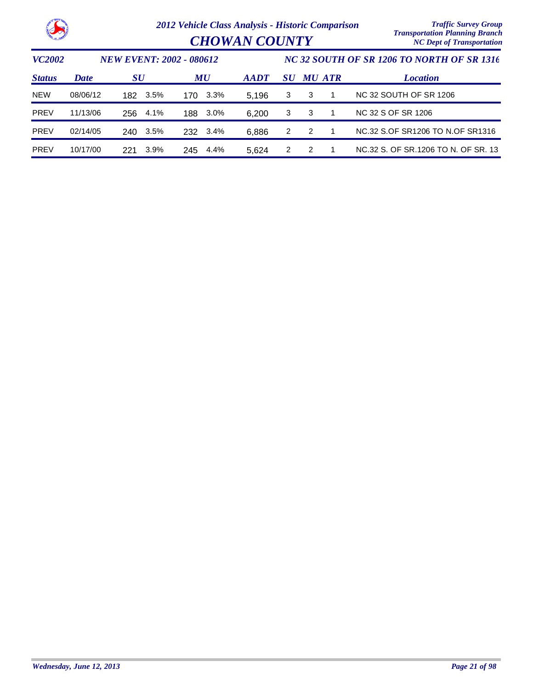|                                                  |          | 2012 Vehicle Class Analysis - Historic Comparison<br><b>CHOWAN COUNTY</b> |         |     |          |                                            |           |               |               | <b>Traffic Survey Group</b><br><b>Transportation Planning Branch</b><br><b>NC Dept of Transportation</b> |
|--------------------------------------------------|----------|---------------------------------------------------------------------------|---------|-----|----------|--------------------------------------------|-----------|---------------|---------------|----------------------------------------------------------------------------------------------------------|
| <b>VC2002</b><br><b>NEW EVENT: 2002 - 080612</b> |          |                                                                           |         |     |          | NC 32 SOUTH OF SR 1206 TO NORTH OF SR 1316 |           |               |               |                                                                                                          |
| <b>Status</b>                                    | Date     | $\boldsymbol{S}\boldsymbol{U}$                                            |         | MU  |          | <b>AADT</b>                                | <b>SU</b> |               | <b>MU ATR</b> | <b>Location</b>                                                                                          |
| <b>NEW</b>                                       | 08/06/12 | 182                                                                       | 3.5%    | 170 | 3.3%     | 5.196                                      | 3         | 3             |               | <b>NC 32 SOUTH OF SR 1206</b>                                                                            |
| <b>PREV</b>                                      | 11/13/06 | 256                                                                       | 4.1%    | 188 | 3.0%     | 6,200                                      | 3         | 3             | 1             | NC 32 S OF SR 1206                                                                                       |
| <b>PREV</b>                                      | 02/14/05 | 240                                                                       | $3.5\%$ |     | 232 3.4% | 6,886                                      | 2         | $\mathcal{P}$ |               | NC.32 S.OF SR1206 TO N.OF SR1316                                                                         |
| <b>PREV</b>                                      | 10/17/00 | 221                                                                       | 3.9%    | 245 | 4.4%     | 5,624                                      | 2         | $\mathcal{P}$ |               | NC.32 S. OF SR.1206 TO N. OF SR. 13                                                                      |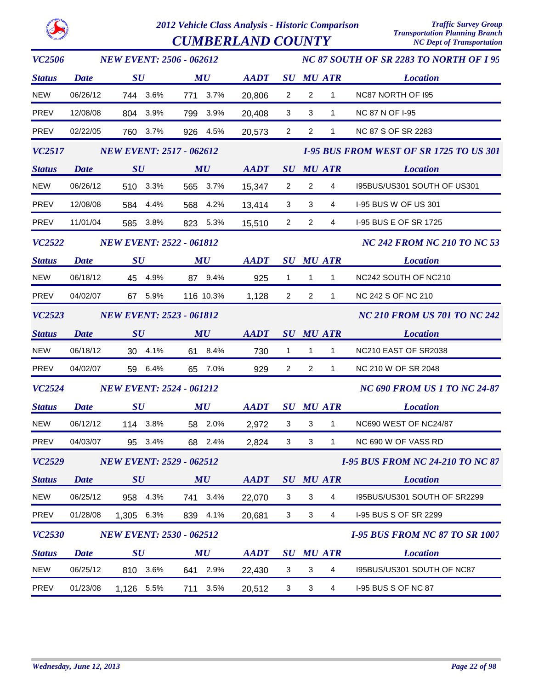$\boldsymbol{CUMBERLAND}$   $\boldsymbol{COUNTY}$ 

| <b>VC2506</b> |             | <b>NEW EVENT: 2506 - 062612</b> |                                | NC 87 SOUTH OF SR 2283 TO NORTH OF I 95                    |                |                  |                                       |                                                |
|---------------|-------------|---------------------------------|--------------------------------|------------------------------------------------------------|----------------|------------------|---------------------------------------|------------------------------------------------|
| <b>Status</b> | <b>Date</b> | $\boldsymbol{S}\boldsymbol{U}$  | $\boldsymbol{M}\boldsymbol{U}$ | <b>AADT</b>                                                |                | <b>SU MU ATR</b> |                                       | <b>Location</b>                                |
| <b>NEW</b>    | 06/26/12    | 744 3.6%                        | 771 3.7%                       | 20,806                                                     | $\overline{2}$ | $\overline{2}$   | $\mathbf{1}$                          | NC87 NORTH OF 195                              |
| <b>PREV</b>   | 12/08/08    | 804 3.9%                        | 799 3.9%                       | 20,408                                                     | 3              | 3                | $\mathbf{1}$                          | NC 87 N OF 1-95                                |
| PREV          | 02/22/05    | 760 3.7%                        | 926 4.5%                       | 20,573                                                     | $\overline{2}$ | $\overline{2}$   | $\mathbf{1}$                          | NC 87 S OF SR 2283                             |
| <i>VC2517</i> |             | <b>NEW EVENT: 2517 - 062612</b> |                                |                                                            |                |                  |                                       | <b>1-95 BUS FROM WEST OF SR 1725 TO US 301</b> |
| <b>Status</b> | <b>Date</b> | SU                              | MU                             | <b>AADT</b>                                                |                | SU MU ATR        |                                       | <b>Location</b>                                |
| <b>NEW</b>    | 06/26/12    | 510 3.3%                        | 565 3.7%                       | 15,347                                                     | $\overline{2}$ | $\overline{2}$   | $\overline{4}$                        | 195BUS/US301 SOUTH OF US301                    |
| PREV          | 12/08/08    | 584 4.4%                        | 568 4.2%                       | 13,414                                                     | 3 <sup>1</sup> | 3                | 4                                     | I-95 BUS W OF US 301                           |
| PREV          | 11/01/04    | 585 3.8%                        | 823 5.3%                       | 15,510                                                     | $\overline{2}$ | $\overline{2}$   | 4                                     | I-95 BUS E OF SR 1725                          |
| VC2522        |             | <b>NEW EVENT: 2522 - 061812</b> |                                |                                                            |                |                  |                                       | <b>NC 242 FROM NC 210 TO NC 53</b>             |
| <b>Status</b> | <b>Date</b> | $\bm{S}\bm{U}$                  | $\boldsymbol{M}\boldsymbol{U}$ | $\boldsymbol{A}\boldsymbol{A}\boldsymbol{D}\boldsymbol{T}$ |                | <b>SU MU ATR</b> |                                       | <b>Location</b>                                |
| <b>NEW</b>    | 06/18/12    | 45 4.9%                         | 87 9.4%                        | 925                                                        | $\mathbf{1}$   | $\mathbf{1}$     | 1                                     | NC242 SOUTH OF NC210                           |
| PREV          | 04/02/07    | 67 5.9%                         | 116 10.3%                      | 1,128                                                      | $\overline{2}$ | $\overline{2}$   | $\mathbf{1}$                          | <b>NC 242 S OF NC 210</b>                      |
| <b>VC2523</b> |             | <b>NEW EVENT: 2523 - 061812</b> |                                |                                                            |                |                  |                                       | <b>NC 210 FROM US 701 TO NC 242</b>            |
| <b>Status</b> | <b>Date</b> | SU                              | MU                             | AADT                                                       |                | <b>SU MU ATR</b> |                                       | <b>Location</b>                                |
| <b>NEW</b>    | 06/18/12    | 30 4.1%                         | 61 8.4%                        | 730                                                        | $\mathbf{1}$   | $\overline{1}$   | $\mathbf{1}$                          | NC210 EAST OF SR2038                           |
| <b>PREV</b>   | 04/02/07    | 59 6.4%                         | 65 7.0%                        | 929                                                        | $\overline{2}$ | 2                | $\mathbf{1}$                          | NC 210 W OF SR 2048                            |
| <b>VC2524</b> |             | <b>NEW EVENT: 2524 - 061212</b> |                                |                                                            |                |                  |                                       | <b>NC 690 FROM US 1 TO NC 24-87</b>            |
| <b>Status</b> | <b>Date</b> | $\boldsymbol{S}\boldsymbol{U}$  | $\boldsymbol{M}\boldsymbol{U}$ | $\boldsymbol{A}\boldsymbol{A}\boldsymbol{D}\boldsymbol{T}$ |                | <b>SU MU ATR</b> |                                       | <b>Location</b>                                |
| <b>NEW</b>    | 06/12/12    | 114 3.8%                        | 58 2.0%                        | 2,972                                                      | $\mathbf{3}$   | $\mathbf{3}$     | $\mathbf{1}$                          | NC690 WEST OF NC24/87                          |
| PREV          | 04/03/07    | 95 3.4%                         | 68 2.4%                        | 2.824                                                      | 3              | 3                | $\mathbf{1}$                          | NC 690 W OF VASS RD                            |
| VC2529        |             | <b>NEW EVENT: 2529 - 062512</b> |                                |                                                            |                |                  |                                       | <b>I-95 BUS FROM NC 24-210 TO NC 87</b>        |
| <b>Status</b> | <b>Date</b> | SU                              | MU                             | AADT SU MU ATR                                             |                |                  |                                       | <b>Location</b>                                |
| <b>NEW</b>    | 06/25/12    | 958 4.3%                        | 741 3.4%                       | 22,070                                                     | $\mathbf{3}$   | $\mathbf{3}$     | $\overline{4}$                        | I95BUS/US301 SOUTH OF SR2299                   |
| PREV          | 01/28/08    | 1,305 6.3%                      | 839 4.1%                       | 20,681                                                     | 3 <sup>1</sup> | $\mathbf{3}$     | 4                                     | I-95 BUS S OF SR 2299                          |
| <b>VC2530</b> |             | <b>NEW EVENT: 2530 - 062512</b> |                                |                                                            |                |                  | <b>I-95 BUS FROM NC 87 TO SR 1007</b> |                                                |
| <b>Status</b> | <b>Date</b> | $\boldsymbol{S}\boldsymbol{U}$  | $\boldsymbol{M}\boldsymbol{U}$ | AADT                                                       |                | <b>SU MU ATR</b> |                                       | <b>Location</b>                                |
| <b>NEW</b>    | 06/25/12    | 810 3.6%                        | 641 2.9%                       | 22,430                                                     | $\mathbf{3}$   | $\mathbf{3}$     | $\overline{4}$                        | I95BUS/US301 SOUTH OF NC87                     |
| PREV          | 01/23/08    | 1,126 5.5%                      | 711 3.5%                       | 20,512                                                     | $\mathbf{3}$   | $\mathbf{3}$     | $\overline{4}$                        | <b>I-95 BUS S OF NC 87</b>                     |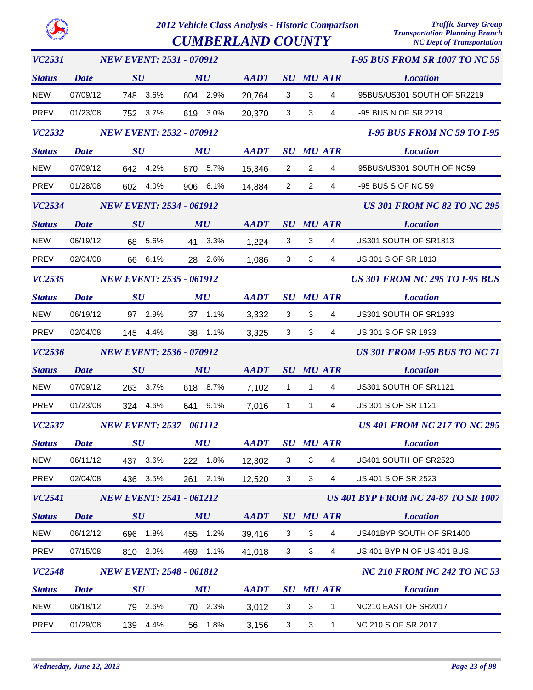*VC2531*

*2012 Vehicle Class Analysis - Historic Comparison Traffic Survey Group*

 $CUMBERLAND$   $COUNTY$ 

*NEW EVENT: 2531 - 070912*

*Transportation Planning Branch*

*I-95 BUS FROM SR 1007 TO NC 59*

| <b>Status</b> | <b>Date</b> | SU                              | MU                             | <b>AADT</b>    |                |                | <b>SU MU ATR</b>                   | <b>Location</b>                            |
|---------------|-------------|---------------------------------|--------------------------------|----------------|----------------|----------------|------------------------------------|--------------------------------------------|
| <b>NEW</b>    | 07/09/12    | 748 3.6%                        | 604 2.9%                       | 20,764         | 3              | 3              | 4                                  | I95BUS/US301 SOUTH OF SR2219               |
| <b>PREV</b>   | 01/23/08    | 752 3.7%                        | 619 3.0%                       | 20,370         | 3              | 3              | 4                                  | I-95 BUS N OF SR 2219                      |
| <b>VC2532</b> |             | <b>NEW EVENT: 2532 - 070912</b> |                                |                |                |                |                                    | <b>I-95 BUS FROM NC 59 TO I-95</b>         |
| <b>Status</b> | Date        | $\boldsymbol{S}\boldsymbol{U}$  | $\boldsymbol{M}\boldsymbol{U}$ | <b>AADT</b>    |                |                | <b>SU MU ATR</b>                   | <b>Location</b>                            |
| <b>NEW</b>    | 07/09/12    | 642 4.2%                        | 870 5.7%                       | 15,346         | $\overline{2}$ | $\overline{2}$ | 4                                  | 195BUS/US301 SOUTH OF NC59                 |
| <b>PREV</b>   | 01/28/08    | 602 4.0%                        | 906 6.1%                       | 14,884         | 2              | $\overline{2}$ | 4                                  | <b>I-95 BUS S OF NC 59</b>                 |
| <b>VC2534</b> |             | <b>NEW EVENT: 2534 - 061912</b> |                                |                |                |                |                                    | <b>US 301 FROM NC 82 TO NC 295</b>         |
| <b>Status</b> | <b>Date</b> | $\boldsymbol{S}\boldsymbol{U}$  | MU                             | <b>AADT</b>    |                |                | <b>SU MU ATR</b>                   | <b>Location</b>                            |
| <b>NEW</b>    | 06/19/12    | 68 5.6%                         | 41 3.3%                        | 1,224          | 3              | 3              | 4                                  | US301 SOUTH OF SR1813                      |
| <b>PREV</b>   | 02/04/08    | 66 6.1%                         | 28 2.6%                        | 1,086          | 3              | 3              | 4                                  | US 301 S OF SR 1813                        |
| VC2535        |             | <b>NEW EVENT: 2535 - 061912</b> |                                |                |                |                |                                    | <b>US 301 FROM NC 295 TO I-95 BUS</b>      |
| <b>Status</b> | <b>Date</b> | SU                              | $\boldsymbol{M}\boldsymbol{U}$ | <b>AADT</b>    |                |                | <b>SU MU ATR</b>                   | <b>Location</b>                            |
| <b>NEW</b>    | 06/19/12    | 97 2.9%                         | 37 1.1%                        | 3,332          | 3              | 3              | 4                                  | US301 SOUTH OF SR1933                      |
| <b>PREV</b>   | 02/04/08    | 145 4.4%                        | 38 1.1%                        | 3,325          | 3              | 3              | 4                                  | US 301 S OF SR 1933                        |
| <b>VC2536</b> |             | <b>NEW EVENT: 2536 - 070912</b> |                                |                |                |                |                                    | <b>US 301 FROM I-95 BUS TO NC 71</b>       |
| <b>Status</b> | <b>Date</b> | $\boldsymbol{S}\boldsymbol{U}$  | MU                             | <b>AADT</b>    |                |                | <b>SU MU ATR</b>                   | <b>Location</b>                            |
| <b>NEW</b>    | 07/09/12    | 263 3.7%                        | 618 8.7%                       | 7,102          | $\mathbf{1}$   | $\mathbf{1}$   | 4                                  | US301 SOUTH OF SR1121                      |
| <b>PREV</b>   | 01/23/08    | 324 4.6%                        | 641 9.1%                       | 7,016          | $\mathbf{1}$   | 1              | 4                                  | US 301 S OF SR 1121                        |
| VC2537        |             | <b>NEW EVENT: 2537 - 061112</b> |                                |                |                |                |                                    | <b>US 401 FROM NC 217 TO NC 295</b>        |
| <b>Status</b> | <b>Date</b> | $\boldsymbol{S}\boldsymbol{U}$  | $\boldsymbol{M}\boldsymbol{U}$ | AADT SU MU ATR |                |                |                                    | <b>Location</b>                            |
| <b>NEW</b>    | 06/11/12    | 437<br>3.6%                     | 222<br>1.8%                    | 12,302         | 3              | 3              | 4                                  | US401 SOUTH OF SR2523                      |
| <b>PREV</b>   | 02/04/08    | 436 3.5%                        | 2.1%<br>261                    | 12,520         | 3              | 3              | 4                                  | US 401 S OF SR 2523                        |
| <b>VC2541</b> |             | <b>NEW EVENT: 2541 - 061212</b> |                                |                |                |                |                                    | <b>US 401 BYP FROM NC 24-87 TO SR 1007</b> |
| <b>Status</b> | <b>Date</b> | SU                              | MU                             | <b>AADT</b>    | SU             |                | <b>MU ATR</b>                      | <b>Location</b>                            |
| <b>NEW</b>    | 06/12/12    | 696<br>1.8%                     | 455 1.2%                       | 39,416         | 3              | 3              | 4                                  | US401BYP SOUTH OF SR1400                   |
| PREV          | 07/15/08    | 810 2.0%                        | 1.1%<br>469                    | 41,018         | 3              | 3              | $\overline{4}$                     | US 401 BYP N OF US 401 BUS                 |
| <b>VC2548</b> |             | <b>NEW EVENT: 2548 - 061812</b> |                                |                |                |                | <b>NC 210 FROM NC 242 TO NC 53</b> |                                            |
| <b>Status</b> | <b>Date</b> | $\boldsymbol{S}\boldsymbol{U}$  | MU                             | <b>AADT</b>    |                |                | <b>SU MU ATR</b>                   | <b>Location</b>                            |
| <b>NEW</b>    | 06/18/12    | 79 2.6%                         | 70 2.3%                        | 3,012          | 3              | 3              | 1                                  | NC210 EAST OF SR2017                       |
| PREV          | 01/29/08    | 139<br>4.4%                     | 1.8%<br>56                     | 3,156          | 3              | 3              | 1                                  | NC 210 S OF SR 2017                        |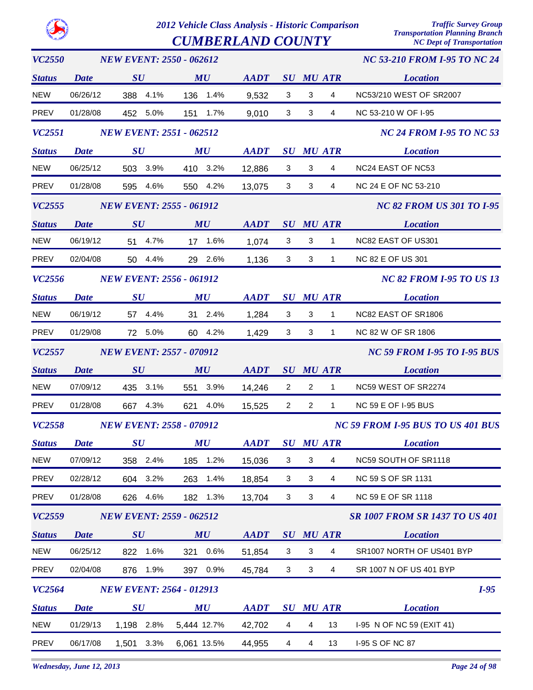$\boldsymbol{CUMBERLAND}$   $\boldsymbol{COUNTY}$ 

| <b>VC2550</b> |                                 | <b>NEW EVENT: 2550 - 062612</b> |                                |                                                            |                           |                           | <b>NC 53-210 FROM I-95 TO NC 24</b> |                                       |
|---------------|---------------------------------|---------------------------------|--------------------------------|------------------------------------------------------------|---------------------------|---------------------------|-------------------------------------|---------------------------------------|
| <b>Status</b> | <b>Date</b>                     | SU                              | MU                             | <b>AADT</b>                                                |                           |                           | <b>SU MU ATR</b>                    | <b>Location</b>                       |
| <b>NEW</b>    | 06/26/12                        | 388 4.1%                        | 136 1.4%                       | 9,532                                                      | 3                         | 3                         | $\overline{4}$                      | NC53/210 WEST OF SR2007               |
| <b>PREV</b>   | 01/28/08                        | 452 5.0%                        | 151 1.7%                       | 9,010                                                      | 3                         | 3                         | 4                                   | NC 53-210 W OF I-95                   |
| <i>VC2551</i> |                                 | <b>NEW EVENT: 2551 - 062512</b> |                                |                                                            |                           |                           |                                     | <b>NC 24 FROM I-95 TO NC 53</b>       |
| <b>Status</b> | <b>Date</b>                     | $\boldsymbol{S}\boldsymbol{U}$  | MU                             | $\boldsymbol{A}\boldsymbol{A}\boldsymbol{D}\boldsymbol{T}$ |                           |                           | <b>SU MU ATR</b>                    | <b>Location</b>                       |
| <b>NEW</b>    | 06/25/12                        | 503 3.9%                        | 410 3.2%                       | 12,886                                                     | 3                         | 3                         | $\overline{4}$                      | NC24 EAST OF NC53                     |
| <b>PREV</b>   | 01/28/08                        | 595 4.6%                        | 550 4.2%                       | 13,075                                                     | 3                         | 3                         | 4                                   | NC 24 E OF NC 53-210                  |
| VC2555        | <b>NEW EVENT: 2555 - 061912</b> |                                 |                                |                                                            |                           |                           |                                     | <b>NC 82 FROM US 301 TO I-95</b>      |
| <b>Status</b> | <b>Date</b>                     | SU                              | MU                             | AADT SU MU ATR                                             |                           |                           |                                     | <b>Location</b>                       |
| <b>NEW</b>    | 06/19/12                        | 51 4.7%                         | 17 1.6%                        | 1,074                                                      | 3                         | 3                         | $\mathbf{1}$                        | NC82 EAST OF US301                    |
| PREV          | 02/04/08                        | 50 4.4%                         | 29 2.6%                        | 1,136                                                      | 3                         | 3                         | $\mathbf{1}$                        | <b>NC 82 E OF US 301</b>              |
| VC2556        |                                 | <b>NEW EVENT: 2556 - 061912</b> |                                |                                                            |                           |                           |                                     | <b>NC 82 FROM I-95 TO US 13</b>       |
| <b>Status</b> | <b>Date</b>                     | $\bm{S}\bm{U}$                  | MU                             | <b>AADT</b>                                                |                           |                           | <b>SU MU ATR</b>                    | <b>Location</b>                       |
| <b>NEW</b>    | 06/19/12                        | 57 4.4%                         | 31 2.4%                        | 1,284                                                      | 3                         | 3                         | $\mathbf{1}$                        | NC82 EAST OF SR1806                   |
| PREV          | 01/29/08                        | 72 5.0%                         | 60 4.2%                        | 1,429                                                      | 3                         | 3                         | $\mathbf{1}$                        | NC 82 W OF SR 1806                    |
| VC2557        | <b>NEW EVENT: 2557 - 070912</b> |                                 |                                |                                                            |                           |                           |                                     | <b>NC 59 FROM I-95 TO I-95 BUS</b>    |
| <b>Status</b> | <b>Date</b>                     | SU                              | MU                             | <b>AADT</b>                                                |                           |                           | <b>SU MU ATR</b>                    | <b>Location</b>                       |
| <b>NEW</b>    | 07/09/12                        | 435 3.1%                        | 551 3.9%                       | 14,246                                                     | $\overline{2}$            | $\overline{2}$            | $\mathbf{1}$                        | NC59 WEST OF SR2274                   |
| PREV          | 01/28/08                        | 667 4.3%                        | 621 4.0%                       | 15,525                                                     | $\overline{2}$            | $\overline{2}$            | $\mathbf{1}$                        | <b>NC 59 E OF I-95 BUS</b>            |
| <b>VC2558</b> |                                 | <b>NEW EVENT: 2558 - 070912</b> |                                |                                                            |                           |                           |                                     | NC 59 FROM 1-95 BUS TO US 401 BUS     |
| <b>Status</b> |                                 | Date SU                         | $\boldsymbol{M}\boldsymbol{U}$ | $\boldsymbol{A}\boldsymbol{A}\boldsymbol{D}\boldsymbol{T}$ |                           |                           |                                     | <b>SU MU ATR Location</b>             |
| <b>NEW</b>    | 07/09/12                        | 358<br>2.4%                     | 1.2%<br>185                    | 15,036                                                     | 3                         | 3                         | 4                                   | NC59 SOUTH OF SR1118                  |
| PREV          | 02/28/12                        | 3.2%<br>604                     | 1.4%<br>263                    | 18,854                                                     | $\mathbf{3}$              | $\sqrt{3}$                | $\overline{4}$                      | NC 59 S OF SR 1131                    |
| PREV          | 01/28/08                        | 626<br>4.6%                     | 182 1.3%                       | 13,704                                                     | 3                         | $\mathbf{3}$              | 4                                   | NC 59 E OF SR 1118                    |
| VC2559        |                                 | <b>NEW EVENT: 2559 - 062512</b> |                                |                                                            |                           |                           |                                     | <b>SR 1007 FROM SR 1437 TO US 401</b> |
| <b>Status</b> | <b>Date</b>                     | SU                              | MU                             | <b>AADT</b>                                                | SU                        |                           | <b>MU ATR</b>                       | <b>Location</b>                       |
| <b>NEW</b>    | 06/25/12                        | 822 1.6%                        | 321 0.6%                       | 51,854                                                     | $\ensuremath{\mathsf{3}}$ | $\ensuremath{\mathsf{3}}$ | $\overline{4}$                      | SR1007 NORTH OF US401 BYP             |
| PREV          | 02/04/08                        | 1.9%<br>876                     | 397 0.9%                       | 45,784                                                     | 3                         | 3                         | $\overline{4}$                      | SR 1007 N OF US 401 BYP               |
| <b>VC2564</b> |                                 | <b>NEW EVENT: 2564 - 012913</b> |                                |                                                            |                           |                           |                                     | $I-95$                                |
| <b>Status</b> | <b>Date</b>                     | $\boldsymbol{S}\boldsymbol{U}$  | MU                             | <b>AADT</b>                                                |                           |                           | <b>SU MU ATR</b>                    | <b>Location</b>                       |
| <b>NEW</b>    | 01/29/13                        | 1,198 2.8%                      | 5,444 12.7%                    | 42,702                                                     | $\overline{4}$            | $\overline{4}$            | 13                                  | I-95 N OF NC 59 (EXIT 41)             |
| PREV          | 06/17/08                        | 3.3%<br>1,501                   | 6,061 13.5%                    | 44,955                                                     | $\overline{4}$            | $\overline{\mathbf{4}}$   | 13                                  | I-95 S OF NC 87                       |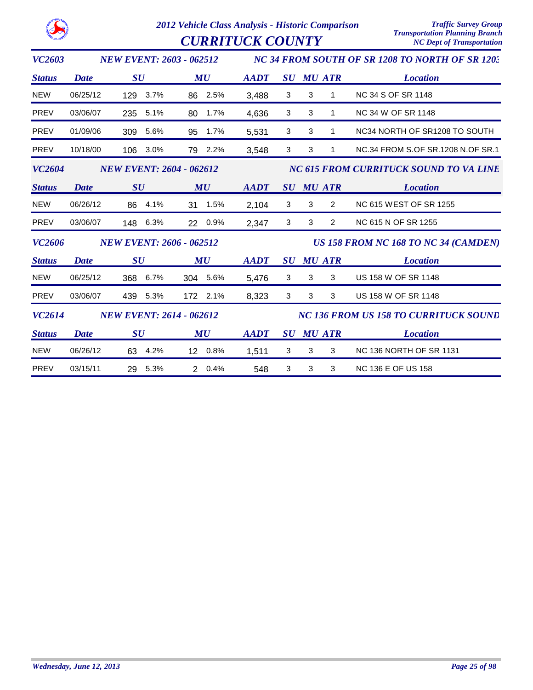*2012 Vehicle Class Analysis - Historic Comparison Traffic Survey Group*  $\overline{CURRITUCK \textit{COUNTY}}$ 

| <b>VC2603</b> |             | <b>NEW EVENT: 2603 - 062512</b> |            |                                      |   |                  |                | NC 34 FROM SOUTH OF SR 1208 TO NORTH OF SR 1203 |
|---------------|-------------|---------------------------------|------------|--------------------------------------|---|------------------|----------------|-------------------------------------------------|
| <b>Status</b> | <b>Date</b> | $\boldsymbol{S}\boldsymbol{U}$  | MU         | <b>AADT</b>                          |   | <b>SU MU ATR</b> |                | <b>Location</b>                                 |
| <b>NEW</b>    | 06/25/12    | 129 3.7%                        | 86 2.5%    | 3,488                                | 3 | 3                | $\mathbf{1}$   | <b>NC 34 S OF SR 1148</b>                       |
| <b>PREV</b>   | 03/06/07    | 235<br>5.1%                     | 80<br>1.7% | 4,636                                | 3 | 3                | $\mathbf{1}$   | NC 34 W OF SR 1148                              |
| <b>PREV</b>   | 01/09/06    | 309<br>5.6%                     | 1.7%<br>95 | 5,531                                | 3 | 3                | $\mathbf{1}$   | NC34 NORTH OF SR1208 TO SOUTH                   |
| PREV          | 10/18/00    | 106 3.0%                        | 79 2.2%    | 3,548                                | 3 | 3                | 1              | NC.34 FROM S.OF SR.1208 N.OF SR.1               |
| <b>VC2604</b> |             | <b>NEW EVENT: 2604 - 062612</b> |            |                                      |   |                  |                | NC 615 FROM CURRITUCK SOUND TO VA LINE          |
| <b>Status</b> | <b>Date</b> | SU                              | MU         | AADT                                 |   | <b>SU MU ATR</b> |                | <b>Location</b>                                 |
| <b>NEW</b>    | 06/26/12    | 86 4.1%                         | 31 1.5%    | 2,104                                | 3 | 3                | $\overline{2}$ | <b>NC 615 WEST OF SR 1255</b>                   |
| <b>PREV</b>   | 03/06/07    | 148 6.3%                        | 22 0.9%    | 2,347                                | 3 | 3                | $\overline{2}$ | NC 615 N OF SR 1255                             |
| <b>VC2606</b> |             | <b>NEW EVENT: 2606 - 062512</b> |            | US 158 FROM NC 168 TO NC 34 (CAMDEN) |   |                  |                |                                                 |
| <b>Status</b> | Date        | $\bm{S}\bm{U}$                  | MU         | <b>AADT</b>                          |   | <b>SU MU ATR</b> |                | <b>Location</b>                                 |
| <b>NEW</b>    | 06/25/12    | 368 6.7%                        | 304 5.6%   | 5,476                                | 3 | 3                | 3              | US 158 W OF SR 1148                             |
| <b>PREV</b>   | 03/06/07    | 439 5.3%                        | 172 2.1%   | 8,323                                | 3 | 3                | 3              | US 158 W OF SR 1148                             |
| VC2614        |             | <b>NEW EVENT: 2614 - 062612</b> |            |                                      |   |                  |                | <b>NC 136 FROM US 158 TO CURRITUCK SOUND</b>    |
| <b>Status</b> | <b>Date</b> | $\boldsymbol{S}\boldsymbol{U}$  | MU         | <b>AADT</b>                          |   | <b>SU MU ATR</b> |                | <b>Location</b>                                 |
| <b>NEW</b>    | 06/26/12    | 63 4.2%                         | 12 0.8%    | 1,511                                | 3 | 3                | 3              | <b>NC 136 NORTH OF SR 1131</b>                  |
| <b>PREV</b>   | 03/15/11    | 5.3%<br>29                      | 2 0.4%     | 548                                  | 3 | 3                | 3              | <b>NC 136 E OF US 158</b>                       |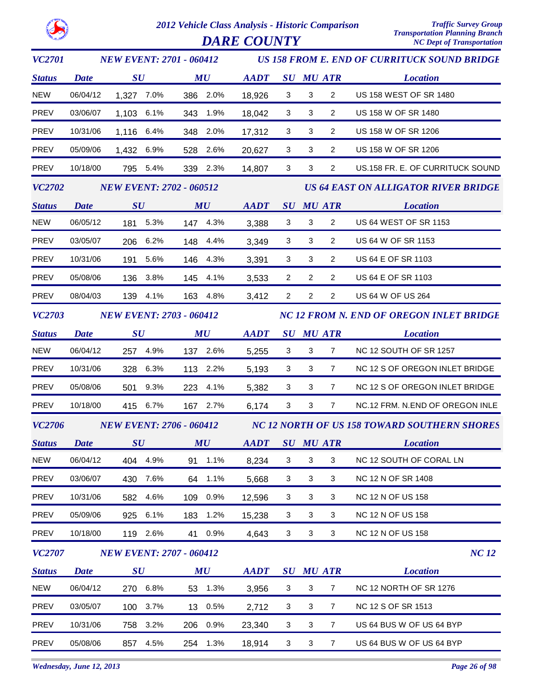*DARE COUNTY* 

| <b>VC2701</b> | <b>NEW EVENT: 2701 - 060412</b> |                                 |          |     | <b>US 158 FROM E. END OF CURRITUCK SOUND BRIDGE</b> |                |                                              |                |                                             |                                  |  |
|---------------|---------------------------------|---------------------------------|----------|-----|-----------------------------------------------------|----------------|----------------------------------------------|----------------|---------------------------------------------|----------------------------------|--|
| <b>Status</b> | <b>Date</b>                     | $\boldsymbol{S}\boldsymbol{U}$  |          |     | MU                                                  | <b>AADT</b>    |                                              |                | <b>SU MU ATR</b>                            | <b>Location</b>                  |  |
| <b>NEW</b>    | 06/04/12                        | 1,327 7.0%                      |          |     | 386 2.0%                                            | 18,926         | $\mathbf{3}$                                 | 3              | $\overline{a}$                              | US 158 WEST OF SR 1480           |  |
| <b>PREV</b>   | 03/06/07                        | 1,103 6.1%                      |          |     | 343 1.9%                                            | 18,042         | $\mathbf{3}$                                 | $\mathbf{3}$   | $\overline{a}$                              | US 158 W OF SR 1480              |  |
| <b>PREV</b>   | 10/31/06                        | 1,116 6.4%                      |          |     | 348 2.0%                                            | 17,312         | 3                                            | 3              | $\overline{2}$                              | US 158 W OF SR 1206              |  |
| <b>PREV</b>   | 05/09/06                        | 1,432 6.9%                      |          |     | 528 2.6%                                            | 20,627         | $\mathbf{3}$                                 | 3              | $\overline{2}$                              | US 158 W OF SR 1206              |  |
| PREV          | 10/18/00                        |                                 | 795 5.4% |     | 339 2.3%                                            | 14,807         | 3                                            | 3              | 2                                           | US.158 FR. E. OF CURRITUCK SOUND |  |
| <b>VC2702</b> | <b>NEW EVENT: 2702 - 060512</b> |                                 |          |     |                                                     |                |                                              |                | <b>US 64 EAST ON ALLIGATOR RIVER BRIDGE</b> |                                  |  |
| <b>Status</b> | <b>Date</b>                     | SU                              |          |     | MU                                                  | <b>AADT</b>    |                                              |                | <b>SU MU ATR</b>                            | <b>Location</b>                  |  |
| <b>NEW</b>    | 06/05/12                        |                                 | 181 5.3% |     | 147 4.3%                                            | 3,388          | $\mathbf{3}$                                 | 3              | $\overline{2}$                              | <b>US 64 WEST OF SR 1153</b>     |  |
| <b>PREV</b>   | 03/05/07                        |                                 | 206 6.2% |     | 148 4.4%                                            | 3,349          | 3                                            | 3              | $\overline{2}$                              | US 64 W OF SR 1153               |  |
| PREV          | 10/31/06                        |                                 | 191 5.6% |     | 146 4.3%                                            | 3,391          | 3                                            | $\mathbf{3}$   | $\overline{a}$                              | US 64 E OF SR 1103               |  |
| PREV          | 05/08/06                        |                                 | 136 3.8% |     | 145 4.1%                                            | 3,533          | $\overline{2}$                               | $\overline{2}$ | $\overline{2}$                              | US 64 E OF SR 1103               |  |
| <b>PREV</b>   | 08/04/03                        |                                 | 139 4.1% |     | 163 4.8%                                            | 3,412          | $\overline{2}$                               | $\overline{2}$ | $\overline{2}$                              | US 64 W OF US 264                |  |
| <b>VC2703</b> | <b>NEW EVENT: 2703 - 060412</b> |                                 |          |     | <b>NC 12 FROM N. END OF OREGON INLET BRIDGE</b>     |                |                                              |                |                                             |                                  |  |
| <b>Status</b> | <b>Date</b>                     | $\boldsymbol{S}\boldsymbol{U}$  |          |     | MU                                                  | <b>AADT</b>    |                                              |                | <b>SU MU ATR</b>                            | <b>Location</b>                  |  |
| <b>NEW</b>    | 06/04/12                        |                                 | 257 4.9% |     | 137 2.6%                                            | 5,255          | 3                                            | 3              | $\overline{7}$                              | NC 12 SOUTH OF SR 1257           |  |
| <b>PREV</b>   | 10/31/06                        |                                 | 328 6.3% |     | 113 2.2%                                            | 5,193          | $\mathbf{3}$                                 | $\mathbf{3}$   | $\overline{7}$                              | NC 12 S OF OREGON INLET BRIDGE   |  |
| <b>PREV</b>   | 05/08/06                        |                                 | 501 9.3% |     | 223 4.1%                                            | 5,382          | 3                                            | 3              | $\overline{7}$                              | NC 12 S OF OREGON INLET BRIDGE   |  |
| <b>PREV</b>   | 10/18/00                        |                                 | 415 6.7% |     | 167 2.7%                                            | 6,174          | 3                                            | $\sqrt{3}$     | $\overline{7}$                              | NC.12 FRM. N.END OF OREGON INLE  |  |
| <b>VC2706</b> |                                 | <b>NEW EVENT: 2706 - 060412</b> |          |     |                                                     |                | NC 12 NORTH OF US 158 TOWARD SOUTHERN SHORES |                |                                             |                                  |  |
| <b>Status</b> | <b>Date</b>                     | SU                              |          |     | MU                                                  | AADT SU MU ATR |                                              |                |                                             | <b>Location</b>                  |  |
| <b>NEW</b>    | 06/04/12                        |                                 | 404 4.9% |     | 91 1.1%                                             | 8,234          | $\mathbf 3$                                  | 3              | 3                                           | NC 12 SOUTH OF CORAL LN          |  |
| <b>PREV</b>   | 03/06/07                        | 430                             | 7.6%     |     | 64 1.1%                                             | 5,668          | $\ensuremath{\mathsf{3}}$                    | 3              | 3                                           | NC 12 N OF SR 1408               |  |
| <b>PREV</b>   | 10/31/06                        | 582                             | 4.6%     |     | 109 0.9%                                            | 12,596         | 3                                            | 3              | 3                                           | <b>NC 12 N OF US 158</b>         |  |
| <b>PREV</b>   | 05/09/06                        | 925                             | 6.1%     | 183 | 1.2%                                                | 15,238         | $\mathbf{3}$                                 | 3              | 3                                           | <b>NC 12 N OF US 158</b>         |  |
| PREV          | 10/18/00                        |                                 | 119 2.6% |     | 41 0.9%                                             | 4,643          | $\mathbf{3}$                                 | 3              | 3                                           | <b>NC 12 N OF US 158</b>         |  |
| <b>VC2707</b> |                                 | <b>NEW EVENT: 2707 - 060412</b> |          |     |                                                     |                |                                              |                |                                             | NC 12                            |  |
| <b>Status</b> | <b>Date</b>                     | $\boldsymbol{S}\boldsymbol{U}$  |          |     | MU                                                  | <b>AADT</b>    |                                              |                | <b>SU MU ATR</b>                            | <b>Location</b>                  |  |
| <b>NEW</b>    | 06/04/12                        |                                 | 270 6.8% |     | 53 1.3%                                             | 3,956          | $\ensuremath{\mathsf{3}}$                    | $\sqrt{3}$     | $\overline{7}$                              | NC 12 NORTH OF SR 1276           |  |
| <b>PREV</b>   | 03/05/07                        | 100                             | 3.7%     |     | 13 0.5%                                             | 2,712          | 3                                            | 3              | $\overline{7}$                              | NC 12 S OF SR 1513               |  |
| <b>PREV</b>   | 10/31/06                        | 758                             | 3.2%     | 206 | 0.9%                                                | 23,340         | $\mathbf{3}$                                 | 3              | $\overline{7}$                              | US 64 BUS W OF US 64 BYP         |  |
| PREV          | 05/08/06                        | 857                             | 4.5%     |     | 254 1.3%                                            | 18,914         | 3                                            | 3              | $\overline{7}$                              | US 64 BUS W OF US 64 BYP         |  |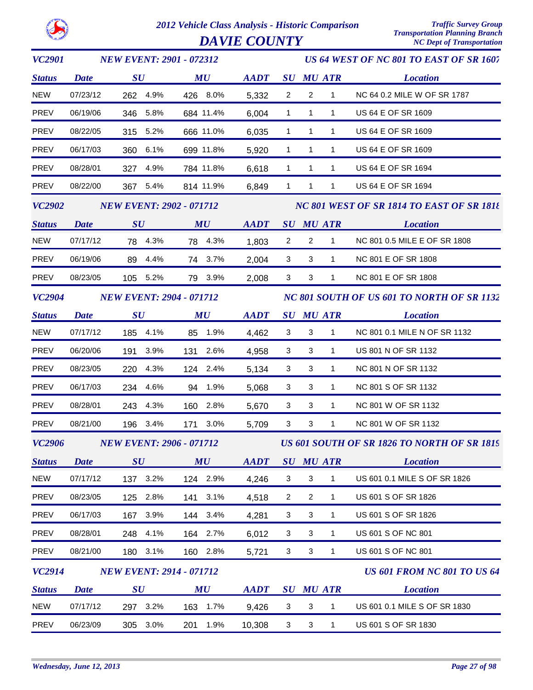

*VC2901 Status SU MU SU ATR Location AADT MU US 64 WEST OF NC 801 TO EAST OF SR 1607 NEW EVENT: 2901 - 072312 Date* NEW 07/23/12 262 4.9% 426 8.0% 5,332 2 2 1 NC 64 0.2 MILE W OF SR 1787 PREV 06/19/06 346 5.8% 684 11.4% 6,004 1 1 1 US 64 E OF SR 1609 PREV 08/22/05 315 5.2% 666 11.0% 6,035 1 1 1 US 64 E OF SR 1609 PREV 06/17/03 360 6.1% 699 11.8% 5,920 1 1 1 US 64 E OF SR 1609 PREV 08/28/01 327 4.9% 784 11.8% 6,618 1 1 1 US 64 E OF SR 1694 PREV 08/22/00 367 5.4% 814 11.9% 6,849 1 1 1 US 64 E OF SR 1694 *VC2902 Status SU MU SU ATR Location AADT MU NC 801 WEST OF SR 1814 TO EAST OF SR 1818 NEW EVENT: 2902 - 071712 Date* NEW 07/17/12 78 4.3% 78 4.3% 1,803 2 2 1 NC 801 0.5 MILE E OF SR 1808 PREV 06/19/06 89 4.4% 74 3.7% 2,004 3 3 1 NC 801 E OF SR 1808 PREV 08/23/05 105 5.2% 79 3.9% 3 2,008 3 1 NC 801 E OF SR 1808 *VC2904 Status SU MU SU ATR Location AADT MU NC 801 SOUTH OF US 601 TO NORTH OF SR 1132 NEW EVENT: 2904 - 071712 Date* NEW 07/17/12 185 4.1% 85 1.9% 4,462 3 3 1 NC 801 0.1 MILE N OF SR 1132 PREV 06/20/06 191 3.9% 131 2.6% 3 4,958 3 1 US 801 N OF SR 1132 PREV 08/23/05 220 4.3% 124 2.4% 3 5,134 3 1 NC 801 N OF SR 1132 PREV 06/17/03 234 4.6% 94 1.9% 3 5,068 3 1 NC 801 S OF SR 1132 PREV 08/28/01 243 4.3% 160 2.8% 3 5,670 3 1 NC 801 W OF SR 1132 PREV 08/21/00 196 3.4% 171 3.0% 3 5,709 3 1 NC 801 W OF SR 1132 *VC2906 Status SU MU SU ATR Location US 601 SOUTH OF SR 1826 TO NORTH OF SR 1819 AADT MU NEW EVENT: 2906 - 071712 Date* NEW 07/17/12 137 3.2% 124 2.9% 4,246 3 3 1 US 601 0.1 MILE S OF SR 1826 PREV 08/23/05 125 2.8% 141 3.1% 4,518 2 2 1 US 601 S OF SR 1826 PREV 06/17/03 167 3.9% 144 3.4% 4,281 3 3 1 US 601 S OF SR 1826 PREV 08/28/01 248 4.1% 164 2.7% 6.012 3 3 1 US 601 S OF NC 801 PREV 08/21/00 180 3.1% 160 2.8% 5,721 3 3 1 US 601 S OF NC 801 *VC2914 Status SU MU SU ATR Location US 601 FROM NC 801 TO US 64* **AADT** SU MU ATR *NEW EVENT: 2914 - 071712 Date* NEW 07/17/12 297 3.2% 163 1.7% 9.426 3 3 1 US 601 0.1 MILE S OF SR 1830 PREV 06/23/09 305 3.0% 201 1.9% 10,308 3 3 1 US 601 S OF SR 1830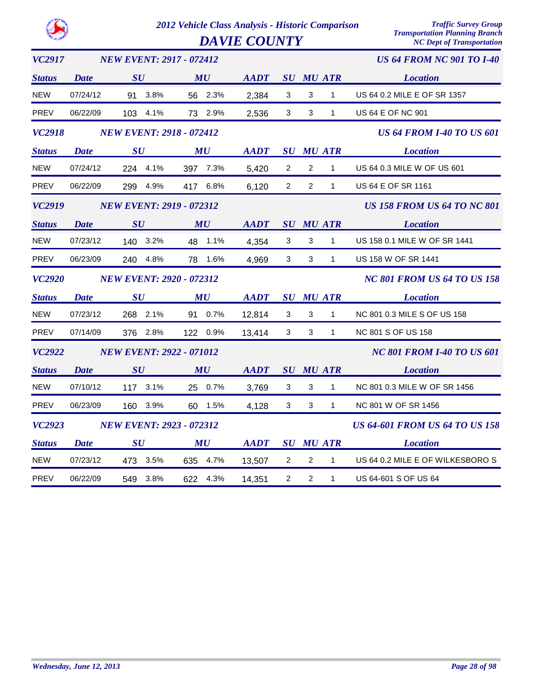|               |             |                                 | 2012 Vehicle Class Analysis - Historic Comparison |                     |                |                |                  | <b>Traffic Survey Group</b><br><b>Transportation Planning Branch</b> |
|---------------|-------------|---------------------------------|---------------------------------------------------|---------------------|----------------|----------------|------------------|----------------------------------------------------------------------|
|               |             |                                 |                                                   | <b>DAVIE COUNTY</b> |                |                |                  | <b>NC Dept of Transportation</b>                                     |
| <b>VC2917</b> |             | <b>NEW EVENT: 2917 - 072412</b> |                                                   |                     |                |                |                  | <b>US 64 FROM NC 901 TO I-40</b>                                     |
| <b>Status</b> | <b>Date</b> | SU                              | MU                                                | <b>AADT</b>         |                |                | <b>SU MU ATR</b> | <b>Location</b>                                                      |
| <b>NEW</b>    | 07/24/12    | 91 3.8%                         | 56 2.3%                                           | 2,384               | 3              | 3              | $\mathbf{1}$     | US 64 0.2 MILE E OF SR 1357                                          |
| <b>PREV</b>   | 06/22/09    | 103 4.1%                        | 73 2.9%                                           | 2,536               | 3              | 3              | $\mathbf{1}$     | <b>US 64 E OF NC 901</b>                                             |
| <b>VC2918</b> |             | <b>NEW EVENT: 2918 - 072412</b> |                                                   |                     |                |                |                  | <b>US 64 FROM I-40 TO US 601</b>                                     |
| <b>Status</b> | Date        | SU                              | MU                                                | <b>AADT</b>         |                |                | <b>SU MU ATR</b> | <b>Location</b>                                                      |
| <b>NEW</b>    | 07/24/12    | 224 4.1%                        | 397 7.3%                                          | 5,420               | $\overline{2}$ | $\overline{2}$ | $\mathbf{1}$     | US 64 0.3 MILE W OF US 601                                           |
| <b>PREV</b>   | 06/22/09    | 4.9%<br>299                     | 417 6.8%                                          | 6,120               | $\overline{2}$ | 2              | $\mathbf{1}$     | <b>US 64 E OF SR 1161</b>                                            |
| <b>VC2919</b> |             | <b>NEW EVENT: 2919 - 072312</b> |                                                   |                     |                |                |                  | <b>US 158 FROM US 64 TO NC 801</b>                                   |
| <b>Status</b> | Date        | SU                              | MU                                                | <b>AADT</b>         |                |                | <b>SU MU ATR</b> | <b>Location</b>                                                      |
| <b>NEW</b>    | 07/23/12    | 140 3.2%                        | 48 1.1%                                           | 4,354               | 3              | 3              | $\mathbf{1}$     | US 158 0.1 MILE W OF SR 1441                                         |
| PREV          | 06/23/09    | 4.8%<br>240                     | 1.6%<br>78                                        | 4,969               | 3              | 3              | $\mathbf{1}$     | US 158 W OF SR 1441                                                  |
| <b>VC2920</b> |             | <b>NEW EVENT: 2920 - 072312</b> |                                                   |                     |                |                |                  | <b>NC 801 FROM US 64 TO US 158</b>                                   |
| <b>Status</b> | Date        | $\boldsymbol{S}\boldsymbol{U}$  | MU                                                | <b>AADT</b>         |                |                | <b>SU MU ATR</b> | <b>Location</b>                                                      |
| <b>NEW</b>    | 07/23/12    | 268 2.1%                        | 91 0.7%                                           | 12,814              | 3              | 3              | $\mathbf{1}$     | NC 801 0.3 MILE S OF US 158                                          |
| <b>PREV</b>   | 07/14/09    | 376 2.8%                        | 122 0.9%                                          | 13,414              | 3              | 3              | $\mathbf{1}$     | <b>NC 801 S OF US 158</b>                                            |
| <b>VC2922</b> |             | <b>NEW EVENT: 2922 - 071012</b> |                                                   |                     |                |                |                  | <b>NC 801 FROM I-40 TO US 601</b>                                    |
| <b>Status</b> | Date        | SU                              | MU                                                | <b>AADT</b>         |                |                | <b>SU MU ATR</b> | <b>Location</b>                                                      |
| <b>NEW</b>    | 07/10/12    | 117 3.1%                        | 25 0.7%                                           | 3,769               | 3              | 3              | $\mathbf{1}$     | NC 801 0.3 MILE W OF SR 1456                                         |
| <b>PREV</b>   | 06/23/09    | 3.9%<br>160                     | 1.5%<br>60                                        | 4,128               | 3              | 3              | 1                | NC 801 W OF SR 1456                                                  |
| <b>VC2923</b> |             | <b>NEW EVENT: 2923 - 072312</b> |                                                   |                     |                |                |                  | <b>US 64-601 FROM US 64 TO US 158</b>                                |
| <b>Status</b> | <b>Date</b> | $\boldsymbol{S}\boldsymbol{U}$  | MU                                                | <b>AADT</b>         |                |                | <b>SU MU ATR</b> | <b>Location</b>                                                      |
| <b>NEW</b>    | 07/23/12    | 3.5%<br>473                     | 635 4.7%                                          | 13,507              | 2              | $\overline{c}$ | 1                | US 64 0.2 MILE E OF WILKESBORO S                                     |
| PREV          | 06/22/09    | 3.8%<br>549                     | 622 4.3%                                          | 14,351              | $\overline{2}$ | $\overline{2}$ | $\mathbf{1}$     | US 64-601 S OF US 64                                                 |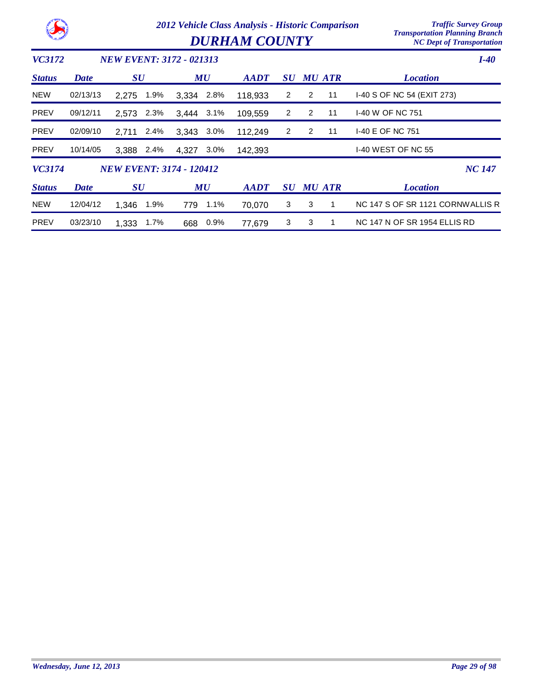*Transportation Planning Branch*

 $DURHAM$  *COUNTY* 

| <i>VC3172</i> |             | <b>NEW EVENT: 3172 - 021313</b> |                  |                                                            |                |               |                | $I-40$                              |
|---------------|-------------|---------------------------------|------------------|------------------------------------------------------------|----------------|---------------|----------------|-------------------------------------|
| <b>Status</b> | <b>Date</b> | $\boldsymbol{S}\boldsymbol{U}$  | MU               | $\boldsymbol{A}\boldsymbol{A}\boldsymbol{D}\boldsymbol{T}$ | SU             | <b>MU ATR</b> |                | <b>Location</b>                     |
| <b>NEW</b>    | 02/13/13    | 1.9%<br>2.275                   | 2.8%<br>3.334    | 118,933                                                    | 2              | 2             | 11             | 1-40 S OF NC 54 (EXIT 273)          |
| <b>PREV</b>   | 09/12/11    | 2.3%<br>2.573                   | 3.444 3.1%       | 109,559                                                    | $\overline{2}$ | 2             | 11             | <b>I-40 W OF NC 751</b>             |
| <b>PREV</b>   | 02/09/10    | 2.4%<br>2.711                   | 3.343<br>$3.0\%$ | 112,249                                                    | 2              | 2             | 11             | 1-40 E OF NC 751                    |
| <b>PREV</b>   | 10/14/05    | 3.388<br>2.4%                   | 4.327<br>$3.0\%$ | 142,393                                                    |                |               |                | <b>I-40 WEST OF NC 55</b>           |
| VC3174        |             | <b>NEW EVENT: 3174 - 120412</b> |                  |                                                            |                |               |                | <b>NC 147</b>                       |
| <b>Status</b> | Date        | $\boldsymbol{S}\boldsymbol{U}$  | MU               | $A$ <i>ADT</i>                                             | <b>SU</b>      | <b>MU ATR</b> |                | <b>Location</b>                     |
| <b>NEW</b>    | 12/04/12    | 1.9%<br>1.346                   | 779<br>1.1%      | 70,070                                                     | 3 <sup>1</sup> | 3             | $\overline{1}$ | NC 147 S OF SR 1121 CORNWALLIS R    |
| <b>PREV</b>   | 03/23/10    | 1.7%<br>1.333                   | 0.9%<br>668      | 77.679                                                     | 3              | 3             | 1              | <b>NC 147 N OF SR 1954 ELLIS RD</b> |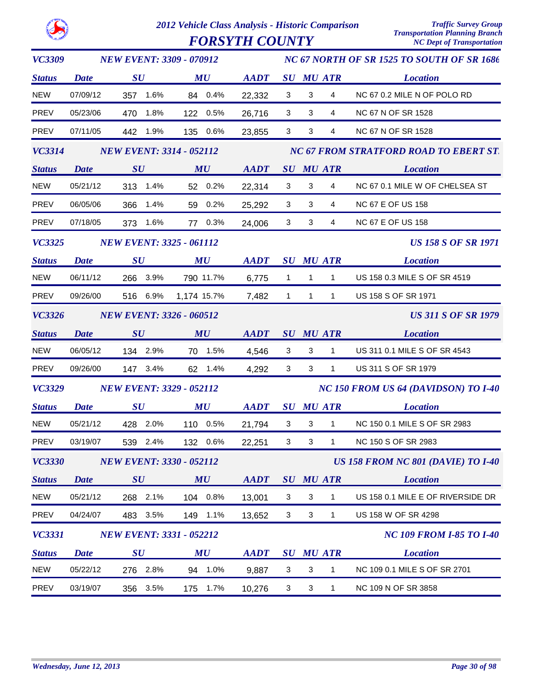|               |             | 2012 Vehicle Class Analysis - Historic Comparison<br><b>FORSYTH COUNTY</b> |             |             |              |                  |              | <b>Traffic Survey Group</b><br><b>Transportation Planning Branch</b><br><b>NC Dept of Transportation</b> |
|---------------|-------------|----------------------------------------------------------------------------|-------------|-------------|--------------|------------------|--------------|----------------------------------------------------------------------------------------------------------|
| <b>VC3309</b> |             | <b>NEW EVENT: 3309 - 070912</b>                                            |             |             |              |                  |              | NC 67 NORTH OF SR 1525 TO SOUTH OF SR 1686                                                               |
| <b>Status</b> | <b>Date</b> | $\boldsymbol{S}\boldsymbol{U}$                                             | MU          | <b>AADT</b> |              | <b>SU MU ATR</b> |              | <b>Location</b>                                                                                          |
| <b>NEW</b>    | 07/09/12    | 1.6%<br>357                                                                | 0.4%<br>84  | 22,332      | 3            | 3                | 4            | NC 67 0.2 MILE N OF POLO RD                                                                              |
| <b>PREV</b>   | 05/23/06    | 1.8%<br>470                                                                | 0.5%<br>122 | 26,716      | 3            | 3                | 4            | NC 67 N OF SR 1528                                                                                       |
| <b>PREV</b>   | 07/11/05    | 442<br>1.9%                                                                | 0.6%<br>135 | 23,855      | 3            | 3                | 4            | NC 67 N OF SR 1528                                                                                       |
| <b>VC3314</b> |             | <b>NEW EVENT: 3314 - 052112</b>                                            |             |             |              |                  |              | <b>NC 67 FROM STRATFORD ROAD TO EBERT ST.</b>                                                            |
| <b>Status</b> | <b>Date</b> | SU                                                                         | MU          | <b>AADT</b> |              | <b>SU MU ATR</b> |              | <b>Location</b>                                                                                          |
| <b>NEW</b>    | 05/21/12    | 1.4%<br>313                                                                | 52 0.2%     | 22,314      | 3            | 3                | 4            | NC 67 0.1 MILE W OF CHELSEA ST                                                                           |
| <b>PREV</b>   | 06/05/06    | 1.4%<br>366                                                                | 0.2%<br>59  | 25,292      | 3            | 3                | 4            | <b>NC 67 E OF US 158</b>                                                                                 |
| PREV          | 07/18/05    | 1.6%<br>373                                                                | 77 0.3%     | 24,006      | 3            | 3                | 4            | <b>NC 67 E OF US 158</b>                                                                                 |
| VC3325        |             | <b>NEW EVENT: 3325 - 061112</b>                                            |             |             |              |                  |              | <b>US 158 S OF SR 1971</b>                                                                               |
| <b>Status</b> | <b>Date</b> | SU                                                                         | MU          | <b>AADT</b> |              | <b>SU MU ATR</b> |              | <b>Location</b>                                                                                          |
| <b>NEW</b>    | 06/11/12    | 3.9%<br>266                                                                | 790 11.7%   | 6,775       | $\mathbf 1$  | $\mathbf{1}$     | 1            | US 158 0.3 MILE S OF SR 4519                                                                             |
| <b>PREV</b>   | 09/26/00    | 516 6.9%                                                                   | 1,174 15.7% | 7,482       | $\mathbf{1}$ | $\mathbf{1}$     | $\mathbf{1}$ | US 158 S OF SR 1971                                                                                      |
| <b>VC3326</b> |             | <b>NEW EVENT: 3326 - 060512</b>                                            |             |             |              |                  |              | <b>US 311 S OF SR 1979</b>                                                                               |
| <b>Status</b> | <b>Date</b> | SU                                                                         | <b>MU</b>   | <b>AADT</b> | SU           | <b>MU ATR</b>    |              | <b>Location</b>                                                                                          |
| <b>NEW</b>    | 06/05/12    | 134 2.9%                                                                   | 1.5%<br>70  | 4,546       | 3            | 3                | 1            | US 311 0.1 MILE S OF SR 4543                                                                             |
| <b>PREV</b>   | 09/26/00    | 147 3.4%                                                                   | 1.4%<br>62  | 4,292       | 3            | 3                | $\mathbf{1}$ | US 311 S OF SR 1979                                                                                      |
| <b>VC3329</b> |             | <b>NEW EVENT: 3329 - 052112</b>                                            |             |             |              |                  |              | <b>NC 150 FROM US 64 (DAVIDSON) TO I-40</b>                                                              |
| <b>Status</b> | <b>Date</b> | SU                                                                         | MU          | <b>AADT</b> |              | SU MU ATR        |              | <b>Location</b>                                                                                          |
| <b>NEW</b>    | 05/21/12    | 428<br>2.0%                                                                | 110 0.5%    | 21,794      | 3            | 3                | 1            | NC 150 0.1 MILE S OF SR 2983                                                                             |
| PREV          | 03/19/07    | 539 2.4%                                                                   | 132 0.6%    | 22,251      | 3            | $\mathbf{3}$     | $\mathbf{1}$ | NC 150 S OF SR 2983                                                                                      |
| <b>VC3330</b> |             | <b>NEW EVENT: 3330 - 052112</b>                                            |             |             |              |                  |              | <b>US 158 FROM NC 801 (DAVIE) TO 1-40</b>                                                                |
| <b>Status</b> | <b>Date</b> | SU                                                                         | MU          | <b>AADT</b> |              | <b>SU MU ATR</b> |              | <b>Location</b>                                                                                          |
| <b>NEW</b>    | 05/21/12    | 268 2.1%                                                                   | 104 0.8%    | 13,001      | 3            | 3                | $\mathbf{1}$ | US 158 0.1 MILE E OF RIVERSIDE DR                                                                        |
| PREV          | 04/24/07    | 483 3.5%                                                                   | 149 1.1%    | 13,652      | 3            | 3                | $\mathbf{1}$ | US 158 W OF SR 4298                                                                                      |
| <b>VC3331</b> |             | <b>NEW EVENT: 3331 - 052212</b>                                            |             |             |              |                  |              | <b>NC 109 FROM I-85 TO I-40</b>                                                                          |
| <b>Status</b> | <b>Date</b> | $\boldsymbol{S}\boldsymbol{U}$                                             | MU          | <b>AADT</b> |              | <b>SU MU ATR</b> |              | <b>Location</b>                                                                                          |
| <b>NEW</b>    | 05/22/12    | 276 2.8%                                                                   | 94 1.0%     | 9,887       | 3            | $\mathbf{3}$     | $\mathbf{1}$ | NC 109 0.1 MILE S OF SR 2701                                                                             |
| PREV          | 03/19/07    | 3.5%<br>356                                                                | 175<br>1.7% | 10,276      | 3            | $\mathbf{3}$     | $\mathbf{1}$ | NC 109 N OF SR 3858                                                                                      |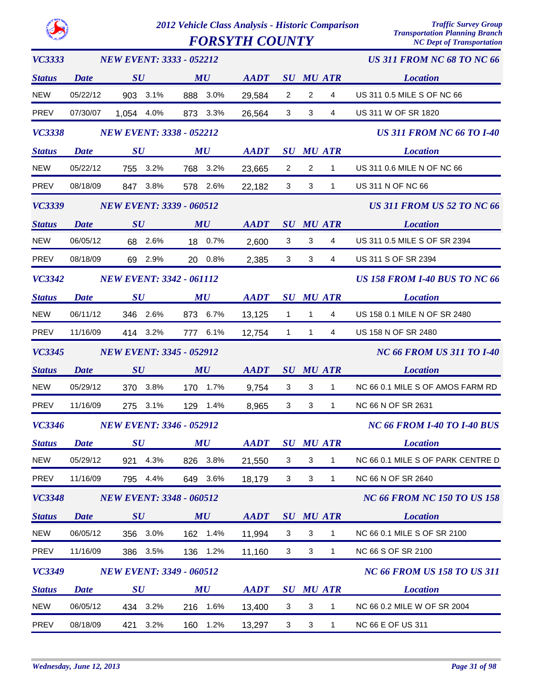$FORSYTH$  *COUNTY* 

| <b>VC3333</b> |             | <b>NEW EVENT: 3333 - 052212</b> |                                |                                                            |                |                  |                  | <b>US 311 FROM NC 68 TO NC 66</b>    |
|---------------|-------------|---------------------------------|--------------------------------|------------------------------------------------------------|----------------|------------------|------------------|--------------------------------------|
| <b>Status</b> | Date        | SU                              | MU                             | AADT                                                       |                |                  | <b>SU MU ATR</b> | <b>Location</b>                      |
| <b>NEW</b>    | 05/22/12    | 903 3.1%                        | 888 3.0%                       | 29,584                                                     | $\overline{2}$ | $\overline{2}$   | $\overline{4}$   | US 311 0.5 MILE S OF NC 66           |
| <b>PREV</b>   | 07/30/07    | 1,054 4.0%                      | 873 3.3%                       | 26,564                                                     | 3              | 3                | 4                | US 311 W OF SR 1820                  |
| <b>VC3338</b> |             | <b>NEW EVENT: 3338 - 052212</b> |                                |                                                            |                |                  |                  | <b>US 311 FROM NC 66 TO 1-40</b>     |
| <b>Status</b> | <b>Date</b> | $\boldsymbol{S}\boldsymbol{U}$  | MU                             | <b>AADT</b>                                                |                |                  | <b>SU MU ATR</b> | <b>Location</b>                      |
| <b>NEW</b>    | 05/22/12    | 755 3.2%                        | 768 3.2%                       | 23,665                                                     | $\overline{2}$ | $\overline{2}$   | $\mathbf{1}$     | US 311 0.6 MILE N OF NC 66           |
| <b>PREV</b>   | 08/18/09    | 847 3.8%                        | 578 2.6%                       | 22,182                                                     | 3 <sup>1</sup> | 3                | $\mathbf{1}$     | US 311 N OF NC 66                    |
| <b>VC3339</b> |             | <b>NEW EVENT: 3339 - 060512</b> |                                |                                                            |                |                  |                  | <b>US 311 FROM US 52 TO NC 66</b>    |
| <b>Status</b> | <b>Date</b> | SU                              | MU                             | <b>AADT</b>                                                |                |                  | <b>SU MU ATR</b> | <b>Location</b>                      |
| <b>NEW</b>    | 06/05/12    | 68 2.6%                         | 18 0.7%                        | 2,600                                                      | 3              | 3                | 4                | US 311 0.5 MILE S OF SR 2394         |
| <b>PREV</b>   | 08/18/09    | 69 2.9%                         | 20 0.8%                        | 2,385                                                      | 3              | 3                | 4                | US 311 S OF SR 2394                  |
| <b>VC3342</b> |             | <b>NEW EVENT: 3342 - 061112</b> |                                |                                                            |                |                  |                  | <b>US 158 FROM I-40 BUS TO NC 66</b> |
| <b>Status</b> | <b>Date</b> | $\boldsymbol{S}\boldsymbol{U}$  | MU                             | $\boldsymbol{A}\boldsymbol{A}\boldsymbol{D}\boldsymbol{T}$ |                |                  | <b>SU MU ATR</b> | <b>Location</b>                      |
| <b>NEW</b>    | 06/11/12    | 346 2.6%                        | 873 6.7%                       | 13,125                                                     | $\mathbf{1}$   | $\mathbf{1}$     | 4                | US 158 0.1 MILE N OF SR 2480         |
| <b>PREV</b>   | 11/16/09    | 414 3.2%                        | 777 6.1%                       | 12,754                                                     | $\mathbf{1}$   | $\mathbf{1}$     | 4                | US 158 N OF SR 2480                  |
| <b>VC3345</b> |             | <b>NEW EVENT: 3345 - 052912</b> |                                |                                                            |                |                  |                  | <b>NC 66 FROM US 311 TO I-40</b>     |
|               |             |                                 |                                |                                                            |                |                  |                  |                                      |
| <b>Status</b> | <b>Date</b> | SU                              | MU                             | <b>AADT</b>                                                |                | <b>SU MU ATR</b> |                  | <b>Location</b>                      |
| <b>NEW</b>    | 05/29/12    | 370 3.8%                        | 170 1.7%                       | 9,754                                                      | $\mathbf{3}$   | $\mathbf{3}$     | $\mathbf{1}$     | NC 66 0.1 MILE S OF AMOS FARM RD     |
| <b>PREV</b>   | 11/16/09    | 275 3.1%                        | 129 1.4%                       | 8,965                                                      | $\mathbf{3}$   | 3                | $\mathbf{1}$     | NC 66 N OF SR 2631                   |
| <b>VC3346</b> |             | <b>NEW EVENT: 3346 - 052912</b> |                                |                                                            |                |                  |                  | <b>NC 66 FROM I-40 TO I-40 BUS</b>   |
| <b>Status</b> | <b>Date</b> | $\bm{S}\bm{U}$                  | $\boldsymbol{M}\boldsymbol{U}$ | <b>AADT</b>                                                |                |                  | <b>SU MU ATR</b> | <b>Location</b>                      |
| <b>NEW</b>    | 05/29/12    | 921<br>4.3%                     | 826<br>3.8%                    | 21,550                                                     | 3              | 3                | 1                | NC 66 0.1 MILE S OF PARK CENTRE D    |
| PREV          | 11/16/09    | 4.4%<br>795                     | 649 3.6%                       | 18,179                                                     | 3              | 3                | $\mathbf{1}$     | NC 66 N OF SR 2640                   |
| <b>VC3348</b> |             | <b>NEW EVENT: 3348 - 060512</b> |                                |                                                            |                |                  |                  | <b>NC 66 FROM NC 150 TO US 158</b>   |
| <b>Status</b> | Date        | SU                              | MU                             | <b>AADT</b>                                                |                |                  | <b>SU MU ATR</b> | <b>Location</b>                      |
| <b>NEW</b>    | 06/05/12    | 356 3.0%                        | 162 1.4%                       | 11,994                                                     | 3              | $\sqrt{3}$       | $\mathbf{1}$     | NC 66 0.1 MILE S OF SR 2100          |
| PREV          | 11/16/09    | 386 3.5%                        | 136 1.2%                       | 11,160                                                     | 3              | $\sqrt{3}$       | 1                | <b>NC 66 S OF SR 2100</b>            |
| <b>VC3349</b> |             | <b>NEW EVENT: 3349 - 060512</b> |                                |                                                            |                |                  |                  | <b>NC 66 FROM US 158 TO US 311</b>   |
| <b>Status</b> | <b>Date</b> | $\boldsymbol{S}\boldsymbol{U}$  | MU                             | <b>AADT</b>                                                |                |                  | <b>SU MU ATR</b> | <b>Location</b>                      |
| <b>NEW</b>    | 06/05/12    | 434 3.2%                        | 216 1.6%                       | 13,400                                                     | 3              | $\sqrt{3}$       | 1                | NC 66 0.2 MILE W OF SR 2004          |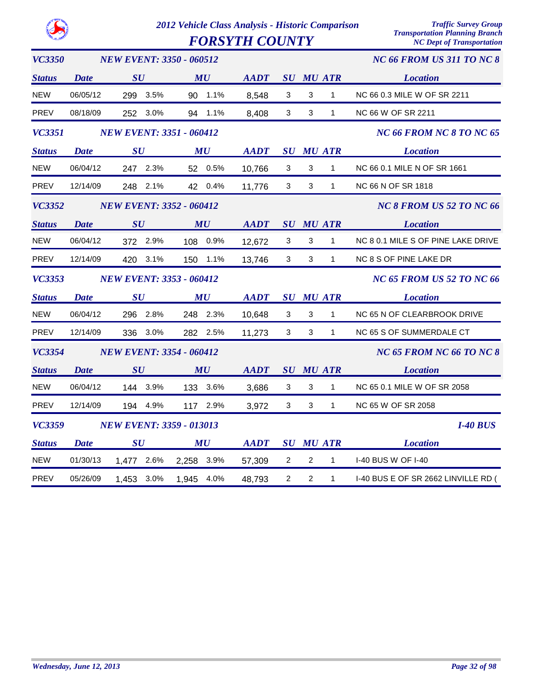|               |                                               |                                 |                                |            |             | <b>FORSYTH COUNTY</b> |                          |                  | <b>Transportation Planning Branch</b><br><b>NC Dept of Transportation</b> |                                     |
|---------------|-----------------------------------------------|---------------------------------|--------------------------------|------------|-------------|-----------------------|--------------------------|------------------|---------------------------------------------------------------------------|-------------------------------------|
| <b>VC3350</b> |                                               | <b>NEW EVENT: 3350 - 060512</b> |                                |            |             |                       |                          |                  |                                                                           | NC 66 FROM US 311 TO NC 8           |
| <b>Status</b> | Date                                          | SU                              |                                |            | MU          | <b>AADT</b>           |                          |                  | <b>SU MU ATR</b>                                                          | <i>Location</i>                     |
| <b>NEW</b>    | 06/05/12                                      |                                 | 299 3.5%                       |            | 90 1.1%     | 8,548                 | 3                        | 3                | $\mathbf{1}$                                                              | NC 66 0.3 MILE W OF SR 2211         |
| <b>PREV</b>   | 08/18/09                                      |                                 | 252 3.0%                       |            | 94 1.1%     | 8,408                 | 3 <sup>1</sup>           | 3                | $\mathbf{1}$                                                              | NC 66 W OF SR 2211                  |
| <b>VC3351</b> |                                               | <b>NEW EVENT: 3351 - 060412</b> |                                |            |             |                       |                          |                  |                                                                           | NC 66 FROM NC 8 TO NC 65            |
| <b>Status</b> | $\boldsymbol{S}\boldsymbol{U}$<br><b>Date</b> |                                 | $\boldsymbol{M}\boldsymbol{U}$ |            | <b>AADT</b> |                       |                          | <b>SU MU ATR</b> | <b>Location</b>                                                           |                                     |
| <b>NEW</b>    | 06/04/12                                      |                                 | 247 2.3%                       |            | 52 0.5%     | 10,766                | 3                        | 3                | $\mathbf{1}$                                                              | NC 66 0.1 MILE N OF SR 1661         |
| PREV          | 12/14/09                                      |                                 | 248 2.1%                       |            | 42 0.4%     | 11,776                | 3                        | 3                | $\mathbf{1}$                                                              | NC 66 N OF SR 1818                  |
| <b>VC3352</b> |                                               | <b>NEW EVENT: 3352 - 060412</b> |                                |            |             |                       | NC 8 FROM US 52 TO NC 66 |                  |                                                                           |                                     |
| <b>Status</b> | Date                                          | $\boldsymbol{S}\boldsymbol{U}$  |                                |            | MU          | <b>AADT</b>           |                          |                  | <b>SU MU ATR</b>                                                          | <i>Location</i>                     |
| <b>NEW</b>    | 06/04/12                                      |                                 | 372 2.9%                       |            | 108 0.9%    | 12,672                | 3                        | 3                | $\mathbf{1}$                                                              | NC 8 0.1 MILE S OF PINE LAKE DRIVE  |
| <b>PREV</b>   | 12/14/09                                      |                                 | 420 3.1%                       |            | 150 1.1%    | 13,746                | 3                        | 3                | $\mathbf{1}$                                                              | NC 8 S OF PINE LAKE DR              |
| <i>VC3353</i> |                                               | <b>NEW EVENT: 3353 - 060412</b> |                                |            |             |                       |                          |                  |                                                                           | <b>NC 65 FROM US 52 TO NC 66</b>    |
| <b>Status</b> | <b>Date</b>                                   | $\bm{S}\bm{U}$                  |                                | MU         |             | <b>AADT</b>           |                          |                  | <b>SU MU ATR</b>                                                          | <b>Location</b>                     |
| <b>NEW</b>    | 06/04/12                                      |                                 | 296 2.8%                       |            | 248 2.3%    | 10,648                | 3                        | 3                | $\mathbf{1}$                                                              | NC 65 N OF CLEARBROOK DRIVE         |
| <b>PREV</b>   | 12/14/09                                      | 336                             | $3.0\%$                        |            | 282 2.5%    | 11,273                | 3                        | 3                | $\mathbf{1}$                                                              | NC 65 S OF SUMMERDALE CT            |
| <b>VC3354</b> | <b>NEW EVENT: 3354 - 060412</b>               |                                 |                                |            |             |                       |                          |                  |                                                                           | NC 65 FROM NC 66 TO NC 8            |
| <b>Status</b> | Date                                          | SU                              |                                |            | MU          | <b>AADT</b>           | SU                       |                  | <b>MU ATR</b>                                                             | <b>Location</b>                     |
| <b>NEW</b>    | 06/04/12                                      |                                 | 144 3.9%                       |            | 133 3.6%    | 3,686                 | $\mathbf{3}$             | 3                | $\mathbf{1}$                                                              | NC 65 0.1 MILE W OF SR 2058         |
| <b>PREV</b>   | 12/14/09                                      |                                 | 194 4.9%                       |            | 117 2.9%    | 3,972                 | 3                        | 3                | $\mathbf{1}$                                                              | NC 65 W OF SR 2058                  |
| <b>VC3359</b> |                                               | <b>NEW EVENT: 3359 - 013013</b> |                                |            |             |                       |                          |                  |                                                                           | <b>I-40 BUS</b>                     |
| <b>Status</b> | Date                                          | $\boldsymbol{S}\boldsymbol{U}$  |                                |            | MU          | <b>AADT</b>           | $\bm{S}\bm{U}$           |                  | <b>MU ATR</b>                                                             | <b>Location</b>                     |
| <b>NEW</b>    | 01/30/13                                      | 1,477 2.6%                      |                                | 2,258 3.9% |             | 57,309                | $\overline{2}$           | 2                | $\mathbf{1}$                                                              | <b>I-40 BUS W OF I-40</b>           |
| PREV          | 05/26/09                                      | 1,453 3.0%                      |                                | 1,945      | 4.0%        | 48,793                | $\overline{2}$           | $\overline{2}$   | $\mathbf{1}$                                                              | I-40 BUS E OF SR 2662 LINVILLE RD ( |

CO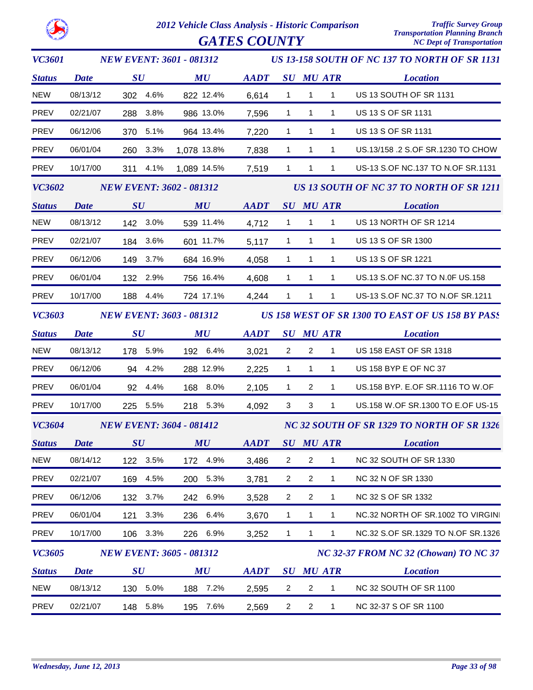$GATES$   $COUNTY$ 

| <b>VC3601</b> |                                 | <b>NEW EVENT: 3601 - 081312</b>                  | <b>US 13-158 SOUTH OF NC 137 TO NORTH OF SR 1131</b> |                                                            |                |                                            |                                       |                                          |  |
|---------------|---------------------------------|--------------------------------------------------|------------------------------------------------------|------------------------------------------------------------|----------------|--------------------------------------------|---------------------------------------|------------------------------------------|--|
| <b>Status</b> | <b>Date</b>                     | $\boldsymbol{S}\boldsymbol{U}$                   | MU                                                   | <b>AADT</b>                                                |                |                                            | <b>SU MU ATR</b>                      | <b>Location</b>                          |  |
| <b>NEW</b>    | 08/13/12                        | 302 4.6%                                         | 822 12.4%                                            | 6,614                                                      | $\mathbf{1}$   | $\mathbf{1}$                               | $\mathbf{1}$                          | US 13 SOUTH OF SR 1131                   |  |
| <b>PREV</b>   | 02/21/07                        | 288 3.8%                                         | 986 13.0%                                            | 7,596                                                      | $\mathbf{1}$   | $\mathbf{1}$                               | $\mathbf{1}$                          | US 13 S OF SR 1131                       |  |
| <b>PREV</b>   | 06/12/06                        | 370 5.1%                                         | 964 13.4%                                            | 7,220                                                      | $\mathbf{1}$   | $\mathbf{1}$                               | $\mathbf{1}$                          | US 13 S OF SR 1131                       |  |
| <b>PREV</b>   | 06/01/04                        | 260 3.3%                                         | 1,078 13.8%                                          | 7,838                                                      | $\mathbf{1}$   | 1                                          | $\mathbf{1}$                          | US.13/158 .2 S.OF SR.1230 TO CHOW        |  |
| <b>PREV</b>   | 10/17/00                        | 311 4.1%                                         | 1,089 14.5%                                          | 7,519                                                      | $\mathbf{1}$   | $\mathbf{1}$                               | $\mathbf{1}$                          | US-13 S.OF NC.137 TO N.OF SR.1131        |  |
| <b>VC3602</b> | <b>NEW EVENT: 3602 - 081312</b> |                                                  |                                                      |                                                            |                |                                            |                                       | US 13 SOUTH OF NC 37 TO NORTH OF SR 1211 |  |
| <b>Status</b> | <b>Date</b><br>SU               |                                                  | MU                                                   | <b>AADT</b>                                                |                |                                            | <b>SU MU ATR</b>                      | <b>Location</b>                          |  |
| <b>NEW</b>    | 08/13/12                        | 142 3.0%                                         | 539 11.4%                                            | 4,712                                                      | $\mathbf{1}$   | $\mathbf{1}$                               | $\mathbf{1}$                          | US 13 NORTH OF SR 1214                   |  |
| PREV          | 02/21/07                        | 184 3.6%                                         | 601 11.7%                                            | 5,117                                                      | $\mathbf{1}$   | $\mathbf{1}$                               | $\mathbf{1}$                          | US 13 S OF SR 1300                       |  |
| PREV          | 06/12/06                        | 149 3.7%                                         | 684 16.9%                                            | 4,058                                                      | $\mathbf{1}$   | $\mathbf{1}$                               | $\mathbf{1}$                          | US 13 S OF SR 1221                       |  |
| PREV          | 06/01/04                        | 132 2.9%                                         | 756 16.4%                                            | 4,608                                                      | $\mathbf{1}$   | $\mathbf{1}$                               | $\mathbf{1}$                          | US.13 S.OF NC.37 TO N.0F US.158          |  |
| PREV          | 10/17/00                        | 188 4.4%                                         | 724 17.1%                                            | 4,244                                                      | $\mathbf{1}$   | 1                                          | $\mathbf{1}$                          | US-13 S.OF NC.37 TO N.OF SR.1211         |  |
| <b>VC3603</b> | <b>NEW EVENT: 3603 - 081312</b> | US 158 WEST OF SR 1300 TO EAST OF US 158 BY PASS |                                                      |                                                            |                |                                            |                                       |                                          |  |
| <b>Status</b> | <b>Date</b>                     | SU                                               | MU                                                   | <b>AADT</b>                                                |                |                                            | <b>SU MU ATR</b>                      | <b>Location</b>                          |  |
| NEW           | 08/13/12                        | 178 5.9%                                         | 192 6.4%                                             | 3,021                                                      | $\overline{2}$ | $\overline{2}$                             | $\mathbf{1}$                          | <b>US 158 EAST OF SR 1318</b>            |  |
| <b>PREV</b>   | 06/12/06                        | 94 4.2%                                          | 288 12.9%                                            | 2,225                                                      | $\mathbf{1}$   | 1                                          | $\mathbf{1}$                          | US 158 BYP E OF NC 37                    |  |
| PREV          | 06/01/04                        | 92 4.4%                                          | 168 8.0%                                             | 2,105                                                      | $\mathbf{1}$   | $\overline{2}$                             | $\mathbf{1}$                          | US.158 BYP. E.OF SR.1116 TO W.OF         |  |
| <b>PREV</b>   | 10/17/00                        | 225 5.5%                                         | 218 5.3%                                             | 4,092                                                      | $\mathbf{3}$   | 3                                          | $\mathbf{1}$                          | US.158 W.OF SR.1300 TO E.OF US-15        |  |
| <b>VC3604</b> | <b>NEW EVENT: 3604 - 081412</b> |                                                  |                                                      |                                                            |                | NC 32 SOUTH OF SR 1329 TO NORTH OF SR 1326 |                                       |                                          |  |
|               | <b>Status</b> Date              | $\boldsymbol{S}\boldsymbol{U}$                   | MU                                                   | $\boldsymbol{A}\boldsymbol{A}\boldsymbol{D}\boldsymbol{T}$ |                |                                            |                                       | SU MU ATR<br><b>Location</b>             |  |
| NEW           | 08/14/12                        | 122 3.5%                                         | 172 4.9%                                             | 3,486                                                      | $\overline{a}$ | $\overline{c}$                             | 1                                     | NC 32 SOUTH OF SR 1330                   |  |
| <b>PREV</b>   | 02/21/07                        | 169 4.5%                                         | 200 5.3%                                             | 3,781                                                      | $\overline{2}$ | $\overline{2}$                             | $\mathbf{1}$                          | NC 32 N OF SR 1330                       |  |
| PREV          | 06/12/06                        | 132 3.7%                                         | 242 6.9%                                             | 3,528                                                      | $\overline{a}$ | $\overline{2}$                             | $\mathbf{1}$                          | NC 32 S OF SR 1332                       |  |
| PREV          | 06/01/04                        | 3.3%<br>121                                      | 236 6.4%                                             | 3,670                                                      | $\mathbf{1}$   | $\mathbf{1}$                               | $\mathbf{1}$                          | NC.32 NORTH OF SR.1002 TO VIRGINI        |  |
| PREV          | 10/17/00                        | 106 3.3%                                         | 226 6.9%                                             | 3,252                                                      | $\mathbf{1}$   | 1                                          | 1                                     | NC.32 S.OF SR.1329 TO N.OF SR.1326       |  |
| <b>VC3605</b> |                                 | <b>NEW EVENT: 3605 - 081312</b>                  |                                                      |                                                            |                |                                            | NC 32-37 FROM NC 32 (Chowan) TO NC 37 |                                          |  |
| <b>Status</b> | <b>Date</b>                     | $\boldsymbol{S}\boldsymbol{U}$                   | MU                                                   | <b>AADT</b>                                                |                |                                            | <b>SU MU ATR</b>                      | <b>Location</b>                          |  |
| <b>NEW</b>    | 08/13/12                        | 130 5.0%                                         | 188 7.2%                                             | 2,595                                                      | $\overline{2}$ | $\overline{2}$                             | $\mathbf{1}$                          | NC 32 SOUTH OF SR 1100                   |  |
| <b>PREV</b>   | 02/21/07                        | 148 5.8%                                         | 195 7.6%                                             | 2,569                                                      | $\overline{2}$ | $\overline{2}$                             | $\mathbf{1}$                          | NC 32-37 S OF SR 1100                    |  |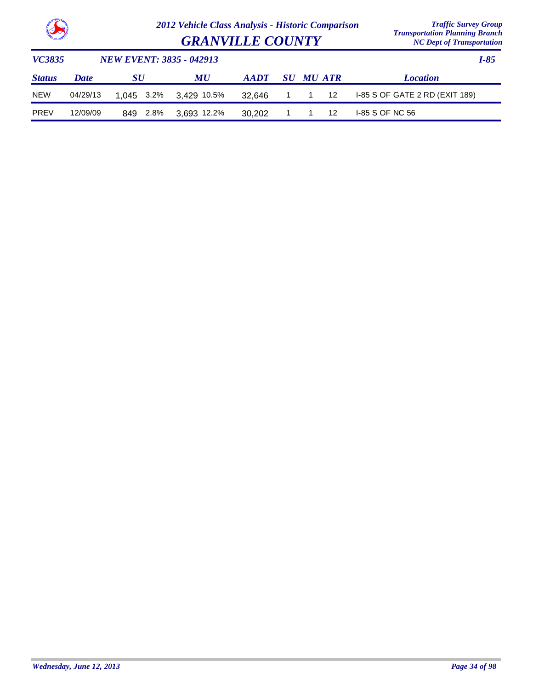

*Transportation Planning Branch GRANVILLE COUNTY NC Dept of Transportation*

| <i>VC3835</i> | <b>NEW EVENT: 3835 - 042913</b> |             |                        |             |  |           |     |                 |  |  |
|---------------|---------------------------------|-------------|------------------------|-------------|--|-----------|-----|-----------------|--|--|
| <b>Status</b> | <b>Date</b>                     | SU          | <b>MU</b>              | <b>AADT</b> |  | SU MU ATR |     | <b>Location</b> |  |  |
| <b>NEW</b>    | 04/29/13                        |             | 1.045 3.2% 3.429 10.5% | 32.646      |  |           |     |                 |  |  |
| <b>PREV</b>   | 12/09/09                        | 2.8%<br>849 | 3.693 12.2%            | 30.202      |  |           | -12 | I-85 S OF NC 56 |  |  |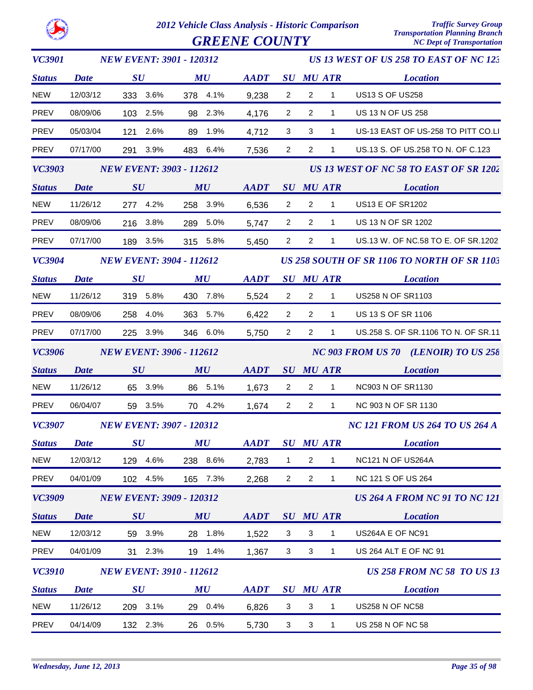

*VC3901*

*2012 Vehicle Class Analysis - Historic Comparison Traffic Survey Group* **GREENE COUNTY** 

*NEW EVENT: 3901 - 120312*

*US 13 WEST OF US 258 TO EAST OF NC 123*

*Status SU MU SU ATR Location AADT MU Date* NEW 12/03/12 333 3.6% 378 4.1% 9,238 2 2 1 US13 S OF US258 PREV 08/09/06 103 2.5% 98 2.3% 4,176 2 2 1 US 13 N OF US 258 PREV 05/03/04 121 2.6% 89 1.9% 3 4,712 3 1 US-13 EAST OF US-258 TO PITT CO.LI PREV 07/17/00 291 3.9% 483 6.4% 2 7,536 2 1 US.13 S. OF US.258 TO N. OF C.123 *VC3903 Status SU MU SU ATR Location US 13 WEST OF NC 58 TO EAST OF SR 1202 AADT MU NEW EVENT: 3903 - 112612 Date* NEW 11/26/12 277 4.2% 258 3.9% 6,536 2 2 1 US13 E OF SR1202 PREV 08/09/06 216 3.8% 289 5.0% 5,747 2 2 1 US 13 N OF SR 1202 PREV 07/17/00 189 3.5% 315 5.8% 2 5,450 2 1 US.13 W. OF NC.58 TO E. OF SR.1202 *VC3904 Status SU MU SU ATR Location AADT MU US 258 SOUTH OF SR 1106 TO NORTH OF SR 1103 NEW EVENT: 3904 - 112612 Date* NEW 11/26/12 319 5.8% 430 7.8% 5.524 2 2 1 US258 N OF SR1103 PREV 08/09/06 258 4.0% 363 5.7% 6,422 2 2 1 US 13 S OF SR 1106 PREV 07/17/00 225 3.9% 346 6.0% 2 5,750 2 1 US.258 S. OF SR.1106 TO N. OF SR.11 *VC3906 Status SU MU SU ATR Location NC 903 FROM US 70 (LENOIR) TO US 258 AADT MU NEW EVENT: 3906 - 112612 Date* NEW 11/26/12 65 3.9% 86 5.1% 1,673 2 2 1 NC903 N OF SR1130 PREV 06/04/07 59 3.5% 70 4.2% 1,674 2 2 1 NC 903 N OF SR 1130 *VC3907 Status SU MU SU ATR Location NC 121 FROM US 264 TO US 264 A AADT MU NEW EVENT: 3907 - 120312 Date* NEW 12/03/12 129 4.6% 238 8.6% 2,783 1 2 1 NC121 N OF US264A PREV 04/01/09 102 4.5% 165 7.3% 2 2,268 2 1 NC 121 S OF US 264 *VC3909 Status SU MU SU ATR Location US 264 A FROM NC 91 TO NC 121 AADT MU NEW EVENT: 3909 - 120312 Date* NEW 12/03/12 59 3.9% 28 1.8% 1,522 3 3 1 US264A E OF NC91 PREV 04/01/09 31 2.3% 19 1.4% 1,367 3 3 1 US 264 ALT E OF NC 91 *VC3910 Status SU MU SU ATR Location AADT MU US 258 FROM NC 58 TO US 13 NEW EVENT: 3910 - 112612 Date* NEW 11/26/12 209 3.1% 29 0.4% 3 6,826 3 1 US258 N OF NC58 PREV 04/14/09 132 2.3% 26 0.5% 3 5,730 3 1 US 258 N OF NC 58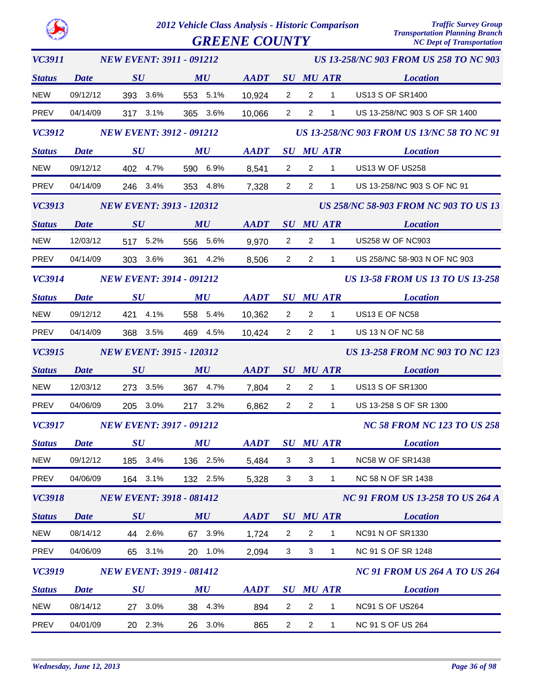**GREENE COUNTY** 

| <b>VC3911</b> |                   | <b>NEW EVENT: 3911 - 091212</b> |                                |                |                                                   | <b>US 13-258/NC 903 FROM US 258 TO NC 903</b> |                                      |                                              |  |  |  |
|---------------|-------------------|---------------------------------|--------------------------------|----------------|---------------------------------------------------|-----------------------------------------------|--------------------------------------|----------------------------------------------|--|--|--|
| <b>Status</b> | <b>Date</b>       | SU                              | MU                             | AADT SU MU ATR |                                                   |                                               |                                      | <b>Location</b>                              |  |  |  |
| <b>NEW</b>    | 09/12/12          | 393 3.6%                        | 553 5.1%                       | 10,924         | $\overline{2}$                                    | $\overline{2}$                                | $\mathbf{1}$                         | <b>US13 S OF SR1400</b>                      |  |  |  |
| PREV          | 04/14/09          | 317 3.1%                        | 365 3.6%                       | 10,066         | $\overline{\mathbf{2}}$                           | $\overline{2}$                                | $\mathbf{1}$                         | US 13-258/NC 903 S OF SR 1400                |  |  |  |
| <b>VC3912</b> |                   | <b>NEW EVENT: 3912 - 091212</b> |                                |                | <b>US 13-258/NC 903 FROM US 13/NC 58 TO NC 91</b> |                                               |                                      |                                              |  |  |  |
| <b>Status</b> | <b>Date</b>       | $\bm{S}\bm{U}$                  | MU                             | AADT           |                                                   |                                               | <b>SU MU ATR</b>                     | <b>Location</b>                              |  |  |  |
| <b>NEW</b>    | 09/12/12          | 402 4.7%                        | 590 6.9%                       | 8,541          | $\overline{2}$                                    | $\overline{2}$                                | $\mathbf{1}$                         | <b>US13 W OF US258</b>                       |  |  |  |
| PREV          | 04/14/09          | 246 3.4%                        | 353 4.8%                       | 7,328          | $\overline{2}$                                    | $2^{\circ}$                                   | $1 \quad$                            | US 13-258/NC 903 S OF NC 91                  |  |  |  |
| <b>VC3913</b> |                   | <b>NEW EVENT: 3913 - 120312</b> |                                |                |                                                   |                                               |                                      | <b>US 258/NC 58-903 FROM NC 903 TO US 13</b> |  |  |  |
| <b>Status</b> | SU<br><b>Date</b> |                                 | MU                             | AADT           |                                                   |                                               | SU MU ATR                            | <b>Location</b>                              |  |  |  |
| <b>NEW</b>    | 12/03/12          | 517 5.2%                        | 556 5.6%                       | 9,970          | $\overline{2}$                                    | $2^{\circ}$                                   | $\overline{1}$                       | <b>US258 W OF NC903</b>                      |  |  |  |
| PREV          | 04/14/09          | 303 3.6%                        | 361 4.2%                       | 8,506          | $\overline{2}$                                    | $2^{\circ}$                                   | $1 \quad$                            | US 258/NC 58-903 N OF NC 903                 |  |  |  |
| <b>VC3914</b> |                   | <b>NEW EVENT: 3914 - 091212</b> |                                |                | <b>US 13-58 FROM US 13 TO US 13-258</b>           |                                               |                                      |                                              |  |  |  |
| <b>Status</b> | <b>Date</b>       | $\bm{S}\bm{U}$                  | $\boldsymbol{M}\boldsymbol{U}$ | AADT SU MU ATR |                                                   |                                               |                                      | <b>Location</b>                              |  |  |  |
| <b>NEW</b>    | 09/12/12          | 421 4.1%                        | 558 5.4%                       | 10,362         | $\overline{2}$                                    | $\overline{2}$                                | $\overline{1}$                       | US13 E OF NC58                               |  |  |  |
| PREV          | 04/14/09          | 368 3.5%                        | 469 4.5%                       | 10,424         | $\overline{2}$                                    | $2^{\circ}$                                   | $1 \quad$                            | US 13 N OF NC 58                             |  |  |  |
| <b>VC3915</b> |                   | <b>NEW EVENT: 3915 - 120312</b> |                                |                |                                                   |                                               |                                      | <b>US 13-258 FROM NC 903 TO NC 123</b>       |  |  |  |
| <b>Status</b> | <b>Date</b>       | SU                              | MU                             | <b>AADT</b>    |                                                   |                                               | <b>SU MU ATR</b>                     | <b>Location</b>                              |  |  |  |
| <b>NEW</b>    | 12/03/12          | 273 3.5%                        | 367 4.7%                       | 7,804          | $\overline{2}$                                    | $2^{\circ}$                                   | $\overline{1}$                       | <b>US13 S OF SR1300</b>                      |  |  |  |
| <b>PREV</b>   | 04/06/09          | 205 3.0%                        | 217 3.2%                       | 6,862          | $\overline{2}$                                    | $\overline{2}$                                | $\mathbf{1}$                         | US 13-258 S OF SR 1300                       |  |  |  |
| <b>VC3917</b> |                   | <b>NEW EVENT: 3917 - 091212</b> |                                |                |                                                   |                                               | <b>NC 58 FROM NC 123 TO US 258</b>   |                                              |  |  |  |
| <b>Status</b> | Date              | $\boldsymbol{S}\boldsymbol{U}$  | MU                             | <b>AADT</b>    |                                                   |                                               | <b>SU MU ATR</b>                     | <b>Location</b>                              |  |  |  |
| <b>NEW</b>    | 09/12/12          | 185 3.4%                        | 136 2.5%                       | 5,484          | 3                                                 | 3                                             | 1                                    | <b>NC58 W OF SR1438</b>                      |  |  |  |
| <b>PREV</b>   | 04/06/09          | 164 3.1%                        | 132 2.5%                       | 5,328          | 3                                                 | $\ensuremath{\mathsf{3}}$                     | $\mathbf{1}$                         | NC 58 N OF SR 1438                           |  |  |  |
| <b>VC3918</b> |                   | <b>NEW EVENT: 3918 - 081412</b> |                                |                |                                                   |                                               |                                      | <b>NC 91 FROM US 13-258 TO US 264 A</b>      |  |  |  |
| <b>Status</b> | <b>Date</b>       | $\boldsymbol{S}\boldsymbol{U}$  | MU                             | <b>AADT</b>    |                                                   |                                               | <b>SU MU ATR</b>                     | <b>Location</b>                              |  |  |  |
| <b>NEW</b>    | 08/14/12          | 44 2.6%                         | 67 3.9%                        | 1,724          | $\overline{2}$                                    | $\overline{c}$                                | $\mathbf{1}$                         | <b>NC91 N OF SR1330</b>                      |  |  |  |
| <b>PREV</b>   | 04/06/09          | 65 3.1%                         | 20 1.0%                        | 2,094          | 3                                                 | 3                                             | $\mathbf{1}$                         | NC 91 S OF SR 1248                           |  |  |  |
| <b>VC3919</b> |                   | <b>NEW EVENT: 3919 - 081412</b> |                                |                |                                                   |                                               | <b>NC 91 FROM US 264 A TO US 264</b> |                                              |  |  |  |
| <b>Status</b> | <b>Date</b>       | $\boldsymbol{S}\boldsymbol{U}$  | MU                             | <b>AADT</b>    |                                                   |                                               | <b>SU MU ATR</b>                     | <b>Location</b>                              |  |  |  |
| <b>NEW</b>    | 08/14/12          | 27 3.0%                         | 38 4.3%                        | 894            | $\overline{2}$                                    | $\overline{c}$                                | 1                                    | NC91 S OF US264                              |  |  |  |
| PREV          | 04/01/09          | 20 2.3%                         | 26 3.0%                        | 865            | $\overline{2}$                                    | $\overline{2}$                                | $\mathbf{1}$                         | NC 91 S OF US 264                            |  |  |  |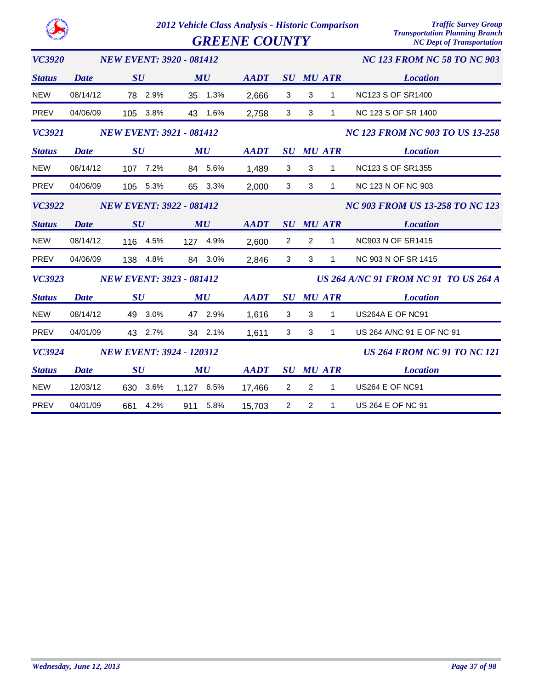|               |             | <b>GREENE COUNTY</b>            |               |             |                         |                              | <b>Transportation Planning Branch</b><br><b>NC Dept of Transportation</b> |  |
|---------------|-------------|---------------------------------|---------------|-------------|-------------------------|------------------------------|---------------------------------------------------------------------------|--|
| <b>VC3920</b> |             | <b>NEW EVENT: 3920 - 081412</b> |               |             |                         |                              | <b>NC 123 FROM NC 58 TO NC 903</b>                                        |  |
| <b>Status</b> | Date        | SU                              | MU            | <b>AADT</b> |                         | <b>SU MU ATR</b>             | <b>Location</b>                                                           |  |
| <b>NEW</b>    | 08/14/12    | 78 2.9%                         | 1.3%<br>35    | 2,666       | 3                       | 3<br>1                       | <b>NC123 S OF SR1400</b>                                                  |  |
| <b>PREV</b>   | 04/06/09    | 3.8%<br>105                     | 43<br>1.6%    | 2,758       | 3                       | $\mathbf{3}$<br>$\mathbf{1}$ | NC 123 S OF SR 1400                                                       |  |
| <b>VC3921</b> |             | <b>NEW EVENT: 3921 - 081412</b> |               |             |                         |                              | <b>NC 123 FROM NC 903 TO US 13-258</b>                                    |  |
| <b>Status</b> | Date        | SU                              | MU            | <b>AADT</b> | $\bm{S}\bm{U}$          | <b>MU ATR</b>                | <b>Location</b>                                                           |  |
| <b>NEW</b>    | 08/14/12    | 107 7.2%                        | 84 5.6%       | 1,489       | 3                       | 3<br>1                       | <b>NC123 S OF SR1355</b>                                                  |  |
| <b>PREV</b>   | 04/06/09    | 105 5.3%                        | 65 3.3%       | 2,000       | 3                       | 3<br>1                       | NC 123 N OF NC 903                                                        |  |
| <b>VC3922</b> |             | <b>NEW EVENT: 3922 - 081412</b> |               |             |                         |                              | <b>NC 903 FROM US 13-258 TO NC 123</b>                                    |  |
| <b>Status</b> | <b>Date</b> | $\boldsymbol{S}\boldsymbol{U}$  | MU            | <b>AADT</b> |                         | <b>SU MU ATR</b>             | <b>Location</b>                                                           |  |
| <b>NEW</b>    | 08/14/12    | 116 4.5%                        | 127 4.9%      | 2,600       | 2                       | $\overline{2}$<br>1          | NC903 N OF SR1415                                                         |  |
| <b>PREV</b>   | 04/06/09    | 138 4.8%                        | 84 3.0%       | 2,846       | 3                       | 3<br>1                       | NC 903 N OF SR 1415                                                       |  |
| <b>VC3923</b> |             | <b>NEW EVENT: 3923 - 081412</b> |               |             |                         |                              | <b>US 264 A/NC 91 FROM NC 91 TO US 264 A</b>                              |  |
| <b>Status</b> | Date        | SU                              | MU            | <b>AADT</b> | $\bm{S}\bm{U}$          | <b>MU ATR</b>                | <b>Location</b>                                                           |  |
| <b>NEW</b>    | 08/14/12    | 3.0%<br>49                      | 47 2.9%       | 1,616       | 3                       | 3<br>1                       | US264A E OF NC91                                                          |  |
| <b>PREV</b>   | 04/01/09    | 43 2.7%                         | 34 2.1%       | 1,611       | 3                       | 3<br>$\mathbf{1}$            | US 264 A/NC 91 E OF NC 91                                                 |  |
| <b>VC3924</b> |             | <b>NEW EVENT: 3924 - 120312</b> |               |             |                         |                              | <b>US 264 FROM NC 91 TO NC 121</b>                                        |  |
| <b>Status</b> | <b>Date</b> | SU                              | MU            | <b>AADT</b> | SU                      | <b>MU ATR</b>                | <b>Location</b>                                                           |  |
| <b>NEW</b>    | 12/03/12    | 3.6%<br>630                     | 6.5%<br>1,127 | 17,466      | $\overline{\mathbf{c}}$ | $\overline{c}$<br>1          | <b>US264 E OF NC91</b>                                                    |  |
| PREV          | 04/01/09    | 4.2%<br>661                     | 5.8%<br>911   | 15,703      | 2                       | $\overline{c}$<br>1          | US 264 E OF NC 91                                                         |  |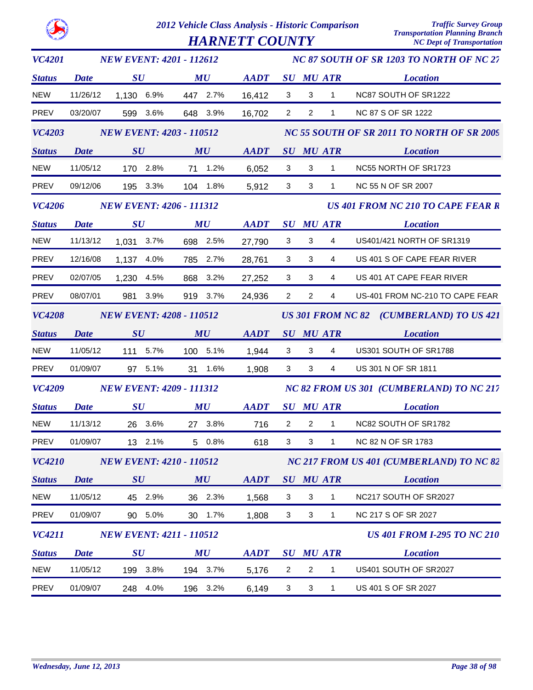|               |             | 2012 Vehicle Class Analysis - Historic Comparison<br><b>HARNETT COUNTY</b> |          |     |                                |             |                | <b>Traffic Survey Group</b><br><b>Transportation Planning Branch</b><br><b>NC Dept of Transportation</b> |                          |                                            |
|---------------|-------------|----------------------------------------------------------------------------|----------|-----|--------------------------------|-------------|----------------|----------------------------------------------------------------------------------------------------------|--------------------------|--------------------------------------------|
| <b>VC4201</b> |             | <b>NEW EVENT: 4201 - 112612</b>                                            |          |     |                                |             |                |                                                                                                          |                          | NC 87 SOUTH OF SR 1203 TO NORTH OF NC 27   |
| <b>Status</b> | Date        | SU                                                                         |          |     | MU                             | <b>AADT</b> |                |                                                                                                          | <b>SU MU ATR</b>         | <b>Location</b>                            |
| <b>NEW</b>    | 11/26/12    | 1,130                                                                      | 6.9%     |     | 447 2.7%                       | 16,412      | 3              | 3                                                                                                        | 1                        | NC87 SOUTH OF SR1222                       |
| <b>PREV</b>   | 03/20/07    | 599                                                                        | 3.6%     | 648 | 3.9%                           | 16,702      | $\overline{2}$ | $\overline{2}$                                                                                           | 1                        | <b>NC 87 S OF SR 1222</b>                  |
| <b>VC4203</b> |             | <b>NEW EVENT: 4203 - 110512</b>                                            |          |     |                                |             |                |                                                                                                          |                          | NC 55 SOUTH OF SR 2011 TO NORTH OF SR 2009 |
| <b>Status</b> | <b>Date</b> | $\boldsymbol{S}\boldsymbol{U}$                                             |          |     | MU                             | <b>AADT</b> |                |                                                                                                          | <b>SU MU ATR</b>         | <b>Location</b>                            |
| <b>NEW</b>    | 11/05/12    |                                                                            | 170 2.8% | 71  | 1.2%                           | 6,052       | 3              | 3                                                                                                        | $\mathbf{1}$             | NC55 NORTH OF SR1723                       |
| <b>PREV</b>   | 09/12/06    | 195                                                                        | 3.3%     | 104 | 1.8%                           | 5,912       | 3              | 3                                                                                                        | 1                        | <b>NC 55 N OF SR 2007</b>                  |
| <b>VC4206</b> |             | <b>NEW EVENT: 4206 - 111312</b>                                            |          |     |                                |             |                |                                                                                                          |                          | <b>US 401 FROM NC 210 TO CAPE FEAR R</b>   |
| <b>Status</b> | Date        | $\boldsymbol{S}\boldsymbol{U}$                                             |          |     | MU                             | <b>AADT</b> |                |                                                                                                          | <b>SU MU ATR</b>         | <b>Location</b>                            |
| <b>NEW</b>    | 11/13/12    | 1,031                                                                      | 3.7%     | 698 | 2.5%                           | 27,790      | 3              | 3                                                                                                        | 4                        | US401/421 NORTH OF SR1319                  |
| <b>PREV</b>   | 12/16/08    | 1,137                                                                      | 4.0%     | 785 | 2.7%                           | 28,761      | 3              | 3                                                                                                        | 4                        | US 401 S OF CAPE FEAR RIVER                |
| <b>PREV</b>   | 02/07/05    | 1,230                                                                      | 4.5%     | 868 | 3.2%                           | 27,252      | 3              | 3                                                                                                        | 4                        | US 401 AT CAPE FEAR RIVER                  |
| <b>PREV</b>   | 08/07/01    | 981                                                                        | 3.9%     | 919 | 3.7%                           | 24,936      | $\overline{2}$ | $\overline{2}$                                                                                           | 4                        | US-401 FROM NC-210 TO CAPE FEAR            |
| <b>VC4208</b> |             | <b>NEW EVENT: 4208 - 110512</b>                                            |          |     |                                |             |                |                                                                                                          | <b>US 301 FROM NC 82</b> | (CUMBERLAND) TO US 421                     |
| <b>Status</b> | <b>Date</b> | $\boldsymbol{S}\boldsymbol{U}$                                             |          |     | MU                             | <b>AADT</b> |                |                                                                                                          | <b>SU MU ATR</b>         | <b>Location</b>                            |
| <b>NEW</b>    | 11/05/12    | 111                                                                        | 5.7%     | 100 | 5.1%                           | 1,944       | 3              | 3                                                                                                        | 4                        | US301 SOUTH OF SR1788                      |
| <b>PREV</b>   | 01/09/07    |                                                                            | 97 5.1%  | 31  | 1.6%                           | 1,908       | 3              | 3                                                                                                        | 4                        | US 301 N OF SR 1811                        |
| <b>VC4209</b> |             | <b>NEW EVENT: 4209 - 111312</b>                                            |          |     |                                |             |                |                                                                                                          |                          | NC 82 FROM US 301 (CUMBERLAND) TO NC 217   |
| <b>Status</b> | <b>Date</b> | $\boldsymbol{S}\boldsymbol{U}$                                             |          |     | $\boldsymbol{M}\boldsymbol{U}$ | <b>AADT</b> |                |                                                                                                          | <b>SU MU ATR</b>         | <b>Location</b>                            |
| <b>NEW</b>    | 11/13/12    |                                                                            | 26 3.6%  |     | 27 3.8%                        | 716         | $\overline{2}$ | $\overline{c}$                                                                                           | 1                        | NC82 SOUTH OF SR1782                       |
| <b>PREV</b>   | 01/09/07    |                                                                            | 13 2.1%  |     | 5 0.8%                         | 618         | 3              | 3                                                                                                        | 1                        | NC 82 N OF SR 1783                         |
| <b>VC4210</b> |             | <b>NEW EVENT: 4210 - 110512</b>                                            |          |     |                                |             |                |                                                                                                          |                          | NC 217 FROM US 401 (CUMBERLAND) TO NC 82   |
| <b>Status</b> | <b>Date</b> | $\boldsymbol{S}\boldsymbol{U}$                                             |          |     | MU                             | <b>AADT</b> |                |                                                                                                          | <b>SU MU ATR</b>         | <b>Location</b>                            |
| <b>NEW</b>    | 11/05/12    |                                                                            | 45 2.9%  |     | 36 2.3%                        | 1,568       | 3              | 3                                                                                                        | $\mathbf{1}$             | NC217 SOUTH OF SR2027                      |
| PREV          | 01/09/07    |                                                                            | 90 5.0%  |     | 30 1.7%                        | 1,808       | 3              | 3                                                                                                        | $\mathbf{1}$             | NC 217 S OF SR 2027                        |
| <b>VC4211</b> |             | <b>NEW EVENT: 4211 - 110512</b>                                            |          |     |                                |             |                |                                                                                                          |                          | <b>US 401 FROM I-295 TO NC 210</b>         |
| <b>Status</b> | <b>Date</b> | $\boldsymbol{S}\boldsymbol{U}$                                             |          |     | MU                             | <b>AADT</b> |                |                                                                                                          | <b>SU MU ATR</b>         | <b>Location</b>                            |
| <b>NEW</b>    | 11/05/12    |                                                                            | 199 3.8% |     | 194 3.7%                       | 5,176       | $\overline{c}$ | $\overline{2}$                                                                                           | 1                        | US401 SOUTH OF SR2027                      |
| PREV          | 01/09/07    |                                                                            | 248 4.0% |     | 196 3.2%                       | 6,149       | 3              | 3                                                                                                        | $\mathbf{1}$             | US 401 S OF SR 2027                        |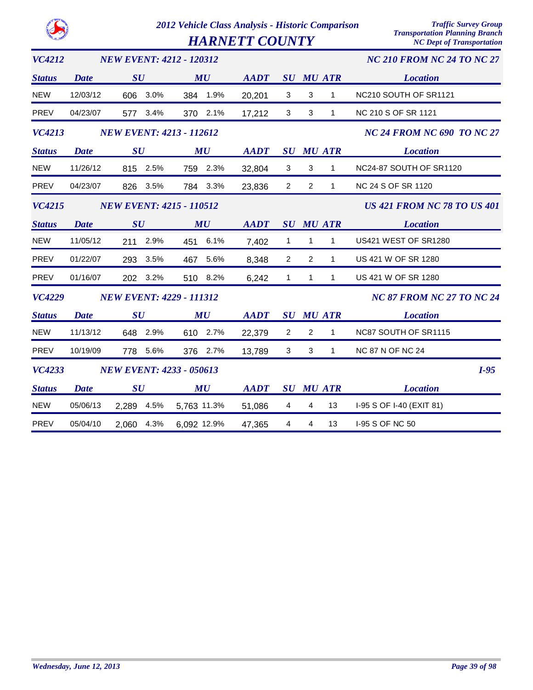|               |             | 2012 Vehicle Class Analysis - Historic Comparison         |             |                                   |                |                |                  | <b>Traffic Survey Group</b><br><b>Transportation Planning Branch</b> |
|---------------|-------------|-----------------------------------------------------------|-------------|-----------------------------------|----------------|----------------|------------------|----------------------------------------------------------------------|
|               |             | <b>HARNETT COUNTY</b><br><b>NC Dept of Transportation</b> |             |                                   |                |                |                  |                                                                      |
| <b>VC4212</b> |             | <b>NEW EVENT: 4212 - 120312</b>                           |             | <b>NC 210 FROM NC 24 TO NC 27</b> |                |                |                  |                                                                      |
| <b>Status</b> | <b>Date</b> | SU                                                        | MU          | <b>AADT</b>                       | SU             |                | <b>MU ATR</b>    | <b>Location</b>                                                      |
| <b>NEW</b>    | 12/03/12    | 606 3.0%                                                  | 384 1.9%    | 20,201                            | $\mathbf 3$    | 3              | $\mathbf{1}$     | NC210 SOUTH OF SR1121                                                |
| <b>PREV</b>   | 04/23/07    | 3.4%<br>577                                               | 370 2.1%    | 17,212                            | 3              | $\mathbf{3}$   | $\mathbf{1}$     | NC 210 S OF SR 1121                                                  |
| <b>VC4213</b> |             | <b>NEW EVENT: 4213 - 112612</b>                           |             | <b>NC 24 FROM NC 690 TO NC 27</b> |                |                |                  |                                                                      |
| <b>Status</b> | <b>Date</b> | SU                                                        | MU          | <b>AADT</b>                       |                |                | <b>SU MU ATR</b> | <b>Location</b>                                                      |
| <b>NEW</b>    | 11/26/12    | 815 2.5%                                                  | 759 2.3%    | 32,804                            | $\mathbf{3}$   | 3              | $\mathbf 1$      | NC24-87 SOUTH OF SR1120                                              |
| <b>PREV</b>   | 04/23/07    | 826<br>3.5%                                               | 3.3%<br>784 | 23,836                            | $\overline{2}$ | 2              | $\mathbf{1}$     | <b>NC 24 S OF SR 1120</b>                                            |
| <b>VC4215</b> |             | <b>NEW EVENT: 4215 - 110512</b>                           |             |                                   |                |                |                  | <b>US 421 FROM NC 78 TO US 401</b>                                   |
| <b>Status</b> | Date        | SU                                                        | MU          | <b>AADT</b>                       |                |                | <b>SU MU ATR</b> | <b>Location</b>                                                      |
| <b>NEW</b>    | 11/05/12    | 2.9%<br>211                                               | 6.1%<br>451 | 7,402                             | $\mathbf{1}$   | 1              | $\mathbf{1}$     | US421 WEST OF SR1280                                                 |
| <b>PREV</b>   | 01/22/07    | 293<br>3.5%                                               | 467<br>5.6% | 8,348                             | 2              | 2              | $\mathbf{1}$     | US 421 W OF SR 1280                                                  |
| <b>PREV</b>   | 01/16/07    | 3.2%<br>202                                               | 510 8.2%    | 6,242                             | $\mathbf{1}$   | $\mathbf{1}$   | $\mathbf{1}$     | US 421 W OF SR 1280                                                  |
| <b>VC4229</b> |             | <b>NEW EVENT: 4229 - 111312</b>                           |             |                                   |                |                |                  | <b>NC 87 FROM NC 27 TO NC 24</b>                                     |
| <b>Status</b> | <b>Date</b> | SU                                                        | MU          | <b>AADT</b>                       | SU             |                | <b>MU ATR</b>    | <b>Location</b>                                                      |
| <b>NEW</b>    | 11/13/12    | 648 2.9%                                                  | 610 2.7%    | 22,379                            | 2              | $\overline{2}$ | $\mathbf{1}$     | NC87 SOUTH OF SR1115                                                 |
| <b>PREV</b>   | 10/19/09    | 5.6%<br>778                                               | 2.7%<br>376 | 13,789                            | 3              | 3              | $\mathbf{1}$     | <b>NC 87 N OF NC 24</b>                                              |
| <b>VC4233</b> |             | <b>NEW EVENT: 4233 - 050613</b>                           |             |                                   |                |                |                  | $I-95$                                                               |
| <b>Status</b> | <b>Date</b> | SU                                                        | MU          | <b>AADT</b>                       |                |                | <b>SU MU ATR</b> | <b>Location</b>                                                      |
| <b>NEW</b>    | 05/06/13    | 4.5%<br>2,289                                             | 5,763 11.3% | 51,086                            | 4              | 4              | 13               | I-95 S OF I-40 (EXIT 81)                                             |
| <b>PREV</b>   | 05/04/10    | 4.3%<br>2,060                                             | 6,092 12.9% | 47,365                            | 4              | 4              | 13               | I-95 S OF NC 50                                                      |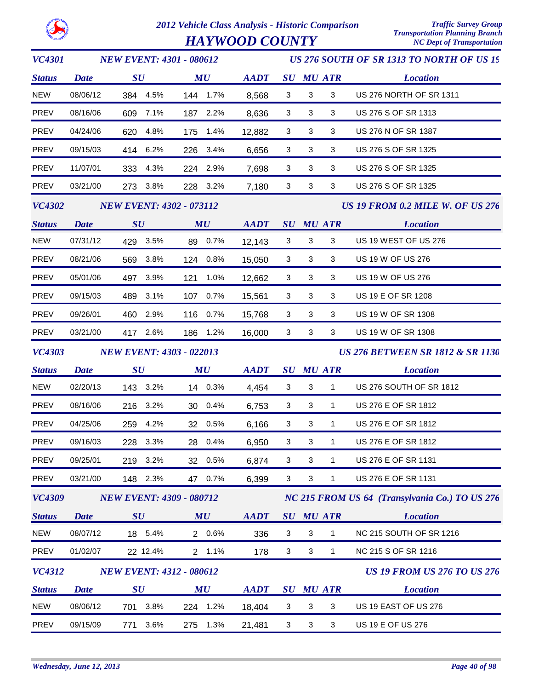*HAYWOOD COUNTY* 

| <b>VC4301</b> |             | <b>NEW EVENT: 4301 - 080612</b> |                                | US 276 SOUTH OF SR 1313 TO NORTH OF US 19                  |                                             |                           |                  |                                                |  |
|---------------|-------------|---------------------------------|--------------------------------|------------------------------------------------------------|---------------------------------------------|---------------------------|------------------|------------------------------------------------|--|
| <b>Status</b> | <b>Date</b> | $\boldsymbol{S}\boldsymbol{U}$  | $\boldsymbol{M}\boldsymbol{U}$ | $\boldsymbol{A}\boldsymbol{A}\boldsymbol{D}\boldsymbol{T}$ |                                             |                           | <b>SU MU ATR</b> | <b>Location</b>                                |  |
| <b>NEW</b>    | 08/06/12    | 384 4.5%                        | 144 1.7%                       | 8,568                                                      | 3                                           | 3                         | 3                | US 276 NORTH OF SR 1311                        |  |
| <b>PREV</b>   | 08/16/06    | 609 7.1%                        | 187 2.2%                       | 8,636                                                      | 3                                           | 3                         | 3                | US 276 S OF SR 1313                            |  |
| <b>PREV</b>   | 04/24/06    | 620 4.8%                        | 175 1.4%                       | 12,882                                                     | 3                                           | 3                         | 3                | US 276 N OF SR 1387                            |  |
| PREV          | 09/15/03    | 414 6.2%                        | 226 3.4%                       | 6,656                                                      | 3                                           | 3                         | 3                | US 276 S OF SR 1325                            |  |
| <b>PREV</b>   | 11/07/01    | 333 4.3%                        | 224 2.9%                       | 7,698                                                      | 3                                           | 3                         | 3                | US 276 S OF SR 1325                            |  |
| <b>PREV</b>   | 03/21/00    | 273 3.8%                        | 228 3.2%                       | 7,180                                                      | 3                                           | 3                         | 3                | US 276 S OF SR 1325                            |  |
| <b>VC4302</b> |             | <b>NEW EVENT: 4302 - 073112</b> |                                |                                                            |                                             |                           |                  | US 19 FROM 0.2 MILE W. OF US 276               |  |
| <b>Status</b> | <b>Date</b> | $\boldsymbol{S}\boldsymbol{U}$  | MU                             | AADT                                                       |                                             |                           | <b>SU MU ATR</b> | <b>Location</b>                                |  |
| <b>NEW</b>    | 07/31/12    | 429 3.5%                        | 89 0.7%                        | 12,143                                                     | 3                                           | 3                         | 3                | US 19 WEST OF US 276                           |  |
| <b>PREV</b>   | 08/21/06    | 569 3.8%                        | 124 0.8%                       | 15,050                                                     | 3                                           | 3                         | 3                | US 19 W OF US 276                              |  |
| PREV          | 05/01/06    | 497 3.9%                        | 121 1.0%                       | 12,662                                                     | 3                                           | 3                         | 3                | <b>US 19 W OF US 276</b>                       |  |
| <b>PREV</b>   | 09/15/03    | 489 3.1%                        | 107 0.7%                       | 15,561                                                     | 3                                           | 3                         | 3                | US 19 E OF SR 1208                             |  |
| <b>PREV</b>   | 09/26/01    | 460 2.9%                        | 116 0.7%                       | 15,768                                                     | 3                                           | 3                         | 3                | US 19 W OF SR 1308                             |  |
| PREV          | 03/21/00    | 417 2.6%                        | 186 1.2%                       | 16,000                                                     | 3                                           | 3                         | 3                | US 19 W OF SR 1308                             |  |
| <b>VC4303</b> |             | <b>NEW EVENT: 4303 - 022013</b> |                                |                                                            | <b>US 276 BETWEEN SR 1812 &amp; SR 1130</b> |                           |                  |                                                |  |
| <b>Status</b> | <b>Date</b> | $\boldsymbol{S}\boldsymbol{U}$  | $\boldsymbol{M}\boldsymbol{U}$ | $\boldsymbol{A}\boldsymbol{A}\boldsymbol{D}\boldsymbol{T}$ |                                             |                           | <b>SU MU ATR</b> | <b>Location</b>                                |  |
| <b>NEW</b>    | 02/20/13    | 143 3.2%                        | 14 0.3%                        | 4,454                                                      | 3                                           | 3                         | $\mathbf{1}$     | US 276 SOUTH OF SR 1812                        |  |
| <b>PREV</b>   | 08/16/06    | 216 3.2%                        | 30 0.4%                        | 6,753                                                      | 3                                           | $\mathbf{3}$              | $\mathbf{1}$     | US 276 E OF SR 1812                            |  |
| PREV          | 04/25/06    | 259 4.2%                        | 32 0.5%                        | 6,166                                                      | 3                                           | 3                         | $\mathbf{1}$     | US 276 E OF SR 1812                            |  |
| PREV          | 09/16/03    | 228 3.3%                        | 28 0.4%                        | 6,950                                                      | 3                                           | 3                         | $\mathbf{1}$     | US 276 E OF SR 1812                            |  |
| <b>PREV</b>   | 09/25/01    | 219<br>3.2%                     | 32 0.5%                        | 6,874                                                      | 3                                           | 3                         | 1                | US 276 E OF SR 1131                            |  |
| <b>PREV</b>   | 03/21/00    | 148 2.3%                        | 47 0.7%                        | 6,399                                                      | 3                                           | $\sqrt{3}$                | 1                | US 276 E OF SR 1131                            |  |
| <b>VC4309</b> |             | <b>NEW EVENT: 4309 - 080712</b> |                                |                                                            |                                             |                           |                  | NC 215 FROM US 64 (Transylvania Co.) TO US 276 |  |
| <b>Status</b> | <b>Date</b> | $\boldsymbol{S}\boldsymbol{U}$  | MU                             | <b>AADT</b>                                                |                                             |                           | <b>SU MU ATR</b> | <b>Location</b>                                |  |
| <b>NEW</b>    | 08/07/12    | 18 5.4%                         | 2 0.6%                         | 336                                                        | $\mathbf{3}$                                | 3                         | 1                | NC 215 SOUTH OF SR 1216                        |  |
| PREV          | 01/02/07    | 22 12.4%                        | 2 1.1%                         | 178                                                        | $\mathbf{3}$                                | $\ensuremath{\mathsf{3}}$ | 1                | NC 215 S OF SR 1216                            |  |
| <b>VC4312</b> |             | <b>NEW EVENT: 4312 - 080612</b> |                                |                                                            |                                             |                           |                  | <b>US 19 FROM US 276 TO US 276</b>             |  |
| <b>Status</b> | <b>Date</b> | SU                              | MU                             | <b>AADT</b>                                                |                                             |                           | <b>SU MU ATR</b> | <b>Location</b>                                |  |
|               |             |                                 |                                |                                                            |                                             |                           |                  |                                                |  |
| <b>NEW</b>    | 08/06/12    | 3.8%<br>701                     | 1.2%<br>224                    | 18,404                                                     | 3                                           | 3                         | 3                | US 19 EAST OF US 276                           |  |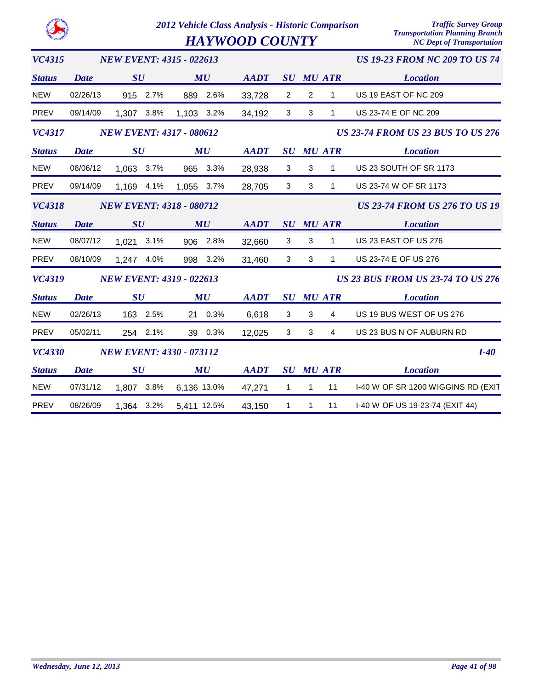|               |             |                                 | 2012 Vehicle Class Analysis - Historic Comparison<br><b>HAYWOOD COUNTY</b> | <b>Traffic Survey Group</b><br><b>Transportation Planning Branch</b><br><b>NC Dept of Transportation</b> |                                      |   |                  |                                          |
|---------------|-------------|---------------------------------|----------------------------------------------------------------------------|----------------------------------------------------------------------------------------------------------|--------------------------------------|---|------------------|------------------------------------------|
| <b>VC4315</b> |             | <b>NEW EVENT: 4315 - 022613</b> |                                                                            |                                                                                                          | <b>US 19-23 FROM NC 209 TO US 74</b> |   |                  |                                          |
| <b>Status</b> | <b>Date</b> | SU                              | MU                                                                         | <b>AADT</b>                                                                                              |                                      |   | <b>SU MU ATR</b> | <b>Location</b>                          |
| <b>NEW</b>    | 02/26/13    | 2.7%<br>915                     | 2.6%<br>889                                                                | 33,728                                                                                                   | 2                                    | 2 | 1                | US 19 EAST OF NC 209                     |
| <b>PREV</b>   | 09/14/09    | 1,307<br>3.8%                   | 1,103 3.2%                                                                 | 34,192                                                                                                   | 3                                    | 3 | $\mathbf{1}$     | US 23-74 E OF NC 209                     |
| <b>VC4317</b> |             | <b>NEW EVENT: 4317 - 080612</b> |                                                                            |                                                                                                          |                                      |   |                  | <b>US 23-74 FROM US 23 BUS TO US 276</b> |
| <b>Status</b> | <b>Date</b> | SU                              | MU                                                                         | <b>AADT</b>                                                                                              | $\boldsymbol{S}\boldsymbol{U}$       |   | <b>MU ATR</b>    | <b>Location</b>                          |
| <b>NEW</b>    | 08/06/12    | 1,063<br>3.7%                   | 3.3%<br>965                                                                | 28,938                                                                                                   | 3                                    | 3 | $\mathbf{1}$     | US 23 SOUTH OF SR 1173                   |
| <b>PREV</b>   | 09/14/09    | 1,169<br>4.1%                   | 1,055<br>3.7%                                                              | 28,705                                                                                                   | 3                                    | 3 | 1                | US 23-74 W OF SR 1173                    |
| <b>VC4318</b> |             | <b>NEW EVENT: 4318 - 080712</b> |                                                                            |                                                                                                          |                                      |   |                  | <b>US 23-74 FROM US 276 TO US 19</b>     |
| <b>Status</b> | <b>Date</b> | SU                              | MU                                                                         | <b>AADT</b>                                                                                              | SU                                   |   | <b>MU ATR</b>    | <b>Location</b>                          |
| <b>NEW</b>    | 08/07/12    | 1,021<br>3.1%                   | 2.8%<br>906                                                                | 32,660                                                                                                   | 3                                    | 3 | $\mathbf{1}$     | US 23 EAST OF US 276                     |
| <b>PREV</b>   | 08/10/09    | 1,247<br>4.0%                   | 3.2%<br>998                                                                | 31,460                                                                                                   | 3                                    | 3 | $\mathbf{1}$     | US 23-74 E OF US 276                     |
| <b>VC4319</b> |             | <b>NEW EVENT: 4319 - 022613</b> |                                                                            |                                                                                                          |                                      |   |                  | <b>US 23 BUS FROM US 23-74 TO US 276</b> |
| <b>Status</b> | <b>Date</b> | SU                              | MU                                                                         | <b>AADT</b>                                                                                              | SU                                   |   | <b>MU ATR</b>    | <b>Location</b>                          |
| <b>NEW</b>    | 02/26/13    | 163 2.5%                        | 0.3%<br>21                                                                 | 6,618                                                                                                    | 3                                    | 3 | 4                | US 19 BUS WEST OF US 276                 |
| <b>PREV</b>   | 05/02/11    | 254 2.1%                        | 39 0.3%                                                                    | 12,025                                                                                                   | 3                                    | 3 | $\overline{4}$   | US 23 BUS N OF AUBURN RD                 |
| <b>VC4330</b> |             | <b>NEW EVENT: 4330 - 073112</b> |                                                                            |                                                                                                          |                                      |   |                  | $I-40$                                   |
| <b>Status</b> | Date        | SU                              | MU                                                                         | <b>AADT</b>                                                                                              | $\boldsymbol{S}\boldsymbol{U}$       |   | <b>MU ATR</b>    | <b>Location</b>                          |
| <b>NEW</b>    | 07/31/12    | 3.8%<br>1,807                   | 6,136 13.0%                                                                | 47,271                                                                                                   | 1                                    | 1 | 11               | I-40 W OF SR 1200 WIGGINS RD (EXIT       |
| <b>PREV</b>   | 08/26/09    | 3.2%<br>1,364                   | 5,411 12.5%                                                                | 43,150                                                                                                   | 1                                    | 1 | 11               | I-40 W OF US 19-23-74 (EXIT 44)          |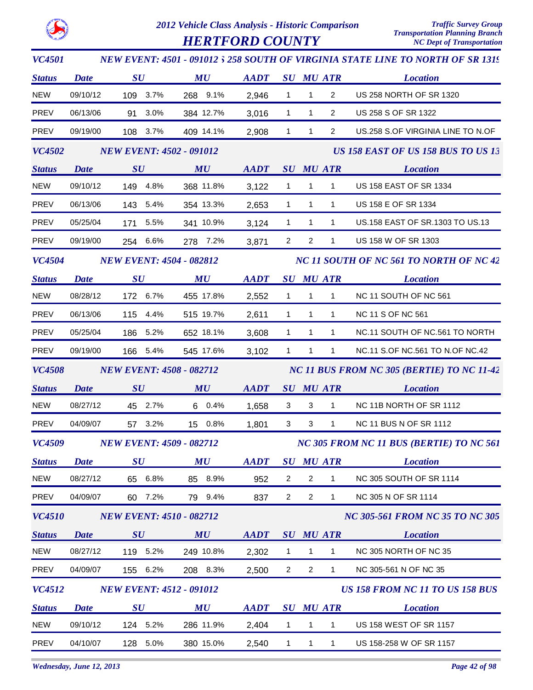

*VC4501*

### *2012 Vehicle Class Analysis - Historic Comparison Traffic Survey Group*

*US 258 SOUTH OF VIRGINIA STATE LINE TO NORTH OF SR 1319 NEW EVENT: 4501 - 091012*

*HERTFORD COUNTY* 

| <b>Status</b> | <b>Date</b> | $\boldsymbol{S}\boldsymbol{U}$  | MU        | <b>AADT</b> |                |                | <b>SU MU ATR</b> | <b>Location</b>                            |
|---------------|-------------|---------------------------------|-----------|-------------|----------------|----------------|------------------|--------------------------------------------|
| <b>NEW</b>    | 09/10/12    | 109 3.7%                        | 268 9.1%  | 2,946       | $\mathbf{1}$   | $\mathbf{1}$   | $\overline{2}$   | US 258 NORTH OF SR 1320                    |
| PREV          | 06/13/06    | 91 3.0%                         | 384 12.7% | 3,016       | $\mathbf{1}$   | $\mathbf{1}$   | $\overline{2}$   | US 258 S OF SR 1322                        |
| PREV          | 09/19/00    | 108 3.7%                        | 409 14.1% | 2,908       | $\mathbf{1}$   | $\mathbf{1}$   | $\overline{2}$   | US.258 S.OF VIRGINIA LINE TO N.OF          |
| <b>VC4502</b> |             | <b>NEW EVENT: 4502 - 091012</b> |           |             |                |                |                  | US 158 EAST OF US 158 BUS TO US 13         |
| <b>Status</b> | <b>Date</b> | SU                              | MU        | <b>AADT</b> |                |                | <b>SU MU ATR</b> | <b>Location</b>                            |
| <b>NEW</b>    | 09/10/12    | 149 4.8%                        | 368 11.8% | 3,122       | $\mathbf{1}$   | $\mathbf{1}$   | $\mathbf{1}$     | US 158 EAST OF SR 1334                     |
| PREV          | 06/13/06    | 143 5.4%                        | 354 13.3% | 2,653       | $\mathbf{1}$   | $\mathbf{1}$   | 1                | US 158 E OF SR 1334                        |
| PREV          | 05/25/04    | 171 5.5%                        | 341 10.9% | 3,124       | $\mathbf{1}$   | $\mathbf{1}$   | $\mathbf{1}$     | US.158 EAST OF SR.1303 TO US.13            |
| PREV          | 09/19/00    | 254 6.6%                        | 278 7.2%  | 3,871       | $\overline{2}$ | $\overline{2}$ | $\mathbf{1}$     | US 158 W OF SR 1303                        |
| <b>VC4504</b> |             | <b>NEW EVENT: 4504 - 082812</b> |           |             |                |                |                  | NC 11 SOUTH OF NC 561 TO NORTH OF NC 42    |
| <b>Status</b> | <b>Date</b> | $\bm{S}\bm{U}$                  | MU        | <b>AADT</b> |                |                | <b>SU MU ATR</b> | <b>Location</b>                            |
| <b>NEW</b>    | 08/28/12    | 172 6.7%                        | 455 17.8% | 2,552       | $\mathbf{1}$   | $\mathbf{1}$   | $\mathbf{1}$     | NC 11 SOUTH OF NC 561                      |
| PREV          | 06/13/06    | 115 4.4%                        | 515 19.7% | 2,611       | $\mathbf{1}$   | $\overline{1}$ | $\mathbf{1}$     | <b>NC 11 S OF NC 561</b>                   |
| PREV          | 05/25/04    | 186 5.2%                        | 652 18.1% | 3,608       | $\mathbf{1}$   | $\mathbf{1}$   | $\mathbf{1}$     | NC.11 SOUTH OF NC.561 TO NORTH             |
| PREV          | 09/19/00    | 166 5.4%                        | 545 17.6% | 3,102       | $\mathbf{1}$   | $\mathbf{1}$   | $\mathbf{1}$     | NC.11 S.OF NC.561 TO N.OF NC.42            |
| <b>VC4508</b> |             | <b>NEW EVENT: 4508 - 082712</b> |           |             |                |                |                  | NC 11 BUS FROM NC 305 (BERTIE) TO NC 11-42 |
| <b>Status</b> | <b>Date</b> | $\boldsymbol{S}\boldsymbol{U}$  | MU        | <b>AADT</b> |                |                | <b>SU MU ATR</b> | <b>Location</b>                            |
| <b>NEW</b>    | 08/27/12    | 45 2.7%                         | 6 0.4%    | 1,658       | 3              | 3              | $\mathbf 1$      | NC 11B NORTH OF SR 1112                    |
| PREV          | 04/09/07    | 57 3.2%                         | 15 0.8%   | 1,801       | 3              | 3              | $\mathbf{1}$     | NC 11 BUS N OF SR 1112                     |
| <b>VC4509</b> |             | <b>NEW EVENT: 4509 - 082712</b> |           |             |                |                |                  | NC 305 FROM NC 11 BUS (BERTIE) TO NC 561   |
| <b>Status</b> | Date        | $\boldsymbol{S}\boldsymbol{U}$  | MU        | <b>AADT</b> |                |                | <b>SU MU ATR</b> | <b>Location</b>                            |
| <b>NEW</b>    | 08/27/12    | 65 6.8%                         | 85 8.9%   | 952         | 2              | $\overline{2}$ | 1                | NC 305 SOUTH OF SR 1114                    |
| PREV          | 04/09/07    | 60 7.2%                         | 79 9.4%   | 837         | $\overline{a}$ | $\overline{2}$ | 1                | NC 305 N OF SR 1114                        |
| <b>VC4510</b> |             | <b>NEW EVENT: 4510 - 082712</b> |           |             |                |                |                  | <b>NC 305-561 FROM NC 35 TO NC 305</b>     |
| <b>Status</b> | <b>Date</b> | $\boldsymbol{S}\boldsymbol{U}$  | MU        | <b>AADT</b> |                |                | <b>SU MU ATR</b> | <b>Location</b>                            |
| <b>NEW</b>    | 08/27/12    | 119 5.2%                        | 249 10.8% | 2,302       | $\mathbf{1}$   | $\mathbf{1}$   | 1                | NC 305 NORTH OF NC 35                      |
| PREV          | 04/09/07    | 155 6.2%                        | 208 8.3%  | 2,500       | $\overline{2}$ | $\overline{2}$ | $\mathbf{1}$     | NC 305-561 N OF NC 35                      |
| VC4512        |             | <b>NEW EVENT: 4512 - 091012</b> |           |             |                |                |                  | US 158 FROM NC 11 TO US 158 BUS            |
| <b>Status</b> | <b>Date</b> | $\boldsymbol{S}\boldsymbol{U}$  | MU        | <b>AADT</b> |                |                | <b>SU MU ATR</b> | <b>Location</b>                            |
| <b>NEW</b>    | 09/10/12    | 124 5.2%                        | 286 11.9% | 2,404       | $\mathbf{1}$   | $\mathbf{1}$   | 1                | <b>US 158 WEST OF SR 1157</b>              |
| PREV          | 04/10/07    | 128 5.0%                        | 380 15.0% | 2,540       | $\mathbf{1}$   | $\mathbf{1}$   | $\mathbf{1}$     | US 158-258 W OF SR 1157                    |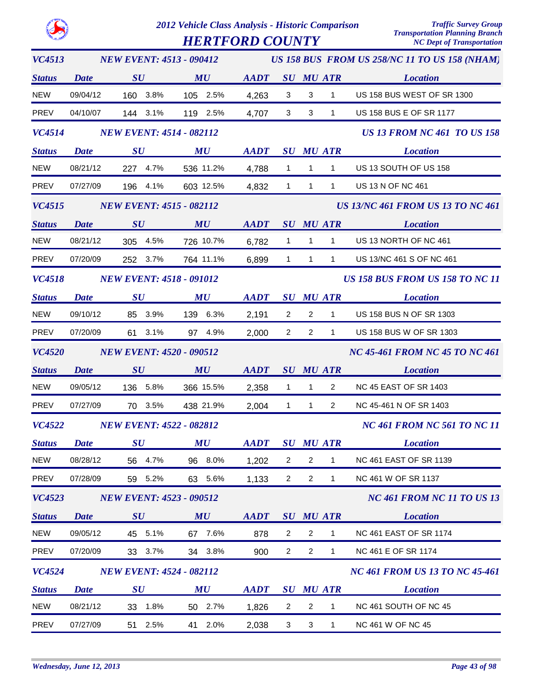|               |             | 2012 Vehicle Class Analysis - Historic Comparison<br><b>HERTFORD COUNTY</b> |           |             |                                |                                               |                  | <b>Traffic Survey Group</b><br><b>Transportation Planning Branch</b><br><b>NC Dept of Transportation</b> |
|---------------|-------------|-----------------------------------------------------------------------------|-----------|-------------|--------------------------------|-----------------------------------------------|------------------|----------------------------------------------------------------------------------------------------------|
| <b>VC4513</b> |             | <b>NEW EVENT: 4513 - 090412</b>                                             |           |             |                                | US 158 BUS FROM US 258/NC 11 TO US 158 (NHAM) |                  |                                                                                                          |
| <b>Status</b> | <b>Date</b> | SU                                                                          | MU        | <b>AADT</b> | $\boldsymbol{S}\boldsymbol{U}$ |                                               | <b>MU ATR</b>    | <b>Location</b>                                                                                          |
| <b>NEW</b>    | 09/04/12    | 160<br>3.8%                                                                 | 105 2.5%  | 4,263       | 3                              | 3                                             | 1                | US 158 BUS WEST OF SR 1300                                                                               |
| <b>PREV</b>   | 04/10/07    | 144<br>3.1%                                                                 | 119 2.5%  | 4,707       | 3                              | 3                                             | 1                | US 158 BUS E OF SR 1177                                                                                  |
| VC4514        |             | <b>NEW EVENT: 4514 - 082112</b>                                             |           |             |                                |                                               |                  | <b>US 13 FROM NC 461 TO US 158</b>                                                                       |
| <b>Status</b> | <b>Date</b> | SU                                                                          | MU        | <b>AADT</b> | SU                             |                                               | <b>MU ATR</b>    | <b>Location</b>                                                                                          |
| <b>NEW</b>    | 08/21/12    | 227<br>4.7%                                                                 | 536 11.2% | 4,788       | 1                              | 1                                             | 1                | US 13 SOUTH OF US 158                                                                                    |
| <b>PREV</b>   | 07/27/09    | 196<br>4.1%                                                                 | 603 12.5% | 4,832       | $\mathbf{1}$                   | $\mathbf{1}$                                  | $\mathbf{1}$     | US 13 N OF NC 461                                                                                        |
| <b>VC4515</b> |             | <b>NEW EVENT: 4515 - 082112</b>                                             |           |             |                                |                                               |                  | <b>US 13/NC 461 FROM US 13 TO NC 461</b>                                                                 |
| <b>Status</b> | <b>Date</b> | $\boldsymbol{S}\boldsymbol{U}$                                              | MU        | <b>AADT</b> | SU                             |                                               | <b>MU ATR</b>    | <b>Location</b>                                                                                          |
| <b>NEW</b>    | 08/21/12    | 4.5%<br>305                                                                 | 726 10.7% | 6,782       | 1                              | 1                                             | 1                | US 13 NORTH OF NC 461                                                                                    |
| <b>PREV</b>   | 07/20/09    | 252<br>$3.7\%$                                                              | 764 11.1% | 6,899       | $\mathbf{1}$                   | 1                                             | $\mathbf{1}$     | US 13/NC 461 S OF NC 461                                                                                 |
| <b>VC4518</b> |             | <b>NEW EVENT: 4518 - 091012</b>                                             |           |             |                                |                                               |                  | <b>US 158 BUS FROM US 158 TO NC 11</b>                                                                   |
| <b>Status</b> | <b>Date</b> | SU                                                                          | MU        | <b>AADT</b> | $\boldsymbol{S}\boldsymbol{U}$ |                                               | <b>MU ATR</b>    | <b>Location</b>                                                                                          |
| <b>NEW</b>    | 09/10/12    | 3.9%<br>85                                                                  | 139 6.3%  | 2,191       | $\overline{c}$                 | 2                                             | 1                | US 158 BUS N OF SR 1303                                                                                  |
| <b>PREV</b>   | 07/20/09    | 61<br>3.1%                                                                  | 97 4.9%   | 2,000       | $\overline{2}$                 | $\overline{2}$                                | $\mathbf 1$      | US 158 BUS W OF SR 1303                                                                                  |
| <b>VC4520</b> |             | <b>NEW EVENT: 4520 - 090512</b>                                             |           |             |                                |                                               |                  | <b>NC 45-461 FROM NC 45 TO NC 461</b>                                                                    |
| <b>Status</b> | <b>Date</b> | SU                                                                          | MU        | <b>AADT</b> |                                |                                               | <b>SU MU ATR</b> | <b>Location</b>                                                                                          |
| <b>NEW</b>    | 09/05/12    | 5.8%<br>136                                                                 | 366 15.5% | 2,358       | $\mathbf{1}$                   | 1                                             | $\overline{2}$   | <b>NC 45 EAST OF SR 1403</b>                                                                             |
| <b>PREV</b>   | 07/27/09    | 3.5%<br>70                                                                  | 438 21.9% | 2,004       | 1                              | 1                                             | 2                | NC 45-461 N OF SR 1403                                                                                   |
| <b>VC4522</b> |             | <b>NEW EVENT: 4522 - 082812</b>                                             |           |             |                                |                                               |                  | <b>NC 461 FROM NC 561 TO NC 11</b>                                                                       |
| <b>Status</b> | <b>Date</b> | SU                                                                          | MU        | <b>AADT</b> |                                |                                               | <b>SU MU ATR</b> | <b>Location</b>                                                                                          |
| <b>NEW</b>    | 08/28/12    | 56 4.7%                                                                     | 96 8.0%   | 1,202       | $\overline{2}$                 | $\overline{c}$                                | 1                | <b>NC 461 EAST OF SR 1139</b>                                                                            |
| <b>PREV</b>   | 07/28/09    | 59 5.2%                                                                     | 63 5.6%   | 1,133       | $\overline{2}$                 | $\overline{2}$                                | 1                | NC 461 W OF SR 1137                                                                                      |
| <b>VC4523</b> |             | <b>NEW EVENT: 4523 - 090512</b>                                             |           |             |                                |                                               |                  | <b>NC 461 FROM NC 11 TO US 13</b>                                                                        |
| <b>Status</b> | Date        | $\boldsymbol{S}\boldsymbol{U}$                                              | MU        | <b>AADT</b> |                                |                                               | <b>SU MU ATR</b> | <b>Location</b>                                                                                          |
| <b>NEW</b>    | 09/05/12    | 45 5.1%                                                                     | 67 7.6%   | 878         | $\overline{2}$                 | $\overline{2}$                                | $\mathbf 1$      | <b>NC 461 EAST OF SR 1174</b>                                                                            |
| <b>PREV</b>   | 07/20/09    | 33 3.7%                                                                     | 34 3.8%   | 900         | $\overline{2}$                 | $\overline{2}$                                | 1                | NC 461 E OF SR 1174                                                                                      |
| <b>VC4524</b> |             | <b>NEW EVENT: 4524 - 082112</b>                                             |           |             |                                |                                               |                  | <b>NC 461 FROM US 13 TO NC 45-461</b>                                                                    |
| <b>Status</b> | <b>Date</b> | $\boldsymbol{S}\boldsymbol{U}$                                              | MU        | <b>AADT</b> |                                |                                               | <b>SU MU ATR</b> | <b>Location</b>                                                                                          |
| <b>NEW</b>    | 08/21/12    | 1.8%<br>33                                                                  | 50 2.7%   | 1,826       | $\overline{2}$                 | $\overline{2}$                                | $\mathbf 1$      | NC 461 SOUTH OF NC 45                                                                                    |
| PREV          | 07/27/09    | 51 2.5%                                                                     | 41 2.0%   | 2,038       | 3                              | 3                                             | $\mathbf{1}$     | NC 461 W OF NC 45                                                                                        |

**NORTH CA**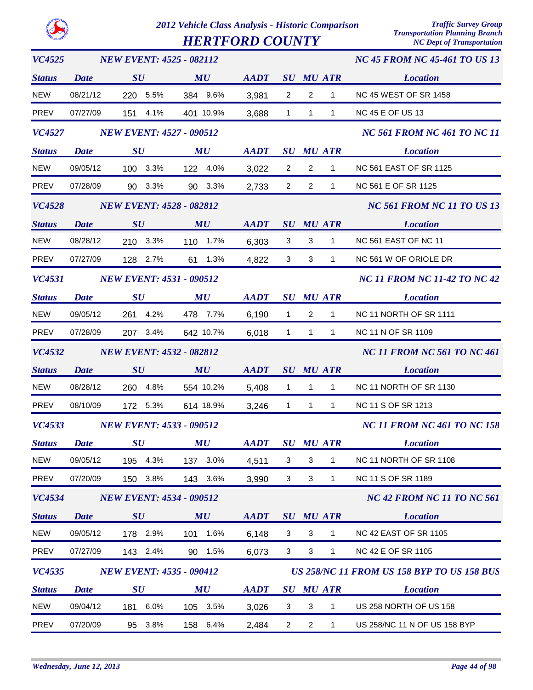*HERTFORD COUNTY* 

| VC4525        |             | <b>NEW EVENT: 4525 - 082112</b> |             |                |                |                           | <b>NC 45 FROM NC 45-461 TO US 13</b> |                                            |  |  |
|---------------|-------------|---------------------------------|-------------|----------------|----------------|---------------------------|--------------------------------------|--------------------------------------------|--|--|
| <b>Status</b> | <b>Date</b> | SU                              | MU          | AADT SU MU ATR |                |                           |                                      | <b>Location</b>                            |  |  |
| <b>NEW</b>    | 08/21/12    | 220 5.5%                        | 384 9.6%    | 3,981          | $\overline{2}$ | $\overline{2}$            | $\mathbf{1}$                         | <b>NC 45 WEST OF SR 1458</b>               |  |  |
| <b>PREV</b>   | 07/27/09    | 151 4.1%                        | 401 10.9%   | 3,688          | $\mathbf{1}$   | $\mathbf{1}$              | $\mathbf{1}$                         | <b>NC 45 E OF US 13</b>                    |  |  |
| <b>VC4527</b> |             | <b>NEW EVENT: 4527 - 090512</b> |             |                |                |                           |                                      | <b>NC 561 FROM NC 461 TO NC 11</b>         |  |  |
| <b>Status</b> | <b>Date</b> | $\boldsymbol{S}\boldsymbol{U}$  | MU          | <b>AADT</b>    |                |                           | <b>SU MU ATR</b>                     | <b>Location</b>                            |  |  |
| <b>NEW</b>    | 09/05/12    | 100 3.3%                        | 122 4.0%    | 3,022          | $\overline{2}$ | $\overline{2}$            | $\mathbf{1}$                         | <b>NC 561 EAST OF SR 1125</b>              |  |  |
| PREV          | 07/28/09    | 90 3.3%                         | 90 3.3%     | 2,733          | $\overline{2}$ | $\overline{2}$            | $\mathbf{1}$                         | NC 561 E OF SR 1125                        |  |  |
| <b>VC4528</b> |             | <b>NEW EVENT: 4528 - 082812</b> |             |                |                |                           |                                      | <b>NC 561 FROM NC 11 TO US 13</b>          |  |  |
| <b>Status</b> | <b>Date</b> | SU                              | MU          | <b>AADT</b>    |                |                           | <b>SU MU ATR</b>                     | <b>Location</b>                            |  |  |
| <b>NEW</b>    | 08/28/12    | 210 3.3%                        | 110 1.7%    | 6,303          | 3              | 3                         | $\mathbf{1}$                         | NC 561 EAST OF NC 11                       |  |  |
| PREV          | 07/27/09    | 128 2.7%                        | 61 1.3%     | 4,822          | 3              | 3                         | $\mathbf{1}$                         | NC 561 W OF ORIOLE DR                      |  |  |
| <b>VC4531</b> |             | <b>NEW EVENT: 4531 - 090512</b> |             |                |                |                           |                                      | <b>NC 11 FROM NC 11-42 TO NC 42</b>        |  |  |
| <b>Status</b> | <b>Date</b> | $\boldsymbol{S}\boldsymbol{U}$  | MU          | <b>AADT</b>    |                |                           | <b>SU MU ATR</b>                     | <b>Location</b>                            |  |  |
| <b>NEW</b>    | 09/05/12    | 261 4.2%                        | 478 7.7%    | 6,190          | $\mathbf{1}$   | $\overline{2}$            | $\mathbf{1}$                         | NC 11 NORTH OF SR 1111                     |  |  |
| PREV          | 07/28/09    | 207 3.4%                        | 642 10.7%   | 6,018          | $\overline{1}$ | $\mathbf{1}$              | $\mathbf{1}$                         | <b>NC 11 N OF SR 1109</b>                  |  |  |
| <b>VC4532</b> |             | <b>NEW EVENT: 4532 - 082812</b> |             |                |                |                           |                                      | <b>NC 11 FROM NC 561 TO NC 461</b>         |  |  |
| <b>Status</b> | <b>Date</b> | SU                              | MU          | <b>AADT</b>    |                |                           | <b>SU MU ATR</b>                     | <b>Location</b>                            |  |  |
| <b>NEW</b>    | 08/28/12    | 260 4.8%                        | 554 10.2%   | 5,408          | $\mathbf{1}$   | $\mathbf{1}$              | $\mathbf{1}$                         | NC 11 NORTH OF SR 1130                     |  |  |
| <b>PREV</b>   | 08/10/09    | 172 5.3%                        | 614 18.9%   | 3,246          | $\overline{1}$ | $\mathbf{1}$              | $\mathbf{1}$                         | NC 11 S OF SR 1213                         |  |  |
| <b>VC4533</b> |             | <b>NEW EVENT: 4533 - 090512</b> |             |                |                |                           |                                      | <b>NC 11 FROM NC 461 TO NC 158</b>         |  |  |
| <b>Status</b> | <b>Date</b> | SU                              | MU          | <b>AADT</b>    |                |                           | <b>SU MU ATR</b>                     | <b>Location</b>                            |  |  |
| <b>NEW</b>    | 09/05/12    | 195 4.3%                        | 137 3.0%    | 4,511          | 3              | 3                         | 1                                    | NC 11 NORTH OF SR 1108                     |  |  |
| <b>PREV</b>   | 07/20/09    | 150 3.8%                        | 143 3.6%    | 3,990          | 3              | $\mathbf{3}$              | $\mathbf{1}$                         | <b>NC 11 S OF SR 1189</b>                  |  |  |
| <b>VC4534</b> |             | <b>NEW EVENT: 4534 - 090512</b> |             |                |                |                           |                                      | <b>NC 42 FROM NC 11 TO NC 561</b>          |  |  |
| <b>Status</b> | <b>Date</b> | $\boldsymbol{S}\boldsymbol{U}$  | MU          | <b>AADT</b>    |                |                           | <b>SU MU ATR</b>                     | <b>Location</b>                            |  |  |
| <b>NEW</b>    | 09/05/12    | 178 2.9%                        | 101<br>1.6% | 6,148          | 3              | 3                         | 1                                    | NC 42 EAST OF SR 1105                      |  |  |
| PREV          | 07/27/09    | 143 2.4%                        | 90 1.5%     | 6,073          | 3              | $\ensuremath{\mathsf{3}}$ | $\mathbf{1}$                         | <b>NC 42 E OF SR 1105</b>                  |  |  |
| <b>VC4535</b> |             | <b>NEW EVENT: 4535 - 090412</b> |             |                |                |                           |                                      | US 258/NC 11 FROM US 158 BYP TO US 158 BUS |  |  |
| <b>Status</b> | <b>Date</b> | $\boldsymbol{S}\boldsymbol{U}$  | MU          | <b>AADT</b>    |                |                           | <b>SU MU ATR</b>                     | <b>Location</b>                            |  |  |
| <b>NEW</b>    | 09/04/12    | 181 6.0%                        | 105 3.5%    | 3,026          | 3              | 3                         | 1                                    | US 258 NORTH OF US 158                     |  |  |
| PREV          | 07/20/09    | 95 3.8%                         | 158 6.4%    | 2,484          | $\overline{2}$ | $\overline{2}$            | $\mathbf{1}$                         | US 258/NC 11 N OF US 158 BYP               |  |  |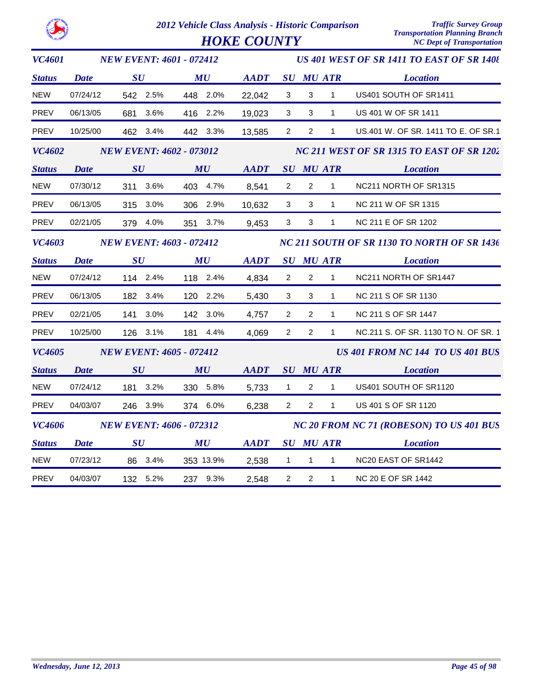| <b>VC4601</b> |             | <b>NEW EVENT: 4601 - 072412</b> |                                |                                                            |                | US 401 WEST OF SR 1411 TO EAST OF SR 1408 |                  |                                             |  |  |
|---------------|-------------|---------------------------------|--------------------------------|------------------------------------------------------------|----------------|-------------------------------------------|------------------|---------------------------------------------|--|--|
| <b>Status</b> | <b>Date</b> | SU                              | MU                             | <b>AADT</b>                                                |                |                                           | <b>SU MU ATR</b> | <b>Location</b>                             |  |  |
| NEW           | 07/24/12    | 542 2.5%                        | 448 2.0%                       | 22,042                                                     | 3              | 3                                         | $\mathbf{1}$     | US401 SOUTH OF SR1411                       |  |  |
| PREV          | 06/13/05    | 681 3.6%                        | 416 2.2%                       | 19,023                                                     | $\mathbf{3}$   | 3                                         | $\mathbf{1}$     | US 401 W OF SR 1411                         |  |  |
| PREV          | 10/25/00    | 462 3.4%                        | 442 3.3%                       | 13,585                                                     | $2^{\circ}$    | $\overline{2}$                            | $\mathbf{1}$     | US.401 W. OF SR. 1411 TO E. OF SR.1         |  |  |
| <b>VC4602</b> |             | <b>NEW EVENT: 4602 - 073012</b> |                                |                                                            |                |                                           |                  | NC 211 WEST OF SR 1315 TO EAST OF SR 1202   |  |  |
| <b>Status</b> | <b>Date</b> | SU                              | MU                             | <b>AADT</b>                                                |                |                                           | <b>SU MU ATR</b> | <b>Location</b>                             |  |  |
| <b>NEW</b>    | 07/30/12    | 311 3.6%                        | 403 4.7%                       | 8,541                                                      | $\mathbf{2}$   | $\overline{2}$                            | $\mathbf{1}$     | NC211 NORTH OF SR1315                       |  |  |
| PREV          | 06/13/05    | 315 3.0%                        | 306 2.9%                       | 10,632                                                     | 3              | 3                                         | $\mathbf{1}$     | NC 211 W OF SR 1315                         |  |  |
| PREV          | 02/21/05    | 379 4.0%                        | 351 3.7%                       | 9,453                                                      | 3 <sup>1</sup> | 3                                         | $\mathbf 1$      | NC 211 E OF SR 1202                         |  |  |
| <b>VC4603</b> |             | <b>NEW EVENT: 4603 - 072412</b> |                                |                                                            |                |                                           |                  | NC 211 SOUTH OF SR 1130 TO NORTH OF SR 1436 |  |  |
| <b>Status</b> | <b>Date</b> | $\bm{S}\bm{U}$                  | $\boldsymbol{M}\boldsymbol{U}$ | $\boldsymbol{A}\boldsymbol{A}\boldsymbol{D}\boldsymbol{T}$ |                |                                           | SU MU ATR        | <b>Location</b>                             |  |  |
| <b>NEW</b>    | 07/24/12    | 114 2.4%                        | 118 2.4%                       | 4,834                                                      | $\overline{2}$ | $\overline{2}$                            | $\mathbf{1}$     | NC211 NORTH OF SR1447                       |  |  |
| PREV          | 06/13/05    | 182 3.4%                        | 120 2.2%                       | 5,430                                                      | 3              | 3                                         | 1                | NC 211 S OF SR 1130                         |  |  |
| PREV          | 02/21/05    | 141 3.0%                        | 142 3.0%                       | 4,757                                                      | $\overline{2}$ | $\overline{2}$                            | $\mathbf{1}$     | NC 211 S OF SR 1447                         |  |  |
| <b>PREV</b>   | 10/25/00    | 126 3.1%                        | 181 4.4%                       | 4,069                                                      | $\overline{2}$ | $\overline{2}$                            | $\mathbf{1}$     | NC.211 S. OF SR. 1130 TO N. OF SR. 1        |  |  |
| <b>VC4605</b> |             | <b>NEW EVENT: 4605 - 072412</b> |                                |                                                            |                |                                           |                  | <b>US 401 FROM NC 144 TO US 401 BUS</b>     |  |  |
| <b>Status</b> | <b>Date</b> | SU                              | MU                             | AADT                                                       |                |                                           |                  | <b>SU MU ATR Location</b>                   |  |  |
| <b>NEW</b>    | 07/24/12    | 181 3.2%                        | 330 5.8%                       | 5,733                                                      | $\mathbf{1}$   | $\overline{2}$                            | $\mathbf{1}$     | US401 SOUTH OF SR1120                       |  |  |
| PREV          | 04/03/07    | 246 3.9%                        | 374 6.0%                       | 6,238                                                      | $2^{\circ}$    | $2^{\circ}$                               | 1                | US 401 S OF SR 1120                         |  |  |
| <b>VC4606</b> |             | <b>NEW EVENT: 4606 - 072312</b> |                                |                                                            |                |                                           |                  | NC 20 FROM NC 71 (ROBESON) TO US 401 BUS    |  |  |
| <b>Status</b> | <b>Date</b> | $\bm{S}\bm{U}$                  | $\boldsymbol{M}\boldsymbol{U}$ | <b>AADT</b>                                                |                |                                           | <b>SU MU ATR</b> | <b>Location</b>                             |  |  |
| <b>NEW</b>    | 07/23/12    | 86 3.4%                         | 353 13.9%                      | 2,538                                                      | $\mathbf{1}$   | $\overline{1}$                            | 1                | NC20 EAST OF SR1442                         |  |  |
| <b>PREV</b>   | 04/03/07    | 132 5.2%                        | 237 9.3%                       | 2,548                                                      | $\overline{2}$ | $\overline{2}$                            | $\mathbf{1}$     | <b>NC 20 E OF SR 1442</b>                   |  |  |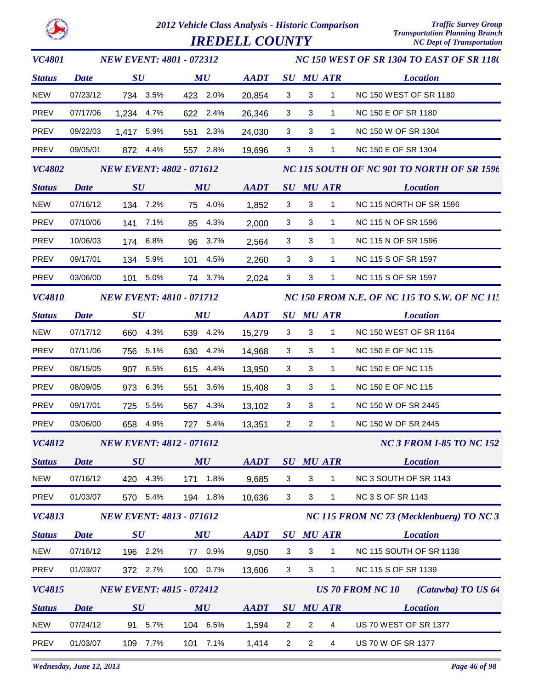

*IREDELL COUNTY* 

| <b>VC4801</b>        | <b>NEW EVENT: 4801 - 072312</b> |                                 |             |             |                                            | NC 150 WEST OF SR 1304 TO EAST OF SR 1180 |                  |                                                     |  |  |  |
|----------------------|---------------------------------|---------------------------------|-------------|-------------|--------------------------------------------|-------------------------------------------|------------------|-----------------------------------------------------|--|--|--|
| <b>Status</b>        | <b>Date</b>                     | $\boldsymbol{S}\boldsymbol{U}$  | MU          | <b>AADT</b> |                                            | <b>SU MU ATR</b>                          |                  | <b>Location</b>                                     |  |  |  |
| <b>NEW</b>           | 07/23/12                        | 734 3.5%                        | 423 2.0%    | 20,854      | 3                                          | 3                                         | $\mathbf{1}$     | <b>NC 150 WEST OF SR 1180</b>                       |  |  |  |
| PREV                 | 07/17/06                        | 1,234 4.7%                      | 622 2.4%    | 26,346      | 3                                          | 3                                         | $\mathbf{1}$     | NC 150 E OF SR 1180                                 |  |  |  |
| PREV                 | 09/22/03                        | 1,417 5.9%                      | 551 2.3%    | 24,030      | 3                                          | 3                                         | 1                | NC 150 W OF SR 1304                                 |  |  |  |
| <b>PREV</b>          | 09/05/01                        | 872 4.4%                        | 557 2.8%    | 19,696      | 3                                          | $\sqrt{3}$                                | 1                | NC 150 E OF SR 1304                                 |  |  |  |
| <b>VC4802</b>        | <b>NEW EVENT: 4802 - 071612</b> |                                 |             |             | NC 115 SOUTH OF NC 901 TO NORTH OF SR 1596 |                                           |                  |                                                     |  |  |  |
| <b>Status</b>        | <b>Date</b>                     | $\boldsymbol{S}\boldsymbol{U}$  | MU          | <b>AADT</b> |                                            | <b>SU MU ATR</b>                          |                  | <b>Location</b>                                     |  |  |  |
| <b>NEW</b>           | 07/16/12                        | 134 7.2%                        | 75 4.0%     | 1,852       | 3                                          | 3                                         | $\mathbf{1}$     | <b>NC 115 NORTH OF SR 1596</b>                      |  |  |  |
| PREV                 | 07/10/06                        | 7.1%<br>141                     | 85 4.3%     | 2,000       | 3                                          | 3                                         | $\mathbf{1}$     | NC 115 N OF SR 1596                                 |  |  |  |
| <b>PREV</b>          | 10/06/03                        | 174 6.8%                        | 96 3.7%     | 2,564       | $\mathbf{3}$                               | 3                                         | $\mathbf{1}$     | NC 115 N OF SR 1596                                 |  |  |  |
| PREV                 | 09/17/01                        | 134 5.9%                        | 101 4.5%    | 2,260       | 3                                          | 3                                         | $\mathbf{1}$     | NC 115 S OF SR 1597                                 |  |  |  |
| PREV                 | 03/06/00                        | 101 5.0%                        | 74 3.7%     | 2,024       | $\mathbf{3}$                               | 3                                         | 1                | NC 115 S OF SR 1597                                 |  |  |  |
| <i><b>VC4810</b></i> |                                 | <b>NEW EVENT: 4810 - 071712</b> |             |             |                                            |                                           |                  | <b>NC 150 FROM N.E. OF NC 115 TO S.W. OF NC 115</b> |  |  |  |
| <b>Status</b>        | <b>Date</b>                     | $\boldsymbol{S}\boldsymbol{U}$  | MU          | <b>AADT</b> |                                            |                                           | <b>SU MU ATR</b> | <b>Location</b>                                     |  |  |  |
| <b>NEW</b>           | 07/17/12                        | 660 4.3%                        | 639 4.2%    | 15,279      | 3                                          | $\mathbf{3}$                              | $\mathbf{1}$     | NC 150 WEST OF SR 1164                              |  |  |  |
| PREV                 | 07/11/06                        | 756 5.1%                        | 630 4.2%    | 14,968      | 3                                          | 3                                         | $\mathbf{1}$     | NC 150 E OF NC 115                                  |  |  |  |
| PREV                 | 08/15/05                        | 6.5%<br>907                     | 615 4.4%    | 13,950      | 3                                          | 3                                         | 1                | <b>NC 150 E OF NC 115</b>                           |  |  |  |
| PREV                 | 08/09/05                        | 973 6.3%                        | 3.6%<br>551 | 15,408      | 3                                          | 3                                         | $\mathbf{1}$     | NC 150 E OF NC 115                                  |  |  |  |
| PREV                 | 09/17/01                        | 725<br>5.5%                     | 567<br>4.3% | 13,102      | 3                                          | 3                                         | $\mathbf{1}$     | NC 150 W OF SR 2445                                 |  |  |  |
| <b>PREV</b>          | 03/06/00                        | 658 4.9%                        | 727 5.4%    | 13,351      | $\mathbf{2}$                               | $\overline{2}$                            | $\mathbf{1}$     | NC 150 W OF SR 2445                                 |  |  |  |
|                      |                                 | VC4812 NEW EVENT: 4812 - 071612 |             |             |                                            |                                           |                  | <b>NC 3 FROM I-85 TO NC 152</b>                     |  |  |  |
| <b>Status</b>        | <b>Date</b>                     | SU                              | MU          | <b>AADT</b> |                                            |                                           | <b>SU MU ATR</b> | <b>Location</b>                                     |  |  |  |
| <b>NEW</b>           | 07/16/12                        | 420 4.3%                        | 1.8%<br>171 | 9,685       | 3                                          | 3                                         | 1                | NC 3 SOUTH OF SR 1143                               |  |  |  |
| PREV                 | 01/03/07                        | 570 5.4%                        | 194 1.8%    | 10,636      | 3                                          | $\mathbf{3}$                              | $\mathbf{1}$     | <b>NC 3 S OF SR 1143</b>                            |  |  |  |
| <b>VC4813</b>        |                                 | <b>NEW EVENT: 4813 - 071612</b> |             |             |                                            |                                           |                  | NC 115 FROM NC 73 (Mecklenbuerg) TO NC 3            |  |  |  |
| <b>Status</b>        | <b>Date</b>                     | $\boldsymbol{S}\boldsymbol{U}$  | MU          | <b>AADT</b> | $\boldsymbol{S}\boldsymbol{U}$             |                                           | <b>MU ATR</b>    | <b>Location</b>                                     |  |  |  |
| <b>NEW</b>           | 07/16/12                        | 196 2.2%                        | 0.9%<br>77  | 9,050       | 3                                          | 3                                         | 1                | NC 115 SOUTH OF SR 1138                             |  |  |  |
| PREV                 | 01/03/07                        | 372 2.7%                        | 100 0.7%    | 13,606      | $\mathbf{3}$                               | $\mathbf{3}$                              | $\mathbf{1}$     | NC 115 S OF SR 1139                                 |  |  |  |
| VC4815               |                                 | <b>NEW EVENT: 4815 - 072412</b> |             |             |                                            |                                           |                  | <b>US 70 FROM NC 10</b><br>(Catawba) TO US 64       |  |  |  |
| <b>Status</b>        | <b>Date</b>                     | SU                              | MU          | <b>AADT</b> |                                            | <b>SU MU ATR</b>                          |                  | <b>Location</b>                                     |  |  |  |
| <b>NEW</b>           | 07/24/12                        | 5.7%<br>91                      | 104 6.5%    | 1,594       | $\overline{2}$                             | $\overline{2}$                            | 4                | US 70 WEST OF SR 1377                               |  |  |  |
| PREV                 | 01/03/07                        | 7.7%<br>109                     | 7.1%<br>101 | 1,414       | $\overline{c}$                             | $\overline{c}$                            | $\overline{4}$   | US 70 W OF SR 1377                                  |  |  |  |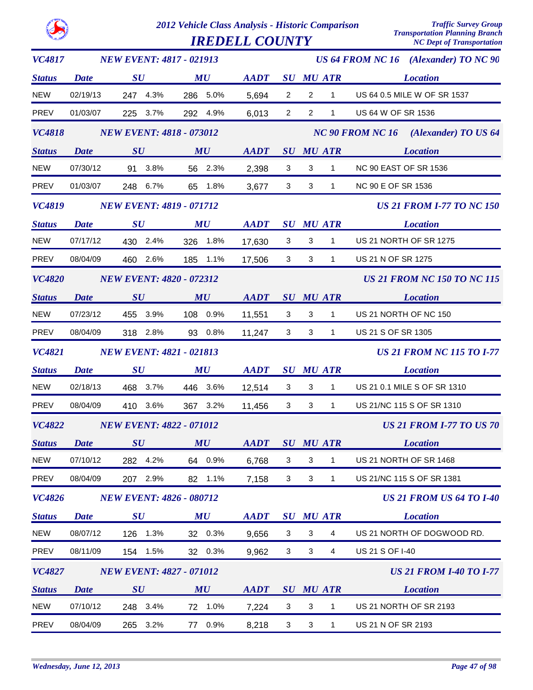|               |             |                                 | 2012 Vehicle Class Analysis - Historic Comparison<br><b>IREDELL COUNTY</b> |                |                         |                | <b>Traffic Survey Group</b><br><b>Transportation Planning Branch</b><br><b>NC Dept of Transportation</b> |                                                 |
|---------------|-------------|---------------------------------|----------------------------------------------------------------------------|----------------|-------------------------|----------------|----------------------------------------------------------------------------------------------------------|-------------------------------------------------|
| <b>VC4817</b> |             | <b>NEW EVENT: 4817 - 021913</b> |                                                                            |                |                         |                |                                                                                                          | US 64 FROM NC 16 (Alexander) TO NC 90           |
| <b>Status</b> | Date        | $\boldsymbol{S}\boldsymbol{U}$  | MU                                                                         | <b>AADT</b>    |                         |                | <b>SU MU ATR</b>                                                                                         | <b>Location</b>                                 |
| <b>NEW</b>    | 02/19/13    | 247 4.3%                        | 286 5.0%                                                                   | 5,694          | $\overline{2}$          | $\overline{c}$ | 1                                                                                                        | US 64 0.5 MILE W OF SR 1537                     |
| <b>PREV</b>   | 01/03/07    | 225 3.7%                        | 292 4.9%                                                                   | 6,013          | $\overline{2}$          | $\overline{2}$ | 1                                                                                                        | US 64 W OF SR 1536                              |
| <b>VC4818</b> |             | <b>NEW EVENT: 4818 - 073012</b> |                                                                            |                |                         |                |                                                                                                          | <b>NC 90 FROM NC 16</b><br>(Alexander) TO US 64 |
| <b>Status</b> | Date        | $\boldsymbol{S}\boldsymbol{U}$  | MU                                                                         | <b>AADT</b>    |                         |                | <b>SU MU ATR</b>                                                                                         | <b>Location</b>                                 |
| <b>NEW</b>    | 07/30/12    | 91 3.8%                         | 56 2.3%                                                                    | 2,398          | 3                       | $\mathbf{3}$   | $\mathbf{1}$                                                                                             | NC 90 EAST OF SR 1536                           |
| <b>PREV</b>   | 01/03/07    | 248 6.7%                        | 65 1.8%                                                                    | 3,677          | 3                       | 3              | 1                                                                                                        | <b>NC 90 E OF SR 1536</b>                       |
| <b>VC4819</b> |             | <b>NEW EVENT: 4819 - 071712</b> |                                                                            |                |                         |                |                                                                                                          | <b>US 21 FROM I-77 TO NC 150</b>                |
| <b>Status</b> | <b>Date</b> | $\boldsymbol{S}\boldsymbol{U}$  | MU                                                                         | <b>AADT</b>    |                         |                | <b>SU MU ATR</b>                                                                                         | <b>Location</b>                                 |
| <b>NEW</b>    | 07/17/12    | 430 2.4%                        | 326 1.8%                                                                   | 17,630         | 3                       | 3              | 1                                                                                                        | US 21 NORTH OF SR 1275                          |
| <b>PREV</b>   | 08/04/09    | 460 2.6%                        | 185 1.1%                                                                   | 17,506         | 3                       | 3              | $\mathbf{1}$                                                                                             | US 21 N OF SR 1275                              |
| <b>VC4820</b> |             | <b>NEW EVENT: 4820 - 072312</b> |                                                                            |                |                         |                |                                                                                                          | <b>US 21 FROM NC 150 TO NC 115</b>              |
| <b>Status</b> | Date        | SU                              | MU                                                                         | <b>AADT</b>    |                         |                | <b>SU MU ATR</b>                                                                                         | <b>Location</b>                                 |
| <b>NEW</b>    | 07/23/12    | 455 3.9%                        | 108 0.9%                                                                   | 11,551         | 3                       | 3              | $\mathbf{1}$                                                                                             | US 21 NORTH OF NC 150                           |
| <b>PREV</b>   | 08/04/09    | 318 2.8%                        | 93 0.8%                                                                    | 11,247         | 3                       | 3              | 1                                                                                                        | US 21 S OF SR 1305                              |
| <b>VC4821</b> |             | <b>NEW EVENT: 4821 - 021813</b> |                                                                            |                |                         |                |                                                                                                          | <b>US 21 FROM NC 115 TO I-77</b>                |
| <b>Status</b> | Date        | $\boldsymbol{S}\boldsymbol{U}$  | MU                                                                         | <b>AADT</b>    |                         |                | <b>SU MU ATR</b>                                                                                         | <b>Location</b>                                 |
| <b>NEW</b>    | 02/18/13    | 468 3.7%                        | 446 3.6%                                                                   | 12,514         | 3                       | 3              | 1                                                                                                        | US 21 0.1 MILE S OF SR 1310                     |
| PREV          | 08/04/09    | 3.6%<br>410                     | 367 3.2%                                                                   | 11,456         | 3                       | 3              | 1                                                                                                        | US 21/NC 115 S OF SR 1310                       |
| <b>VC4822</b> |             | <b>NEW EVENT: 4822 - 071012</b> |                                                                            |                |                         |                |                                                                                                          | <b>US 21 FROM I-77 TO US 70</b>                 |
| <b>Status</b> | <b>Date</b> | SU                              | MU                                                                         | AADT SU MU ATR |                         |                |                                                                                                          | <b>Location</b>                                 |
| <b>NEW</b>    | 07/10/12    | 282 4.2%                        | 64 0.9%                                                                    | 6,768          | $\overline{\mathbf{3}}$ | $\mathbf{3}$   | $\overline{1}$                                                                                           | US 21 NORTH OF SR 1468                          |
| PREV          | 08/04/09    | 207 2.9%                        | 82 1.1%                                                                    | 7,158          | $\overline{\mathbf{3}}$ | $\mathbf{3}$   | $\overline{1}$                                                                                           | US 21/NC 115 S OF SR 1381                       |
| <b>VC4826</b> |             | <b>NEW EVENT: 4826 - 080712</b> |                                                                            |                |                         |                |                                                                                                          | <b>US 21 FROM US 64 TO 1-40</b>                 |
| <b>Status</b> | <b>Date</b> | SU                              | $\boldsymbol{M}\boldsymbol{U}$                                             | AADT SU MU ATR |                         |                |                                                                                                          | <b>Location</b>                                 |
| <b>NEW</b>    | 08/07/12    | 126 1.3%                        | 32 0.3%                                                                    | 9,656          | 3 <sup>7</sup>          | 3 <sup>1</sup> | $\overline{4}$                                                                                           | US 21 NORTH OF DOGWOOD RD.                      |
| PREV          | 08/11/09    | 154 1.5%                        | 32 0.3%                                                                    | 9,962          | 3 <sup>7</sup>          | $\mathbf{3}$   | $\overline{4}$                                                                                           | US 21 S OF I-40                                 |
| <b>VC4827</b> |             | <b>NEW EVENT: 4827 - 071012</b> |                                                                            |                |                         |                |                                                                                                          | <b>US 21 FROM I-40 TO I-77</b>                  |
| <b>Status</b> | <b>Date</b> | SU                              | MU                                                                         | AADT SU MU ATR |                         |                |                                                                                                          | <b>Location</b>                                 |
| <b>NEW</b>    | 07/10/12    | 248 3.4%                        | 72 1.0%                                                                    | 7,224          | $\mathbf{3}$            | 3              | $\overline{1}$                                                                                           | US 21 NORTH OF SR 2193                          |
| PREV          | 08/04/09    | 265 3.2%                        | 77 0.9%                                                                    | 8,218          | $\overline{\mathbf{3}}$ | 3 <sup>7</sup> | 1                                                                                                        | US 21 N OF SR 2193                              |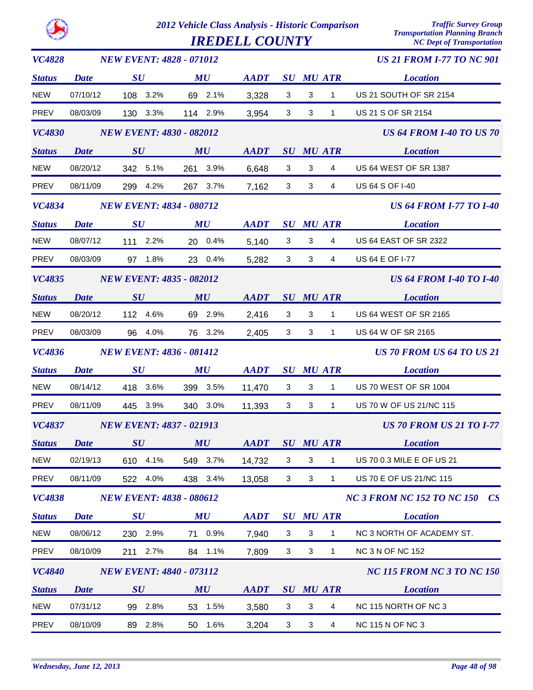|               |             |                                 | 2012 Vehicle Class Analysis - Historic Comparison<br><b>IREDELL COUNTY</b> |             |                                |                  |                | <b>Traffic Survey Group</b><br><b>Transportation Planning Branch</b><br><b>NC Dept of Transportation</b> |
|---------------|-------------|---------------------------------|----------------------------------------------------------------------------|-------------|--------------------------------|------------------|----------------|----------------------------------------------------------------------------------------------------------|
| <b>VC4828</b> |             | <b>NEW EVENT: 4828 - 071012</b> |                                                                            |             |                                |                  |                | <b>US 21 FROM I-77 TO NC 901</b>                                                                         |
| <b>Status</b> | <b>Date</b> | SU                              | MU                                                                         | <b>AADT</b> | $\boldsymbol{S}\boldsymbol{U}$ | <b>MU ATR</b>    |                | <b>Location</b>                                                                                          |
| <b>NEW</b>    | 07/10/12    | 108<br>3.2%                     | 2.1%<br>69                                                                 | 3,328       | 3                              | 3                | 1              | US 21 SOUTH OF SR 2154                                                                                   |
| <b>PREV</b>   | 08/03/09    | 130<br>3.3%                     | 114<br>2.9%                                                                | 3,954       | 3                              | 3                | $\mathbf{1}$   | US 21 S OF SR 2154                                                                                       |
| <b>VC4830</b> |             | <b>NEW EVENT: 4830 - 082012</b> |                                                                            |             |                                |                  |                | <b>US 64 FROM I-40 TO US 70</b>                                                                          |
| <b>Status</b> | <b>Date</b> | $\boldsymbol{S}\boldsymbol{U}$  | MU                                                                         | <b>AADT</b> | $\boldsymbol{S}\boldsymbol{U}$ | <b>MU ATR</b>    |                | <b>Location</b>                                                                                          |
| <b>NEW</b>    | 08/20/12    | 342 5.1%                        | 261<br>3.9%                                                                | 6,648       | 3                              | 3                | 4              | <b>US 64 WEST OF SR 1387</b>                                                                             |
| <b>PREV</b>   | 08/11/09    | 4.2%<br>299                     | 267<br>3.7%                                                                | 7,162       | 3                              | 3                | $\overline{4}$ | US 64 S OF I-40                                                                                          |
| <b>VC4834</b> |             | <b>NEW EVENT: 4834 - 080712</b> |                                                                            |             |                                |                  |                | <b>US 64 FROM I-77 TO I-40</b>                                                                           |
| <b>Status</b> | <b>Date</b> | SU                              | MU                                                                         | <b>AADT</b> | $\boldsymbol{S}\boldsymbol{U}$ | <b>MU ATR</b>    |                | <b>Location</b>                                                                                          |
| <b>NEW</b>    | 08/07/12    | 2.2%<br>111                     | 0.4%<br>20                                                                 | 5,140       | 3                              | 3                | 4              | <b>US 64 EAST OF SR 2322</b>                                                                             |
| <b>PREV</b>   | 08/03/09    | 1.8%<br>97                      | 23<br>0.4%                                                                 | 5,282       | 3                              | 3                | $\overline{4}$ | US 64 E OF I-77                                                                                          |
| <b>VC4835</b> |             | <b>NEW EVENT: 4835 - 082012</b> |                                                                            |             |                                |                  |                | <b>US 64 FROM I-40 TO I-40</b>                                                                           |
| <b>Status</b> | <b>Date</b> | SU                              | MU                                                                         | <b>AADT</b> | SU                             | <b>MU ATR</b>    |                | <b>Location</b>                                                                                          |
| <b>NEW</b>    | 08/20/12    | 112<br>4.6%                     | 2.9%<br>69                                                                 | 2,416       | 3                              | 3                | 1              | <b>US 64 WEST OF SR 2165</b>                                                                             |
| <b>PREV</b>   | 08/03/09    | 4.0%<br>96                      | 76<br>3.2%                                                                 | 2,405       | 3                              | 3                | $\mathbf{1}$   | US 64 W OF SR 2165                                                                                       |
| <b>VC4836</b> |             | <b>NEW EVENT: 4836 - 081412</b> |                                                                            |             |                                |                  |                | <b>US 70 FROM US 64 TO US 21</b>                                                                         |
| <b>Status</b> | <b>Date</b> | SU                              | MU                                                                         | <b>AADT</b> | $\boldsymbol{S}\boldsymbol{U}$ | <b>MU ATR</b>    |                | <b>Location</b>                                                                                          |
| <b>NEW</b>    | 08/14/12    | 3.6%<br>418                     | 3.5%<br>399                                                                | 11,470      | 3                              | 3                | 1              | <b>US 70 WEST OF SR 1004</b>                                                                             |
| <b>PREV</b>   | 08/11/09    | 3.9%<br>445                     | 3.0%<br>340                                                                | 11,393      | 3                              | 3                | 1              | US 70 W OF US 21/NC 115                                                                                  |
| <b>VC4837</b> |             | <b>NEW EVENT: 4837 - 021913</b> |                                                                            |             |                                |                  |                | <b>US 70 FROM US 21 TO I-77</b>                                                                          |
| <b>Status</b> | <b>Date</b> | $\boldsymbol{S}\boldsymbol{U}$  | MU                                                                         | <b>AADT</b> |                                | <b>SU MU ATR</b> |                | <b>Location</b>                                                                                          |
| <b>NEW</b>    | 02/19/13    | 610 4.1%                        | 549 3.7%                                                                   | 14,732      | 3                              | $\mathbf{3}$     | 1              | US 70 0.3 MILE E OF US 21                                                                                |
| <b>PREV</b>   | 08/11/09    | 4.0%<br>522                     | 438 3.4%                                                                   | 13,058      | 3                              | 3                | $\mathbf{1}$   | US 70 E OF US 21/NC 115                                                                                  |
| <b>VC4838</b> |             | <b>NEW EVENT: 4838 - 080612</b> |                                                                            |             |                                |                  |                | <b>NC 3 FROM NC 152 TO NC 150</b><br>CS                                                                  |
| <b>Status</b> | Date        | $\boldsymbol{S}\boldsymbol{U}$  | MU                                                                         | <b>AADT</b> |                                | <b>SU MU ATR</b> |                | <b>Location</b>                                                                                          |
| <b>NEW</b>    | 08/06/12    | 230 2.9%                        | 71 0.9%                                                                    | 7,940       | 3                              | 3                | $\mathbf{1}$   | NC 3 NORTH OF ACADEMY ST.                                                                                |
| <b>PREV</b>   | 08/10/09    | 2.7%<br>211                     | 84 1.1%                                                                    | 7,809       | 3                              | 3                | $\mathbf{1}$   | <b>NC 3 N OF NC 152</b>                                                                                  |
| <b>VC4840</b> |             | <b>NEW EVENT: 4840 - 073112</b> |                                                                            |             |                                |                  |                | <b>NC 115 FROM NC 3 TO NC 150</b>                                                                        |
| <b>Status</b> | Date        | $\boldsymbol{S}\boldsymbol{U}$  | MU                                                                         | <b>AADT</b> |                                | <b>SU MU ATR</b> |                | <b>Location</b>                                                                                          |
| <b>NEW</b>    | 07/31/12    | 99 2.8%                         | 53 1.5%                                                                    | 3,580       | 3                              | 3                | 4              | NC 115 NORTH OF NC 3                                                                                     |
| PREV          | 08/10/09    | 89 2.8%                         | 1.6%<br>50                                                                 | 3,204       | 3                              | 3                | $\overline{4}$ | <b>NC 115 N OF NC 3</b>                                                                                  |

52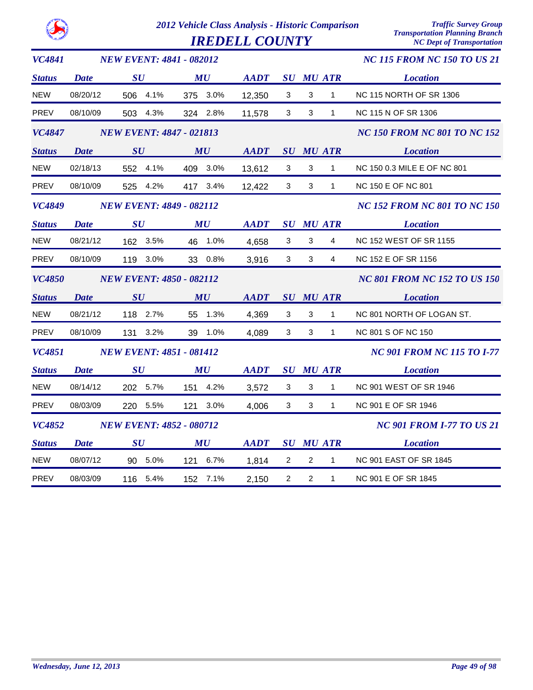| <b>VC4841</b> |             | <b>NEW EVENT: 4841 - 082012</b> |                                |             |                |                |                  | <b>NC 115 FROM NC 150 TO US 21</b>  |
|---------------|-------------|---------------------------------|--------------------------------|-------------|----------------|----------------|------------------|-------------------------------------|
| <b>Status</b> | <b>Date</b> | SU                              | MU                             | AADT        |                |                | <b>SU MU ATR</b> | <b>Location</b>                     |
| <b>NEW</b>    | 08/20/12    | 506 4.1%                        | 375 3.0%                       | 12,350      | 3              | 3              | $\mathbf{1}$     | <b>NC 115 NORTH OF SR 1306</b>      |
| PREV          | 08/10/09    | 503 4.3%                        | 324 2.8%                       | 11,578      | 3              | 3              | $\mathbf{1}$     | NC 115 N OF SR 1306                 |
| <b>VC4847</b> |             | <b>NEW EVENT: 4847 - 021813</b> |                                |             |                |                |                  | <b>NC 150 FROM NC 801 TO NC 152</b> |
| <b>Status</b> | <b>Date</b> | SU                              | MU                             | <b>AADT</b> |                |                | <b>SU MU ATR</b> | <i>Exercífica Location</i>          |
| <b>NEW</b>    | 02/18/13    | 552 4.1%                        | 409 3.0%                       | 13,612      | $\mathbf{3}$   | $\mathbf{3}$   | $\mathbf{1}$     | NC 150 0.3 MILE E OF NC 801         |
| PREV          | 08/10/09    | 525 4.2%                        | 417 3.4%                       | 12,422      | 3              | $\mathbf{3}$   | 1                | NC 150 E OF NC 801                  |
| <b>VC4849</b> |             | <b>NEW EVENT: 4849 - 082112</b> |                                |             |                |                |                  | <b>NC 152 FROM NC 801 TO NC 150</b> |
| <b>Status</b> | <b>Date</b> | $\boldsymbol{S}\boldsymbol{U}$  | MU                             | <b>AADT</b> |                |                | <b>SU MU ATR</b> | <b>Location</b>                     |
| NEW           | 08/21/12    | 162 3.5%                        | 46 1.0%                        | 4,658       | 3              | $\mathbf{3}$   | $\overline{4}$   | <b>NC 152 WEST OF SR 1155</b>       |
| <b>PREV</b>   | 08/10/09    | 119 3.0%                        | 33 0.8%                        | 3,916       | $\mathbf{3}$   | $\mathbf{3}$   | $\overline{4}$   | NC 152 E OF SR 1156                 |
| <b>VC4850</b> |             | <b>NEW EVENT: 4850 - 082112</b> |                                |             |                |                |                  | <b>NC 801 FROM NC 152 TO US 150</b> |
| <b>Status</b> | <b>Date</b> | SU                              | MU                             | AADT        |                |                | <b>SU MU ATR</b> | <b>Location</b>                     |
| <b>NEW</b>    | 08/21/12    | 118 2.7%                        | 55 1.3%                        | 4,369       | 3              | 3              | $\mathbf{1}$     | NC 801 NORTH OF LOGAN ST.           |
| <b>PREV</b>   | 08/10/09    | 131 3.2%                        | 39 1.0%                        | 4,089       | 3 <sup>1</sup> | 3              | $\mathbf{1}$     | NC 801 S OF NC 150                  |
| <b>VC4851</b> |             | <b>NEW EVENT: 4851 - 081412</b> |                                |             |                |                |                  | <b>NC 901 FROM NC 115 TO I-77</b>   |
| <b>Status</b> | <b>Date</b> | $\bm{S}\bm{U}$                  | $\boldsymbol{M}\boldsymbol{U}$ | <b>AADT</b> |                |                | <b>SU MU ATR</b> | <b>Location</b>                     |
| <b>NEW</b>    | 08/14/12    | 202 5.7%                        | 151 4.2%                       | 3,572       | $\mathbf{3}$   | $\mathbf{3}$   | $\mathbf{1}$     | NC 901 WEST OF SR 1946              |
| PREV          | 08/03/09    | 220 5.5%                        | 121 3.0%                       | 4,006       | 3              | $\mathbf{3}$   | $\mathbf 1$      | NC 901 E OF SR 1946                 |
| <b>VC4852</b> |             | <b>NEW EVENT: 4852 - 080712</b> |                                |             |                |                |                  | <b>NC 901 FROM I-77 TO US 21</b>    |
| <b>Status</b> | <b>Date</b> | $\boldsymbol{S}\boldsymbol{U}$  | $\boldsymbol{M}\boldsymbol{U}$ | <b>AADT</b> |                |                | <b>SU MU ATR</b> | <b>Location</b>                     |
| <b>NEW</b>    | 08/07/12    | 90 5.0%                         | 121 6.7%                       | 1,814       | $\overline{2}$ | $\overline{2}$ | $\mathbf{1}$     | <b>NC 901 EAST OF SR 1845</b>       |
| <b>PREV</b>   | 08/03/09    | 116 5.4%                        | 152 7.1%                       | 2,150       | $\overline{2}$ | $\overline{c}$ | $\mathbf{1}$     | NC 901 E OF SR 1845                 |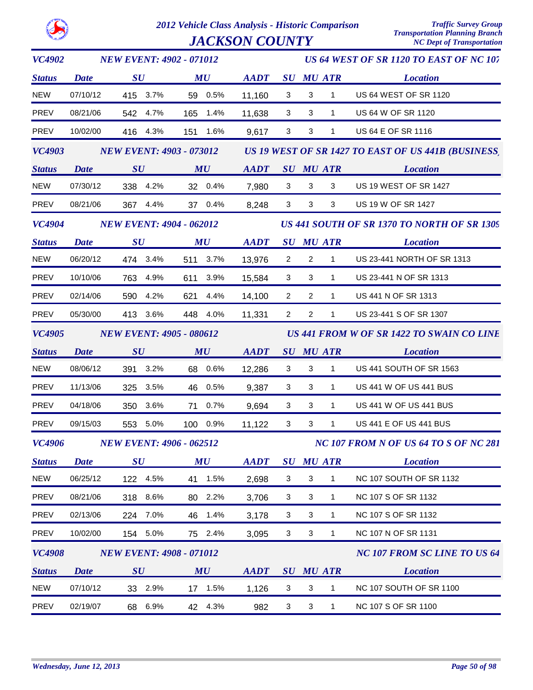| <b>VC4902</b> |             | <b>NEW EVENT: 4902 - 071012</b> |                                |                |                |                |                  | US 64 WEST OF SR 1120 TO EAST OF NC 107             |
|---------------|-------------|---------------------------------|--------------------------------|----------------|----------------|----------------|------------------|-----------------------------------------------------|
| <b>Status</b> | <b>Date</b> | $\boldsymbol{S}\boldsymbol{U}$  | MU                             | <b>AADT</b>    |                |                | <b>SU MU ATR</b> | <b>Location</b>                                     |
| <b>NEW</b>    | 07/10/12    | 415 3.7%                        | 59 0.5%                        | 11,160         | 3              | 3              | $\mathbf{1}$     | US 64 WEST OF SR 1120                               |
| PREV          | 08/21/06    | 542 4.7%                        | 165 1.4%                       | 11,638         | $\mathbf{3}$   | 3              | $\mathbf{1}$     | US 64 W OF SR 1120                                  |
| PREV          | 10/02/00    | 416<br>4.3%                     | 151 1.6%                       | 9,617          | 3              | 3              | $\mathbf{1}$     | US 64 E OF SR 1116                                  |
| <b>VC4903</b> |             | <b>NEW EVENT: 4903 - 073012</b> |                                |                |                |                |                  | US 19 WEST OF SR 1427 TO EAST OF US 441B (BUSINESS) |
| <b>Status</b> | <b>Date</b> | SU                              | $\boldsymbol{M}\boldsymbol{U}$ | AADT SU MU ATR |                |                |                  | <b>Location</b>                                     |
| <b>NEW</b>    | 07/30/12    | 338 4.2%                        | 32 0.4%                        | 7,980          | $\mathbf{3}$   | 3              | 3                | <b>US 19 WEST OF SR 1427</b>                        |
| PREV          | 08/21/06    | 4.4%<br>367                     | 37 0.4%                        | 8,248          | 3              | 3              | 3                | US 19 W OF SR 1427                                  |
| <b>VC4904</b> |             | <b>NEW EVENT: 4904 - 062012</b> |                                |                |                |                |                  | US 441 SOUTH OF SR 1370 TO NORTH OF SR 1309         |
| <b>Status</b> | <b>Date</b> | $\boldsymbol{S}\boldsymbol{U}$  | MU                             | <b>AADT</b>    |                |                | <b>SU MU ATR</b> | <b>Location</b>                                     |
| <b>NEW</b>    | 06/20/12    | 474 3.4%                        | 511 3.7%                       | 13,976         | $\overline{2}$ | $\overline{2}$ | $\mathbf{1}$     | US 23-441 NORTH OF SR 1313                          |
| PREV          | 10/10/06    | 763 4.9%                        | 611 3.9%                       | 15,584         | 3              | 3              | $\mathbf{1}$     | US 23-441 N OF SR 1313                              |
| PREV          | 02/14/06    | 590 4.2%                        | 621 4.4%                       | 14,100         | $\overline{2}$ | $\overline{2}$ | $\mathbf{1}$     | US 441 N OF SR 1313                                 |
| PREV          | 05/30/00    | 413 3.6%                        | 448 4.0%                       | 11,331         | $2^{\circ}$    | $\overline{2}$ | $\mathbf{1}$     | US 23-441 S OF SR 1307                              |
| <b>VC4905</b> |             | <b>NEW EVENT: 4905 - 080612</b> |                                |                |                |                |                  | US 441 FROM W OF SR 1422 TO SWAIN CO LINE           |
| <b>Status</b> | <b>Date</b> | SU                              | MU                             | <b>AADT</b>    |                |                | <b>SU MU ATR</b> | <b>Location</b>                                     |
| <b>NEW</b>    | 08/06/12    | 391 3.2%                        | 68 0.6%                        | 12,286         | 3              | 3              | $\mathbf{1}$     | US 441 SOUTH OF SR 1563                             |
| PREV          | 11/13/06    | 325 3.5%                        | 46 0.5%                        | 9,387          | 3              | 3              | $\mathbf{1}$     | US 441 W OF US 441 BUS                              |
| PREV          | 04/18/06    | 350 3.6%                        | 71 0.7%                        | 9,694          | 3              | 3              | $\mathbf{1}$     | US 441 W OF US 441 BUS                              |
| PREV          | 09/15/03    | 553 5.0%                        | 100 0.9%                       | 11,122         | 3              | 3              | $\mathbf{1}$     | US 441 E OF US 441 BUS                              |
| <b>VC4906</b> |             | <b>NEW EVENT: 4906 - 062512</b> |                                |                |                |                |                  | NC 107 FROM N OF US 64 TO S OF NC 281               |
| <b>Status</b> | <b>Date</b> | SU                              | MU                             | <b>AADT</b>    |                |                | <b>SU MU ATR</b> | <b>Location</b>                                     |
| <b>NEW</b>    | 06/25/12    | 122 4.5%                        | 41 1.5%                        | 2,698          | $\mathbf{3}$   | 3              | $\mathbf{1}$     | NC 107 SOUTH OF SR 1132                             |
| <b>PREV</b>   | 08/21/06    | 318 8.6%                        | 80 2.2%                        | 3,706          | 3              | 3              | $\mathbf{1}$     | NC 107 S OF SR 1132                                 |
| <b>PREV</b>   | 02/13/06    | 224 7.0%                        | 46 1.4%                        | 3,178          | 3              | 3              | $\mathbf{1}$     | NC 107 S OF SR 1132                                 |
| PREV          | 10/02/00    | 154 5.0%                        | 75 2.4%                        | 3,095          | 3              | 3              | $\mathbf{1}$     | NC 107 N OF SR 1131                                 |
| <b>VC4908</b> |             | <b>NEW EVENT: 4908 - 071012</b> |                                |                |                |                |                  | <b>NC 107 FROM SC LINE TO US 64</b>                 |
| <b>Status</b> | <b>Date</b> | $\boldsymbol{S}\boldsymbol{U}$  | MU                             | <b>AADT</b>    |                |                | <b>SU MU ATR</b> | <b>Location</b>                                     |
| <b>NEW</b>    | 07/10/12    | 33 2.9%                         | 17 1.5%                        | 1,126          | 3              | 3              | $\mathbf{1}$     | NC 107 SOUTH OF SR 1100                             |
| PREV          | 02/19/07    | 68 6.9%                         | 42 4.3%                        | 982            | 3              | 3              | $\mathbf{1}$     | NC 107 S OF SR 1100                                 |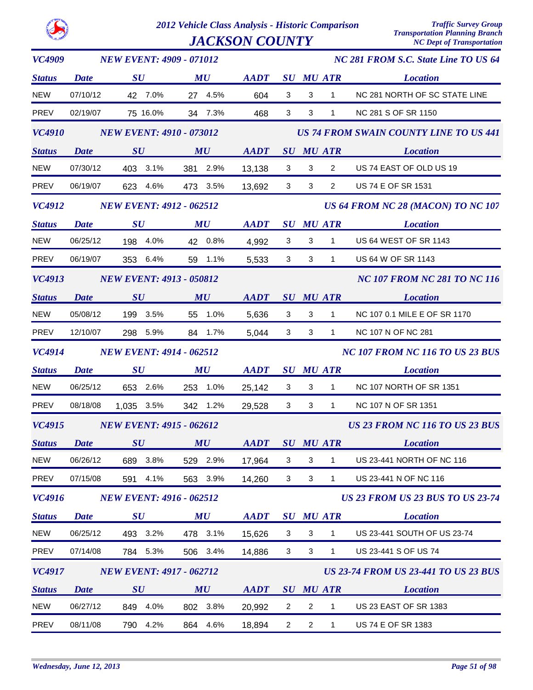|--|

| <b>VC4909</b> | <b>NEW EVENT: 4909 - 071012</b> |                                 |             |             |                |                |                  | NC 281 FROM S.C. State Line TO US 64          |
|---------------|---------------------------------|---------------------------------|-------------|-------------|----------------|----------------|------------------|-----------------------------------------------|
| <b>Status</b> | <b>Date</b>                     | SU                              | MU          | <b>AADT</b> |                |                | <b>SU MU ATR</b> | <b>Location</b>                               |
| <b>NEW</b>    | 07/10/12                        | 42 7.0%                         | 27 4.5%     | 604         | 3              | 3              | $\mathbf{1}$     | NC 281 NORTH OF SC STATE LINE                 |
| <b>PREV</b>   | 02/19/07                        | 75 16.0%                        | 34 7.3%     | 468         | 3              | 3              | $\mathbf{1}$     | NC 281 S OF SR 1150                           |
| <b>VC4910</b> |                                 | <b>NEW EVENT: 4910 - 073012</b> |             |             |                |                |                  | <b>US 74 FROM SWAIN COUNTY LINE TO US 441</b> |
| <b>Status</b> | <b>Date</b>                     | SU                              | MU          | <b>AADT</b> |                |                | SU MU ATR        | <b>Location</b>                               |
| <b>NEW</b>    | 07/30/12                        | 403 3.1%                        | 381 2.9%    | 13,138      | 3              | 3              | $\overline{2}$   | US 74 EAST OF OLD US 19                       |
| PREV          | 06/19/07                        | 623 4.6%                        | 473 3.5%    | 13,692      | $\mathbf{3}$   | $\mathbf{3}$   | $\overline{2}$   | US 74 E OF SR 1531                            |
| <b>VC4912</b> |                                 | <b>NEW EVENT: 4912 - 062512</b> |             |             |                |                |                  | US 64 FROM NC 28 (MACON) TO NC 107            |
| <b>Status</b> | <b>Date</b>                     | $\boldsymbol{S}\boldsymbol{U}$  | MU          | <b>AADT</b> |                |                | <b>SU MU ATR</b> | <b>Location</b>                               |
| <b>NEW</b>    | 06/25/12                        | 198 4.0%                        | 42 0.8%     | 4,992       | 3              | 3              | $\mathbf{1}$     | US 64 WEST OF SR 1143                         |
| PREV          | 06/19/07                        | 353 6.4%                        | 59 1.1%     | 5,533       | 3              | 3              | $\mathbf{1}$     | US 64 W OF SR 1143                            |
| <b>VC4913</b> |                                 | <b>NEW EVENT: 4913 - 050812</b> |             |             |                |                |                  | <b>NC 107 FROM NC 281 TO NC 116</b>           |
| <b>Status</b> | <b>Date</b>                     | SU                              | MU          | <b>AADT</b> |                |                | <b>SU MU ATR</b> | <b>Location</b>                               |
| <b>NEW</b>    | 05/08/12                        | 199 3.5%                        | 55 1.0%     | 5,636       | 3              | 3              | $\mathbf{1}$     | NC 107 0.1 MILE E OF SR 1170                  |
| PREV          | 12/10/07                        | 298 5.9%                        | 84 1.7%     | 5,044       | 3              | $\mathbf{3}$   | $1 \quad$        | NC 107 N OF NC 281                            |
| <b>VC4914</b> | <b>NEW EVENT: 4914 - 062512</b> |                                 |             |             |                |                |                  | <b>NC 107 FROM NC 116 TO US 23 BUS</b>        |
| <b>Status</b> | <b>Date</b>                     | $\boldsymbol{S}\boldsymbol{U}$  | MU          | <b>AADT</b> |                |                | <b>SU MU ATR</b> | <b>Location</b>                               |
| <b>NEW</b>    | 06/25/12                        | 653 2.6%                        | 253 1.0%    | 25,142      | 3              | 3              | $\mathbf{1}$     | NC 107 NORTH OF SR 1351                       |
| <b>PREV</b>   | 08/18/08                        | 1,035 3.5%                      | 342 1.2%    | 29,528      | 3              | 3              | $\mathbf{1}$     | NC 107 N OF SR 1351                           |
| VC4915        |                                 | <b>NEW EVENT: 4915 - 062612</b> |             |             |                |                |                  | US 23 FROM NC 116 TO US 23 BUS                |
| <b>Status</b> | Date                            | $\boldsymbol{S}\boldsymbol{U}$  | MU          | <b>AADT</b> |                |                | <b>SU MU ATR</b> | <b>Location</b>                               |
| <b>NEW</b>    | 06/26/12                        | 689 3.8%                        | 529 2.9%    | 17,964      | 3              | 3              | 1                | US 23-441 NORTH OF NC 116                     |
| PREV          | 07/15/08                        | 591<br>4.1%                     | 563 3.9%    | 14,260      | 3              | 3              | $\mathbf{1}$     | US 23-441 N OF NC 116                         |
| <b>VC4916</b> |                                 | <b>NEW EVENT: 4916 - 062512</b> |             |             |                |                |                  | <b>US 23 FROM US 23 BUS TO US 23-74</b>       |
| <b>Status</b> | <b>Date</b>                     | $\boldsymbol{S}\boldsymbol{U}$  | MU          | <b>AADT</b> |                |                | <b>SU MU ATR</b> | <b>Location</b>                               |
| <b>NEW</b>    | 06/25/12                        | 493 3.2%                        | 478 3.1%    | 15,626      | 3              | 3              | 1                | US 23-441 SOUTH OF US 23-74                   |
| PREV          | 07/14/08                        | 784 5.3%                        | 506 3.4%    | 14,886      | $\mathbf{3}$   | 3              | $\mathbf{1}$     | US 23-441 S OF US 74                          |
| VC4917        |                                 | <b>NEW EVENT: 4917 - 062712</b> |             |             |                |                |                  | <b>US 23-74 FROM US 23-441 TO US 23 BUS</b>   |
| <b>Status</b> | <b>Date</b>                     | SU                              | MU          | <b>AADT</b> |                |                | <b>SU MU ATR</b> | <b>Location</b>                               |
| <b>NEW</b>    | 06/27/12                        | 849<br>4.0%                     | 802<br>3.8% | 20,992      | $\overline{2}$ | $\overline{c}$ | 1                | <b>US 23 EAST OF SR 1383</b>                  |
| PREV          | 08/11/08                        | 790 4.2%                        | 864 4.6%    | 18,894      | $\overline{2}$ | $\overline{2}$ | $\mathbf{1}$     | US 74 E OF SR 1383                            |
|               |                                 |                                 |             |             |                |                |                  |                                               |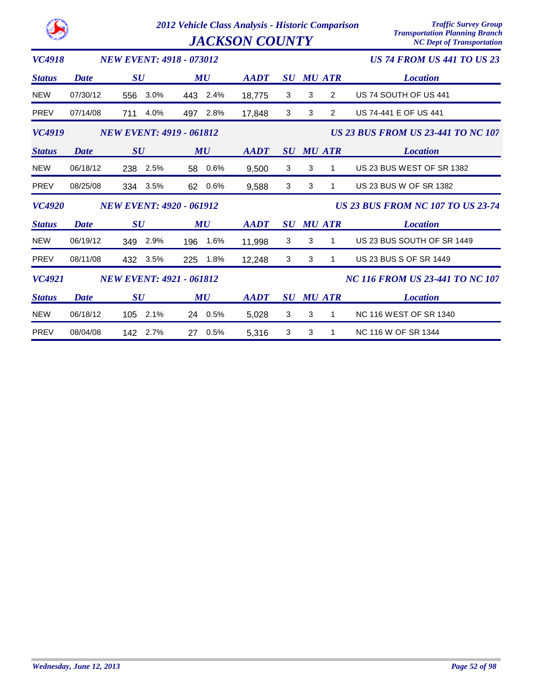|               |             |                                 | 2012 Vehicle Class Analysis - Historic Comparison<br><b>JACKSON COUNTY</b> | <b>Traffic Survey Group</b><br><b>Transportation Planning Branch</b><br><b>NC Dept of Transportation</b> |                |   |                  |                                           |
|---------------|-------------|---------------------------------|----------------------------------------------------------------------------|----------------------------------------------------------------------------------------------------------|----------------|---|------------------|-------------------------------------------|
| VC4918        |             | <b>NEW EVENT: 4918 - 073012</b> |                                                                            |                                                                                                          |                |   |                  | <b>US 74 FROM US 441 TO US 23</b>         |
| <b>Status</b> | <b>Date</b> | SU                              | MU                                                                         | <b>AADT</b>                                                                                              | SU             |   | <b>MU ATR</b>    | <b>Location</b>                           |
| <b>NEW</b>    | 07/30/12    | 3.0%<br>556                     | 443 2.4%                                                                   | 18,775                                                                                                   | 3              | 3 | $\overline{2}$   | US 74 SOUTH OF US 441                     |
| PREV          | 07/14/08    | 4.0%<br>711                     | 2.8%<br>497                                                                | 17,848                                                                                                   | 3              | 3 | 2                | US 74-441 E OF US 441                     |
| VC4919        |             | <b>NEW EVENT: 4919 - 061812</b> |                                                                            |                                                                                                          |                |   |                  | <b>US 23 BUS FROM US 23-441 TO NC 107</b> |
| <b>Status</b> | Date        | SU                              | MU                                                                         | <b>AADT</b>                                                                                              |                |   | <b>SU MU ATR</b> | <b>Location</b>                           |
| <b>NEW</b>    | 06/18/12    | 238<br>2.5%                     | 0.6%<br>58                                                                 | 9,500                                                                                                    | 3              | 3 | 1                | US 23 BUS WEST OF SR 1382                 |
| <b>PREV</b>   | 08/25/08    | 334 3.5%                        | $0.6\%$<br>62                                                              | 9,588                                                                                                    | 3              | 3 | 1                | US 23 BUS W OF SR 1382                    |
| <b>VC4920</b> |             | <b>NEW EVENT: 4920 - 061912</b> |                                                                            |                                                                                                          |                |   |                  | <b>US 23 BUS FROM NC 107 TO US 23-74</b>  |
| <b>Status</b> | <b>Date</b> | SU                              | MU                                                                         | <b>AADT</b>                                                                                              | SU             |   | <b>MU ATR</b>    | <b>Location</b>                           |
| <b>NEW</b>    | 06/19/12    | 2.9%<br>349                     | 1.6%<br>196                                                                | 11,998                                                                                                   | 3              | 3 | 1                | US 23 BUS SOUTH OF SR 1449                |
| <b>PREV</b>   | 08/11/08    | 432<br>3.5%                     | 1.8%<br>225                                                                | 12,248                                                                                                   | 3              | 3 | 1                | <b>US 23 BUS S OF SR 1449</b>             |
| <b>VC4921</b> |             | <b>NEW EVENT: 4921 - 061812</b> |                                                                            |                                                                                                          |                |   |                  | <b>NC 116 FROM US 23-441 TO NC 107</b>    |
| <b>Status</b> | <b>Date</b> | SU                              | MU                                                                         | <b>AADT</b>                                                                                              | $\bm{S}\bm{U}$ |   | <b>MU ATR</b>    | <b>Location</b>                           |
| <b>NEW</b>    | 06/18/12    | 2.1%<br>105                     | 24 0.5%                                                                    | 5,028                                                                                                    | 3              | 3 | 1                | <b>NC 116 WEST OF SR 1340</b>             |
| <b>PREV</b>   | 08/04/08    | 142<br>2.7%                     | 0.5%<br>27                                                                 | 5,316                                                                                                    | 3              | 3 | 1                | NC 116 W OF SR 1344                       |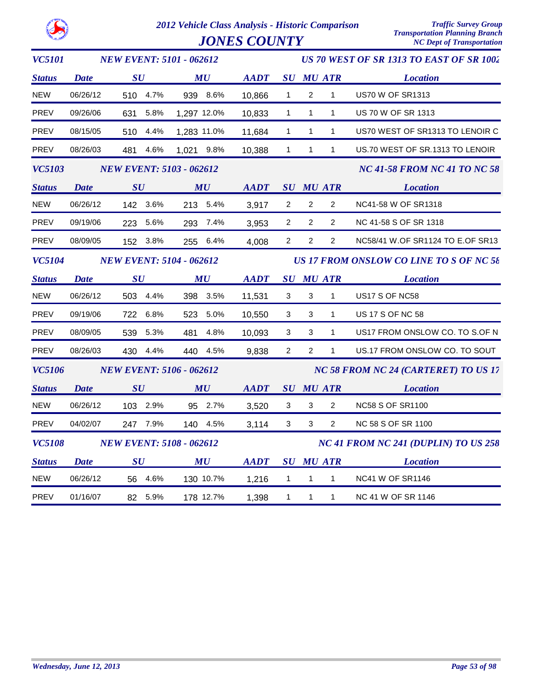| <b>VC5101</b> |             | <b>NEW EVENT: 5101 - 062612</b> |                                                                                                         |             |                                |                  |                                                | US 70 WEST OF SR 1313 TO EAST OF SR 1002 |
|---------------|-------------|---------------------------------|---------------------------------------------------------------------------------------------------------|-------------|--------------------------------|------------------|------------------------------------------------|------------------------------------------|
| <b>Status</b> | <b>Date</b> | $\boldsymbol{S}\boldsymbol{U}$  | MU                                                                                                      | <b>AADT</b> |                                | <b>SU MU ATR</b> |                                                | <b>Location</b>                          |
| NEW           | 06/26/12    | 510 4.7%                        | 939 8.6%                                                                                                | 10,866      | $\mathbf{1}$                   | 2                | $\mathbf{1}$                                   | <b>US70 W OF SR1313</b>                  |
| PREV          | 09/26/06    | 631 5.8%                        | 1,297 12.0%                                                                                             | 10,833      | $\mathbf 1$                    | $\mathbf{1}$     | 1                                              | US 70 W OF SR 1313                       |
| PREV          | 08/15/05    | 510 4.4%                        | 1,283 11.0%                                                                                             | 11,684      | $\mathbf{1}$                   | $\mathbf{1}$     | $\mathbf{1}$                                   | US70 WEST OF SR1313 TO LENOIR C          |
| PREV          | 08/26/03    | 481<br>4.6%                     | 1,021 9.8%                                                                                              | 10,388      | $\mathbf{1}$                   | $\mathbf{1}$     | 1                                              | US.70 WEST OF SR.1313 TO LENOIR          |
| <b>VC5103</b> |             | <b>NEW EVENT: 5103 - 062612</b> |                                                                                                         |             |                                |                  |                                                | NC 41-58 FROM NC 41 TO NC 58             |
| <b>Status</b> | <b>Date</b> | SU                              | $\boldsymbol{M}$ is a set of $\boldsymbol{M}$ is a set of $\boldsymbol{M}$ is a set of $\boldsymbol{M}$ | AADT        |                                | <b>SU MU ATR</b> |                                                | <b>Location</b>                          |
| <b>NEW</b>    | 06/26/12    | 142 3.6%                        | 213 5.4%                                                                                                | 3,917       | $\overline{2}$                 | $\overline{2}$   | $\overline{2}$                                 | NC41-58 W OF SR1318                      |
| PREV          | 09/19/06    | 223 5.6%                        | 293 7.4%                                                                                                | 3,953       | $\mathbf{2}$                   | 2                | $\mathbf{2}^{\circ}$                           | NC 41-58 S OF SR 1318                    |
| PREV          | 08/09/05    | 152 3.8%                        | 255 6.4%                                                                                                | 4,008       | $2^{\circ}$                    | $\overline{2}$   | $\overline{2}$                                 | NC58/41 W.OF SR1124 TO E.OF SR13         |
| <b>VC5104</b> |             | <b>NEW EVENT: 5104 - 062612</b> |                                                                                                         |             |                                |                  | <b>US 17 FROM ONSLOW CO LINE TO S OF NC 58</b> |                                          |
| <b>Status</b> | <b>Date</b> | $\boldsymbol{S}\boldsymbol{U}$  | MU                                                                                                      | <b>AADT</b> |                                | <b>SU MU ATR</b> |                                                | <i>Exercisem Location</i>                |
| NEW           | 06/26/12    | 503 4.4%                        | 398 3.5%                                                                                                | 11,531      | 3                              | 3                | $\mathbf{1}$                                   | US17 S OF NC58                           |
| PREV          | 09/19/06    | 722 6.8%                        | 523 5.0%                                                                                                | 10,550      | 3                              | 3                | $\mathbf{1}$                                   | <b>US 17 S OF NC 58</b>                  |
| PREV          | 08/09/05    | 539<br>5.3%                     | 481<br>4.8%                                                                                             | 10,093      | 3                              | 3                | $\mathbf{1}$                                   | US17 FROM ONSLOW CO. TO S.OF N           |
| PREV          | 08/26/03    | 430<br>4.4%                     | 440 4.5%                                                                                                | 9,838       | $\overline{2}$                 | $\overline{2}$   | $\mathbf{1}$                                   | US.17 FROM ONSLOW CO. TO SOUT            |
| <b>VC5106</b> |             | <b>NEW EVENT: 5106 - 062612</b> |                                                                                                         |             |                                |                  |                                                | NC 58 FROM NC 24 (CARTERET) TO US 17     |
| <b>Status</b> | <b>Date</b> | $\boldsymbol{S}\boldsymbol{U}$  | MU                                                                                                      | <b>AADT</b> |                                |                  | <b>SU MU ATR</b>                               | <b>Location</b>                          |
| NEW           | 06/26/12    | 103 2.9%                        | 95 2.7%                                                                                                 | 3,520       | 3                              | 3                | $\overline{2}$                                 | <b>NC58 S OF SR1100</b>                  |
| PREV          | 04/02/07    | 247 7.9%                        | 140 4.5%                                                                                                | 3,114       | 3                              | 3                | $\overline{2}$                                 | NC 58 S OF SR 1100                       |
| <i>VC5108</i> |             | <b>NEW EVENT: 5108 - 062612</b> |                                                                                                         |             |                                |                  |                                                | NC 41 FROM NC 241 (DUPLIN) TO US 258     |
| <b>Status</b> | <b>Date</b> | $\boldsymbol{S}\boldsymbol{U}$  | MU                                                                                                      | <b>AADT</b> | $\boldsymbol{S}\boldsymbol{U}$ |                  | MU ATR                                         | <b>Location</b>                          |
| <b>NEW</b>    | 06/26/12    | 56 4.6%                         | 130 10.7%                                                                                               | 1,216       | $\mathbf{1}$                   | $\mathbf{1}$     | $\mathbf{1}$                                   | <b>NC41 W OF SR1146</b>                  |
| <b>PREV</b>   | 01/16/07    | 82 5.9%                         | 178 12.7%                                                                                               | 1,398       | $\mathbf{1}$                   | $\mathbf{1}$     | $\mathbf{1}$                                   | NC 41 W OF SR 1146                       |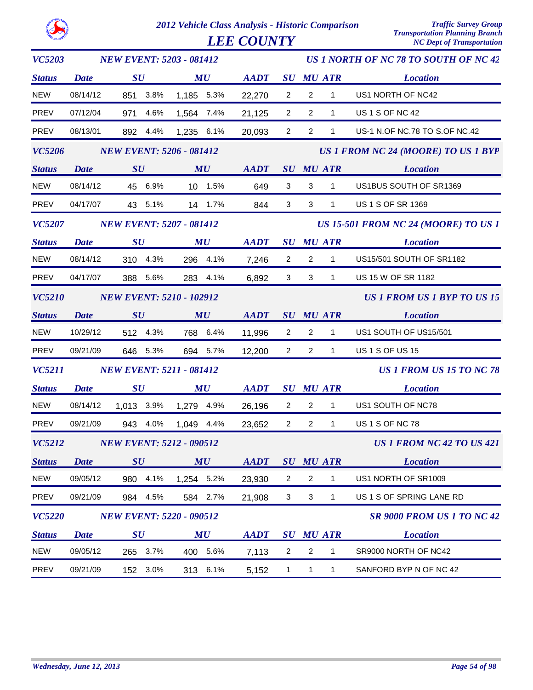| <b>VC5203</b> | <b>NEW EVENT: 5203 - 081412</b> |                                 |      |            |          |             | US 1 NORTH OF NC 78 TO SOUTH OF NC 42 |                |                  |                                             |  |  |
|---------------|---------------------------------|---------------------------------|------|------------|----------|-------------|---------------------------------------|----------------|------------------|---------------------------------------------|--|--|
| <b>Status</b> | <b>Date</b>                     | SU                              |      |            | MU       | <b>AADT</b> |                                       |                | <b>SU MU ATR</b> | <b>Location</b>                             |  |  |
| <b>NEW</b>    | 08/14/12                        | 851                             | 3.8% | 1,185 5.3% |          | 22,270      | $\overline{2}$                        | $\overline{2}$ | $\mathbf{1}$     | US1 NORTH OF NC42                           |  |  |
| <b>PREV</b>   | 07/12/04                        | 971                             | 4.6% | 1,564 7.4% |          | 21,125      | $\overline{2}$                        | $\overline{2}$ | $\mathbf{1}$     | <b>US 1 S OF NC 42</b>                      |  |  |
| PREV          | 08/13/01                        | 892                             | 4.4% | 1,235 6.1% |          | 20,093      | $\overline{2}$                        | $\overline{2}$ | $\mathbf{1}$     | US-1 N.OF NC.78 TO S.OF NC.42               |  |  |
| <b>VC5206</b> |                                 | <b>NEW EVENT: 5206 - 081412</b> |      |            |          |             |                                       |                |                  | US 1 FROM NC 24 (MOORE) TO US 1 BYP         |  |  |
| <b>Status</b> | <b>Date</b>                     | SU                              |      |            | MU       | <b>AADT</b> |                                       |                | <b>SU MU ATR</b> | <b>Location</b>                             |  |  |
| <b>NEW</b>    | 08/14/12                        | 45 6.9%                         |      |            | 10 1.5%  | 649         | 3                                     | 3              | $\mathbf{1}$     | US1BUS SOUTH OF SR1369                      |  |  |
| <b>PREV</b>   | 04/17/07                        | 43 5.1%                         |      |            | 14 1.7%  | 844         | 3                                     | 3              | $\mathbf{1}$     | US 1 S OF SR 1369                           |  |  |
| <b>VC5207</b> |                                 | <b>NEW EVENT: 5207 - 081412</b> |      |            |          |             |                                       |                |                  | <b>US 15-501 FROM NC 24 (MOORE) TO US 1</b> |  |  |
| <b>Status</b> | <b>Date</b>                     | $\boldsymbol{S}\boldsymbol{U}$  |      |            | MU       | <b>AADT</b> |                                       |                | <b>SU MU ATR</b> | <b>Location</b>                             |  |  |
| <b>NEW</b>    | 08/14/12                        | 310 4.3%                        |      |            | 296 4.1% | 7,246       | $\overline{2}$                        | $\overline{2}$ | $\mathbf{1}$     | US15/501 SOUTH OF SR1182                    |  |  |
| <b>PREV</b>   | 04/17/07                        | 388 5.6%                        |      |            | 283 4.1% | 6,892       | 3                                     | 3              | $\mathbf{1}$     | US 15 W OF SR 1182                          |  |  |
| <b>VC5210</b> |                                 | <b>NEW EVENT: 5210 - 102912</b> |      |            |          |             |                                       |                |                  | <b>US 1 FROM US 1 BYP TO US 15</b>          |  |  |
| <b>Status</b> | <b>Date</b>                     | $\boldsymbol{S}\boldsymbol{U}$  |      |            | MU       | <b>AADT</b> |                                       |                | SU MU ATR        | <b>Location</b>                             |  |  |
| <b>NEW</b>    | 10/29/12                        | 512 4.3%                        |      |            | 768 6.4% | 11,996      | $\overline{2}$                        | $\overline{2}$ | $\mathbf{1}$     | US1 SOUTH OF US15/501                       |  |  |
| <b>PREV</b>   | 09/21/09                        | 646 5.3%                        |      |            | 694 5.7% | 12,200      | $\overline{2}$                        | 2              | $\mathbf{1}$     | <b>US 1 S OF US 15</b>                      |  |  |
| <b>VC5211</b> |                                 | <b>NEW EVENT: 5211 - 081412</b> |      |            |          |             |                                       |                |                  | <b>US 1 FROM US 15 TO NC 78</b>             |  |  |
| <b>Status</b> | <b>Date</b>                     | $\boldsymbol{S}\boldsymbol{U}$  |      |            | MU       | <b>AADT</b> |                                       |                | <b>SU MU ATR</b> | <b>Location</b>                             |  |  |
| NEW           | 08/14/12                        | 1,013 3.9%                      |      | 1,279 4.9% |          | 26,196      | $\overline{2}$                        | $\overline{2}$ | $\mathbf{1}$     | US1 SOUTH OF NC78                           |  |  |
| PREV          | 09/21/09                        | 943 4.0%                        |      | 1,049 4.4% |          | 23,652      | $\overline{2}$                        | $\overline{2}$ | $\mathbf{1}$     | <b>US 1 S OF NC 78</b>                      |  |  |
| VC5212        |                                 | <b>NEW EVENT: 5212 - 090512</b> |      |            |          |             |                                       |                |                  | US 1 FROM NC 42 TO US 421                   |  |  |
| <b>Status</b> | <b>Date</b>                     | SU                              |      |            | MU       | <b>AADT</b> |                                       |                | <b>SU MU ATR</b> | <b>Location</b>                             |  |  |
| <b>NEW</b>    | 09/05/12                        | 980 4.1%                        |      | 1,254 5.2% |          | 23,930      | $\overline{c}$                        | $\overline{c}$ | $\mathbf{1}$     | US1 NORTH OF SR1009                         |  |  |
| PREV          | 09/21/09                        | 984 4.5%                        |      |            | 584 2.7% | 21,908      | 3                                     | 3              | $\mathbf{1}$     | US 1 S OF SPRING LANE RD                    |  |  |
| <b>VC5220</b> |                                 | <b>NEW EVENT: 5220 - 090512</b> |      |            |          |             |                                       |                |                  | <b>SR 9000 FROM US 1 TO NC 42</b>           |  |  |
| <b>Status</b> | <b>Date</b>                     | SU                              |      |            | MU       | <b>AADT</b> |                                       |                | <b>SU MU ATR</b> | <b>Location</b>                             |  |  |
| <b>NEW</b>    | 09/05/12                        | 265 3.7%                        |      |            | 400 5.6% | 7,113       | $\overline{c}$                        | $\overline{c}$ | $\mathbf{1}$     | SR9000 NORTH OF NC42                        |  |  |
| PREV          | 09/21/09                        | 152 3.0%                        |      |            | 313 6.1% | 5,152       | $\mathbf{1}$                          | $\mathbf{1}$   | $\mathbf{1}$     | SANFORD BYP N OF NC 42                      |  |  |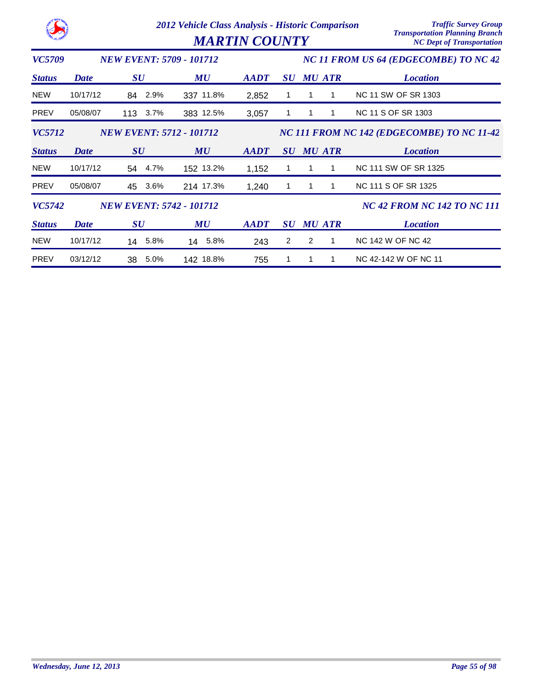|               |             |                                 | 2012 Vehicle Class Analysis - Historic Comparison<br><b>MARTIN COUNTY</b> | <b>Traffic Survey Group</b><br><b>Transportation Planning Branch</b><br><b>NC Dept of Transportation</b> |                                |   |               |                                            |  |  |  |
|---------------|-------------|---------------------------------|---------------------------------------------------------------------------|----------------------------------------------------------------------------------------------------------|--------------------------------|---|---------------|--------------------------------------------|--|--|--|
| VC5709        |             | <b>NEW EVENT: 5709 - 101712</b> |                                                                           | NC 11 FROM US 64 (EDGECOMBE) TO NC 42                                                                    |                                |   |               |                                            |  |  |  |
| <b>Status</b> | <b>Date</b> | $\boldsymbol{S}\boldsymbol{U}$  | MU                                                                        | <b>AADT</b>                                                                                              | $\boldsymbol{S}\boldsymbol{U}$ |   | <b>MU ATR</b> | <b>Location</b>                            |  |  |  |
| <b>NEW</b>    | 10/17/12    | 2.9%<br>84                      | 337 11.8%                                                                 | 2,852                                                                                                    |                                |   |               | NC 11 SW OF SR 1303                        |  |  |  |
| <b>PREV</b>   | 05/08/07    | 113<br>$3.7\%$                  | 383 12.5%                                                                 | 3,057                                                                                                    | 1                              | 1 |               | <b>NC 11 S OF SR 1303</b>                  |  |  |  |
| <b>VC5712</b> |             | <b>NEW EVENT: 5712 - 101712</b> |                                                                           |                                                                                                          |                                |   |               | NC 111 FROM NC 142 (EDGECOMBE) TO NC 11-42 |  |  |  |
| <b>Status</b> | <b>Date</b> | SU                              | MU                                                                        | AADT                                                                                                     | SU                             |   | <b>MU ATR</b> | <b>Location</b>                            |  |  |  |
| <b>NEW</b>    | 10/17/12    | 4.7%<br>54                      | 152 13.2%                                                                 | 1,152                                                                                                    |                                | 1 |               | NC 111 SW OF SR 1325                       |  |  |  |
| <b>PREV</b>   | 05/08/07    | 3.6%<br>45                      | 214 17.3%                                                                 | 1,240                                                                                                    | 1                              | 1 | 1             | NC 111 S OF SR 1325                        |  |  |  |
| VC5742        |             | <b>NEW EVENT: 5742 - 101712</b> |                                                                           |                                                                                                          |                                |   |               | <b>NC 42 FROM NC 142 TO NC 111</b>         |  |  |  |
| <b>Status</b> | <b>Date</b> | $\boldsymbol{S}\boldsymbol{U}$  | MU                                                                        | <b>AADT</b>                                                                                              | $\boldsymbol{S}\boldsymbol{U}$ |   | <b>MU ATR</b> | <b>Location</b>                            |  |  |  |
| <b>NEW</b>    | 10/17/12    | 5.8%<br>14                      | 14 5.8%                                                                   | 243                                                                                                      | 2                              | 2 | 1             | NC 142 W OF NC 42                          |  |  |  |
| <b>PREV</b>   | 03/12/12    | 5.0%<br>38                      | 142 18.8%                                                                 | 755                                                                                                      | 1                              | 1 | 1             | NC 42-142 W OF NC 11                       |  |  |  |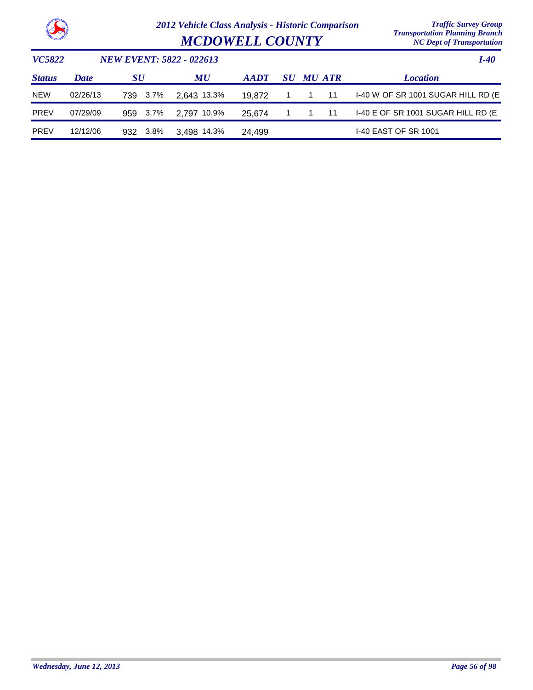

|                        | $\ldots$                         |
|------------------------|----------------------------------|
| <b>MCDOWELL COUNTY</b> | <b>NC Dept of Transportation</b> |

| <i>VC5822</i> |          | NEW EVENT: 5822 - 022613 |             | I-40        |             |                  |                                     |
|---------------|----------|--------------------------|-------------|-------------|-------------|------------------|-------------------------------------|
| <b>Status</b> | Date     | SU                       | MU          | <b>AADT</b> |             | <b>SU MU ATR</b> | <b>Location</b>                     |
| <b>NEW</b>    | 02/26/13 | 3.7%<br>739              | 2.643 13.3% | 19.872      | $1 \quad 1$ | - 11             | I-40 W OF SR 1001 SUGAR HILL RD (E) |
| <b>PREV</b>   | 07/29/09 | 3.7%<br>959              | 2.797 10.9% | 25.674      | $1 \quad 1$ | -11              | I-40 E OF SR 1001 SUGAR HILL RD (E  |
| <b>PREV</b>   | 12/12/06 | 3.8%<br>932              | 3.498 14.3% | 24.499      |             |                  | <b>I-40 EAST OF SR 1001</b>         |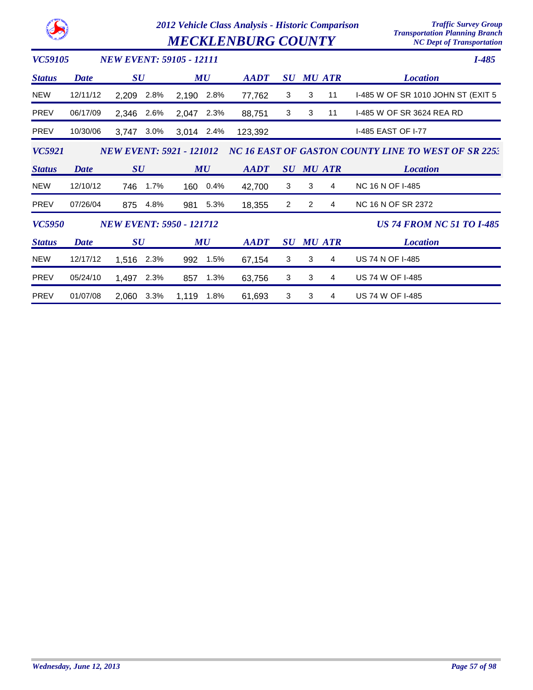|                | 2012 Vehicle Class Analysis - Historic Comparison<br><b>MECKLENBURG COUNTY</b> |                                 |      |            |      |             |                                | <b>Traffic Survey Group</b><br><b>Transportation Planning Branch</b><br><b>NC Dept of Transportation</b> |               |                                                     |
|----------------|--------------------------------------------------------------------------------|---------------------------------|------|------------|------|-------------|--------------------------------|----------------------------------------------------------------------------------------------------------|---------------|-----------------------------------------------------|
| <b>VC59105</b> |                                                                                | <b>NEW EVENT: 59105 - 12111</b> |      |            |      |             |                                |                                                                                                          |               | $I-485$                                             |
| <b>Status</b>  | Date                                                                           | $\boldsymbol{S}\boldsymbol{U}$  |      |            | MU   | <b>AADT</b> | $\bm{S}\bm{U}$                 |                                                                                                          | <b>MU ATR</b> | <b>Location</b>                                     |
| <b>NEW</b>     | 12/11/12                                                                       | 2,209                           | 2.8% | 2,190      | 2.8% | 77,762      | 3                              | 3                                                                                                        | 11            | I-485 W OF SR 1010 JOHN ST (EXIT 5                  |
| PREV           | 06/17/09                                                                       | 2,346                           | 2.6% | 2,047      | 2.3% | 88,751      | 3                              | 3                                                                                                        | 11            | 1-485 W OF SR 3624 REA RD                           |
| <b>PREV</b>    | 10/30/06                                                                       | 3,747                           | 3.0% | 3,014 2.4% |      | 123,392     |                                |                                                                                                          |               | I-485 EAST OF I-77                                  |
| VC5921         |                                                                                | <b>NEW EVENT: 5921 - 121012</b> |      |            |      |             |                                |                                                                                                          |               | NC 16 EAST OF GASTON COUNTY LINE TO WEST OF SR 2253 |
| <b>Status</b>  | Date                                                                           | $\boldsymbol{S}\boldsymbol{U}$  |      |            | MU   | <b>AADT</b> | $\boldsymbol{S}\boldsymbol{U}$ |                                                                                                          | <b>MU ATR</b> | <b>Location</b>                                     |
|                |                                                                                |                                 |      |            |      |             |                                |                                                                                                          |               |                                                     |
| <b>NEW</b>     | 12/10/12                                                                       | 746                             | 1.7% | 160        | 0.4% | 42,700      | 3                              | 3                                                                                                        | 4             | <b>NC 16 N OF I-485</b>                             |
| <b>PREV</b>    | 07/26/04                                                                       | 875                             | 4.8% | 981        | 5.3% | 18,355      | $\overline{2}$                 | 2                                                                                                        | 4             | <b>NC 16 N OF SR 2372</b>                           |
| <b>VC5950</b>  |                                                                                | <b>NEW EVENT: 5950 - 121712</b> |      |            |      |             |                                |                                                                                                          |               | <b>US 74 FROM NC 51 TO I-485</b>                    |
| <b>Status</b>  | <b>Date</b>                                                                    | $\boldsymbol{S}\boldsymbol{U}$  |      |            | MU   | <b>AADT</b> | $\boldsymbol{S}\boldsymbol{U}$ |                                                                                                          | <b>MU ATR</b> | <b>Location</b>                                     |
| <b>NEW</b>     | 12/17/12                                                                       | 1,516                           | 2.3% | 992        | 1.5% | 67,154      | 3                              | 3                                                                                                        | 4             | <b>US 74 N OF I-485</b>                             |
| <b>PREV</b>    | 05/24/10                                                                       | 1,497                           | 2.3% | 857        | 1.3% | 63,756      | 3                              | 3                                                                                                        | 4             | <b>US 74 W OF I-485</b>                             |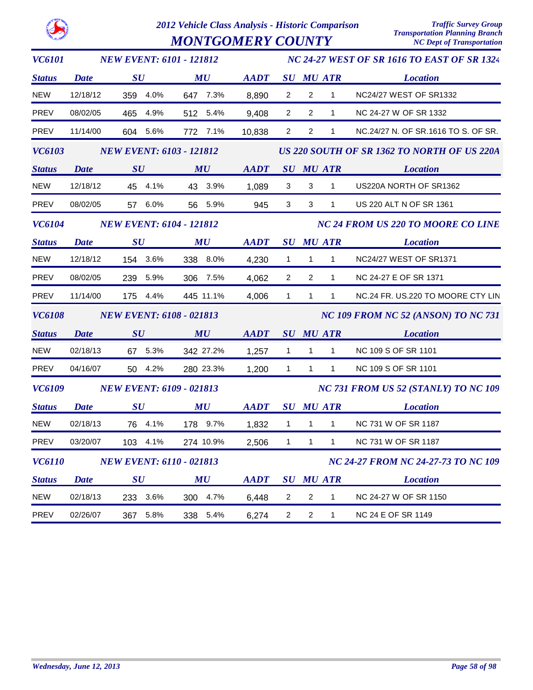*MONTGOMERY COUNTY* 

| <b>VC6101</b> |                                 | <b>NEW EVENT: 6101 - 121812</b> | <b>NC 24-27 WEST OF SR 1616 TO EAST OF SR 1324</b> |             |                                     |                |                  |                                             |  |  |
|---------------|---------------------------------|---------------------------------|----------------------------------------------------|-------------|-------------------------------------|----------------|------------------|---------------------------------------------|--|--|
| <b>Status</b> | <b>Date</b>                     | SU                              | MU                                                 | <b>AADT</b> |                                     |                | <b>SU MU ATR</b> | <b>Location</b>                             |  |  |
| <b>NEW</b>    | 12/18/12                        | 359 4.0%                        | 647 7.3%                                           | 8,890       | $\overline{2}$                      | $\overline{2}$ | $\mathbf{1}$     | NC24/27 WEST OF SR1332                      |  |  |
| <b>PREV</b>   | 08/02/05                        | 465 4.9%                        | 512 5.4%                                           | 9,408       | $\overline{2}$                      | $\overline{2}$ | $\mathbf{1}$     | NC 24-27 W OF SR 1332                       |  |  |
| PREV          | 11/14/00                        | 604 5.6%                        | 772 7.1%                                           | 10,838      | $\overline{2}$                      | $\overline{c}$ | 1                | NC.24/27 N. OF SR.1616 TO S. OF SR.         |  |  |
| <b>VC6103</b> | <b>NEW EVENT: 6103 - 121812</b> |                                 |                                                    |             |                                     |                |                  | US 220 SOUTH OF SR 1362 TO NORTH OF US 220A |  |  |
| <b>Status</b> | Date                            | SU                              | MU                                                 | <b>AADT</b> |                                     |                | <b>SU MU ATR</b> | <b>Location</b>                             |  |  |
| <b>NEW</b>    | 12/18/12                        | 45 4.1%                         | 43 3.9%                                            | 1,089       | 3                                   | 3              | $\mathbf{1}$     | US220A NORTH OF SR1362                      |  |  |
| PREV          | 08/02/05                        | 57 6.0%                         | 56 5.9%                                            | 945         | 3                                   | $\mathbf{3}$   | 1                | US 220 ALT N OF SR 1361                     |  |  |
| <b>VC6104</b> |                                 | <b>NEW EVENT: 6104 - 121812</b> |                                                    |             |                                     |                |                  | <b>NC 24 FROM US 220 TO MOORE CO LINE</b>   |  |  |
| <b>Status</b> | <b>Date</b>                     | SU                              | $\boldsymbol{M}\boldsymbol{U}$                     | <b>AADT</b> |                                     |                | <b>SU MU ATR</b> | <b>Location</b>                             |  |  |
| <b>NEW</b>    | 12/18/12                        | 154 3.6%                        | 338 8.0%                                           | 4,230       | $\mathbf{1}$                        | $\mathbf{1}$   | $\mathbf{1}$     | NC24/27 WEST OF SR1371                      |  |  |
| <b>PREV</b>   | 08/02/05                        | 239 5.9%                        | 306 7.5%                                           | 4,062       | 2                                   | $\overline{2}$ | $\mathbf{1}$     | NC 24-27 E OF SR 1371                       |  |  |
| PREV          | 11/14/00                        | 175 4.4%                        | 445 11.1%                                          | 4,006       | $\mathbf{1}$                        | $\mathbf{1}$   | $\mathbf{1}$     | NC.24 FR. US.220 TO MOORE CTY LIN           |  |  |
| <b>VC6108</b> |                                 | <b>NEW EVENT: 6108 - 021813</b> |                                                    |             | NC 109 FROM NC 52 (ANSON) TO NC 731 |                |                  |                                             |  |  |
| <b>Status</b> | <b>Date</b>                     | SU                              | MU                                                 | <b>AADT</b> |                                     |                | <b>SU MU ATR</b> | <b>Location</b>                             |  |  |
| <b>NEW</b>    | 02/18/13                        | 67 5.3%                         | 342 27.2%                                          | 1,257       | $\mathbf{1}$                        | $\mathbf{1}$   | $\mathbf{1}$     | NC 109 S OF SR 1101                         |  |  |
| PREV          | 04/16/07                        | 50 4.2%                         | 280 23.3%                                          | 1,200       | $\mathbf{1}$                        | $\mathbf{1}$   | $\mathbf{1}$     | NC 109 S OF SR 1101                         |  |  |
| <b>VC6109</b> |                                 | <b>NEW EVENT: 6109 - 021813</b> |                                                    |             |                                     |                |                  | NC 731 FROM US 52 (STANLY) TO NC 109        |  |  |
| <b>Status</b> | <b>Date</b>                     | SU                              | MU                                                 | <b>AADT</b> |                                     |                | <b>SU MU ATR</b> | <b>Location</b>                             |  |  |
| <b>NEW</b>    | 02/18/13                        | 76 4.1%                         | 178 9.7%                                           | 1,832       | $\mathbf{1}$                        | $\mathbf{1}$   | $\mathbf{1}$     | NC 731 W OF SR 1187                         |  |  |
| PREV          | 03/20/07                        | 103 4.1%                        | 274 10.9%                                          | 2,506       | $\mathbf{1}$                        | $\mathbf{1}$   | $\mathbf{1}$     | NC 731 W OF SR 1187                         |  |  |
| <b>VC6110</b> |                                 | <b>NEW EVENT: 6110 - 021813</b> |                                                    |             | NC 24-27 FROM NC 24-27-73 TO NC 109 |                |                  |                                             |  |  |
| <b>Status</b> | <b>Date</b>                     | $\boldsymbol{S}\boldsymbol{U}$  | MU                                                 | <b>AADT</b> |                                     |                | <b>SU MU ATR</b> | <b>Location</b>                             |  |  |
| <b>NEW</b>    | 02/18/13                        | 233 3.6%                        | 300 4.7%                                           | 6,448       | $\overline{2}$                      | $\overline{2}$ | 1                | NC 24-27 W OF SR 1150                       |  |  |
| PREV          | 02/26/07                        | 367 5.8%                        | 338 5.4%                                           | 6,274       | $\overline{2}$                      | $\overline{2}$ | $\mathbf{1}$     | NC 24 E OF SR 1149                          |  |  |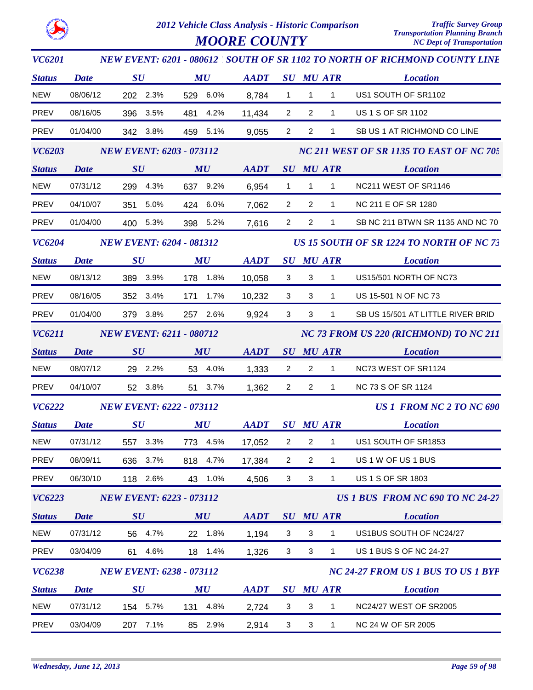

| <b>VC6201</b> |                                 |                                 |                                |             |                |                                          |              | NEW EVENT: 6201 - 080612 ' SOUTH OF SR 1102 TO NORTH OF RICHMOND COUNTY LINE |
|---------------|---------------------------------|---------------------------------|--------------------------------|-------------|----------------|------------------------------------------|--------------|------------------------------------------------------------------------------|
| <b>Status</b> | <b>Date</b>                     | SU                              | MU                             | <b>AADT</b> |                | <b>SU MU ATR</b>                         |              | <b>Location</b>                                                              |
| <b>NEW</b>    | 08/06/12                        | 202 2.3%                        | 529 6.0%                       | 8,784       | $\mathbf{1}$   | $\mathbf{1}$                             | $\mathbf{1}$ | US1 SOUTH OF SR1102                                                          |
| PREV          | 08/16/05                        | 396 3.5%                        | 481 4.2%                       | 11,434      | $\overline{2}$ | $\overline{2}$                           | $\mathbf{1}$ | US 1 S OF SR 1102                                                            |
| PREV          | 01/04/00                        | 342 3.8%                        | 459 5.1%                       | 9,055       | $\overline{2}$ | $\overline{c}$                           | 1            | SB US 1 AT RICHMOND CO LINE                                                  |
| <b>VC6203</b> | <b>NEW EVENT: 6203 - 073112</b> |                                 |                                |             |                | NC 211 WEST OF SR 1135 TO EAST OF NC 705 |              |                                                                              |
| <b>Status</b> | <b>Date</b>                     | SU                              | MU                             | <b>AADT</b> |                | <b>SU MU ATR</b>                         |              | <b>Location</b>                                                              |
| NEW           | 07/31/12                        | 299 4.3%                        | 637 9.2%                       | 6,954       | $\mathbf{1}$   | $\mathbf{1}$                             | $\mathbf{1}$ | NC211 WEST OF SR1146                                                         |
| PREV          | 04/10/07                        | 351 5.0%                        | 424 6.0%                       | 7,062       | $\overline{2}$ | $\overline{2}$                           | $\mathbf{1}$ | NC 211 E OF SR 1280                                                          |
| PREV          | 01/04/00                        | 400 5.3%                        | 398 5.2%                       | 7,616       | $\overline{2}$ | $\overline{2}$                           | $\mathbf{1}$ | SB NC 211 BTWN SR 1135 AND NC 70                                             |
| <b>VC6204</b> |                                 | <b>NEW EVENT: 6204 - 081312</b> |                                |             |                |                                          |              | US 15 SOUTH OF SR 1224 TO NORTH OF NC 73                                     |
| <b>Status</b> | <b>Date</b>                     | $\bm{S}\bm{U}$                  | $\boldsymbol{M}\boldsymbol{U}$ | <b>AADT</b> |                | <b>SU MU ATR</b>                         |              | <b>Location</b>                                                              |
| <b>NEW</b>    | 08/13/12                        | 389 3.9%                        | 178 1.8%                       | 10,058      | 3              | 3                                        | $\mathbf{1}$ | US15/501 NORTH OF NC73                                                       |
| PREV          | 08/16/05                        | 352 3.4%                        | 171 1.7%                       | 10,232      | 3              | 3                                        | $\mathbf{1}$ | US 15-501 N OF NC 73                                                         |
| PREV          | 01/04/00                        | 379 3.8%                        | 257 2.6%                       | 9,924       | 3              | 3                                        | $\mathbf{1}$ | SB US 15/501 AT LITTLE RIVER BRID                                            |
| VC6211        |                                 | <b>NEW EVENT: 6211 - 080712</b> |                                |             |                |                                          |              | NC 73 FROM US 220 (RICHMOND) TO NC 211                                       |
| <b>Status</b> | <b>Date</b>                     | SU                              | MU                             | AADT        |                | <b>SU MU ATR</b>                         |              | <b>Location</b>                                                              |
| NEW           | 08/07/12                        | 29 2.2%                         | 53 4.0%                        | 1,333       | $\overline{2}$ | $\overline{2}$                           | $\mathbf{1}$ | NC73 WEST OF SR1124                                                          |
| PREV          | 04/10/07                        | 52 3.8%                         | 51 3.7%                        | 1,362       | $\overline{2}$ | $\overline{2}$                           | $\mathbf{1}$ | NC 73 S OF SR 1124                                                           |
| <b>VC6222</b> |                                 | <b>NEW EVENT: 6222 - 073112</b> |                                |             |                |                                          |              | <b>US 1 FROM NC 2 TO NC 690</b>                                              |
| <b>Status</b> | <b>Date</b>                     | SU                              | MU                             | AADT        |                | <b>SU MU ATR</b>                         |              | <b>Location</b>                                                              |
| <b>NEW</b>    | 07/31/12                        | 557 3.3%                        | 773 4.5%                       | 17,052      | $\overline{c}$ | $\overline{2}$                           | $\mathbf{1}$ | US1 SOUTH OF SR1853                                                          |
| PREV          | 08/09/11                        | 636 3.7%                        | 818 4.7%                       | 17,384      | $\overline{2}$ | $\overline{2}$                           | 1            | US 1 W OF US 1 BUS                                                           |
| PREV          | 06/30/10                        | 118 2.6%                        | 43 1.0%                        | 4,506       | 3              | 3                                        | $\mathbf{1}$ | US 1 S OF SR 1803                                                            |
| <b>VC6223</b> |                                 | <b>NEW EVENT: 6223 - 073112</b> |                                |             |                |                                          |              | US 1 BUS FROM NC 690 TO NC 24-27                                             |
| <b>Status</b> | <b>Date</b>                     | SU                              | MU                             | <b>AADT</b> |                | <b>SU MU ATR</b>                         |              | <b>Location</b>                                                              |
| <b>NEW</b>    | 07/31/12                        | 56 4.7%                         | 22 1.8%                        | 1,194       | 3              | $\mathbf{3}$                             | 1            | US1BUS SOUTH OF NC24/27                                                      |
| PREV          | 03/04/09                        | 61 4.6%                         | 18 1.4%                        | 1,326       | 3              | $\mathbf{3}$                             | $\mathbf{1}$ | US 1 BUS S OF NC 24-27                                                       |
| <b>VC6238</b> |                                 | <b>NEW EVENT: 6238 - 073112</b> |                                |             |                |                                          |              | NC 24-27 FROM US 1 BUS TO US 1 BYP                                           |
| <b>Status</b> | <b>Date</b>                     | $\boldsymbol{S}\boldsymbol{U}$  | MU                             | <b>AADT</b> |                | <b>SU MU ATR</b>                         |              | <b>Location</b>                                                              |
| <b>NEW</b>    | 07/31/12                        | 154 5.7%                        | 131 4.8%                       | 2,724       | 3              | $\sqrt{3}$                               | 1            | NC24/27 WEST OF SR2005                                                       |
| PREV          | 03/04/09                        | 7.1%<br>207                     | 85<br>2.9%                     | 2,914       | $\mathbf{3}$   | $\mathsf 3$                              | $\mathbf{1}$ | NC 24 W OF SR 2005                                                           |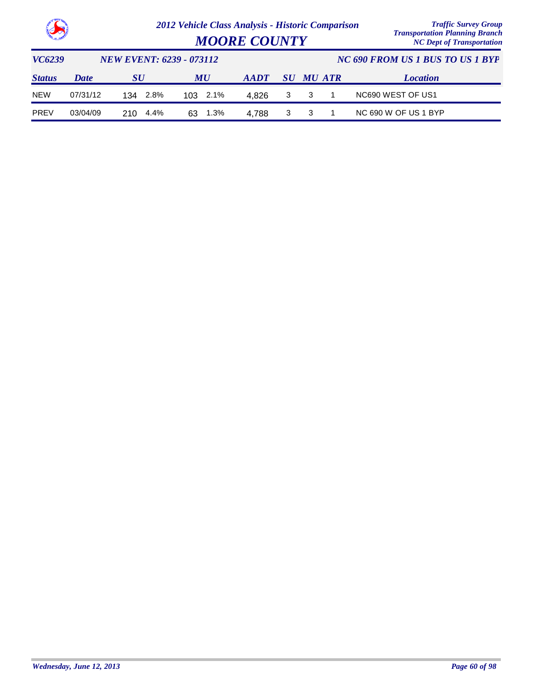

| <b>MOORE COUNTY</b> | $\ldots$<br><b>NC Dept of Transportation</b> |
|---------------------|----------------------------------------------|
|                     |                                              |

| VC6239        |          | <i>NEW EVENT: 6239 - 073112</i> |            |                | NC 690 FROM US 1 BUS TO US 1 BYP |           |  |                      |
|---------------|----------|---------------------------------|------------|----------------|----------------------------------|-----------|--|----------------------|
| <b>Status</b> | Date     | SU                              | MU         | $A$ <i>ADT</i> |                                  | SU MU ATR |  | <b>Location</b>      |
| <b>NEW</b>    | 07/31/12 | 2.8%<br>134                     | 103 2.1%   | 4.826          |                                  | 3 3       |  | NC690 WEST OF US1    |
| <b>PREV</b>   | 03/04/09 | 210.<br>4.4%                    | 1.3%<br>63 | 4.788          | 3 3                              |           |  | NC 690 W OF US 1 BYP |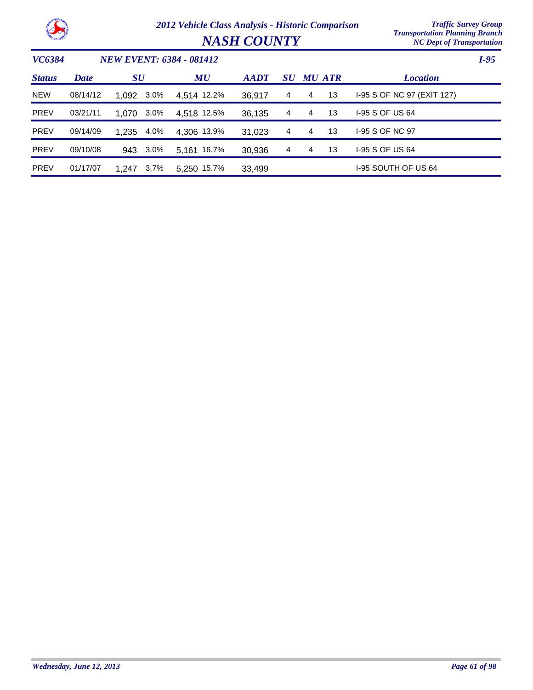

*NASH COUNTY* 

| VC6384        |             |           |         | <b>NEW EVENT: 6384 - 081412</b> |                |                |   |               |                            | $I-95$ |
|---------------|-------------|-----------|---------|---------------------------------|----------------|----------------|---|---------------|----------------------------|--------|
| <b>Status</b> | <b>Date</b> | <b>SU</b> |         | MU                              | $A$ <i>ADT</i> | SU             |   | <b>MU ATR</b> | <b>Location</b>            |        |
| <b>NEW</b>    | 08/14/12    | 1.092     | 3.0%    | 4,514 12.2%                     | 36,917         | 4              | 4 | 13            | 1-95 S OF NC 97 (EXIT 127) |        |
| <b>PREV</b>   | 03/21/11    | 1.070     | 3.0%    | 4.518 12.5%                     | 36.135         | 4              | 4 | 13            | 1-95 S OF US 64            |        |
| <b>PREV</b>   | 09/14/09    | 1.235     | 4.0%    | 4.306 13.9%                     | 31.023         | $\overline{4}$ | 4 | 13            | 1-95 S OF NC 97            |        |
| <b>PREV</b>   | 09/10/08    | 943       | $3.0\%$ | 5.161 16.7%                     | 30,936         | 4              | 4 | 13            | 1-95 S OF US 64            |        |
| <b>PREV</b>   | 01/17/07    | 1.247     | $3.7\%$ | 5.250 15.7%                     | 33,499         |                |   |               | I-95 SOUTH OF US 64        |        |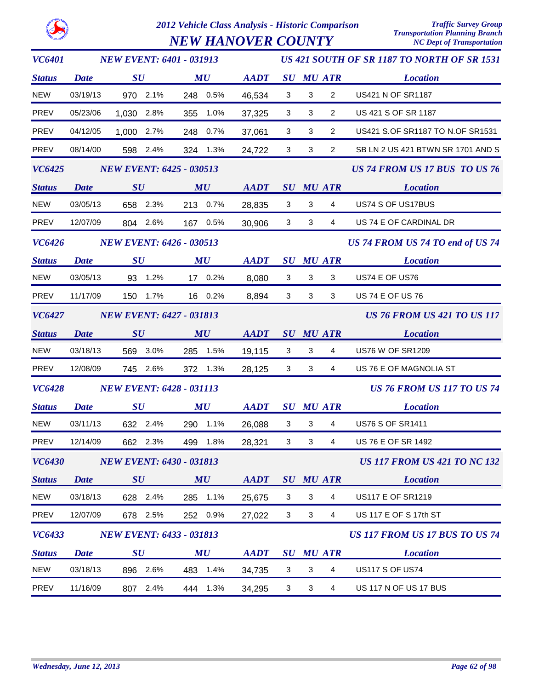

*NEW HANOVER COUNTY* 

| <b>VC6401</b> |             | <b>NEW EVENT: 6401 - 031913</b> |                                |                                                            |                         |              |                  | US 421 SOUTH OF SR 1187 TO NORTH OF SR 1531 |
|---------------|-------------|---------------------------------|--------------------------------|------------------------------------------------------------|-------------------------|--------------|------------------|---------------------------------------------|
| <b>Status</b> | <b>Date</b> | $\boldsymbol{S}\boldsymbol{U}$  | $\boldsymbol{M}\boldsymbol{U}$ | <b>AADT</b>                                                |                         |              | <b>SU MU ATR</b> | <b>Location</b>                             |
| <b>NEW</b>    | 03/19/13    | 970 2.1%                        | 248 0.5%                       | 46,534                                                     | $\mathbf{3}$            | 3            | $\overline{2}$   | <b>US421 N OF SR1187</b>                    |
| PREV          | 05/23/06    | 1,030 2.8%                      | 355 1.0%                       | 37,325                                                     | $\mathbf{3}$            | 3            | $\overline{2}$   | US 421 S OF SR 1187                         |
| PREV          | 04/12/05    | 1,000 2.7%                      | 248 0.7%                       | 37,061                                                     | $\mathbf{3}$            | 3            | $\overline{2}$   | US421 S.OF SR1187 TO N.OF SR1531            |
| PREV          | 08/14/00    | 598 2.4%                        | 324 1.3%                       | 24,722                                                     | $\mathbf{3}$            | $\mathbf{3}$ | $\overline{2}$   | SB LN 2 US 421 BTWN SR 1701 AND S           |
| <b>VC6425</b> |             | <b>NEW EVENT: 6425 - 030513</b> |                                |                                                            |                         |              |                  | US 74 FROM US 17 BUS TO US 76               |
| <b>Status</b> |             | Date SU                         | MU                             | AADT SU MU ATR                                             |                         |              |                  | <b>Location</b>                             |
| <b>NEW</b>    | 03/05/13    | 658 2.3%                        | 213 0.7%                       | 28,835                                                     | $\overline{\mathbf{3}}$ | $\mathbf{3}$ | $\overline{4}$   | US74 S OF US17BUS                           |
| PREV          | 12/07/09    | 804 2.6%                        | 167 0.5%                       | 30,906                                                     | $\mathbf{3}$            | $\mathbf{3}$ | $\overline{4}$   | US 74 E OF CARDINAL DR                      |
| <b>VC6426</b> |             | <b>NEW EVENT: 6426 - 030513</b> |                                |                                                            |                         |              |                  | US 74 FROM US 74 TO end of US 74            |
| <b>Status</b> | <b>Date</b> | $\bm{S}\bm{U}$                  | $\boldsymbol{M}\boldsymbol{U}$ | $\boldsymbol{A}\boldsymbol{A}\boldsymbol{D}\boldsymbol{T}$ |                         |              | <b>SU MU ATR</b> | <b>Location</b>                             |
| <b>NEW</b>    | 03/05/13    | 93 1.2%                         | 17 0.2%                        | 8,080                                                      | 3                       | $\mathbf{3}$ | 3 <sup>1</sup>   | US74 E OF US76                              |
| PREV          | 11/17/09    | 150 1.7%                        | 16 0.2%                        | 8,894                                                      | 3                       | $\mathbf{3}$ | $\mathbf{3}$     | <b>US 74 E OF US 76</b>                     |
| <b>VC6427</b> |             | <b>NEW EVENT: 6427 - 031813</b> |                                |                                                            |                         |              |                  | <b>US 76 FROM US 421 TO US 117</b>          |
| <b>Status</b> | <b>Date</b> | SU                              | MU                             | AADT SU MU ATR                                             |                         |              |                  | <b>Location</b>                             |
| <b>NEW</b>    | 03/18/13    | 569 3.0%                        | 285 1.5%                       | 19,115                                                     | $\mathbf{3}$            | $\mathbf{3}$ | $\overline{4}$   | <b>US76 W OF SR1209</b>                     |
| PREV          | 12/08/09    | 745 2.6%                        | 372 1.3%                       | 28,125                                                     | 3                       | $\mathbf{3}$ | $\overline{4}$   | US 76 E OF MAGNOLIA ST                      |
| <b>VC6428</b> |             | <b>NEW EVENT: 6428 - 031113</b> |                                |                                                            |                         |              |                  | <b>US 76 FROM US 117 TO US 74</b>           |
| <b>Status</b> | <b>Date</b> | $\boldsymbol{S}\boldsymbol{U}$  | $\boldsymbol{M}\boldsymbol{U}$ | $\boldsymbol{A}\boldsymbol{A}\boldsymbol{D}\boldsymbol{T}$ |                         |              | <b>SU MU ATR</b> | <b>Location</b>                             |
| <b>NEW</b>    | 03/11/13    | 632 2.4%                        | 290 1.1%                       | 26,088                                                     | $\mathbf{3}$            | $\mathbf{3}$ | $\overline{4}$   | <b>US76 S OF SR1411</b>                     |
| PREV          | 12/14/09    | 662 2.3%                        | 499 1.8%                       | 28,321                                                     | 3                       | $\mathbf{3}$ | $\overline{4}$   | US 76 E OF SR 1492                          |
| <b>VC6430</b> |             | <b>NEW EVENT: 6430 - 031813</b> |                                |                                                            |                         |              |                  | <b>US 117 FROM US 421 TO NC 132</b>         |
| <b>Status</b> | <b>Date</b> | SU                              | MU                             | AADT                                                       |                         |              | <b>SU MU ATR</b> | <b>Location</b>                             |
| <b>NEW</b>    | 03/18/13    | 628 2.4%                        | 285 1.1%                       | 25,675                                                     | 3                       | $\sqrt{3}$   | 4                | <b>US117 E OF SR1219</b>                    |
| PREV          | 12/07/09    | 678 2.5%                        | 252 0.9%                       | 27,022                                                     | 3                       | 3            | 4                | US 117 E OF S 17th ST                       |
| <b>VC6433</b> |             | <b>NEW EVENT: 6433 - 031813</b> |                                |                                                            |                         |              |                  | US 117 FROM US 17 BUS TO US 74              |
| <b>Status</b> | <b>Date</b> | $\boldsymbol{S}\boldsymbol{U}$  | MU                             | <b>AADT</b>                                                |                         |              | <b>SU MU ATR</b> | <b>Location</b>                             |
| <b>NEW</b>    | 03/18/13    | 896 2.6%                        | 483 1.4%                       | 34,735                                                     | 3                       | $\mathbf{3}$ | 4                | <b>US117 S OF US74</b>                      |
| <b>PREV</b>   | 11/16/09    | 807 2.4%                        | 444 1.3%                       | 34,295                                                     | 3                       | 3            | 4                | US 117 N OF US 17 BUS                       |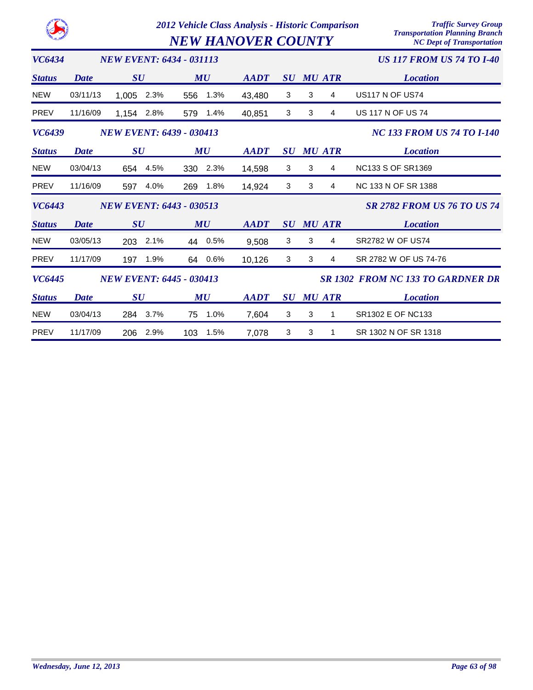|               |             |                                 |     |           | 2012 Vehicle Class Analysis - Historic Comparison<br><b>NEW HANOVER COUNTY</b> | <b>Traffic Survey Group</b><br><b>Transportation Planning Branch</b><br><b>NC Dept of Transportation</b> |   |                  |                                          |
|---------------|-------------|---------------------------------|-----|-----------|--------------------------------------------------------------------------------|----------------------------------------------------------------------------------------------------------|---|------------------|------------------------------------------|
| <b>VC6434</b> |             | <b>NEW EVENT: 6434 - 031113</b> |     |           |                                                                                |                                                                                                          |   |                  | <b>US 117 FROM US 74 TO I-40</b>         |
| <b>Status</b> | Date        | SU                              |     | MU        | <b>AADT</b>                                                                    | SU                                                                                                       |   | <b>MU ATR</b>    | <b>Location</b>                          |
| <b>NEW</b>    | 03/11/13    | 1,005<br>2.3%                   | 556 | 1.3%      | 43,480                                                                         | 3                                                                                                        | 3 | 4                | <b>US117 N OF US74</b>                   |
| <b>PREV</b>   | 11/16/09    | 1,154 2.8%                      | 579 | 1.4%      | 40,851                                                                         | 3                                                                                                        | 3 | 4                | <b>US 117 N OF US 74</b>                 |
| VC6439        |             | <b>NEW EVENT: 6439 - 030413</b> |     |           |                                                                                |                                                                                                          |   |                  | <b>NC 133 FROM US 74 TO I-140</b>        |
| <b>Status</b> | Date        | SU                              |     | MU        | <b>AADT</b>                                                                    |                                                                                                          |   | <b>SU MU ATR</b> | <b>Location</b>                          |
| <b>NEW</b>    | 03/04/13    | 654 4.5%                        |     | 330 2.3%  | 14,598                                                                         | 3                                                                                                        | 3 | 4                | <b>NC133 S OF SR1369</b>                 |
| <b>PREV</b>   | 11/16/09    | 4.0%<br>597                     | 269 | 1.8%      | 14,924                                                                         | 3                                                                                                        | 3 | 4                | <b>NC 133 N OF SR 1388</b>               |
| <b>VC6443</b> |             | <b>NEW EVENT: 6443 - 030513</b> |     |           |                                                                                |                                                                                                          |   |                  | <b>SR 2782 FROM US 76 TO US 74</b>       |
| <b>Status</b> | <b>Date</b> | SU                              |     | <b>MU</b> | <b>AADT</b>                                                                    | SU                                                                                                       |   | <b>MU ATR</b>    | <b>Location</b>                          |
| <b>NEW</b>    | 03/05/13    | 2.1%<br>203                     | 44  | 0.5%      | 9,508                                                                          | 3                                                                                                        | 3 | 4                | <b>SR2782 W OF US74</b>                  |
| <b>PREV</b>   | 11/17/09    | 1.9%<br>197                     |     | 64 0.6%   | 10,126                                                                         | 3                                                                                                        | 3 | 4                | SR 2782 W OF US 74-76                    |
| <b>VC6445</b> |             | <b>NEW EVENT: 6445 - 030413</b> |     |           |                                                                                |                                                                                                          |   |                  | <b>SR 1302 FROM NC 133 TO GARDNER DR</b> |
| <b>Status</b> | <b>Date</b> | SU                              |     | MU        | <b>AADT</b>                                                                    | $\bm{S}\bm{U}$                                                                                           |   | <b>MU ATR</b>    | <b>Location</b>                          |
| <b>NEW</b>    | 03/04/13    | 3.7%<br>284                     | 75  | 1.0%      | 7,604                                                                          | 3                                                                                                        | 3 | 1                | SR1302 E OF NC133                        |
| <b>PREV</b>   | 11/17/09    | 2.9%<br>206                     | 103 | 1.5%      | 7,078                                                                          | 3                                                                                                        | 3 | 1                | SR 1302 N OF SR 1318                     |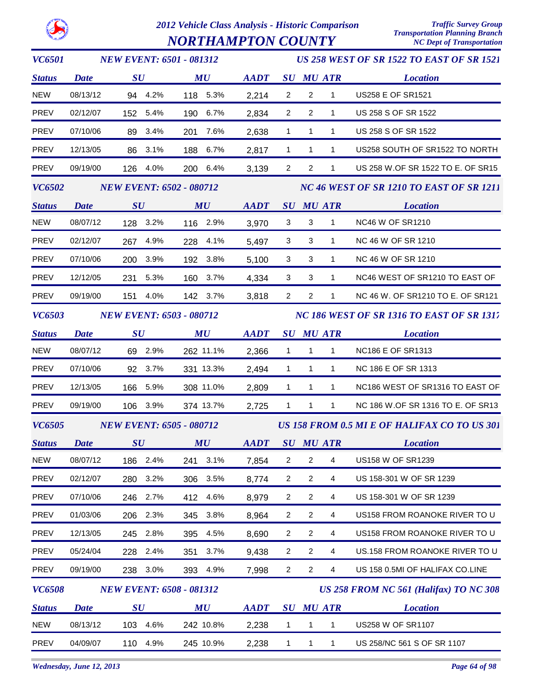

# *2012 Vehicle Class Analysis - Historic Comparison Traffic Survey Group NORTHAMPTON COUNTY*

| <i>VC6501</i> |             |                                |      | <b>NEW EVENT: 6501 - 081312</b> |             |                           |                |                  | <b>US 258 WEST OF SR 1522 TO EAST OF SR 1521</b> |
|---------------|-------------|--------------------------------|------|---------------------------------|-------------|---------------------------|----------------|------------------|--------------------------------------------------|
| <b>Status</b> | <b>Date</b> | SU                             |      | MU                              | <b>AADT</b> |                           |                | <b>SU MU ATR</b> | <b>Location</b>                                  |
| <b>NEW</b>    | 08/13/12    | 94 4.2%                        |      | 118 5.3%                        | 2,214       | $\overline{2}$            | $\overline{2}$ | $\mathbf{1}$     | US258 E OF SR1521                                |
| PREV          | 02/12/07    | 152 5.4%                       |      | 190 6.7%                        | 2,834       | $\overline{2}$            | $\overline{2}$ | $\mathbf{1}$     | US 258 S OF SR 1522                              |
| PREV          | 07/10/06    | 89                             | 3.4% | 7.6%<br>201                     | 2,638       | $\mathbf{1}$              | 1              | 1                | US 258 S OF SR 1522                              |
| PREV          | 12/13/05    | 86 3.1%                        |      | 188 6.7%                        | 2,817       | $\mathbf{1}$              | $\mathbf{1}$   | $\mathbf{1}$     | US258 SOUTH OF SR1522 TO NORTH                   |
| PREV          | 09/19/00    | 126 4.0%                       |      | 200 6.4%                        | 3,139       | $\overline{2}$            | $\overline{2}$ | 1                | US 258 W.OF SR 1522 TO E. OF SR15                |
| <b>VC6502</b> |             |                                |      | <b>NEW EVENT: 6502 - 080712</b> |             |                           |                |                  | NC 46 WEST OF SR 1210 TO EAST OF SR 1211         |
| <b>Status</b> | <b>Date</b> | SU                             |      | MU                              | <b>AADT</b> | SU                        |                | MU ATR           | <b>Location</b>                                  |
| NEW           | 08/07/12    | 128 3.2%                       |      | 116 2.9%                        | 3,970       | $\ensuremath{\mathsf{3}}$ | $\mathbf{3}$   | $\mathbf{1}$     | <b>NC46 W OF SR1210</b>                          |
| PREV          | 02/12/07    | 267 4.9%                       |      | 228 4.1%                        | 5,497       | 3                         | 3              | 1                | NC 46 W OF SR 1210                               |
| PREV          | 07/10/06    | 200 3.9%                       |      | 192 3.8%                        | 5,100       | 3                         | 3              | $\mathbf{1}$     | NC 46 W OF SR 1210                               |
| <b>PREV</b>   | 12/12/05    | 231                            | 5.3% | 160 3.7%                        | 4,334       | 3                         | 3              | 1                | NC46 WEST OF SR1210 TO EAST OF                   |
| <b>PREV</b>   | 09/19/00    | 151                            | 4.0% | 142 3.7%                        | 3,818       | $\overline{2}$            | 2              | 1                | NC 46 W. OF SR1210 TO E. OF SR121                |
| <b>VC6503</b> |             |                                |      | <b>NEW EVENT: 6503 - 080712</b> |             |                           |                |                  | NC 186 WEST OF SR 1316 TO EAST OF SR 1317        |
| <b>Status</b> | <b>Date</b> | $\boldsymbol{S}\boldsymbol{U}$ |      | MU                              | <b>AADT</b> |                           |                | <b>SU MU ATR</b> | <b>Location</b>                                  |
| <b>NEW</b>    | 08/07/12    | 69 2.9%                        |      | 262 11.1%                       | 2,366       | $\mathbf{1}$              | $\mathbf{1}$   | $\mathbf{1}$     | <b>NC186 E OF SR1313</b>                         |
| <b>PREV</b>   | 07/10/06    | 92 3.7%                        |      | 331 13.3%                       | 2,494       | $\mathbf{1}$              | 1              | $\mathbf{1}$     | NC 186 E OF SR 1313                              |
| PREV          | 12/13/05    | 166 5.9%                       |      | 308 11.0%                       | 2,809       | $\mathbf{1}$              | $\mathbf{1}$   | $\mathbf{1}$     | NC186 WEST OF SR1316 TO EAST OF                  |
| PREV          | 09/19/00    | 106 3.9%                       |      | 374 13.7%                       | 2,725       | $\mathbf{1}$              | 1              | 1                | NC 186 W.OF SR 1316 TO E. OF SR13                |
| <b>VC6505</b> |             |                                |      | <b>NEW EVENT: 6505 - 080712</b> |             |                           |                |                  | US 158 FROM 0.5 MI E OF HALIFAX CO TO US 301     |
| <b>Status</b> | <b>Date</b> | $\boldsymbol{S}\boldsymbol{U}$ |      | MU                              | <b>AADT</b> |                           |                | <b>SU MU ATR</b> | <b>Location</b>                                  |
| <b>NEW</b>    | 08/07/12    | 186 2.4%                       |      | 3.1%<br>241                     | 7,854       | $\overline{2}$            | 2              | 4                | US158 W OF SR1239                                |
| <b>PREV</b>   | 02/12/07    | 280                            | 3.2% | 306 3.5%                        | 8,774       | $\overline{a}$            | $\overline{c}$ | 4                | US 158-301 W OF SR 1239                          |
| <b>PREV</b>   | 07/10/06    | 246 2.7%                       |      | 412 4.6%                        | 8,979       | $\overline{2}$            | $\overline{c}$ | 4                | US 158-301 W OF SR 1239                          |
| <b>PREV</b>   | 01/03/06    | 206 2.3%                       |      | 3.8%<br>345                     | 8,964       | $\overline{a}$            | $\overline{c}$ | $\overline{4}$   | US158 FROM ROANOKE RIVER TO U                    |
| <b>PREV</b>   | 12/13/05    | 245 2.8%                       |      | 4.5%<br>395                     | 8,690       | $\overline{2}$            | 2              | 4                | US158 FROM ROANOKE RIVER TO U                    |
| <b>PREV</b>   | 05/24/04    | 228 2.4%                       |      | 351<br>3.7%                     | 9,438       | $\overline{c}$            | $\overline{c}$ | 4                | US.158 FROM ROANOKE RIVER TO U                   |
| <b>PREV</b>   | 09/19/00    | 238 3.0%                       |      | 393 4.9%                        | 7,998       | $\overline{a}$            | $\overline{2}$ | $\overline{4}$   | US 158 0.5MI OF HALIFAX CO.LINE                  |
| <b>VC6508</b> |             |                                |      | <b>NEW EVENT: 6508 - 081312</b> |             |                           |                |                  | US 258 FROM NC 561 (Halifax) TO NC 308           |
| <b>Status</b> | <b>Date</b> | $\boldsymbol{S}\boldsymbol{U}$ |      | MU                              | <b>AADT</b> | $\bm{S}\bm{U}$            |                | <b>MU ATR</b>    | <b>Location</b>                                  |
| <b>NEW</b>    | 08/13/12    | 103 4.6%                       |      | 242 10.8%                       | 2,238       | 1                         | $\mathbf{1}$   | $\mathbf{1}$     | US258 W OF SR1107                                |
| PREV          | 04/09/07    | 110                            | 4.9% | 245 10.9%                       | 2,238       | $\mathbf{1}$              | 1              | $\mathbf{1}$     | US 258/NC 561 S OF SR 1107                       |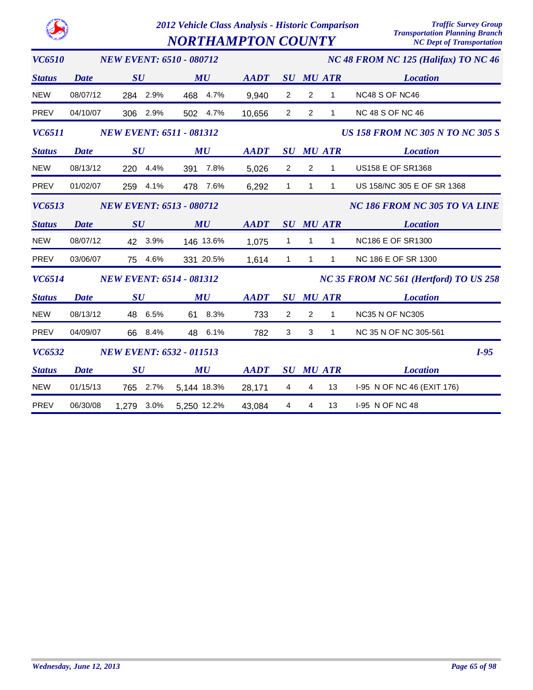*NORTHAMPTON COUNTY* 

| <b>VC6510</b> |             | <b>NEW EVENT: 6510 - 080712</b> |             |             |                                |                         |                  | NC 48 FROM NC 125 (Halifax) TO NC 46    |
|---------------|-------------|---------------------------------|-------------|-------------|--------------------------------|-------------------------|------------------|-----------------------------------------|
| <b>Status</b> | <b>Date</b> | SU                              | MU          | <b>AADT</b> | $\boldsymbol{S}\boldsymbol{U}$ |                         | <b>MU ATR</b>    | <b>Location</b>                         |
| <b>NEW</b>    | 08/07/12    | 284 2.9%                        | 468 4.7%    | 9,940       | $\overline{2}$                 | $\overline{2}$          | $\mathbf{1}$     | NC48 S OF NC46                          |
| PREV          | 04/10/07    | 306 2.9%                        | 502 4.7%    | 10,656      | $\overline{2}$                 | $\overline{2}$          | $\mathbf{1}$     | <b>NC 48 S OF NC 46</b>                 |
| <b>VC6511</b> |             | <b>NEW EVENT: 6511 - 081312</b> |             |             |                                |                         |                  | <b>US 158 FROM NC 305 N TO NC 305 S</b> |
| <b>Status</b> | <b>Date</b> | $\boldsymbol{S}\boldsymbol{U}$  | MU          | <b>AADT</b> |                                |                         | <b>SU MU ATR</b> | <b>Location</b>                         |
| <b>NEW</b>    | 08/13/12    | 220 4.4%                        | 391 7.8%    | 5,026       | $\overline{2}$                 | $\overline{2}$          | $\mathbf{1}$     | <b>US158 E OF SR1368</b>                |
| PREV          | 01/02/07    | 259 4.1%                        | 478 7.6%    | 6,292       | $\mathbf{1}$                   | $\mathbf{1}$            | $\mathbf{1}$     | US 158/NC 305 E OF SR 1368              |
| <b>VC6513</b> |             | <b>NEW EVENT: 6513 - 080712</b> |             |             |                                |                         |                  | NC 186 FROM NC 305 TO VA LINE           |
| <b>Status</b> | <b>Date</b> | SU                              | MU          | <b>AADT</b> |                                |                         | <b>SU MU ATR</b> | <b>Location</b>                         |
| <b>NEW</b>    | 08/07/12    | 42 3.9%                         | 146 13.6%   | 1,075       | $\mathbf{1}$                   | $\mathbf{1}$            | $\mathbf{1}$     | <b>NC186 E OF SR1300</b>                |
| <b>PREV</b>   | 03/06/07    | 75 4.6%                         | 331 20.5%   | 1,614       | $\mathbf{1}$                   | $\mathbf{1}$            | $\mathbf{1}$     | NC 186 E OF SR 1300                     |
| <b>VC6514</b> |             | <b>NEW EVENT: 6514 - 081312</b> |             |             |                                |                         |                  | NC 35 FROM NC 561 (Hertford) TO US 258  |
| <b>Status</b> | <b>Date</b> | SU                              | MU          | <b>AADT</b> | $\boldsymbol{S}\boldsymbol{U}$ |                         | <b>MU ATR</b>    | <b>Location</b>                         |
| <b>NEW</b>    | 08/13/12    | 48 6.5%                         | 61 8.3%     | 733         | $\overline{2}$                 | $\overline{2}$          | $\mathbf{1}$     | <b>NC35 N OF NC305</b>                  |
| PREV          | 04/09/07    | 66 8.4%                         | 48 6.1%     | 782         | 3                              | 3                       | $\mathbf{1}$     | NC 35 N OF NC 305-561                   |
| <b>VC6532</b> |             | <b>NEW EVENT: 6532 - 011513</b> |             |             |                                |                         |                  | $I-95$                                  |
| <b>Status</b> | <b>Date</b> | $\boldsymbol{S}\boldsymbol{U}$  | MU          | <b>AADT</b> |                                |                         | <b>SU MU ATR</b> | <b>Location</b>                         |
| <b>NEW</b>    | 01/15/13    | 2.7%<br>765                     | 5,144 18.3% | 28,171      | $\overline{4}$                 | $\overline{4}$          | 13               | I-95 N OF NC 46 (EXIT 176)              |
| <b>PREV</b>   | 06/30/08    | 3.0%<br>1,279                   | 5,250 12.2% | 43,084      | $\overline{4}$                 | $\overline{\mathbf{4}}$ | 13               | I-95 N OF NC 48                         |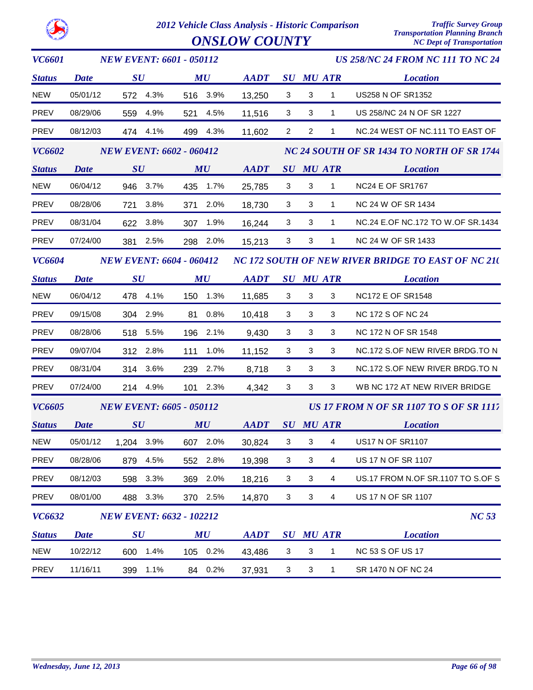

| <i>VC6601</i> |             | <b>NEW EVENT: 6601 - 050112</b> |          |          |                                                            |                           |                           |                  | <b>US 258/NC 24 FROM NC 111 TO NC 24</b>           |
|---------------|-------------|---------------------------------|----------|----------|------------------------------------------------------------|---------------------------|---------------------------|------------------|----------------------------------------------------|
| <b>Status</b> | <b>Date</b> | $\boldsymbol{S}\boldsymbol{U}$  |          | MU       | <b>AADT</b>                                                |                           |                           | <b>SU MU ATR</b> | <b>Location</b>                                    |
| <b>NEW</b>    | 05/01/12    |                                 | 572 4.3% | 516 3.9% | 13,250                                                     | 3                         | 3                         | $\mathbf{1}$     | US258 N OF SR1352                                  |
| <b>PREV</b>   | 08/29/06    |                                 | 559 4.9% | 521 4.5% | 11,516                                                     | 3                         | $\mathbf{3}$              | $\mathbf{1}$     | US 258/NC 24 N OF SR 1227                          |
| <b>PREV</b>   | 08/12/03    |                                 | 474 4.1% | 499 4.3% | 11,602                                                     | $\overline{2}$            | 2                         | 1                | NC.24 WEST OF NC.111 TO EAST OF                    |
| <b>VC6602</b> |             | <b>NEW EVENT: 6602 - 060412</b> |          |          |                                                            |                           |                           |                  | NC 24 SOUTH OF SR 1434 TO NORTH OF SR 1744         |
| <b>Status</b> | <b>Date</b> | $\boldsymbol{S}\boldsymbol{U}$  |          | MU       | <b>AADT</b>                                                |                           |                           | <b>SU MU ATR</b> | <b>Location</b>                                    |
| <b>NEW</b>    | 06/04/12    |                                 | 946 3.7% | 435 1.7% | 25,785                                                     | $\mathbf{3}$              | 3                         | $\mathbf{1}$     | <b>NC24 E OF SR1767</b>                            |
| PREV          | 08/28/06    | 721                             | 3.8%     | 371 2.0% | 18,730                                                     | 3                         | 3                         | $\mathbf{1}$     | NC 24 W OF SR 1434                                 |
| PREV          | 08/31/04    |                                 | 622 3.8% | 307 1.9% | 16,244                                                     | 3                         | $\sqrt{3}$                | $\mathbf{1}$     | NC.24 E.OF NC.172 TO W.OF SR.1434                  |
| PREV          | 07/24/00    |                                 | 381 2.5% | 298 2.0% | 15,213                                                     | 3                         | 3                         | $\mathbf{1}$     | NC 24 W OF SR 1433                                 |
| <b>VC6604</b> |             | <b>NEW EVENT: 6604 - 060412</b> |          |          |                                                            |                           |                           |                  | NC 172 SOUTH OF NEW RIVER BRIDGE TO EAST OF NC 210 |
| <b>Status</b> | <b>Date</b> | $\boldsymbol{S}\boldsymbol{U}$  |          | MU       | $\boldsymbol{A}\boldsymbol{A}\boldsymbol{D}\boldsymbol{T}$ |                           |                           | <b>SU MU ATR</b> | <b>Location</b>                                    |
| <b>NEW</b>    | 06/04/12    |                                 | 478 4.1% | 150 1.3% | 11,685                                                     | 3                         | $\mathbf{3}$              | $\mathbf{3}$     | <b>NC172 E OF SR1548</b>                           |
| <b>PREV</b>   | 09/15/08    |                                 | 304 2.9% | 81 0.8%  | 10,418                                                     | 3                         | 3                         | 3                | NC 172 S OF NC 24                                  |
| <b>PREV</b>   | 08/28/06    |                                 | 518 5.5% | 196 2.1% | 9,430                                                      | 3                         | $\mathbf{3}$              | 3                | NC 172 N OF SR 1548                                |
| <b>PREV</b>   | 09/07/04    |                                 | 312 2.8% | 111 1.0% | 11,152                                                     | $\mathbf{3}$              | 3                         | 3                | NC.172 S.OF NEW RIVER BRDG.TO N                    |
| <b>PREV</b>   | 08/31/04    |                                 | 314 3.6% | 239 2.7% | 8,718                                                      | $\mathbf{3}$              | $\mathbf{3}$              | 3                | NC.172 S.OF NEW RIVER BRDG.TO N                    |
| PREV          | 07/24/00    |                                 | 214 4.9% | 101 2.3% | 4,342                                                      | 3                         | 3                         | 3                | WB NC 172 AT NEW RIVER BRIDGE                      |
| <b>VC6605</b> |             | <b>NEW EVENT: 6605 - 050112</b> |          |          |                                                            |                           |                           |                  | <b>US 17 FROM N OF SR 1107 TO S OF SR 1117</b>     |
| <b>Status</b> | <b>Date</b> | SU                              |          | MU       | AADT                                                       |                           |                           | <b>SU MU ATR</b> | <b>Location</b>                                    |
| <b>NEW</b>    | 05/01/12    | 1,204 3.9%                      |          | 607 2.0% | 30,824                                                     | $\mathbf{3}$              | $\mathbf{3}$              | $\overline{4}$   | <b>US17 N OF SR1107</b>                            |
| PREV          | 08/28/06    | 879                             | 4.5%     | 552 2.8% | 19,398                                                     | 3                         | 3                         | 4                | US 17 N OF SR 1107                                 |
| <b>PREV</b>   | 08/12/03    | 598                             | 3.3%     | 369 2.0% | 18,216                                                     | 3                         | $\ensuremath{\mathsf{3}}$ | 4                | US.17 FROM N.OF SR.1107 TO S.OF S                  |
| PREV          | 08/01/00    |                                 | 488 3.3% | 370 2.5% | 14,870                                                     | 3                         | $\mathbf{3}$              | 4                | US 17 N OF SR 1107                                 |
| <b>VC6632</b> |             | <b>NEW EVENT: 6632 - 102212</b> |          |          |                                                            |                           |                           |                  | NC 53                                              |
| <b>Status</b> | <b>Date</b> | $\boldsymbol{S}\boldsymbol{U}$  |          | MU       | <b>AADT</b>                                                |                           |                           | <b>SU MU ATR</b> | <b>Location</b>                                    |
| <b>NEW</b>    | 10/22/12    |                                 | 600 1.4% | 105 0.2% | 43,486                                                     | $\ensuremath{\mathsf{3}}$ | $\sqrt{3}$                | 1                | <b>NC 53 S OF US 17</b>                            |
| <b>PREV</b>   | 11/16/11    | 399                             | 1.1%     | 84 0.2%  | 37,931                                                     | $\ensuremath{\mathsf{3}}$ | 3                         | $\mathbf{1}$     | SR 1470 N OF NC 24                                 |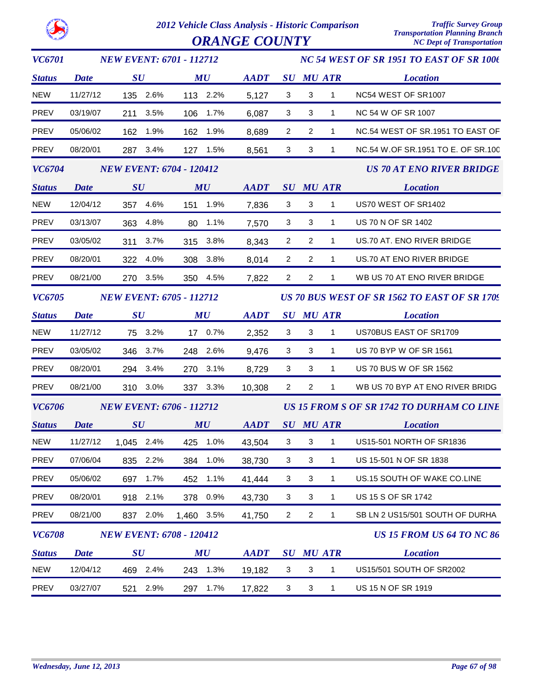| <b>VC6701</b> |             |                                | <b>NEW EVENT: 6701 - 112712</b> |             |                |                |                  | NC 54 WEST OF SR 1951 TO EAST OF SR 1006     |
|---------------|-------------|--------------------------------|---------------------------------|-------------|----------------|----------------|------------------|----------------------------------------------|
| <b>Status</b> | <b>Date</b> | SU                             | $\boldsymbol{M}\boldsymbol{U}$  | <b>AADT</b> |                |                | <b>SU MU ATR</b> | <b>Location</b>                              |
| <b>NEW</b>    | 11/27/12    | 135 2.6%                       | 113 2.2%                        | 5,127       | 3              | 3              | $\mathbf{1}$     | NC54 WEST OF SR1007                          |
| PREV          | 03/19/07    | 211 3.5%                       | 106 1.7%                        | 6,087       | 3              | 3              | $\mathbf{1}$     | NC 54 W OF SR 1007                           |
| PREV          | 05/06/02    | 162 1.9%                       | 162 1.9%                        | 8,689       | 2              | $\overline{2}$ | $\mathbf{1}$     | NC.54 WEST OF SR.1951 TO EAST OF             |
| PREV          | 08/20/01    | 287 3.4%                       | 127 1.5%                        | 8,561       | 3              | 3              | $\mathbf{1}$     | NC.54 W.OF SR.1951 TO E. OF SR.100           |
| <b>VC6704</b> |             |                                | <b>NEW EVENT: 6704 - 120412</b> |             |                |                |                  | <b>US 70 AT ENO RIVER BRIDGE</b>             |
| <b>Status</b> | <b>Date</b> | SU                             | $\boldsymbol{M}\boldsymbol{U}$  | <b>AADT</b> |                |                | <b>SU MU ATR</b> | <b>Location</b>                              |
| <b>NEW</b>    | 12/04/12    | 357 4.6%                       | 151 1.9%                        | 7,836       | 3              | 3              | $\mathbf{1}$     | US70 WEST OF SR1402                          |
| PREV          | 03/13/07    | 363<br>4.8%                    | 1.1%<br>80                      | 7,570       | 3              | 3              | $\mathbf{1}$     | US 70 N OF SR 1402                           |
| PREV          | 03/05/02    | 311<br>3.7%                    | 315 3.8%                        | 8,343       | $\overline{2}$ | $\overline{2}$ | $\mathbf{1}$     | US.70 AT. ENO RIVER BRIDGE                   |
| PREV          | 08/20/01    | 322 4.0%                       | 308 3.8%                        | 8,014       | $\overline{2}$ | $\overline{2}$ | $\mathbf{1}$     | US.70 AT ENO RIVER BRIDGE                    |
| PREV          | 08/21/00    | 270 3.5%                       | 350 4.5%                        | 7,822       | $\overline{2}$ | $\overline{2}$ | $\mathbf{1}$     | WB US 70 AT ENO RIVER BRIDGE                 |
| <i>VC6705</i> |             |                                | <b>NEW EVENT: 6705 - 112712</b> |             |                |                |                  | US 70 BUS WEST OF SR 1562 TO EAST OF SR 1709 |
| <b>Status</b> | <b>Date</b> | SU                             | MU                              | <b>AADT</b> |                |                | <b>SU MU ATR</b> | <b>Location</b>                              |
| <b>NEW</b>    | 11/27/12    | 75 3.2%                        | 17 0.7%                         | 2,352       | 3              | 3              | $\mathbf{1}$     | US70BUS EAST OF SR1709                       |
| PREV          | 03/05/02    | 346 3.7%                       | 248 2.6%                        | 9,476       | 3              | 3              | $\mathbf{1}$     | US 70 BYP W OF SR 1561                       |
| PREV          | 08/20/01    | 294 3.4%                       | 270 3.1%                        | 8,729       | 3              | 3              | $\mathbf{1}$     | US 70 BUS W OF SR 1562                       |
| PREV          | 08/21/00    | 310 3.0%                       | 337 3.3%                        | 10,308      | $\overline{2}$ | $\overline{2}$ | $\mathbf{1}$     | WB US 70 BYP AT ENO RIVER BRIDG              |
| <b>VC6706</b> |             |                                | <b>NEW EVENT: 6706 - 112712</b> |             |                |                |                  | US 15 FROM S OF SR 1742 TO DURHAM CO LINE    |
| <b>Status</b> | <b>Date</b> | SU                             | MU                              | <b>AADT</b> |                |                | <b>SU MU ATR</b> | <b>Location</b>                              |
| <b>NEW</b>    | 11/27/12    | 1,045 2.4%                     | 425 1.0%                        | 43,504      | 3              | $\mathbf{3}$   | $\mathbf{1}$     | US15-501 NORTH OF SR1836                     |
| <b>PREV</b>   | 07/06/04    | 835<br>2.2%                    | 1.0%<br>384                     | 38,730      | 3              | 3              | 1                | US 15-501 N OF SR 1838                       |
| PREV          | 05/06/02    | 1.7%<br>697                    | 1.1%<br>452                     | 41,444      | 3              | 3              | $\mathbf{1}$     | US.15 SOUTH OF WAKE CO.LINE                  |
| PREV          | 08/20/01    | 918 2.1%                       | 378 0.9%                        | 43,730      | 3              | 3              | $\mathbf{1}$     | US 15 S OF SR 1742                           |
| PREV          | 08/21/00    | 837 2.0%                       | 1,460 3.5%                      | 41,750      | $\overline{2}$ | $\overline{c}$ | $\mathbf{1}$     | SB LN 2 US15/501 SOUTH OF DURHA              |
| <i>VC6708</i> |             |                                | <b>NEW EVENT: 6708 - 120412</b> |             |                |                |                  | <b>US 15 FROM US 64 TO NC 86</b>             |
| <b>Status</b> | <b>Date</b> | $\boldsymbol{S}\boldsymbol{U}$ | MU                              | <b>AADT</b> |                |                | <b>SU MU ATR</b> | <b>Location</b>                              |
| <b>NEW</b>    | 12/04/12    | 469 2.4%                       | 243 1.3%                        | 19,182      | 3              | 3              | $\mathbf{1}$     | US15/501 SOUTH OF SR2002                     |
| <b>PREV</b>   | 03/27/07    | 2.9%<br>521                    | 1.7%<br>297                     | 17,822      | 3              | 3              | $\mathbf{1}$     | US 15 N OF SR 1919                           |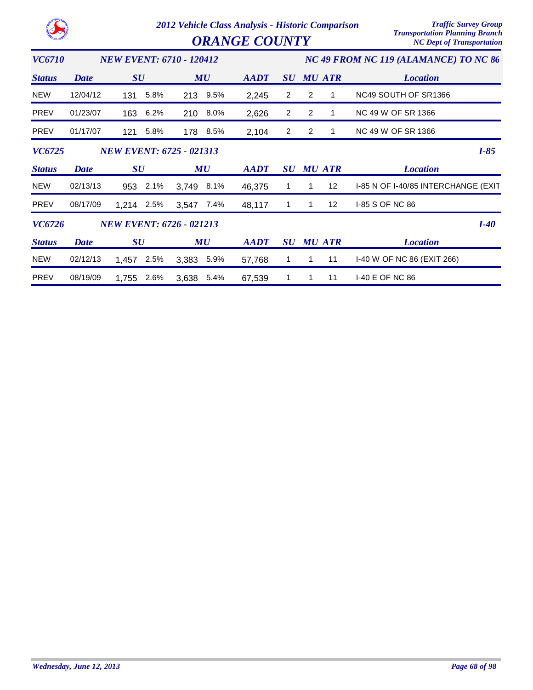|               |             |                                 |         | 2012 Vehicle Class Analysis - Historic Comparison<br><b>ORANGE COUNTY</b> |          | <b>Traffic Survey Group</b><br><b>Transportation Planning Branch</b><br><b>NC Dept of Transportation</b> |                                |                                       |               |                                     |        |
|---------------|-------------|---------------------------------|---------|---------------------------------------------------------------------------|----------|----------------------------------------------------------------------------------------------------------|--------------------------------|---------------------------------------|---------------|-------------------------------------|--------|
| <i>VC6710</i> |             | <b>NEW EVENT: 6710 - 120412</b> |         |                                                                           |          |                                                                                                          |                                | NC 49 FROM NC 119 (ALAMANCE) TO NC 86 |               |                                     |        |
| <b>Status</b> | Date        | $\boldsymbol{S}\boldsymbol{U}$  |         | MU                                                                        |          | <b>AADT</b>                                                                                              | SU                             |                                       | <b>MU ATR</b> | <b>Location</b>                     |        |
| <b>NEW</b>    | 12/04/12    | 131                             | 5.8%    |                                                                           | 213 9.5% | 2,245                                                                                                    | 2                              | 2                                     | 1             | NC49 SOUTH OF SR1366                |        |
| <b>PREV</b>   | 01/23/07    | 163                             | 6.2%    | 210                                                                       | 8.0%     | 2,626                                                                                                    | $\overline{2}$                 | 2                                     | 1             | NC 49 W OF SR 1366                  |        |
| <b>PREV</b>   | 01/17/07    | 121                             | 5.8%    | 178                                                                       | 8.5%     | 2,104                                                                                                    | 2                              | 2                                     | 1             | NC 49 W OF SR 1366                  |        |
| <b>VC6725</b> |             | <b>NEW EVENT: 6725 - 021313</b> |         |                                                                           |          |                                                                                                          |                                |                                       |               |                                     | $I-85$ |
| <b>Status</b> | <b>Date</b> | $\boldsymbol{S}\boldsymbol{U}$  |         |                                                                           | MU       | <b>AADT</b>                                                                                              | $\boldsymbol{S}\boldsymbol{U}$ |                                       | <b>MU ATR</b> | <b>Location</b>                     |        |
| <b>NEW</b>    | 02/13/13    | 953                             | $2.1\%$ | 3,749                                                                     | $8.1\%$  | 46,375                                                                                                   | 1                              | 1                                     | 12            | I-85 N OF I-40/85 INTERCHANGE (EXIT |        |
| <b>PREV</b>   | 08/17/09    | 1,214 2.5%                      |         | 3,547                                                                     | 7.4%     | 48,117                                                                                                   | 1                              | 1                                     | 12            | I-85 S OF NC 86                     |        |
| <b>VC6726</b> |             | <b>NEW EVENT: 6726 - 021213</b> |         |                                                                           |          |                                                                                                          |                                |                                       |               |                                     | $I-40$ |
| <b>Status</b> | <b>Date</b> | $\boldsymbol{S}\boldsymbol{U}$  |         |                                                                           | MU       | <b>AADT</b>                                                                                              | $\boldsymbol{S}\boldsymbol{U}$ |                                       | <b>MU ATR</b> | <b>Location</b>                     |        |
| <b>NEW</b>    | 02/12/13    | 1,457                           | 2.5%    | 3,383                                                                     | 5.9%     | 57,768                                                                                                   | 1                              | 1                                     | 11            | I-40 W OF NC 86 (EXIT 266)          |        |
| <b>PREV</b>   | 08/19/09    | 1,755                           | 2.6%    | 3,638                                                                     | 5.4%     | 67,539                                                                                                   | 1                              |                                       | 11            | I-40 E OF NC 86                     |        |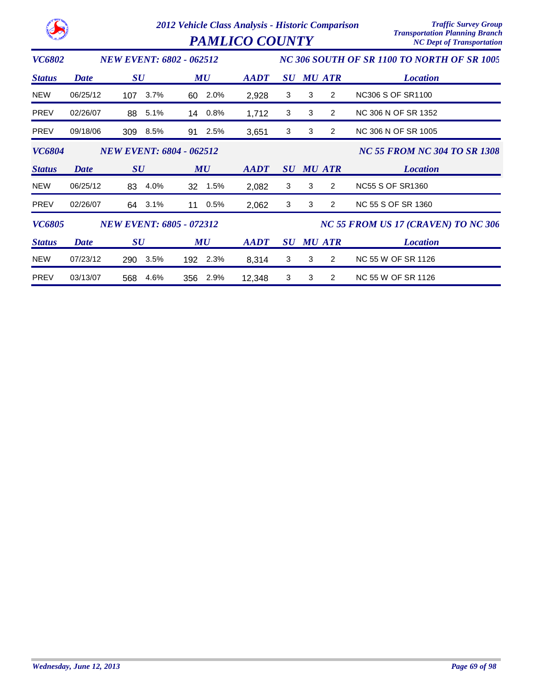|               |             |                                 | 2012 Vehicle Class Analysis - Historic Comparison<br><b>PAMLICO COUNTY</b> |             |   |                     | <b>Traffic Survey Group</b><br><b>Transportation Planning Branch</b><br><b>NC Dept of Transportation</b> |
|---------------|-------------|---------------------------------|----------------------------------------------------------------------------|-------------|---|---------------------|----------------------------------------------------------------------------------------------------------|
| <b>VC6802</b> |             | <b>NEW EVENT: 6802 - 062512</b> |                                                                            |             |   |                     | NC 306 SOUTH OF SR 1100 TO NORTH OF SR 1005                                                              |
| <b>Status</b> | <b>Date</b> | $\boldsymbol{S}\boldsymbol{U}$  | MU                                                                         | <b>AADT</b> |   | <b>SU MU ATR</b>    | <b>Location</b>                                                                                          |
| <b>NEW</b>    | 06/25/12    | 3.7%<br>107                     | 2.0%<br>60                                                                 | 2,928       | 3 | 3<br>$\overline{2}$ | <b>NC306 S OF SR1100</b>                                                                                 |
| <b>PREV</b>   | 02/26/07    | 5.1%<br>88                      | 0.8%<br>14                                                                 | 1,712       | 3 | 3<br>$\overline{2}$ | NC 306 N OF SR 1352                                                                                      |
| <b>PREV</b>   | 09/18/06    | 309<br>8.5%                     | 2.5%<br>91                                                                 | 3,651       | 3 | 3<br>$\overline{2}$ | NC 306 N OF SR 1005                                                                                      |
| <b>VC6804</b> |             | <b>NEW EVENT: 6804 - 062512</b> |                                                                            |             |   |                     | <b>NC 55 FROM NC 304 TO SR 1308</b>                                                                      |
| <b>Status</b> | Date        | $\boldsymbol{S}\boldsymbol{U}$  | MU                                                                         | <b>AADT</b> |   | <b>SU MU ATR</b>    | <b>Location</b>                                                                                          |
| <b>NEW</b>    | 06/25/12    | 4.0%<br>83                      | 1.5%<br>32                                                                 | 2,082       | 3 | 3<br>$\overline{2}$ | <b>NC55 S OF SR1360</b>                                                                                  |
| <b>PREV</b>   | 02/26/07    | 3.1%<br>64                      | 0.5%<br>11                                                                 | 2,062       | 3 | 3<br>2              | NC 55 S OF SR 1360                                                                                       |
| <b>VC6805</b> |             | <b>NEW EVENT: 6805 - 072312</b> |                                                                            |             |   |                     | NC 55 FROM US 17 (CRAVEN) TO NC 306                                                                      |
| <b>Status</b> | <b>Date</b> | $\boldsymbol{S}\boldsymbol{U}$  | MU                                                                         | <b>AADT</b> |   | <b>SU MU ATR</b>    | <b>Location</b>                                                                                          |
| <b>NEW</b>    | 07/23/12    | 3.5%<br>290                     | 192 2.3%                                                                   | 8,314       | 3 | 3<br>$\overline{2}$ | NC 55 W OF SR 1126                                                                                       |
| <b>PREV</b>   | 03/13/07    | 4.6%<br>568                     | 356 2.9%                                                                   | 12,348      | 3 | 3<br>$\overline{2}$ | NC 55 W OF SR 1126                                                                                       |

**CALIFORNIA**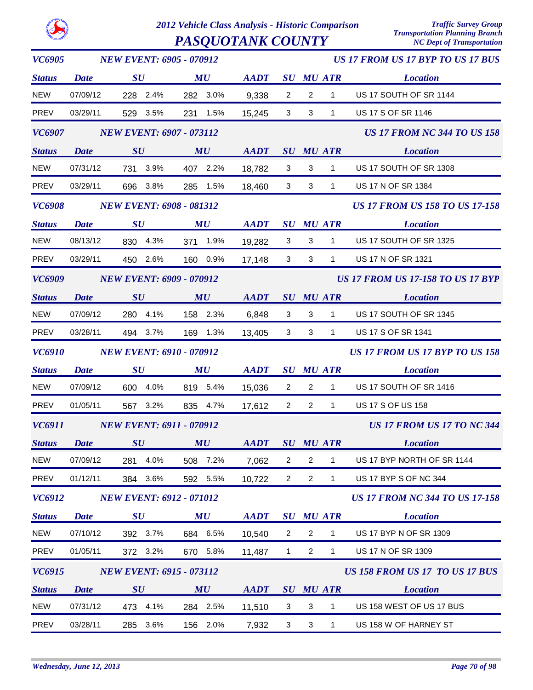*2012 Vehicle Class Analysis - Historic Comparison Traffic Survey Group*  $PASQUOTANK$   $COUNTY$ 

| VC6905               | <b>NEW EVENT: 6905 - 070912</b> |                                 |                                |                                                            |                                | <b>US 17 FROM US 17 BYP TO US 17 BUS</b> |                  |                                          |
|----------------------|---------------------------------|---------------------------------|--------------------------------|------------------------------------------------------------|--------------------------------|------------------------------------------|------------------|------------------------------------------|
| <b>Status</b>        | <b>Date</b>                     | SU                              | MU                             | <b>AADT</b>                                                | $\boldsymbol{S}\boldsymbol{U}$ |                                          | <b>MU ATR</b>    | <b>Location</b>                          |
| NEW                  | 07/09/12                        | 228 2.4%                        | 282 3.0%                       | 9,338                                                      | $\overline{2}$                 | $\overline{2}$                           | $\mathbf{1}$     | US 17 SOUTH OF SR 1144                   |
| PREV                 | 03/29/11                        | 529 3.5%                        | 231 1.5%                       | 15,245                                                     | 3                              | 3                                        | $\mathbf{1}$     | US 17 S OF SR 1146                       |
| <b>VC6907</b>        |                                 | <b>NEW EVENT: 6907 - 073112</b> |                                |                                                            |                                |                                          |                  | <b>US 17 FROM NC 344 TO US 158</b>       |
| <b>Status</b>        | <b>Date</b>                     | SU                              | MU                             | <b>AADT</b>                                                |                                |                                          | <b>SU MU ATR</b> | <b>Location</b>                          |
| <b>NEW</b>           | 07/31/12                        | 731 3.9%                        | 407 2.2%                       | 18,782                                                     | 3                              | 3                                        | $\mathbf{1}$     | US 17 SOUTH OF SR 1308                   |
| PREV                 | 03/29/11                        | 696 3.8%                        | 285 1.5%                       | 18,460                                                     | 3                              | 3                                        | $\mathbf{1}$     | US 17 N OF SR 1384                       |
| <i><b>VC6908</b></i> |                                 | <b>NEW EVENT: 6908 - 081312</b> |                                |                                                            |                                |                                          |                  | <b>US 17 FROM US 158 TO US 17-158</b>    |
| <b>Status</b>        | <b>Date</b>                     | SU                              | MU                             | <b>AADT</b>                                                |                                |                                          | <b>SU MU ATR</b> | <b>Location</b>                          |
| <b>NEW</b>           | 08/13/12                        | 830 4.3%                        | 1.9%<br>371                    | 19,282                                                     | 3                              | 3                                        | $\mathbf{1}$     | US 17 SOUTH OF SR 1325                   |
| PREV                 | 03/29/11                        | 450 2.6%                        | 160 0.9%                       | 17,148                                                     | 3                              | 3                                        | $\mathbf{1}$     | US 17 N OF SR 1321                       |
| VC6909               |                                 | <b>NEW EVENT: 6909 - 070912</b> |                                |                                                            |                                |                                          |                  | <b>US 17 FROM US 17-158 TO US 17 BYP</b> |
| <b>Status</b>        | <b>Date</b>                     | SU                              | MU                             | <b>AADT</b>                                                |                                |                                          | <b>SU MU ATR</b> | <b>Location</b>                          |
| <b>NEW</b>           | 07/09/12                        | 280 4.1%                        | 158 2.3%                       | 6,848                                                      | 3                              | 3                                        | $\mathbf{1}$     | US 17 SOUTH OF SR 1345                   |
| PREV                 | 03/28/11                        | 494 3.7%                        | 169 1.3%                       | 13,405                                                     | 3                              | 3                                        | 1                | US 17 S OF SR 1341                       |
| VC6910               |                                 | <b>NEW EVENT: 6910 - 070912</b> |                                |                                                            |                                |                                          |                  | US 17 FROM US 17 BYP TO US 158           |
| <b>Status</b>        | Date                            | SU                              | MU                             | <b>AADT</b>                                                | $\boldsymbol{S}\boldsymbol{U}$ |                                          | <b>MU ATR</b>    | <b>Location</b>                          |
| <b>NEW</b>           | 07/09/12                        | 600 4.0%                        | 819 5.4%                       | 15,036                                                     | $\overline{2}$                 | $\overline{2}$                           | $\mathbf{1}$     | US 17 SOUTH OF SR 1416                   |
| PREV                 | 01/05/11                        | 567 3.2%                        | 835 4.7%                       | 17,612                                                     | $\overline{2}$                 | $\overline{2}$                           | $\mathbf{1}$     | <b>US 17 S OF US 158</b>                 |
| VC6911               | <b>NEW EVENT: 6911 - 070912</b> |                                 |                                |                                                            |                                | <b>US 17 FROM US 17 TO NC 344</b>        |                  |                                          |
| Status Date          |                                 | $\boldsymbol{S}\boldsymbol{U}$  | MU                             | $\boldsymbol{A}\boldsymbol{A}\boldsymbol{D}\boldsymbol{T}$ |                                |                                          | <b>SU MU ATR</b> | <b>Location</b>                          |
| <b>NEW</b>           | 07/09/12                        | 4.0%<br>281                     | 508 7.2%                       | 7,062                                                      | $\overline{2}$                 | $\overline{2}$                           | 1                | US 17 BYP NORTH OF SR 1144               |
| PREV                 | 01/12/11                        | 384 3.6%                        | 592 5.5%                       | 10,722                                                     | $\overline{2}$                 | $\overline{2}$                           | 1                | US 17 BYP S OF NC 344                    |
| VC6912               |                                 | <b>NEW EVENT: 6912 - 071012</b> |                                |                                                            |                                |                                          |                  | <b>US 17 FROM NC 344 TO US 17-158</b>    |
| <b>Status</b>        | <b>Date</b>                     | $\boldsymbol{S}\boldsymbol{U}$  | $\boldsymbol{M}\boldsymbol{U}$ | <b>AADT</b>                                                |                                |                                          | <b>SU MU ATR</b> | <b>Location</b>                          |
| <b>NEW</b>           | 07/10/12                        | 392 3.7%                        | 684 6.5%                       | 10,540                                                     | 2                              | $\overline{2}$                           | 1                | US 17 BYP N OF SR 1309                   |
| PREV                 | 01/05/11                        | 372 3.2%                        | 670 5.8%                       | 11,487                                                     | $\mathbf{1}$                   | $\overline{2}$                           | 1                | US 17 N OF SR 1309                       |
| VC6915               |                                 | <b>NEW EVENT: 6915 - 073112</b> |                                |                                                            |                                |                                          |                  | US 158 FROM US 17 TO US 17 BUS           |
| <b>Status</b>        | <b>Date</b>                     | SU                              | MU                             | <b>AADT</b>                                                |                                |                                          | <b>SU MU ATR</b> | <b>Location</b>                          |
| <b>NEW</b>           | 07/31/12                        | 473 4.1%                        | 284 2.5%                       | 11,510                                                     | 3                              | 3                                        | 1                | US 158 WEST OF US 17 BUS                 |
|                      |                                 |                                 |                                |                                                            |                                |                                          |                  |                                          |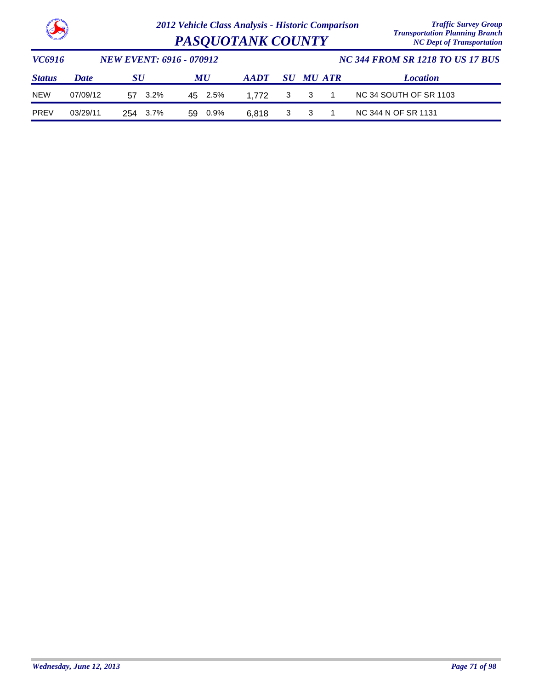

| <b>Contract of the Seat</b> |             |                                 |      | <b>PASQUOTANK COUNTY</b> | <b>Transportation Planning Branch</b><br><b>NC Dept of Transportation</b> |             |   |                                         |                  |                        |  |
|-----------------------------|-------------|---------------------------------|------|--------------------------|---------------------------------------------------------------------------|-------------|---|-----------------------------------------|------------------|------------------------|--|
| VC6916                      |             | <b>NEW EVENT: 6916 - 070912</b> |      |                          |                                                                           |             |   | <b>NC 344 FROM SR 1218 TO US 17 BUS</b> |                  |                        |  |
| <b>Status</b>               | <b>Date</b> | SU                              |      |                          | MU                                                                        | <b>AADT</b> |   |                                         | <b>SU MU ATR</b> | <b>Location</b>        |  |
| <b>NEW</b>                  | 07/09/12    | 57.                             | 3.2% |                          | 45 2.5%                                                                   | 1.772       | 3 | 3                                       |                  | NC 34 SOUTH OF SR 1103 |  |
| <b>PREV</b>                 | 03/29/11    | 254                             | 3.7% | 59                       | 0.9%                                                                      | 6.818       | 3 |                                         |                  | NC 344 N OF SR 1131    |  |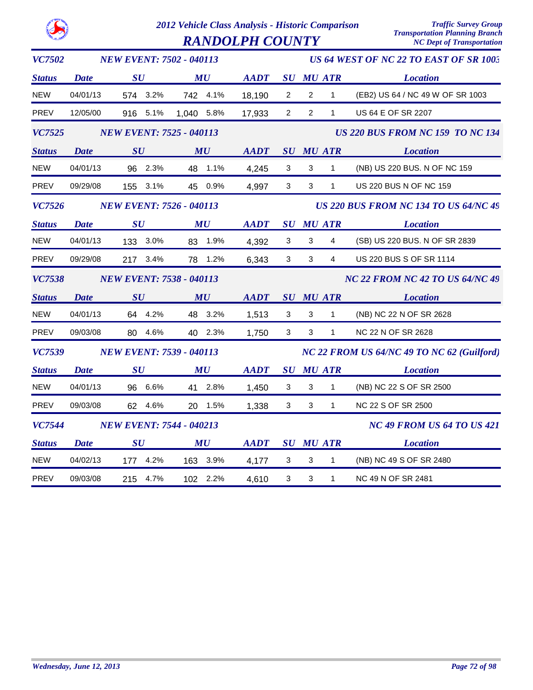|--|

 $RANDOLPH COUNTY$ 

| <b>VC7502</b> |                                 | <b>NEW EVENT: 7502 - 040113</b> |            |             | US 64 WEST OF NC 22 TO EAST OF SR 1003       |                                        |                  |                                         |  |  |
|---------------|---------------------------------|---------------------------------|------------|-------------|----------------------------------------------|----------------------------------------|------------------|-----------------------------------------|--|--|
| <b>Status</b> | <b>Date</b>                     | SU                              | MU         | <b>AADT</b> |                                              |                                        | <b>SU MU ATR</b> | <b>Location</b>                         |  |  |
| <b>NEW</b>    | 04/01/13                        | 574 3.2%                        | 742 4.1%   | 18,190      | $\mathbf{2}$                                 | $\overline{2}$                         | $\mathbf{1}$     | (EB2) US 64 / NC 49 W OF SR 1003        |  |  |
| PREV          | 12/05/00                        | 916 5.1%                        | 1,040 5.8% | 17,933      | 2                                            | 2                                      | 1                | US 64 E OF SR 2207                      |  |  |
| <b>VC7525</b> | <b>NEW EVENT: 7525 - 040113</b> |                                 |            |             |                                              |                                        |                  | <b>US 220 BUS FROM NC 159 TO NC 134</b> |  |  |
| <b>Status</b> | <b>Date</b>                     | SU                              | MU         | <b>AADT</b> |                                              | SU MU ATR                              |                  | <b>Location</b>                         |  |  |
| <b>NEW</b>    | 04/01/13                        | 96 2.3%                         | 48 1.1%    | 4,245       | $\mathbf{3}$                                 | $\mathbf{3}$                           | $\mathbf{1}$     | (NB) US 220 BUS. N OF NC 159            |  |  |
| PREV          | 09/29/08                        | 155 3.1%                        | 45 0.9%    | 4,997       | $\mathbf{3}$                                 | $\mathbf{3}$                           | $\mathbf{1}$     | US 220 BUS N OF NC 159                  |  |  |
| <b>VC7526</b> | <b>NEW EVENT: 7526 - 040113</b> |                                 |            |             | <b>US 220 BUS FROM NC 134 TO US 64/NC 49</b> |                                        |                  |                                         |  |  |
| <b>Status</b> | <b>Date</b>                     | SU                              | MU         | AADT        |                                              |                                        | <b>SU MU ATR</b> | <b>Location</b>                         |  |  |
| <b>NEW</b>    | 04/01/13                        | 133 3.0%                        | 83 1.9%    | 4,392       | 3                                            | 3                                      | 4                | (SB) US 220 BUS. N OF SR 2839           |  |  |
| PREV          | 09/29/08                        | 217 3.4%                        | 78 1.2%    | 6,343       | $\mathbf{3}$                                 | 3                                      | $\overline{4}$   | US 220 BUS S OF SR 1114                 |  |  |
| <b>VC7538</b> | <b>NEW EVENT: 7538 - 040113</b> |                                 |            |             |                                              | <b>NC 22 FROM NC 42 TO US 64/NC 49</b> |                  |                                         |  |  |
| <b>Status</b> | <b>Date</b>                     | SU                              | MU         | <b>AADT</b> |                                              |                                        | SU MU ATR        | <b>Location</b>                         |  |  |
| <b>NEW</b>    | 04/01/13                        | 64 4.2%                         | 48 3.2%    | 1,513       | 3                                            | 3                                      | $\mathbf{1}$     | (NB) NC 22 N OF SR 2628                 |  |  |
| <b>PREV</b>   | 09/03/08                        | 80 4.6%                         | 40 2.3%    | 1,750       | 3                                            | 3                                      | $\mathbf{1}$     | NC 22 N OF SR 2628                      |  |  |
| <b>VC7539</b> | <b>NEW EVENT: 7539 - 040113</b> |                                 |            |             | NC 22 FROM US 64/NC 49 TO NC 62 (Guilford)   |                                        |                  |                                         |  |  |
| <b>Status</b> | <b>Date</b>                     | SU                              | MU         | <b>AADT</b> |                                              |                                        | <b>SU MU ATR</b> | <b>Location</b>                         |  |  |
| <b>NEW</b>    | 04/01/13                        | 96 6.6%                         | 41 2.8%    | 1,450       | $\mathbf{3}$                                 | $\mathbf{3}$                           | $\mathbf{1}$     | (NB) NC 22 S OF SR 2500                 |  |  |
| PREV          | 09/03/08                        | 62 4.6%                         | 20 1.5%    | 1,338       | 3                                            | 3                                      | $\mathbf 1$      | NC 22 S OF SR 2500                      |  |  |
| <b>VC7544</b> | <b>NEW EVENT: 7544 - 040213</b> |                                 |            |             |                                              |                                        |                  | <b>NC 49 FROM US 64 TO US 421</b>       |  |  |
| <b>Status</b> | <b>Date</b>                     | SU                              |            | <b>AADT</b> |                                              |                                        | <b>SU MU ATR</b> | <b>Location</b>                         |  |  |
| <b>NEW</b>    | 04/02/13                        | 177 4.2%                        | 163 3.9%   | 4,177       | 3                                            | 3                                      | $\mathbf{1}$     | (NB) NC 49 S OF SR 2480                 |  |  |
| <b>PREV</b>   | 09/03/08                        | 4.7%<br>215                     | 102 2.2%   | 4,610       | $\mathbf{3}$                                 | $\mathbf{3}$                           | $\mathbf{1}$     | NC 49 N OF SR 2481                      |  |  |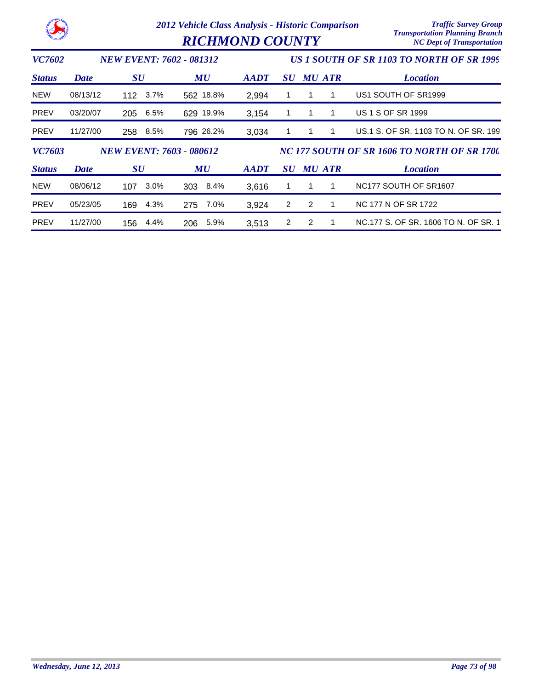|               |             |                                 | 2012 Vehicle Class Analysis - Historic Comparison<br><b>RICHMOND COUNTY</b> | <b>Traffic Survey Group</b><br><b>Transportation Planning Branch</b><br><b>NC Dept of Transportation</b> |                                             |               |   |                                               |
|---------------|-------------|---------------------------------|-----------------------------------------------------------------------------|----------------------------------------------------------------------------------------------------------|---------------------------------------------|---------------|---|-----------------------------------------------|
| <i>VC7602</i> |             | <b>NEW EVENT: 7602 - 081312</b> |                                                                             |                                                                                                          |                                             |               |   | US 1 SOUTH OF SR 1103 TO NORTH OF SR 1999     |
| <b>Status</b> | <b>Date</b> | $\boldsymbol{S}\boldsymbol{U}$  | MU                                                                          | <b>AADT</b>                                                                                              | $\bm{S}\bm{U}$                              | <b>MU ATR</b> |   | <b>Location</b>                               |
| <b>NEW</b>    | 08/13/12    | $3.7\%$<br>112                  | 562 18.8%                                                                   | 2,994                                                                                                    |                                             |               | 1 | US1 SOUTH OF SR1999                           |
| <b>PREV</b>   | 03/20/07    | 205<br>6.5%                     | 629 19.9%                                                                   | 3,154                                                                                                    |                                             |               |   | US 1 S OF SR 1999                             |
| <b>PREV</b>   | 11/27/00    | 8.5%<br>258                     | 796 26.2%                                                                   | 3,034                                                                                                    |                                             |               |   | US.1 S. OF SR. 1103 TO N. OF SR. 199          |
| <b>VC7603</b> |             | <b>NEW EVENT: 7603 - 080612</b> |                                                                             |                                                                                                          | NC 177 SOUTH OF SR 1606 TO NORTH OF SR 1700 |               |   |                                               |
| <b>Status</b> | <b>Date</b> | $\boldsymbol{S}\boldsymbol{U}$  | MU                                                                          | <b>AADT</b>                                                                                              | <i>SU</i>                                   | MU ATR        |   | <b>Location</b>                               |
| <b>NEW</b>    | 08/06/12    | $3.0\%$<br>107                  | 8.4%<br>303                                                                 | 3,616                                                                                                    |                                             | 1             |   | NC <sub>177</sub> SOUTH OF SR <sub>1607</sub> |
| <b>PREV</b>   | 05/23/05    | 4.3%<br>169                     | 7.0%<br>275                                                                 | 3,924                                                                                                    | 2                                           | 2             |   | NC 177 N OF SR 1722                           |
| <b>PREV</b>   | 11/27/00    | 4.4%<br>156                     | 5.9%<br>206                                                                 | 3,513                                                                                                    | 2                                           | 2             |   | NC.177 S. OF SR. 1606 TO N. OF SR. 1          |

**NORTH AN**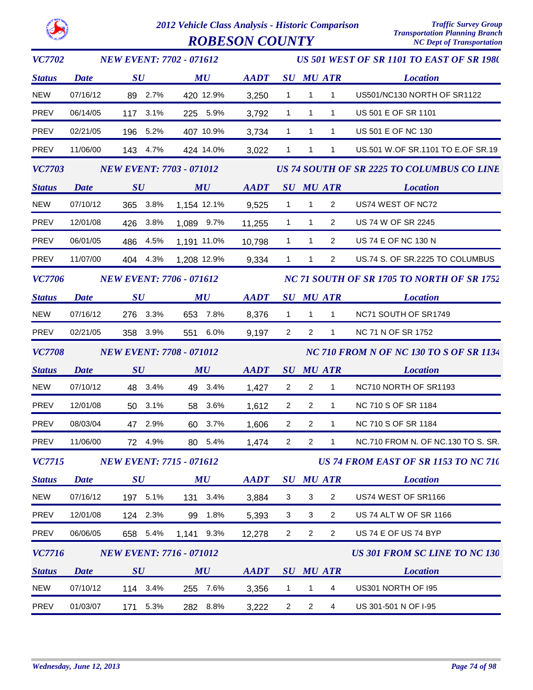

| <b>VC7702</b> |                                 |                                | <b>NEW EVENT: 7702 - 071612</b> |             |                | US 501 WEST OF SR 1101 TO EAST OF SR 1980  |                |                  |                                             |  |
|---------------|---------------------------------|--------------------------------|---------------------------------|-------------|----------------|--------------------------------------------|----------------|------------------|---------------------------------------------|--|
| <b>Status</b> | <b>Date</b>                     | SU                             |                                 | MU          | <b>AADT</b>    |                                            |                | <b>SU MU ATR</b> | <b>Location</b>                             |  |
| <b>NEW</b>    | 07/16/12                        | 89 2.7%                        |                                 | 420 12.9%   | 3,250          | $\mathbf{1}$                               | $\mathbf{1}$   | $\mathbf{1}$     | US501/NC130 NORTH OF SR1122                 |  |
| PREV          | 06/14/05                        | 117 3.1%                       |                                 | 225 5.9%    | 3,792          | $\mathbf{1}$                               | $\mathbf{1}$   | $\mathbf{1}$     | US 501 E OF SR 1101                         |  |
| PREV          | 02/21/05                        | 196 5.2%                       |                                 | 407 10.9%   | 3,734          | $\mathbf{1}$                               | $\mathbf{1}$   | $\mathbf{1}$     | US 501 E OF NC 130                          |  |
| PREV          | 11/06/00                        | 143 4.7%                       |                                 | 424 14.0%   | 3,022          | $\mathbf{1}$                               | $\mathbf{1}$   | $\mathbf{1}$     | US.501 W.OF SR.1101 TO E.OF SR.19           |  |
| <b>VC7703</b> |                                 |                                | <b>NEW EVENT: 7703 - 071012</b> |             |                |                                            |                |                  | US 74 SOUTH OF SR 2225 TO COLUMBUS CO LINE  |  |
| <b>Status</b> | <b>Date</b>                     | SU                             |                                 | MU          | AADT SU MU ATR |                                            |                |                  | <i>Location</i>                             |  |
| <b>NEW</b>    | 07/10/12                        | 365                            | 3.8%                            | 1,154 12.1% | 9,525          | $\mathbf{1}$                               | $\overline{1}$ | $\overline{2}$   | US74 WEST OF NC72                           |  |
| PREV          | 12/01/08                        | 426 3.8%                       |                                 | 1,089 9.7%  | 11,255         | $\mathbf{1}$                               | $\mathbf{1}$   | $\overline{2}$   | US 74 W OF SR 2245                          |  |
| PREV          | 06/01/05                        | 486                            | 4.5%                            | 1,191 11.0% | 10,798         | $\mathbf{1}$                               | $\mathbf{1}$   | $\overline{2}$   | US 74 E OF NC 130 N                         |  |
| PREV          | 11/07/00                        | 404 4.3%                       |                                 | 1,208 12.9% | 9,334          | $\mathbf{1}$                               | $\mathbf{1}$   | $\overline{2}$   | US.74 S. OF SR.2225 TO COLUMBUS             |  |
| <b>VC7706</b> | <b>NEW EVENT: 7706 - 071612</b> |                                |                                 |             |                | NC 71 SOUTH OF SR 1705 TO NORTH OF SR 1752 |                |                  |                                             |  |
| <b>Status</b> | <b>Date</b>                     | $\bm{S}\bm{U}$                 |                                 | MU          | <b>AADT</b>    |                                            |                | <b>SU MU ATR</b> | <b>Location</b>                             |  |
| <b>NEW</b>    | 07/16/12                        | 276 3.3%                       |                                 | 653 7.8%    | 8,376          | $\mathbf{1}$                               | $\mathbf{1}$   | $\mathbf{1}$     | NC71 SOUTH OF SR1749                        |  |
| PREV          | 02/21/05                        | 358 3.9%                       |                                 | 551 6.0%    | 9,197          | $\overline{2}$                             | $\overline{2}$ | $\mathbf{1}$     | NC 71 N OF SR 1752                          |  |
| <b>VC7708</b> |                                 |                                | <b>NEW EVENT: 7708 - 071012</b> |             |                |                                            |                |                  | NC 710 FROM N OF NC 130 TO S OF SR 1134     |  |
| <b>Status</b> | <b>Date</b>                     | SU                             |                                 | MU          | <b>AADT</b>    |                                            |                | SU MU ATR        | <b>Location</b>                             |  |
| <b>NEW</b>    | 07/10/12                        | 48 3.4%                        |                                 | 49 3.4%     | 1,427          | $\overline{2}$                             | $\overline{2}$ | $\mathbf{1}$     | NC710 NORTH OF SR1193                       |  |
| PREV          | 12/01/08                        | 50 3.1%                        |                                 | 58 3.6%     | 1,612          | $\overline{2}$                             | $\overline{2}$ | $\mathbf{1}$     | NC 710 S OF SR 1184                         |  |
| <b>PREV</b>   | 08/03/04                        | 47 2.9%                        |                                 | 60 3.7%     | 1,606          | $\mathbf{2}^{\circ}$                       | $\overline{2}$ | $\mathbf{1}$     | NC 710 S OF SR 1184                         |  |
| <b>PREV</b>   | 11/06/00                        | 72 4.9%                        |                                 | 80 5.4%     | 1,474          | $\overline{2}$                             | $\overline{2}$ | $\mathbf{1}$     | NC.710 FROM N. OF NC.130 TO S. SR.          |  |
| <b>VC7715</b> |                                 |                                | <b>NEW EVENT: 7715 - 071612</b> |             |                |                                            |                |                  | <b>US 74 FROM EAST OF SR 1153 TO NC 710</b> |  |
| <b>Status</b> | <b>Date</b>                     | $\boldsymbol{S}\boldsymbol{U}$ |                                 | MU          | <b>AADT</b>    |                                            |                | <b>SU MU ATR</b> | <b>Location</b>                             |  |
| <b>NEW</b>    | 07/16/12                        | 197 5.1%                       |                                 | 131 3.4%    | 3,884          | 3                                          | 3              | $\overline{2}$   | US74 WEST OF SR1166                         |  |
| PREV          | 12/01/08                        | 124 2.3%                       | 99                              | 1.8%        | 5,393          | 3                                          | 3              | $\overline{2}$   | <b>US 74 ALT W OF SR 1166</b>               |  |
| <b>PREV</b>   | 06/06/05                        | 658 5.4%                       |                                 | 1,141 9.3%  | 12,278         | $\overline{2}$                             | $\overline{2}$ | $\overline{2}$   | US 74 E OF US 74 BYP                        |  |
| <b>VC7716</b> |                                 |                                | <b>NEW EVENT: 7716 - 071012</b> |             |                |                                            |                |                  | <b>US 301 FROM SC LINE TO NC 130</b>        |  |
| <b>Status</b> | <b>Date</b>                     | $\boldsymbol{S}\boldsymbol{U}$ |                                 | MU          | <b>AADT</b>    |                                            |                | <b>SU MU ATR</b> | <b>Location</b>                             |  |
| NEW           | 07/10/12                        | 114 3.4%                       |                                 | 255 7.6%    | 3,356          | $\mathbf{1}$                               | $\mathbf{1}$   | 4                | US301 NORTH OF 195                          |  |
| <b>PREV</b>   | 01/03/07                        | 171                            | 5.3%                            | 282 8.8%    | 3,222          | $\overline{2}$                             | $\overline{2}$ | $\overline{4}$   | US 301-501 N OF I-95                        |  |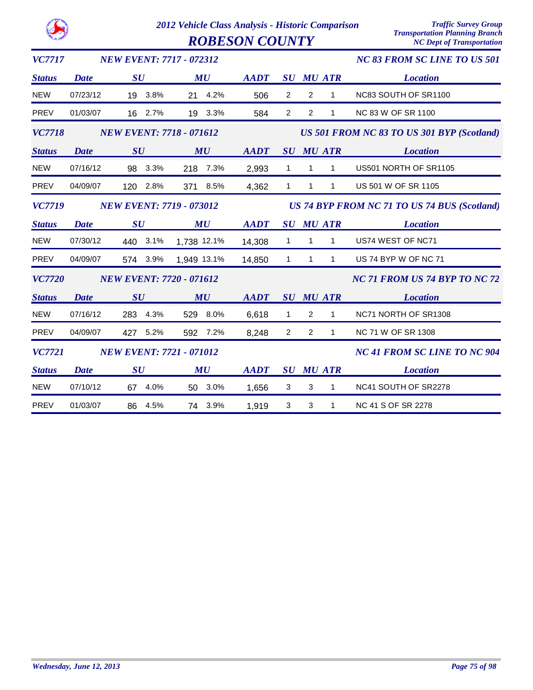|               |                                 |                                 | <b>ROBESON COUNTY</b> |             |                                | <b>Transportation Planning Branch</b><br><b>NC Dept of Transportation</b> |              |                                              |  |  |
|---------------|---------------------------------|---------------------------------|-----------------------|-------------|--------------------------------|---------------------------------------------------------------------------|--------------|----------------------------------------------|--|--|
| <b>VC7717</b> |                                 | <b>NEW EVENT: 7717 - 072312</b> |                       |             |                                |                                                                           |              | <b>NC 83 FROM SC LINE TO US 501</b>          |  |  |
| <b>Status</b> | <b>Date</b>                     | $\boldsymbol{S}\boldsymbol{U}$  | MU                    | <b>AADT</b> |                                | <b>SU MU ATR</b>                                                          |              | <b>Location</b>                              |  |  |
| <b>NEW</b>    | 07/23/12                        | 19 3.8%                         | 21 4.2%               | 506         | $\overline{\mathbf{c}}$        | $\sqrt{2}$                                                                | 1            | NC83 SOUTH OF SR1100                         |  |  |
| <b>PREV</b>   | 01/03/07                        | 16 2.7%                         | 19 3.3%               | 584         | $\overline{2}$                 | 2                                                                         | 1            | NC 83 W OF SR 1100                           |  |  |
| <b>VC7718</b> |                                 | <b>NEW EVENT: 7718 - 071612</b> |                       |             |                                | US 501 FROM NC 83 TO US 301 BYP (Scotland)                                |              |                                              |  |  |
| <b>Status</b> | Date                            | SU                              | MU                    | <b>AADT</b> |                                | <b>SU MU ATR</b>                                                          |              | <b>Location</b>                              |  |  |
| <b>NEW</b>    | 07/16/12                        | 3.3%<br>98                      | 218 7.3%              | 2,993       | 1                              | $\mathbf{1}$                                                              | 1            | US501 NORTH OF SR1105                        |  |  |
| <b>PREV</b>   | 04/09/07                        | 2.8%<br>120                     | 371 8.5%              | 4,362       | $\mathbf{1}$                   | $\mathbf{1}$                                                              | 1            | US 501 W OF SR 1105                          |  |  |
| VC7719        | <b>NEW EVENT: 7719 - 073012</b> |                                 |                       |             |                                |                                                                           |              | US 74 BYP FROM NC 71 TO US 74 BUS (Scotland) |  |  |
| <b>Status</b> | <b>Date</b>                     | SU                              | MU                    | <b>AADT</b> | SU                             | <b>MU ATR</b>                                                             |              | <b>Location</b>                              |  |  |
| <b>NEW</b>    | 07/30/12                        | 3.1%<br>440                     | 1,738 12.1%           | 14,308      | $\mathbf{1}$                   | $\mathbf{1}$                                                              | 1            | US74 WEST OF NC71                            |  |  |
| <b>PREV</b>   | 04/09/07                        | 574 3.9%                        | 1,949 13.1%           | 14,850      | $\mathbf{1}$                   | $\mathbf{1}$                                                              | $\mathbf{1}$ | US 74 BYP W OF NC 71                         |  |  |
| <b>VC7720</b> |                                 | <b>NEW EVENT: 7720 - 071612</b> |                       |             |                                |                                                                           |              | <b>NC 71 FROM US 74 BYP TO NC 72</b>         |  |  |
| <b>Status</b> | <b>Date</b>                     | SU                              | MU                    | <b>AADT</b> | SU                             | <b>MU ATR</b>                                                             |              | <b>Location</b>                              |  |  |
| <b>NEW</b>    | 07/16/12                        | 4.3%<br>283                     | 529 8.0%              | 6,618       | 1                              | $\overline{c}$                                                            | 1            | NC71 NORTH OF SR1308                         |  |  |
| <b>PREV</b>   | 04/09/07                        | 5.2%<br>427                     | 592 7.2%              | 8,248       | 2                              | 2                                                                         | $\mathbf{1}$ | NC 71 W OF SR 1308                           |  |  |
| <b>VC7721</b> |                                 | <b>NEW EVENT: 7721 - 071012</b> |                       |             |                                |                                                                           |              | <b>NC 41 FROM SC LINE TO NC 904</b>          |  |  |
| <b>Status</b> | <b>Date</b>                     | SU                              | MU                    | <b>AADT</b> | $\boldsymbol{S}\boldsymbol{U}$ | <b>MU ATR</b>                                                             |              | <b>Location</b>                              |  |  |
| <b>NEW</b>    | 07/10/12                        | 4.0%<br>67                      | 50 3.0%               | 1,656       | 3                              | 3                                                                         | 1            | NC41 SOUTH OF SR2278                         |  |  |
| <b>PREV</b>   | 01/03/07                        | 4.5%<br>86                      | 3.9%<br>74            | 1,919       | 3                              | 3                                                                         | $\mathbf{1}$ | NC 41 S OF SR 2278                           |  |  |

TO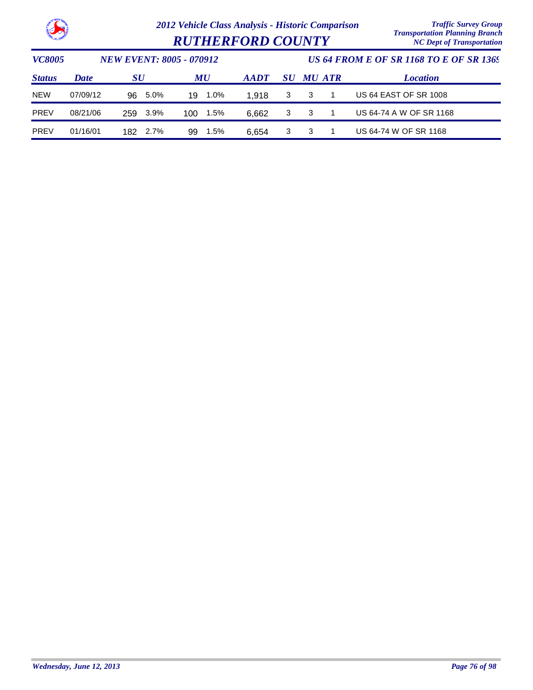

| <b>RUTHERFORD COUNTY</b> |  |
|--------------------------|--|
|--------------------------|--|

| <i><b>VC8005</b></i> |             | <b>NEW EVENT: 8005 - 070912</b> |                                |             |    |        |  | US 64 FROM E OF SR 1168 TO E OF SR 1369 |  |  |  |
|----------------------|-------------|---------------------------------|--------------------------------|-------------|----|--------|--|-----------------------------------------|--|--|--|
| <b>Status</b>        | <b>Date</b> | <b>SU</b>                       | $\boldsymbol{M}\boldsymbol{U}$ | <b>AADT</b> | SU | MU ATR |  | <b>Location</b>                         |  |  |  |
| <b>NEW</b>           | 07/09/12    | 5.0%<br>96.                     | 1.0%<br>19                     | 1.918       | -3 | 3      |  | <b>US 64 EAST OF SR 1008</b>            |  |  |  |
| <b>PREV</b>          | 08/21/06    | 3.9%<br>259                     | 1.5%<br>100                    | 6.662       | 3  | 3      |  | US 64-74 A W OF SR 1168                 |  |  |  |
| PREV                 | 01/16/01    | 2.7%<br>182.                    | 1.5%<br>99                     | 6.654       | 3  | 3      |  | US 64-74 W OF SR 1168                   |  |  |  |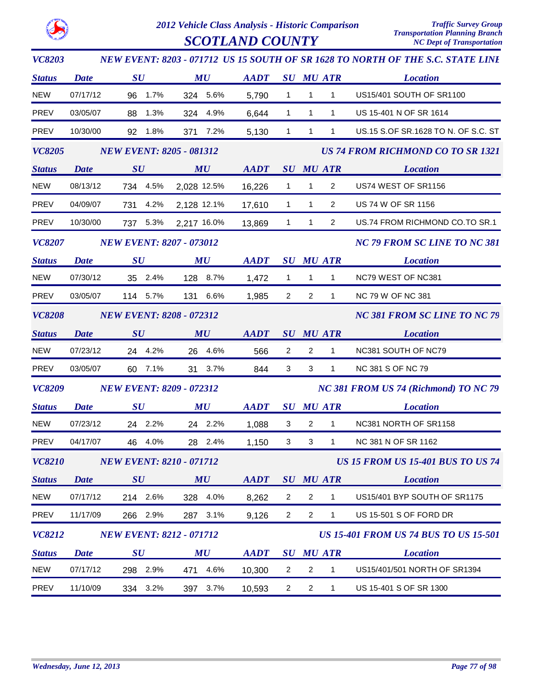

| <b>VC8203</b> |                                 |                                 |             |             |                                       |                                | NEW EVENT: 8203 - 071712 US 15 SOUTH OF SR 1628 TO NORTH OF THE S.C. STATE LINE |  |  |
|---------------|---------------------------------|---------------------------------|-------------|-------------|---------------------------------------|--------------------------------|---------------------------------------------------------------------------------|--|--|
| <b>Status</b> | <b>Date</b>                     | $\boldsymbol{S}\boldsymbol{U}$  | MU          | <b>AADT</b> | $\bm{S}\bm{U}$                        | <b>MU ATR</b>                  | <b>Location</b>                                                                 |  |  |
| <b>NEW</b>    | 07/17/12                        | 96<br>1.7%                      | 324 5.6%    | 5,790       | $\mathbf{1}$                          | $\mathbf{1}$<br>$\mathbf{1}$   | US15/401 SOUTH OF SR1100                                                        |  |  |
| <b>PREV</b>   | 03/05/07                        | 1.3%<br>88                      | 4.9%<br>324 | 6,644       | $\mathbf{1}$                          | $\mathbf{1}$<br>$\mathbf{1}$   | US 15-401 N OF SR 1614                                                          |  |  |
| PREV          | 10/30/00                        | 92 1.8%                         | 371 7.2%    | 5,130       | $\mathbf{1}$                          | $\mathbf{1}$<br>$\mathbf{1}$   | US.15 S.OF SR.1628 TO N. OF S.C. ST                                             |  |  |
| <b>VC8205</b> |                                 | <b>NEW EVENT: 8205 - 081312</b> |             |             |                                       |                                | <b>US 74 FROM RICHMOND CO TO SR 1321</b>                                        |  |  |
| <b>Status</b> | <b>Date</b>                     | SU                              | MU          | <b>AADT</b> |                                       | <b>SU MU ATR</b>               | <b>Location</b>                                                                 |  |  |
| <b>NEW</b>    | 08/13/12                        | 734 4.5%                        | 2,028 12.5% | 16,226      | $\mathbf{1}$                          | $\mathbf{1}$<br>$\overline{2}$ | US74 WEST OF SR1156                                                             |  |  |
| PREV          | 04/09/07                        | 731 4.2%                        | 2,128 12.1% | 17,610      | $\overline{1}$                        | $\mathbf{1}$<br>2              | US 74 W OF SR 1156                                                              |  |  |
| PREV          | 10/30/00                        | 737 5.3%                        | 2,217 16.0% | 13,869      | $\mathbf{1}$                          | $\mathbf{1}$<br>$\overline{2}$ | US.74 FROM RICHMOND CO.TO SR.1                                                  |  |  |
| <b>VC8207</b> | <b>NEW EVENT: 8207 - 073012</b> |                                 |             |             | <b>NC 79 FROM SC LINE TO NC 381</b>   |                                |                                                                                 |  |  |
| <b>Status</b> | <b>Date</b>                     | $\boldsymbol{S}\boldsymbol{U}$  | MU          | <b>AADT</b> |                                       | <b>SU MU ATR</b>               | <b>Location</b>                                                                 |  |  |
| <b>NEW</b>    | 07/30/12                        | 35 2.4%                         | 128 8.7%    | 1,472       | $\overline{1}$                        | $\mathbf{1}$<br>$\mathbf{1}$   | NC79 WEST OF NC381                                                              |  |  |
| <b>PREV</b>   | 03/05/07                        | 114 5.7%                        | 131 6.6%    | 1,985       | $\overline{2}$                        | $\overline{2}$<br>$\mathbf{1}$ | NC 79 W OF NC 381                                                               |  |  |
| <b>VC8208</b> | <b>NEW EVENT: 8208 - 072312</b> |                                 |             |             | <b>NC 381 FROM SC LINE TO NC 79</b>   |                                |                                                                                 |  |  |
| <b>Status</b> | <b>Date</b>                     | SU                              | MU          | <b>AADT</b> |                                       | <b>SU MU ATR</b>               | <b>Location</b>                                                                 |  |  |
| NEW           | 07/23/12                        | 24 4.2%                         | 26 4.6%     | 566         | $\overline{2}$                        | $\overline{2}$<br>$\mathbf{1}$ | NC381 SOUTH OF NC79                                                             |  |  |
| PREV          | 03/05/07                        | 60<br>7.1%                      | 31 3.7%     | 844         | 3                                     | 3<br>$\mathbf{1}$              | <b>NC 381 S OF NC 79</b>                                                        |  |  |
| <b>VC8209</b> |                                 | <b>NEW EVENT: 8209 - 072312</b> |             |             | NC 381 FROM US 74 (Richmond) TO NC 79 |                                |                                                                                 |  |  |
| <b>Status</b> | <b>Date</b>                     | SU                              | MU          | <b>AADT</b> |                                       | <b>SU MU ATR</b>               | <b>Location</b>                                                                 |  |  |
| <b>NEW</b>    | 07/23/12                        | 24 2.2%                         | 24 2.2%     | 1,088       | 3                                     | $\overline{2}$<br>$\mathbf{1}$ | NC381 NORTH OF SR1158                                                           |  |  |
| <b>PREV</b>   | 04/17/07                        | 46 4.0%                         | 28 2.4%     | 1,150       | 3                                     | 3<br>$1 \quad \blacksquare$    | NC 381 N OF SR 1162                                                             |  |  |
| <b>VC8210</b> |                                 | <b>NEW EVENT: 8210 - 071712</b> |             |             |                                       |                                | <b>US 15 FROM US 15-401 BUS TO US 74</b>                                        |  |  |
| <b>Status</b> | <b>Date</b>                     | SU                              | MU          | <b>AADT</b> |                                       | <b>SU MU ATR</b>               | <b>Location</b>                                                                 |  |  |
| <b>NEW</b>    | 07/17/12                        | 214 2.6%                        | 328 4.0%    | 8,262       | $\overline{2}$                        | $\overline{2}$<br>$\mathbf{1}$ | US15/401 BYP SOUTH OF SR1175                                                    |  |  |
| <b>PREV</b>   | 11/17/09                        | 266 2.9%                        | 287 3.1%    | 9,126       | $\overline{2}$                        | $\overline{2}$<br>$\mathbf{1}$ | US 15-501 S OF FORD DR                                                          |  |  |
| VC8212        |                                 | <b>NEW EVENT: 8212 - 071712</b> |             |             |                                       |                                | <b>US 15-401 FROM US 74 BUS TO US 15-501</b>                                    |  |  |
| <b>Status</b> | <b>Date</b>                     | SU                              | MU          | <b>AADT</b> |                                       | <b>SU MU ATR</b>               | <b>Location</b>                                                                 |  |  |
| <b>NEW</b>    | 07/17/12                        | 298 2.9%                        | 471 4.6%    | 10,300      | $\overline{2}$                        | $\overline{2}$<br>$\mathbf{1}$ | US15/401/501 NORTH OF SR1394                                                    |  |  |
| PREV          | 11/10/09                        | 334 3.2%                        | 397 3.7%    | 10,593      | $2^{\circ}$                           | $\overline{2}$<br>$\mathbf{1}$ | US 15-401 S OF SR 1300                                                          |  |  |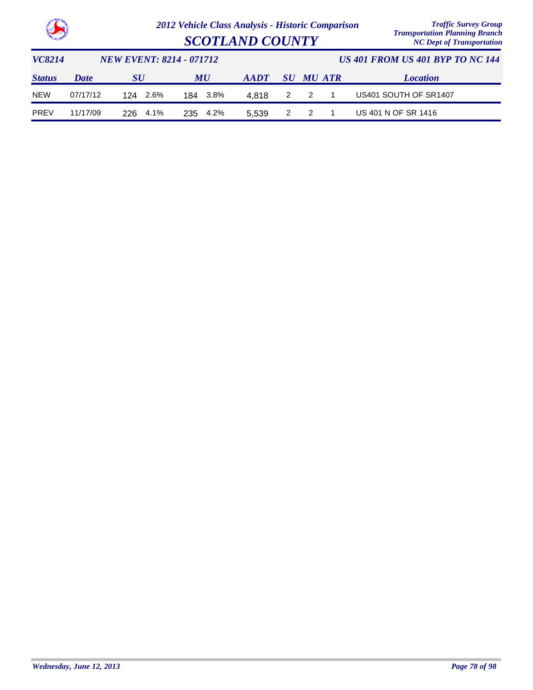

| <b>SCOTLAND COUNTY</b> | <i>El anopolitanion Elanthoni</i> , <i>Branch</i><br><b>NC Dept of Transportation</b> |
|------------------------|---------------------------------------------------------------------------------------|
|                        |                                                                                       |

| VC8214        |             | <i>NEW EVENT: 8214 - 071712</i> |          |                | US 401 FROM US 401 BYP TO NC 144 |           |  |                       |  |
|---------------|-------------|---------------------------------|----------|----------------|----------------------------------|-----------|--|-----------------------|--|
| <b>Status</b> | <b>Date</b> | <b>SU</b>                       | MU       | $A$ <i>ADT</i> |                                  | SU MU ATR |  | <b>Location</b>       |  |
| <b>NEW</b>    | 07/17/12    | 2.6%<br>124                     | 184 3.8% | 4.818          |                                  | 2 2 1     |  | US401 SOUTH OF SR1407 |  |
| <b>PREV</b>   | 11/17/09    | 226 4.1%                        | 235 4.2% | 5.539          |                                  | 2 2       |  | US 401 N OF SR 1416   |  |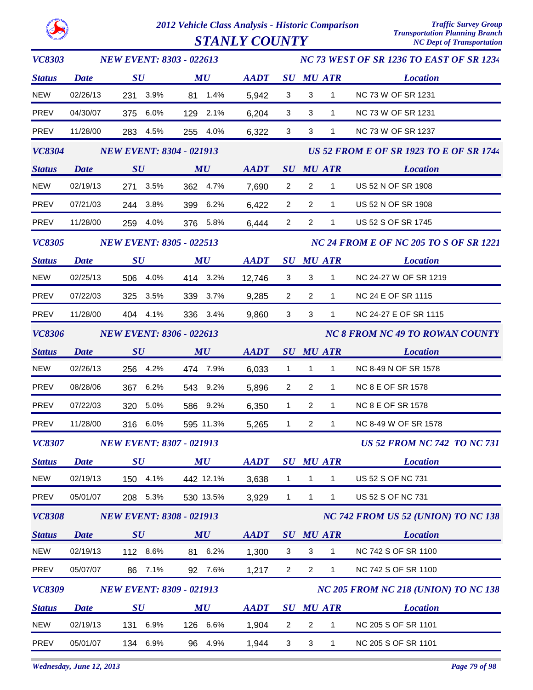$STANLY$   $COUNTY$ 

| <b>VC8303</b> | <b>NEW EVENT: 8303 - 022613</b> |                                 |                                |             |                | NC 73 WEST OF SR 1236 TO EAST OF SR 1234 |                                        |                                                |  |  |  |
|---------------|---------------------------------|---------------------------------|--------------------------------|-------------|----------------|------------------------------------------|----------------------------------------|------------------------------------------------|--|--|--|
| <b>Status</b> | <b>Date</b>                     | $\bm{S}\bm{U}$                  | $\boldsymbol{M}\boldsymbol{U}$ | <b>AADT</b> |                |                                          | <b>SU MU ATR</b>                       | <b>Location</b>                                |  |  |  |
| <b>NEW</b>    | 02/26/13                        | 231 3.9%                        | 81 1.4%                        | 5,942       | $\mathbf{3}$   | $\mathbf{3}$                             | $\mathbf{1}$                           | NC 73 W OF SR 1231                             |  |  |  |
| PREV          | 04/30/07                        | 375 6.0%                        | 129 2.1%                       | 6,204       | $\mathbf{3}$   | 3                                        | $1 \quad$                              | NC 73 W OF SR 1231                             |  |  |  |
| PREV          | 11/28/00                        | 283 4.5%                        | 255 4.0%                       | 6,322       | $\mathbf{3}$   | 3                                        | $\mathbf{1}$                           | NC 73 W OF SR 1237                             |  |  |  |
| <b>VC8304</b> | <b>NEW EVENT: 8304 - 021913</b> |                                 |                                |             |                |                                          |                                        | <b>US 52 FROM E OF SR 1923 TO E OF SR 1744</b> |  |  |  |
| <b>Status</b> | <b>Date</b>                     | SU                              | $\boldsymbol{M}\boldsymbol{U}$ | <b>AADT</b> |                |                                          | <b>SU MU ATR</b>                       | <b>Location</b>                                |  |  |  |
| <b>NEW</b>    | 02/19/13                        | 271 3.5%                        | 362 4.7%                       | 7,690       | $\overline{2}$ | $2^{\circ}$                              | 1                                      | US 52 N OF SR 1908                             |  |  |  |
| PREV          | 07/21/03                        | 244 3.8%                        | 399 6.2%                       | 6,422       | $\overline{2}$ | $\overline{2}$                           | $\mathbf{1}$                           | US 52 N OF SR 1908                             |  |  |  |
| PREV          | 11/28/00                        | 259 4.0%                        | 376 5.8%                       | 6,444       | $\overline{2}$ | $\overline{2}$                           | $\mathbf{1}$                           | US 52 S OF SR 1745                             |  |  |  |
| <b>VC8305</b> | <b>NEW EVENT: 8305 - 022513</b> |                                 |                                |             |                | NC 24 FROM E OF NC 205 TO S OF SR 1221   |                                        |                                                |  |  |  |
| <b>Status</b> | <b>Date</b>                     | $\bm{S}\bm{U}$                  | $\boldsymbol{M}\boldsymbol{U}$ | <b>AADT</b> |                |                                          | <b>SU MU ATR</b>                       | <b>Location</b>                                |  |  |  |
| <b>NEW</b>    | 02/25/13                        | 506 4.0%                        | 414 3.2%                       | 12,746      | $\mathbf{3}$   | $\mathbf{3}$                             | $\overline{1}$                         | NC 24-27 W OF SR 1219                          |  |  |  |
| PREV          | 07/22/03                        | 325 3.5%                        | 339 3.7%                       | 9,285       | $\overline{2}$ | $\overline{2}$                           | $\mathbf{1}$                           | <b>NC 24 E OF SR 1115</b>                      |  |  |  |
| PREV          | 11/28/00                        | 404 4.1%                        | 336 3.4%                       | 9,860       | $\mathbf{3}$   | 3                                        | $\mathbf{1}$                           | NC 24-27 E OF SR 1115                          |  |  |  |
| <b>VC8306</b> |                                 | <b>NEW EVENT: 8306 - 022613</b> |                                |             |                |                                          | <b>NC 8 FROM NC 49 TO ROWAN COUNTY</b> |                                                |  |  |  |
| <b>Status</b> | <b>Date</b>                     | SU                              | MU                             |             |                |                                          |                                        | AADT SU MU ATR Location                        |  |  |  |
| <b>NEW</b>    | 02/26/13                        | 256 4.2%                        | 474 7.9%                       | 6,033       | $\overline{1}$ | 1                                        | $1 \quad \blacksquare$                 | NC 8-49 N OF SR 1578                           |  |  |  |
| PREV          | 08/28/06                        | 367 6.2%                        | 543 9.2%                       | 5,896       | $\overline{2}$ | $\overline{2}$                           | $\mathbf{1}$                           | <b>NC 8 E OF SR 1578</b>                       |  |  |  |
| PREV          | 07/22/03                        | 320 5.0%                        | 586 9.2%                       | 6,350       | $\mathbf{1}$   | $\overline{2}$                           | 1                                      | <b>NC 8 E OF SR 1578</b>                       |  |  |  |
| PREV          | 11/28/00                        | 316 6.0%                        | 595 11.3%                      | 5,265       | $\mathbf{1}$   | $\overline{2}$                           | $\mathbf{1}$                           | NC 8-49 W OF SR 1578                           |  |  |  |
|               |                                 | VC8307 NEW EVENT: 8307 - 021913 |                                |             |                |                                          |                                        | <b>US 52 FROM NC 742 TO NC 731</b>             |  |  |  |
| <b>Status</b> | <b>Date</b>                     | $\bm{S}\bm{U}$                  | MU                             | <b>AADT</b> |                |                                          | <b>SU MU ATR</b>                       | <b>Location</b>                                |  |  |  |
| <b>NEW</b>    | 02/19/13                        | 150 4.1%                        | 442 12.1%                      | 3,638       | $\mathbf{1}$   | $\mathbf{1}$                             | $\mathbf{1}$                           | US 52 S OF NC 731                              |  |  |  |
| PREV          | 05/01/07                        | 208 5.3%                        | 530 13.5%                      | 3,929       | $\mathbf{1}$   | $\mathbf{1}$                             | $\mathbf{1}$                           | US 52 S OF NC 731                              |  |  |  |
| <b>VC8308</b> |                                 | <b>NEW EVENT: 8308 - 021913</b> |                                |             |                |                                          |                                        | NC 742 FROM US 52 (UNION) TO NC 138            |  |  |  |
| <b>Status</b> | <b>Date</b>                     | SU                              | MU                             | <b>AADT</b> |                |                                          | <b>SU MU ATR</b>                       | <b>Location</b>                                |  |  |  |
| <b>NEW</b>    | 02/19/13                        | 112 8.6%                        | 81 6.2%                        | 1,300       | 3              | 3                                        | $\mathbf{1}$                           | NC 742 S OF SR 1100                            |  |  |  |
| PREV          | 05/07/07                        | 7.1%<br>86                      | 92 7.6%                        | 1,217       | $\overline{2}$ | $\overline{2}$                           | $\mathbf{1}$                           | NC 742 S OF SR 1100                            |  |  |  |
| <b>VC8309</b> |                                 | <b>NEW EVENT: 8309 - 021913</b> |                                |             |                |                                          |                                        | NC 205 FROM NC 218 (UNION) TO NC 138           |  |  |  |
| <b>Status</b> | <b>Date</b>                     | $\boldsymbol{S}\boldsymbol{U}$  | MU                             | <b>AADT</b> |                |                                          | <b>SU MU ATR</b>                       | <b>Location</b>                                |  |  |  |
| <b>NEW</b>    | 02/19/13                        | 131<br>6.9%                     | 126 6.6%                       | 1,904       | $\overline{2}$ | $\overline{2}$                           | 1                                      | NC 205 S OF SR 1101                            |  |  |  |
| PREV          | 05/01/07                        | 134 6.9%                        | 4.9%<br>96                     | 1,944       | 3              | 3                                        | $\mathbf{1}$                           | NC 205 S OF SR 1101                            |  |  |  |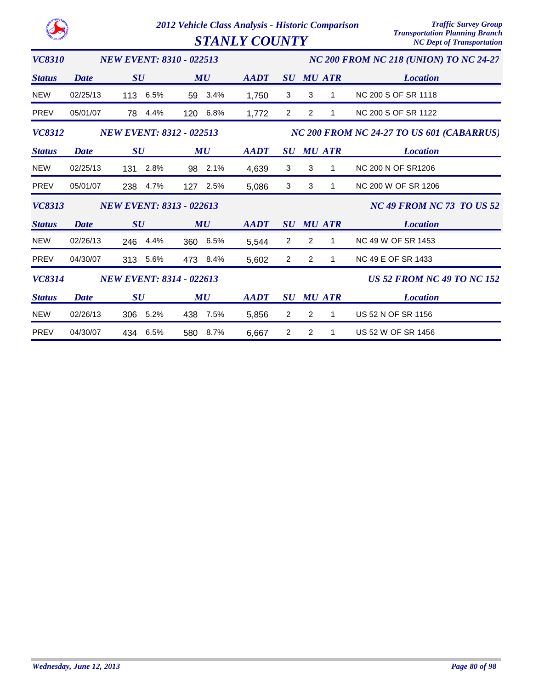|                                                  |             | 2012 Vehicle Class Analysis - Historic Comparison | <b>Traffic Survey Group</b><br><b>Transportation Planning Branch</b> |                                  |                                        |                                           |               |                                   |  |  |
|--------------------------------------------------|-------------|---------------------------------------------------|----------------------------------------------------------------------|----------------------------------|----------------------------------------|-------------------------------------------|---------------|-----------------------------------|--|--|
|                                                  |             |                                                   | <b>STANLY COUNTY</b>                                                 | <b>NC Dept of Transportation</b> |                                        |                                           |               |                                   |  |  |
| <b>VC8310</b>                                    |             | <b>NEW EVENT: 8310 - 022513</b>                   |                                                                      |                                  | NC 200 FROM NC 218 (UNION) TO NC 24-27 |                                           |               |                                   |  |  |
| <b>Status</b>                                    | <b>Date</b> | SU                                                | MU                                                                   | <b>AADT</b>                      | SU                                     |                                           | <b>MU ATR</b> | <b>Location</b>                   |  |  |
| <b>NEW</b>                                       | 02/25/13    | 6.5%<br>113                                       | 3.4%<br>59                                                           | 1,750                            | 3                                      | 3                                         | 1             | NC 200 S OF SR 1118               |  |  |
| <b>PREV</b>                                      | 05/01/07    | 4.4%<br>78                                        | 6.8%<br>120                                                          | 1,772                            | 2                                      | 2                                         | 1             | <b>NC 200 S OF SR 1122</b>        |  |  |
| <b>VC8312</b><br><b>NEW EVENT: 8312 - 022513</b> |             |                                                   |                                                                      |                                  |                                        | NC 200 FROM NC 24-27 TO US 601 (CABARRUS) |               |                                   |  |  |
| <b>Status</b>                                    | <b>Date</b> | $\boldsymbol{S}\boldsymbol{U}$                    | MU                                                                   | <b>AADT</b>                      | $\boldsymbol{S}\boldsymbol{U}$         |                                           | <b>MU ATR</b> | <b>Location</b>                   |  |  |
| <b>NEW</b>                                       | 02/25/13    | 2.8%<br>131                                       | 2.1%<br>98                                                           | 4,639                            | 3                                      | 3                                         | 1             | <b>NC 200 N OF SR1206</b>         |  |  |
| <b>PREV</b>                                      | 05/01/07    | 238<br>4.7%                                       | 127 2.5%                                                             | 5,086                            | 3                                      | 3                                         | 1             | NC 200 W OF SR 1206               |  |  |
| <b>VC8313</b>                                    |             | <b>NEW EVENT: 8313 - 022613</b>                   |                                                                      |                                  |                                        |                                           |               | <b>NC 49 FROM NC 73 TO US 52</b>  |  |  |
| <b>Status</b>                                    | Date        | SU                                                | MU                                                                   | <b>AADT</b>                      | SU                                     |                                           | <b>MU ATR</b> | <b>Location</b>                   |  |  |
| <b>NEW</b>                                       | 02/26/13    | 4.4%<br>246                                       | 6.5%<br>360                                                          | 5,544                            | 2                                      | 2                                         | 1             | NC 49 W OF SR 1453                |  |  |
| PREV                                             | 04/30/07    | 5.6%<br>313                                       | 473<br>8.4%                                                          | 5,602                            | $\overline{2}$                         | $\overline{2}$                            | 1             | <b>NC 49 E OF SR 1433</b>         |  |  |
| VC8314                                           |             | <b>NEW EVENT: 8314 - 022613</b>                   |                                                                      |                                  |                                        |                                           |               | <b>US 52 FROM NC 49 TO NC 152</b> |  |  |
| <b>Status</b>                                    | <b>Date</b> | SU                                                | MU                                                                   | <b>AADT</b>                      | SU                                     |                                           | <b>MU ATR</b> | <b>Location</b>                   |  |  |
| <b>NEW</b>                                       | 02/26/13    | 5.2%<br>306                                       | 7.5%<br>438                                                          | 5,856                            | $\overline{2}$                         | $\overline{2}$                            | 1             | US 52 N OF SR 1156                |  |  |
| <b>PREV</b>                                      | 04/30/07    | 6.5%<br>434                                       | 8.7%<br>580                                                          | 6,667                            | 2                                      | 2                                         | 1             | US 52 W OF SR 1456                |  |  |

O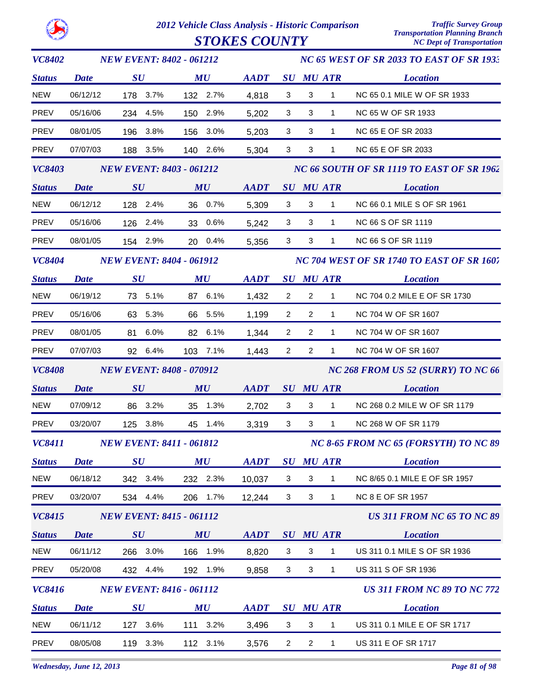

| <b>VC8402</b> | <b>NEW EVENT: 8402 - 061212</b> |                                 |                                |             |                                       | NC 65 WEST OF SR 2033 TO EAST OF SR 1933  |                                           |                                    |  |  |
|---------------|---------------------------------|---------------------------------|--------------------------------|-------------|---------------------------------------|-------------------------------------------|-------------------------------------------|------------------------------------|--|--|
| <b>Status</b> | Date                            | $\boldsymbol{S}\boldsymbol{U}$  | $\boldsymbol{M}\boldsymbol{U}$ | <b>AADT</b> |                                       |                                           | <b>SU MU ATR</b>                          | <b>Location</b>                    |  |  |
| <b>NEW</b>    | 06/12/12                        | 178 3.7%                        | 132 2.7%                       | 4,818       | 3                                     | $\mathbf{3}$                              | $\mathbf{1}$                              | NC 65 0.1 MILE W OF SR 1933        |  |  |
| PREV          | 05/16/06                        | 234 4.5%                        | 150 2.9%                       | 5,202       | 3                                     | 3                                         | 1                                         | NC 65 W OF SR 1933                 |  |  |
| PREV          | 08/01/05                        | 196 3.8%                        | 156 3.0%                       | 5,203       | 3                                     | 3                                         | $\mathbf{1}$                              | NC 65 E OF SR 2033                 |  |  |
| PREV          | 07/07/03                        | 188 3.5%                        | 140 2.6%                       | 5,304       | 3                                     | 3                                         | $\mathbf{1}$                              | <b>NC 65 E OF SR 2033</b>          |  |  |
| <b>VC8403</b> |                                 | <b>NEW EVENT: 8403 - 061212</b> |                                |             |                                       |                                           | NC 66 SOUTH OF SR 1119 TO EAST OF SR 1962 |                                    |  |  |
| <b>Status</b> | <b>Date</b>                     | SU                              | $\boldsymbol{M}\boldsymbol{U}$ | <b>AADT</b> |                                       |                                           | <b>SU MU ATR</b>                          | <b>Location</b>                    |  |  |
| NEW           | 06/12/12                        | 128 2.4%                        | 36 0.7%                        | 5,309       | 3                                     | 3                                         | $\mathbf{1}$                              | NC 66 0.1 MILE S OF SR 1961        |  |  |
| PREV          | 05/16/06                        | 126 2.4%                        | 33 0.6%                        | 5,242       | 3                                     | 3                                         | $\mathbf{1}$                              | NC 66 S OF SR 1119                 |  |  |
| PREV          | 08/01/05                        | 154 2.9%                        | 20 0.4%                        | 5,356       | $\mathbf{3}$                          | 3                                         | $\mathbf{1}$                              | NC 66 S OF SR 1119                 |  |  |
| <b>VC8404</b> | <b>NEW EVENT: 8404 - 061912</b> |                                 |                                |             |                                       | NC 704 WEST OF SR 1740 TO EAST OF SR 1607 |                                           |                                    |  |  |
| <b>Status</b> | <b>Date</b>                     | $\boldsymbol{S}\boldsymbol{U}$  | MU                             | <b>AADT</b> |                                       |                                           | <b>SU MU ATR</b>                          | <b>Location</b>                    |  |  |
| <b>NEW</b>    | 06/19/12                        | 73 5.1%                         | 87 6.1%                        | 1,432       | $\overline{2}$                        | $\overline{2}$                            | $\mathbf{1}$                              | NC 704 0.2 MILE E OF SR 1730       |  |  |
| PREV          | 05/16/06                        | 63 5.3%                         | 66 5.5%                        | 1,199       | $\overline{2}$                        | $\overline{2}$                            | $\mathbf{1}$                              | NC 704 W OF SR 1607                |  |  |
| PREV          | 08/01/05                        | 81 6.0%                         | 82 6.1%                        | 1,344       | $\overline{2}$                        | $\overline{2}$                            | $\mathbf{1}$                              | NC 704 W OF SR 1607                |  |  |
| <b>PREV</b>   | 07/07/03                        | 92 6.4%                         | 103 7.1%                       | 1,443       | $\overline{2}$                        | $\overline{2}$                            | $\mathbf{1}$                              | NC 704 W OF SR 1607                |  |  |
| <b>VC8408</b> |                                 | <b>NEW EVENT: 8408 - 070912</b> |                                |             |                                       |                                           | NC 268 FROM US 52 (SURRY) TO NC 66        |                                    |  |  |
| <b>Status</b> | <b>Date</b>                     | SU                              | MU                             | <b>AADT</b> |                                       |                                           | <b>SU MU ATR</b>                          | <b>Location</b>                    |  |  |
| <b>NEW</b>    | 07/09/12                        | 86 3.2%                         | 35 1.3%                        | 2,702       | 3                                     | 3                                         | $\mathbf{1}$                              | NC 268 0.2 MILE W OF SR 1179       |  |  |
| <b>PREV</b>   | 03/20/07                        | 125 3.8%                        | 45 1.4%                        | 3,319       | $\mathbf{3}$                          | 3                                         | $\mathbf{1}$                              | NC 268 W OF SR 1179                |  |  |
|               |                                 | VC8411 NEW EVENT: 8411 - 061812 |                                |             | NC 8-65 FROM NC 65 (FORSYTH) TO NC 89 |                                           |                                           |                                    |  |  |
| <b>Status</b> | <b>Date</b>                     | $\boldsymbol{S}\boldsymbol{U}$  | MU                             | <b>AADT</b> | $\boldsymbol{S}\boldsymbol{U}$        |                                           | <b>MU ATR</b>                             | <b>Location</b>                    |  |  |
| <b>NEW</b>    | 06/18/12                        | 342 3.4%                        | 232 2.3%                       | 10,037      | 3                                     | 3                                         | $\mathbf{1}$                              | NC 8/65 0.1 MILE E OF SR 1957      |  |  |
| <b>PREV</b>   | 03/20/07                        | 534 4.4%                        | 206 1.7%                       | 12,244      | 3                                     | 3                                         | $\mathbf{1}$                              | <b>NC 8 E OF SR 1957</b>           |  |  |
| VC8415        |                                 | <b>NEW EVENT: 8415 - 061112</b> |                                |             |                                       |                                           |                                           | <b>US 311 FROM NC 65 TO NC 89</b>  |  |  |
| <b>Status</b> | <b>Date</b>                     | SU                              | MU                             | <b>AADT</b> | SU                                    |                                           | <b>MU ATR</b>                             | <b>Location</b>                    |  |  |
| <b>NEW</b>    | 06/11/12                        | 266 3.0%                        | 166 1.9%                       | 8,820       | 3                                     | 3                                         | $\mathbf{1}$                              | US 311 0.1 MILE S OF SR 1936       |  |  |
| PREV          | 05/20/08                        | 432 4.4%                        | 192 1.9%                       | 9,858       | 3                                     | 3                                         | $\mathbf{1}$                              | US 311 S OF SR 1936                |  |  |
| <b>VC8416</b> |                                 | <b>NEW EVENT: 8416 - 061112</b> |                                |             |                                       |                                           |                                           | <b>US 311 FROM NC 89 TO NC 772</b> |  |  |
| <b>Status</b> | <b>Date</b>                     | SU                              | MU                             | <b>AADT</b> |                                       |                                           | <b>SU MU ATR</b>                          | <b>Location</b>                    |  |  |
| <b>NEW</b>    | 06/11/12                        | 127 3.6%                        | 111 3.2%                       | 3,496       | 3                                     | 3                                         | $\mathbf{1}$                              | US 311 0.1 MILE E OF SR 1717       |  |  |
| PREV          | 08/05/08                        | 119 3.3%                        | 112 3.1%                       | 3,576       | $\overline{2}$                        | $\overline{2}$                            | $\mathbf 1$                               | US 311 E OF SR 1717                |  |  |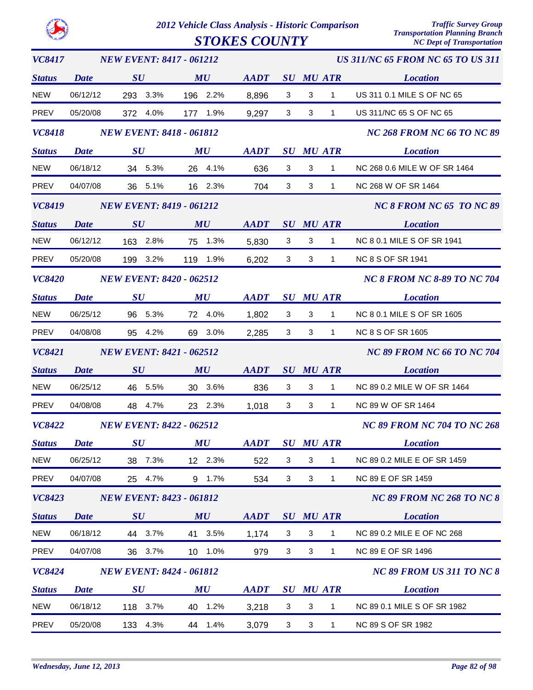*VC8417*

*2012 Vehicle Class Analysis - Historic Comparison Traffic Survey Group*

*STOKES COUNTY* 

*NEW EVENT: 8417 - 061212*

*US 311/NC 65 FROM NC 65 TO US 311*

*Status SU MU SU ATR Location AADT MU Date* NEW 06/12/12 293 3.3% 196 2.2% 8,896 3 3 1 US 311 0.1 MILE S OF NC 65 PREV 05/20/08 372 4.0% 177 1.9% 3 9,297 3 1 US 311/NC 65 S OF NC 65 *VC8418 Status SU MU SU ATR Location NC 268 FROM NC 66 TO NC 89 AADT MU NEW EVENT: 8418 - 061812 Date* NEW 06/18/12 34 5.3% 26 4.1% 636 3 3 1 NC 268 0.6 MILE W OF SR 1464 PREV 04/07/08 36 5.1% 16 2.3% 704 3 3 1 NC 268 W OF SR 1464 *VC8419 Status SU MU SU ATR Location NC 8 FROM NC 65 TO NC 89* **AADT** SU MU ATR *NEW EVENT: 8419 - 061212 Date* NEW 06/12/12 163 2.8% 75 1.3% 3 5,830 3 1 NC 8 0.1 MILE S OF SR 1941 PREV 05/20/08 199 3.2% 119 1.9% 6,202 3 3 1 NC 8 S OF SR 1941 *VC8420 Status SU MU SU ATR Location AADT MU NC 8 FROM NC 8-89 TO NC 704 NEW EVENT: 8420 - 062512 Date* NEW 06/25/12 96 5.3% 72 4.0% 1.802 3 3 1 NC 8 0.1 MILE S OF SR 1605 PREV 04/08/08 95 4.2% 69 3.0% 3 2,285 3 1 NC 8 S OF SR 1605 *VC8421 Status SU MU SU ATR Location NC 89 FROM NC 66 TO NC 704 AADT MU NEW EVENT: 8421 - 062512 Date* NEW 06/25/12 46 5.5% 30 3.6% 836 3 3 1 NC 89 0.2 MILE W OF SR 1464 PREV 04/08/08 48 4.7% 23 2.3% 1.018 3 3 1 NC 89 W OF SR 1464 *VC8422 Status SU MU SU ATR Location NC 89 FROM NC 704 TO NC 268 AADT MU NEW EVENT: 8422 - 062512 Date* NEW 06/25/12 38 7.3% 12 2.3% 522 3 3 1 NC 89 0.2 MILE E OF SR 1459 PREV 04/07/08 25 4.7% 9 1.7% 534 3 3 1 NC 89 E OF SR 1459 *VC8423 Status SU MU SU ATR Location NC 89 FROM NC 268 TO NC 8 AADT MU NEW EVENT: 8423 - 061812 Date* NEW 06/18/12 44 3.7% 41 3.5% 1.174 3 3 1 NC 89 0.2 MILE E OF NC 268 PREV 04/07/08 36 3.7% 10 1.0% 979 3 3 1 NC 89 E OF SR 1496 *VC8424 Status SU MU SU ATR Location AADT MU NC 89 FROM US 311 TO NC 8 NEW EVENT: 8424 - 061812 Date* NEW 06/18/12 118 3.7% 40 1.2% 3,218 3 3 1 NC 89 0.1 MILE S OF SR 1982 PREV 05/20/08 133 4.3% 44 1.4% 3 3,079 3 1 NC 89 S OF SR 1982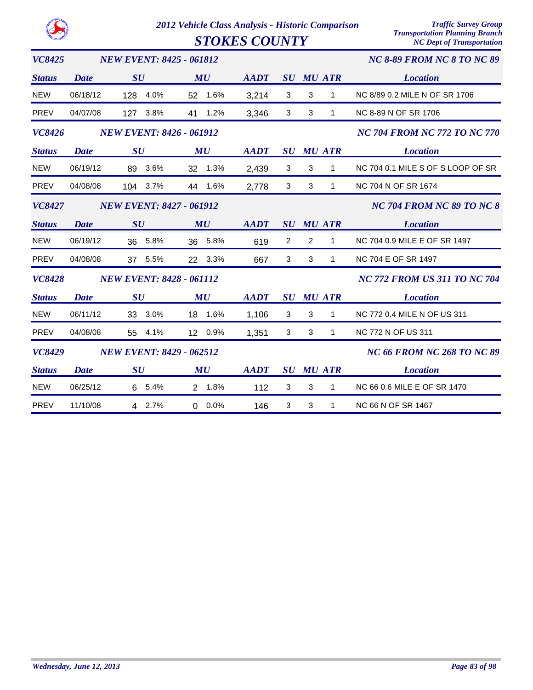$STOKES COUNTY$ 

| <b>VC8425</b> |             | <b>NEW EVENT: 8425 - 061812</b> |                     |             |   |                |                  | <b>NC 8-89 FROM NC 8 TO NC 89</b>   |
|---------------|-------------|---------------------------------|---------------------|-------------|---|----------------|------------------|-------------------------------------|
| <b>Status</b> | <b>Date</b> | SU                              | MU                  | <b>AADT</b> |   |                | <b>SU MU ATR</b> | <b>Location</b>                     |
| <b>NEW</b>    | 06/18/12    | 128 4.0%                        | 52 1.6%             | 3,214       | 3 | $\sqrt{3}$     | $\mathbf{1}$     | NC 8/89 0.2 MILE N OF SR 1706       |
| <b>PREV</b>   | 04/07/08    | 127 3.8%                        | 41<br>1.2%          | 3,346       | 3 | 3              | 1                | NC 8-89 N OF SR 1706                |
| VC8426        |             | <b>NEW EVENT: 8426 - 061912</b> |                     |             |   |                |                  | <b>NC 704 FROM NC 772 TO NC 770</b> |
| <b>Status</b> | <b>Date</b> | SU                              | MU                  | <b>AADT</b> |   |                | <b>SU MU ATR</b> | <b>Location</b>                     |
| <b>NEW</b>    | 06/19/12    | 89 3.6%                         | 32 1.3%             | 2,439       | 3 | $\mathbf{3}$   | $\mathbf{1}$     | NC 704 0.1 MILE S OF S LOOP OF SR   |
| <b>PREV</b>   | 04/08/08    | 104 3.7%                        | 44 1.6%             | 2,778       | 3 | 3              | $\mathbf{1}$     | NC 704 N OF SR 1674                 |
| <b>VC8427</b> |             | <b>NEW EVENT: 8427 - 061912</b> |                     |             |   |                |                  | NC 704 FROM NC 89 TO NC 8           |
| <b>Status</b> | Date        | SU                              | MU                  | <b>AADT</b> |   |                | <b>SU MU ATR</b> | <b>Location</b>                     |
| <b>NEW</b>    | 06/19/12    | 36 5.8%                         | 36 5.8%             | 619         | 2 | $\overline{2}$ | $\mathbf{1}$     | NC 704 0.9 MILE E OF SR 1497        |
| <b>PREV</b>   | 04/08/08    | 37 5.5%                         | 22 3.3%             | 667         | 3 | 3              | $\mathbf{1}$     | NC 704 E OF SR 1497                 |
| VC8428        |             | <b>NEW EVENT: 8428 - 061112</b> |                     |             |   |                |                  | <b>NC 772 FROM US 311 TO NC 704</b> |
| <b>Status</b> | Date        | $\boldsymbol{S}\boldsymbol{U}$  | MU                  | <b>AADT</b> |   |                | <b>SU MU ATR</b> | <b>Location</b>                     |
| <b>NEW</b>    | 06/11/12    | 33 3.0%                         | 18 1.6%             | 1,106       | 3 | 3              | 1                | NC 772 0.4 MILE N OF US 311         |
| <b>PREV</b>   | 04/08/08    | 55 4.1%                         | 12 0.9%             | 1,351       | 3 | 3              | $\mathbf{1}$     | NC 772 N OF US 311                  |
| <b>VC8429</b> |             | <b>NEW EVENT: 8429 - 062512</b> |                     |             |   |                |                  | <b>NC 66 FROM NC 268 TO NC 89</b>   |
| <b>Status</b> | Date        | SU                              | MU                  | <b>AADT</b> |   |                | <b>SU MU ATR</b> | <b>Location</b>                     |
| <b>NEW</b>    | 06/25/12    | 6 5.4%                          | 2 1.8%              | 112         | 3 | 3              | $\mathbf{1}$     | NC 66 0.6 MILE E OF SR 1470         |
| <b>PREV</b>   | 11/10/08    | 4 2.7%                          | $0.0\%$<br>$\Omega$ | 146         | 3 | 3              | 1                | NC 66 N OF SR 1467                  |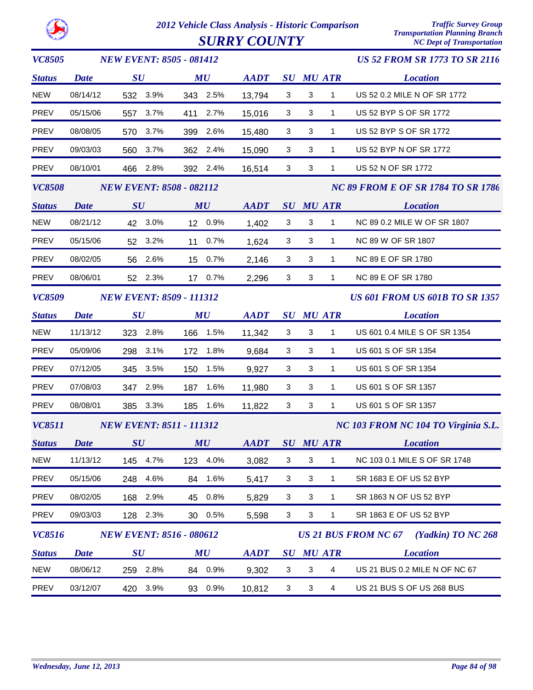

*2012 Vehicle Class Analysis - Historic Comparison Traffic Survey Group*  $S \textit{URRY} \textit{COUNTY}$ 

| <b>VC8505</b>      |             | <b>NEW EVENT: 8505 - 081412</b> |                         |             |                                |              |                  | <b>US 52 FROM SR 1773 TO SR 2116</b>      |
|--------------------|-------------|---------------------------------|-------------------------|-------------|--------------------------------|--------------|------------------|-------------------------------------------|
| <b>Status</b>      | <b>Date</b> | SU                              | MU                      | <b>AADT</b> |                                |              | <b>SU MU ATR</b> | <b>Location</b>                           |
| <b>NEW</b>         | 08/14/12    | 532 3.9%                        | 343 2.5%                | 13,794      | $\mathbf{3}$                   | $\sqrt{3}$   | $\mathbf{1}$     | US 52 0.2 MILE N OF SR 1772               |
| <b>PREV</b>        | 05/15/06    | 557 3.7%                        | 2.7%<br>411             | 15,016      | 3                              | $\mathbf{3}$ | $\mathbf{1}$     | US 52 BYP S OF SR 1772                    |
| <b>PREV</b>        | 08/08/05    | 570 3.7%                        | 399 2.6%                | 15,480      | 3                              | 3            | $\mathbf{1}$     | US 52 BYP S OF SR 1772                    |
| PREV               | 09/03/03    | 560 3.7%                        | 362 2.4%                | 15,090      | 3                              | $\mathbf{3}$ | $\mathbf{1}$     | US 52 BYP N OF SR 1772                    |
| PREV               | 08/10/01    | 466 2.8%                        | 392 2.4%                | 16,514      | 3                              | $\sqrt{3}$   | $\mathbf{1}$     | US 52 N OF SR 1772                        |
| <b>VC8508</b>      |             | <b>NEW EVENT: 8508 - 082112</b> |                         |             |                                |              |                  | <b>NC 89 FROM E OF SR 1784 TO SR 1786</b> |
| <b>Status</b>      | <b>Date</b> | SU                              | MU                      | <b>AADT</b> |                                |              | <b>SU MU ATR</b> | <b>Location</b>                           |
| <b>NEW</b>         | 08/21/12    | 42 3.0%                         | 12 0.9%                 | 1,402       | 3                              | $\mathbf{3}$ | $\mathbf{1}$     | NC 89 0.2 MILE W OF SR 1807               |
| PREV               | 05/15/06    | 52 3.2%                         | 11 0.7%                 | 1,624       | 3                              | 3            | $\mathbf{1}$     | NC 89 W OF SR 1807                        |
| PREV               | 08/02/05    | 56 2.6%                         | 0.7%<br>15 <sub>1</sub> | 2,146       | 3                              | 3            | $\mathbf{1}$     | NC 89 E OF SR 1780                        |
| PREV               | 08/06/01    | 52 2.3%                         | 17 0.7%                 | 2,296       | 3                              | $\mathbf{3}$ | $\mathbf{1}$     | <b>NC 89 E OF SR 1780</b>                 |
| <b>VC8509</b>      |             | <b>NEW EVENT: 8509 - 111312</b> |                         |             |                                |              |                  | <b>US 601 FROM US 601B TO SR 1357</b>     |
| <b>Status</b>      | <b>Date</b> | SU                              | MU                      | <b>AADT</b> | $\boldsymbol{S}\boldsymbol{U}$ |              | <b>MU ATR</b>    | <b>Location</b>                           |
| <b>NEW</b>         | 11/13/12    | 323 2.8%                        | 166 1.5%                | 11,342      | $\mathbf{3}$                   | $\mathbf{3}$ | $\mathbf{1}$     | US 601 0.4 MILE S OF SR 1354              |
| PREV               | 05/09/06    | 298 3.1%                        | 172 1.8%                | 9,684       | 3                              | 3            | $\mathbf{1}$     | US 601 S OF SR 1354                       |
| <b>PREV</b>        | 07/12/05    | 345 3.5%                        | 1.5%<br>150             | 9,927       | 3                              | 3            | $\mathbf{1}$     | US 601 S OF SR 1354                       |
| PREV               | 07/08/03    | 347 2.9%                        | 1.6%<br>187             | 11,980      | 3                              | 3            | $\mathbf{1}$     | US 601 S OF SR 1357                       |
| PREV               | 08/08/01    | 385 3.3%                        | 1.6%<br>185             | 11,822      | 3                              | $\mathbf{3}$ | $\mathbf{1}$     | US 601 S OF SR 1357                       |
| <b>VC8511</b>      |             | <b>NEW EVENT: 8511 - 111312</b> |                         |             |                                |              |                  | NC 103 FROM NC 104 TO Virginia S.L.       |
| <b>Status</b> Date |             | $\boldsymbol{S}\boldsymbol{U}$  | MU                      | <b>AADT</b> |                                |              | <b>SU MU ATR</b> | <b>Location</b>                           |
| <b>NEW</b>         | 11/13/12    | 145<br>4.7%                     | 123 4.0%                | 3,082       | 3                              | $\sqrt{3}$   | 1                | NC 103 0.1 MILE S OF SR 1748              |
| PREV               | 05/15/06    | 4.6%<br>248                     | 1.6%<br>84              | 5,417       | 3                              | 3            | 1                | SR 1683 E OF US 52 BYP                    |
| PREV               | 08/02/05    | 168<br>2.9%                     | 0.8%<br>45              | 5,829       | 3                              | 3            | $\mathbf{1}$     | SR 1863 N OF US 52 BYP                    |
| PREV               | 09/03/03    | 2.3%<br>128                     | 30 0.5%                 | 5,598       | 3                              | $\sqrt{3}$   | $\mathbf{1}$     | SR 1863 E OF US 52 BYP                    |
| VC8516             |             | <b>NEW EVENT: 8516 - 080612</b> |                         |             |                                |              |                  | US 21 BUS FROM NC 67 (Yadkin) TO NC 268   |
| <b>Status</b>      | <b>Date</b> | SU                              | MU                      | <b>AADT</b> | $\boldsymbol{S}\boldsymbol{U}$ |              | <b>MU ATR</b>    | <b>Location</b>                           |
| <b>NEW</b>         | 08/06/12    | 259 2.8%                        | 84 0.9%                 | 9,302       | $\mathbf{3}$                   | 3            | $\overline{4}$   | US 21 BUS 0.2 MILE N OF NC 67             |
| PREV               | 03/12/07    | 3.9%<br>420                     | 0.9%<br>93              | 10,812      | 3                              | 3            | $\overline{4}$   | US 21 BUS S OF US 268 BUS                 |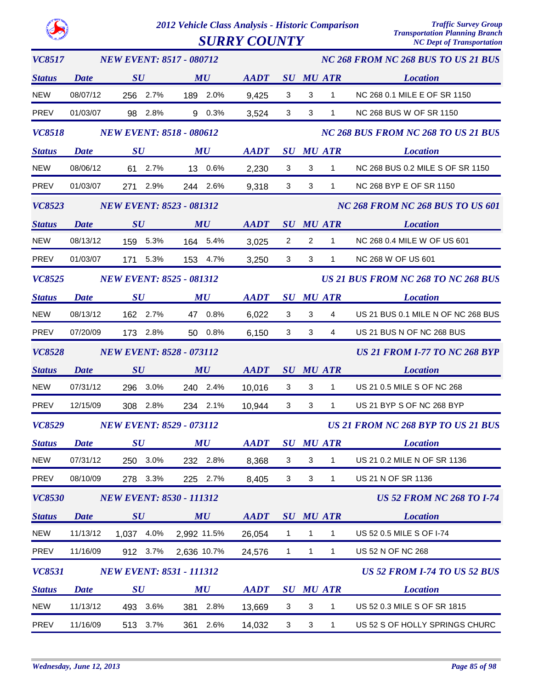| VC8517        | <b>NEW EVENT: 8517 - 080712</b> |                                 |             |             |                           | NC 268 FROM NC 268 BUS TO US 21 BUS |                  |                                            |  |  |  |
|---------------|---------------------------------|---------------------------------|-------------|-------------|---------------------------|-------------------------------------|------------------|--------------------------------------------|--|--|--|
| <b>Status</b> | Date                            | $\boldsymbol{S}\boldsymbol{U}$  | MU          | <b>AADT</b> |                           |                                     | <b>SU MU ATR</b> | <b>Location</b>                            |  |  |  |
| <b>NEW</b>    | 08/07/12                        | 256 2.7%                        | 189 2.0%    | 9,425       | 3                         | 3                                   | $\mathbf{1}$     | NC 268 0.1 MILE E OF SR 1150               |  |  |  |
| <b>PREV</b>   | 01/03/07                        | 98 2.8%                         | 9 0.3%      | 3,524       | $\mathbf{3}$              | 3                                   | $\mathbf{1}$     | <b>NC 268 BUS W OF SR 1150</b>             |  |  |  |
| <b>VC8518</b> |                                 | <b>NEW EVENT: 8518 - 080612</b> |             |             |                           |                                     |                  | NC 268 BUS FROM NC 268 TO US 21 BUS        |  |  |  |
| <b>Status</b> | <b>Date</b>                     | $\boldsymbol{S}\boldsymbol{U}$  | MU          | <b>AADT</b> |                           |                                     | <b>SU MU ATR</b> | <b>Location</b>                            |  |  |  |
| <b>NEW</b>    | 08/06/12                        | 61 2.7%                         | 13 0.6%     | 2,230       | 3                         | 3                                   | $\mathbf{1}$     | NC 268 BUS 0.2 MILE S OF SR 1150           |  |  |  |
| PREV          | 01/03/07                        | 271 2.9%                        | 244 2.6%    | 9,318       | $\mathbf{3}$              | 3                                   | 1                | NC 268 BYP E OF SR 1150                    |  |  |  |
| <b>VC8523</b> |                                 | <b>NEW EVENT: 8523 - 081312</b> |             |             |                           |                                     |                  | <b>NC 268 FROM NC 268 BUS TO US 601</b>    |  |  |  |
| <b>Status</b> | <b>Date</b>                     | SU                              | MU          | <b>AADT</b> |                           |                                     | SU MU ATR        | <b>Location</b>                            |  |  |  |
| <b>NEW</b>    | 08/13/12                        | 159 5.3%                        | 164 5.4%    | 3,025       | $\overline{2}$            | $\overline{2}$                      | $\mathbf{1}$     | NC 268 0.4 MILE W OF US 601                |  |  |  |
| PREV          | 01/03/07                        | 171 5.3%                        | 153 4.7%    | 3,250       | $\mathbf{3}$              | 3                                   | $\mathbf{1}$     | NC 268 W OF US 601                         |  |  |  |
| <b>VC8525</b> |                                 | <b>NEW EVENT: 8525 - 081312</b> |             |             |                           |                                     |                  | <b>US 21 BUS FROM NC 268 TO NC 268 BUS</b> |  |  |  |
| <b>Status</b> | <b>Date</b>                     | $\boldsymbol{S}\boldsymbol{U}$  | MU          | <b>AADT</b> |                           |                                     | <b>SU MU ATR</b> | <b>Location</b>                            |  |  |  |
| <b>NEW</b>    | 08/13/12                        | 162 2.7%                        | 47 0.8%     | 6,022       | 3                         | 3                                   | 4                | US 21 BUS 0.1 MILE N OF NC 268 BUS         |  |  |  |
| PREV          | 07/20/09                        | 173 2.8%                        | 50 0.8%     | 6,150       | $\mathbf{3}$              | 3                                   | $\overline{4}$   | US 21 BUS N OF NC 268 BUS                  |  |  |  |
| <b>VC8528</b> |                                 | <b>NEW EVENT: 8528 - 073112</b> |             |             |                           |                                     |                  | <b>US 21 FROM I-77 TO NC 268 BYP</b>       |  |  |  |
| <b>Status</b> | <b>Date</b>                     | SU                              | MU          | <b>AADT</b> |                           |                                     | <b>SU MU ATR</b> | <b>Location</b>                            |  |  |  |
| <b>NEW</b>    | 07/31/12                        | 296 3.0%                        | 240 2.4%    | 10,016      | 3                         | 3                                   | $\mathbf{1}$     | US 21 0.5 MILE S OF NC 268                 |  |  |  |
| PREV          | 12/15/09                        | 308 2.8%                        | 234 2.1%    | 10,944      | 3                         | 3                                   | $\mathbf{1}$     | US 21 BYP S OF NC 268 BYP                  |  |  |  |
| <b>VC8529</b> |                                 | <b>NEW EVENT: 8529 - 073112</b> |             |             |                           |                                     |                  | US 21 FROM NC 268 BYP TO US 21 BUS         |  |  |  |
| <b>Status</b> | <b>Date</b>                     | $\boldsymbol{S}\boldsymbol{U}$  | MU          | <b>AADT</b> |                           |                                     | <b>SU MU ATR</b> | <b>Location</b>                            |  |  |  |
| <b>NEW</b>    | 07/31/12                        | 250 3.0%                        | 232 2.8%    | 8,368       | 3                         | 3                                   | 1                | US 21 0.2 MILE N OF SR 1136                |  |  |  |
| <b>PREV</b>   | 08/10/09                        | 278 3.3%                        | 225 2.7%    | 8,405       | $\mathbf{3}$              | $\ensuremath{\mathsf{3}}$           | $\mathbf{1}$     | US 21 N OF SR 1136                         |  |  |  |
| <b>VC8530</b> |                                 | <b>NEW EVENT: 8530 - 111312</b> |             |             |                           |                                     |                  | <b>US 52 FROM NC 268 TO I-74</b>           |  |  |  |
| <b>Status</b> | <b>Date</b>                     | SU                              | MU          | <b>AADT</b> |                           |                                     | <b>SU MU ATR</b> | <b>Location</b>                            |  |  |  |
| <b>NEW</b>    | 11/13/12                        | 1,037 4.0%                      | 2.992 11.5% | 26,054      | $\mathbf{1}$              | $\mathbf{1}$                        | 1                | US 52 0.5 MILE S OF I-74                   |  |  |  |
| <b>PREV</b>   | 11/16/09                        | 912 3.7%                        | 2,636 10.7% | 24,576      | $\mathbf{1}$              | $\mathbf{1}$                        | $\mathbf{1}$     | US 52 N OF NC 268                          |  |  |  |
| <b>VC8531</b> |                                 | <b>NEW EVENT: 8531 - 111312</b> |             |             |                           |                                     |                  | <b>US 52 FROM I-74 TO US 52 BUS</b>        |  |  |  |
| <b>Status</b> | <b>Date</b>                     | SU                              | MU          | <b>AADT</b> |                           |                                     | <b>SU MU ATR</b> | <b>Location</b>                            |  |  |  |
| <b>NEW</b>    | 11/13/12                        | 493 3.6%                        | 2.8%<br>381 | 13,669      | 3                         | $\sqrt{3}$                          | 1                | US 52 0.3 MILE S OF SR 1815                |  |  |  |
| PREV          | 11/16/09                        | 513 3.7%                        | 2.6%<br>361 | 14,032      | $\ensuremath{\mathsf{3}}$ | $\ensuremath{\mathsf{3}}$           | $\mathbf{1}$     | US 52 S OF HOLLY SPRINGS CHURC             |  |  |  |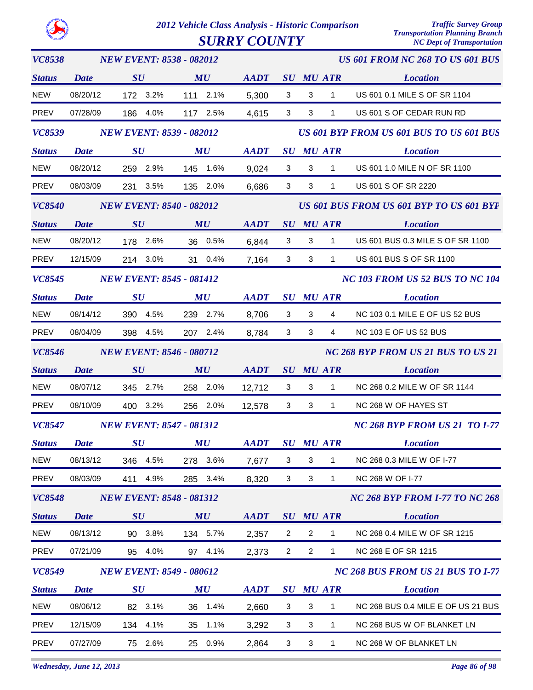*2012 Vehicle Class Analysis - Historic Comparison Traffic Survey Group*  $S \textit{URRY} \textit{COUNTY}$ 

| <b>VC8538</b> |             | <b>NEW EVENT: 8538 - 082012</b> |             |                                                            |                |                |                  | <b>US 601 FROM NC 268 TO US 601 BUS</b>         |
|---------------|-------------|---------------------------------|-------------|------------------------------------------------------------|----------------|----------------|------------------|-------------------------------------------------|
| <b>Status</b> | Date        | SU                              | MU          | <b>AADT</b>                                                |                |                | <b>SU MU ATR</b> | <b>Location</b>                                 |
| <b>NEW</b>    | 08/20/12    | 172 3.2%                        | 111 2.1%    | 5,300                                                      | 3              | 3              | $\mathbf{1}$     | US 601 0.1 MILE S OF SR 1104                    |
| PREV          | 07/28/09    | 186 4.0%                        | 117 2.5%    | 4,615                                                      | $\mathbf{3}$   | 3              | $\mathbf{1}$     | US 601 S OF CEDAR RUN RD                        |
| VC8539        |             | <b>NEW EVENT: 8539 - 082012</b> |             |                                                            |                |                |                  | <b>US 601 BYP FROM US 601 BUS TO US 601 BUS</b> |
| <b>Status</b> | <b>Date</b> | $\boldsymbol{S}\boldsymbol{U}$  | MU          | <b>AADT</b>                                                |                |                | <b>SU MU ATR</b> | <b>Location</b>                                 |
| <b>NEW</b>    | 08/20/12    | 259 2.9%                        | 145 1.6%    | 9,024                                                      | 3              | 3              | $\mathbf{1}$     | US 601 1.0 MILE N OF SR 1100                    |
| PREV          | 08/03/09    | 231 3.5%                        | 135 2.0%    | 6,686                                                      | $\mathbf{3}$   | 3              | $\mathbf{1}$     | US 601 S OF SR 2220                             |
| <b>VC8540</b> |             | <b>NEW EVENT: 8540 - 082012</b> |             |                                                            |                |                |                  | <b>US 601 BUS FROM US 601 BYP TO US 601 BYP</b> |
| <b>Status</b> | <b>Date</b> | SU                              | MU          | <b>AADT</b>                                                |                |                | <b>SU MU ATR</b> | <b>Location</b>                                 |
| <b>NEW</b>    | 08/20/12    | 178 2.6%                        | 36 0.5%     | 6,844                                                      | 3              | 3              | $\mathbf{1}$     | US 601 BUS 0.3 MILE S OF SR 1100                |
| <b>PREV</b>   | 12/15/09    | 214 3.0%                        | 31 0.4%     | 7,164                                                      | 3              | 3              | $\mathbf{1}$     | US 601 BUS S OF SR 1100                         |
| VC8545        |             | <b>NEW EVENT: 8545 - 081412</b> |             |                                                            |                |                |                  | <b>NC 103 FROM US 52 BUS TO NC 104</b>          |
| <b>Status</b> | <b>Date</b> | $\boldsymbol{S}\boldsymbol{U}$  | MU          | <b>AADT</b>                                                |                |                | <b>SU MU ATR</b> | <b>Location</b>                                 |
| <b>NEW</b>    | 08/14/12    | 390 4.5%                        | 239 2.7%    | 8,706                                                      | 3              | 3              | $\overline{4}$   | NC 103 0.1 MILE E OF US 52 BUS                  |
| PREV          | 08/04/09    | 398 4.5%                        | 207 2.4%    | 8,784                                                      | 3              | 3              | 4                | <b>NC 103 E OF US 52 BUS</b>                    |
| VC8546        |             | <b>NEW EVENT: 8546 - 080712</b> |             |                                                            |                |                |                  | NC 268 BYP FROM US 21 BUS TO US 21              |
| <b>Status</b> | <b>Date</b> | SU                              | MU          | <b>AADT</b>                                                |                |                | SU MU ATR        | <b>Location</b>                                 |
| <b>NEW</b>    | 08/07/12    | 345 2.7%                        | 258 2.0%    | 12,712                                                     | 3              | 3              | $\mathbf{1}$     | NC 268 0.2 MILE W OF SR 1144                    |
| PREV          | 08/10/09    | 400 3.2%                        | 256 2.0%    | 12,578                                                     | 3              | 3              | $\mathbf{1}$     | NC 268 W OF HAYES ST                            |
| VC8547        |             | <b>NEW EVENT: 8547 - 081312</b> |             |                                                            |                |                |                  | <b>NC 268 BYP FROM US 21 TO I-77</b>            |
| <b>Status</b> |             | Date SU                         | MU          | $\boldsymbol{A}\boldsymbol{A}\boldsymbol{D}\boldsymbol{T}$ |                |                | SU MU ATR        | <b>Location</b>                                 |
| <b>NEW</b>    | 08/13/12    | 346<br>4.5%                     | 278<br>3.6% | 7,677                                                      | 3              | 3              | 1                | NC 268 0.3 MILE W OF I-77                       |
| PREV          | 08/03/09    | 4.9%<br>411                     | 285 3.4%    | 8,320                                                      | 3              | 3              | 1                | NC 268 W OF I-77                                |
| <b>VC8548</b> |             | <b>NEW EVENT: 8548 - 081312</b> |             |                                                            |                |                |                  | <b>NC 268 BYP FROM I-77 TO NC 268</b>           |
| <b>Status</b> | <b>Date</b> | SU                              | MU          | <b>AADT</b>                                                |                |                | <b>SU MU ATR</b> | <b>Location</b>                                 |
| <b>NEW</b>    | 08/13/12    | 3.8%<br>90                      | 134 5.7%    | 2,357                                                      | $\overline{2}$ | $\overline{c}$ | 1                | NC 268 0.4 MILE W OF SR 1215                    |
| PREV          | 07/21/09    | 4.0%<br>95                      | 97 4.1%     | 2,373                                                      | $\overline{a}$ | $\overline{c}$ | $\mathbf{1}$     | NC 268 E OF SR 1215                             |
| VC8549        |             | <b>NEW EVENT: 8549 - 080612</b> |             |                                                            |                |                |                  | NC 268 BUS FROM US 21 BUS TO 1-77               |
| <b>Status</b> | <b>Date</b> | $\boldsymbol{S}\boldsymbol{U}$  | MU          | <b>AADT</b>                                                | $\bm{S}\bm{U}$ |                | MU ATR           | <b>Location</b>                                 |
| <b>NEW</b>    | 08/06/12    | 82<br>3.1%                      | 1.4%<br>36  | 2,660                                                      | $\mathbf{3}$   | 3              | 1                | NC 268 BUS 0.4 MILE E OF US 21 BUS              |
| <b>PREV</b>   | 12/15/09    | 4.1%<br>134                     | 1.1%<br>35  | 3,292                                                      | 3              | 3              | 1                | NC 268 BUS W OF BLANKET LN                      |
| PREV          | 07/27/09    | 2.6%<br>75                      | 0.9%<br>25  | 2,864                                                      | 3              | 3              | $\mathbf{1}$     | NC 268 W OF BLANKET LN                          |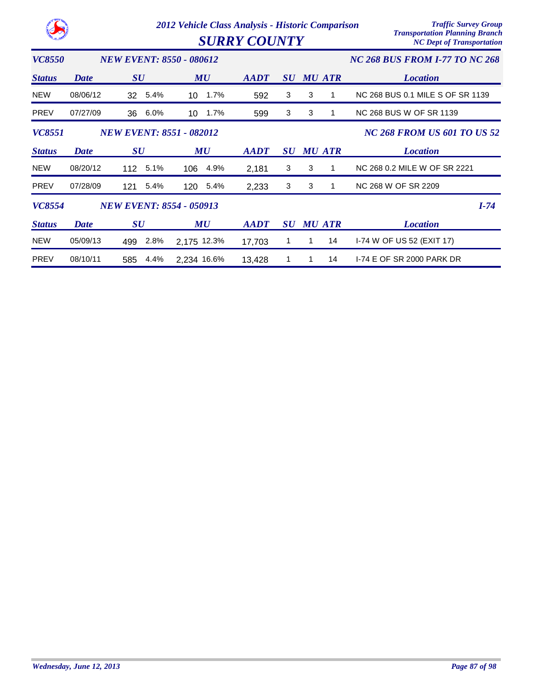|               |             | 2012 Vehicle Class Analysis - Historic Comparison | <b>SURRY COUNTY</b> |             | <b>Traffic Survey Group</b><br><b>Transportation Planning Branch</b><br><b>NC Dept of Transportation</b> |               |                                       |
|---------------|-------------|---------------------------------------------------|---------------------|-------------|----------------------------------------------------------------------------------------------------------|---------------|---------------------------------------|
| <i>VC8550</i> |             | <b>NEW EVENT: 8550 - 080612</b>                   |                     |             |                                                                                                          |               | <b>NC 268 BUS FROM I-77 TO NC 268</b> |
| <b>Status</b> | Date        | SU                                                | MU                  | <b>AADT</b> | $\boldsymbol{S}\boldsymbol{U}$                                                                           | <b>MU ATR</b> | <b>Location</b>                       |
| <b>NEW</b>    | 08/06/12    | 5.4%<br>32                                        | 1.7%<br>10          | 592         | 3                                                                                                        | 3             | NC 268 BUS 0.1 MILE S OF SR 1139      |
| <b>PREV</b>   | 07/27/09    | 6.0%<br>36                                        | 1.7%<br>10          | 599         | 3                                                                                                        | 3             | NC 268 BUS W OF SR 1139               |
| <b>VC8551</b> |             | <b>NEW EVENT: 8551 - 082012</b>                   |                     |             |                                                                                                          |               | <b>NC 268 FROM US 601 TO US 52</b>    |
| <b>Status</b> | <b>Date</b> | $\boldsymbol{S}\boldsymbol{U}$                    | MU                  | <b>AADT</b> | $\boldsymbol{S}\boldsymbol{U}$                                                                           | <b>MU ATR</b> | <b>Location</b>                       |
| <b>NEW</b>    | 08/20/12    | 112 5.1%                                          | 106<br>4.9%         | 2,181       | 3                                                                                                        | 3             | NC 268 0.2 MILE W OF SR 2221          |
| <b>PREV</b>   | 07/28/09    | 5.4%<br>121                                       | 5.4%<br>120         | 2,233       | 3                                                                                                        | 3             | NC 268 W OF SR 2209                   |
| VC8554        |             | <b>NEW EVENT: 8554 - 050913</b>                   |                     |             |                                                                                                          |               | $I-74$                                |
| <b>Status</b> | <b>Date</b> | $\boldsymbol{S}\boldsymbol{U}$                    | MU                  | <b>AADT</b> | $\boldsymbol{S}\boldsymbol{U}$                                                                           | <b>MU ATR</b> | <b>Location</b>                       |
| NEW           | 05/09/13    | 2.8%<br>499                                       | 2,175 12.3%         | 17,703      |                                                                                                          | 14            | 1-74 W OF US 52 (EXIT 17)             |
| <b>PREV</b>   | 08/10/11    | 4.4%<br>585                                       | 2,234 16.6%         | 13,428      |                                                                                                          | 14            | 1-74 E OF SR 2000 PARK DR             |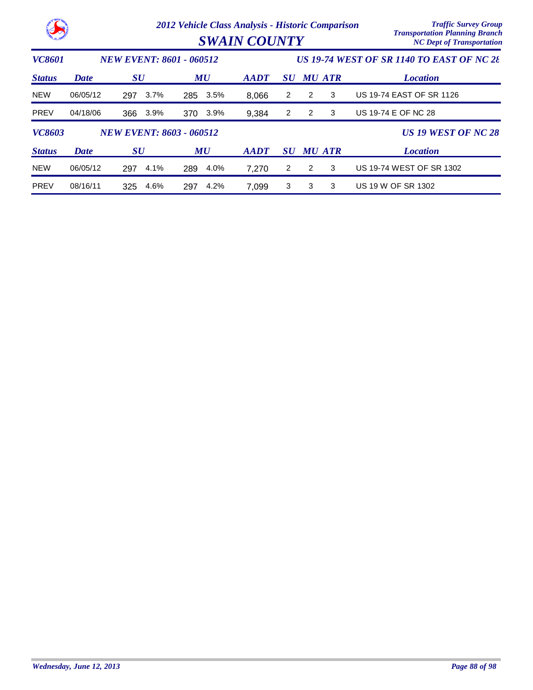|                                                  | 2012 Vehicle Class Analysis - Historic Comparison<br><b>SWAIN COUNTY</b> |                                 |                |                |                                                  |   |               | <b>Traffic Survey Group</b><br><b>Transportation Planning Branch</b><br><b>NC Dept of Transportation</b> |  |  |
|--------------------------------------------------|--------------------------------------------------------------------------|---------------------------------|----------------|----------------|--------------------------------------------------|---|---------------|----------------------------------------------------------------------------------------------------------|--|--|
| <b>VC8601</b><br><b>NEW EVENT: 8601 - 060512</b> |                                                                          |                                 |                |                | <b>US 19-74 WEST OF SR 1140 TO EAST OF NC 28</b> |   |               |                                                                                                          |  |  |
| <b>Status</b>                                    | <b>Date</b>                                                              | $\boldsymbol{S}\boldsymbol{U}$  | MU             | $A$ <i>ADT</i> | SU                                               |   | <b>MU ATR</b> | <b>Location</b>                                                                                          |  |  |
| <b>NEW</b>                                       | 06/05/12                                                                 | 3.7%<br>297                     | 3.5%<br>285    | 8,066          | $\overline{2}$                                   | 2 | 3             | US 19-74 EAST OF SR 1126                                                                                 |  |  |
| <b>PREV</b>                                      | 04/18/06                                                                 | 3.9%<br>366                     | $3.9\%$<br>370 | 9,384          | 2                                                | 2 | 3             | US 19-74 E OF NC 28                                                                                      |  |  |
| <b>VC8603</b>                                    |                                                                          | <b>NEW EVENT: 8603 - 060512</b> |                |                |                                                  |   |               | <b>US 19 WEST OF NC 28</b>                                                                               |  |  |
| <b>Status</b>                                    | Date                                                                     | $\boldsymbol{S}\boldsymbol{U}$  | MU             | $A$ <i>ADT</i> | <b>SU</b>                                        |   | <b>MU ATR</b> | <b>Location</b>                                                                                          |  |  |
| <b>NEW</b>                                       | 06/05/12                                                                 | 4.1%<br>297                     | 4.0%<br>289    | 7,270          | $\overline{2}$                                   | 2 | 3             | US 19-74 WEST OF SR 1302                                                                                 |  |  |
| <b>PREV</b>                                      | 08/16/11                                                                 | 4.6%<br>325                     | 4.2%<br>297    | 7,099          | 3                                                | 3 | 3             | US 19 W OF SR 1302                                                                                       |  |  |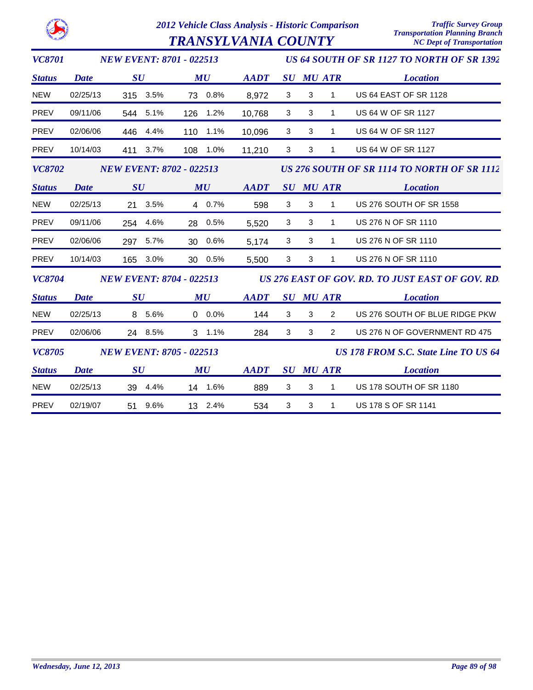

 $\boldsymbol{TRANSYLVANIA}$   $\boldsymbol{COUNTY}$ 

| <b>VC8701</b> | <b>NEW EVENT: 8701 - 022513</b> | US 64 SOUTH OF SR 1127 TO NORTH OF SR 1392 |             |                                                  |              |                  |                |                                             |  |
|---------------|---------------------------------|--------------------------------------------|-------------|--------------------------------------------------|--------------|------------------|----------------|---------------------------------------------|--|
| <b>Status</b> | <b>Date</b>                     | SU                                         | MU          | <b>AADT</b>                                      |              | <b>SU MU ATR</b> |                | <b>Location</b>                             |  |
| <b>NEW</b>    | 02/25/13                        | 315 3.5%                                   | 73 0.8%     | 8,972                                            | $\mathbf{3}$ | $\sqrt{3}$       | 1              | <b>US 64 EAST OF SR 1128</b>                |  |
| <b>PREV</b>   | 09/11/06                        | 544 5.1%                                   | 126<br>1.2% | 10,768                                           | 3            | 3                | 1              | US 64 W OF SR 1127                          |  |
| <b>PREV</b>   | 02/06/06                        | 446<br>4.4%                                | 1.1%<br>110 | 10,096                                           | 3            | 3                | 1              | <b>US 64 W OF SR 1127</b>                   |  |
| PREV          | 10/14/03                        | 411 3.7%                                   | 108 1.0%    | 11,210                                           | 3            | 3                | 1              | <b>US 64 W OF SR 1127</b>                   |  |
| <b>VC8702</b> | <b>NEW EVENT: 8702 - 022513</b> |                                            |             |                                                  |              |                  |                | US 276 SOUTH OF SR 1114 TO NORTH OF SR 1112 |  |
| <b>Status</b> | <b>Date</b>                     | SU                                         | MU          | <b>AADT</b>                                      |              | <b>SU MU ATR</b> |                | <b>Location</b>                             |  |
| <b>NEW</b>    | 02/25/13                        | 21 3.5%                                    | 4 0.7%      | 598                                              | 3            | 3                | $\mathbf{1}$   | US 276 SOUTH OF SR 1558                     |  |
| <b>PREV</b>   | 09/11/06                        | 254 4.6%                                   | 28 0.5%     | 5,520                                            | 3            | 3                | 1              | US 276 N OF SR 1110                         |  |
| <b>PREV</b>   | 02/06/06                        | 297 5.7%                                   | 30 0.6%     | 5,174                                            | 3            | 3                | 1              | US 276 N OF SR 1110                         |  |
| <b>PREV</b>   | 10/14/03                        | 165 3.0%                                   | 30 0.5%     | 5,500                                            | 3            | 3                | $\mathbf{1}$   | US 276 N OF SR 1110                         |  |
| <b>VC8704</b> |                                 | <b>NEW EVENT: 8704 - 022513</b>            |             | US 276 EAST OF GOV. RD. TO JUST EAST OF GOV. RD. |              |                  |                |                                             |  |
| <b>Status</b> | <b>Date</b>                     | $\boldsymbol{S}\boldsymbol{U}$             | MU          | <b>AADT</b>                                      |              | <b>SU MU ATR</b> |                | <b>Location</b>                             |  |
| <b>NEW</b>    | 02/25/13                        | 8 5.6%                                     | $0.0\%$     | 144                                              | 3            | 3                | $\overline{2}$ | US 276 SOUTH OF BLUE RIDGE PKW              |  |
| <b>PREV</b>   | 02/06/06                        | 24 8.5%                                    | $3, 1.1\%$  | 284                                              | 3            | 3                | $\overline{2}$ | US 276 N OF GOVERNMENT RD 475               |  |
| <b>VC8705</b> |                                 | <b>NEW EVENT: 8705 - 022513</b>            |             |                                                  |              |                  |                | <b>US 178 FROM S.C. State Line TO US 64</b> |  |
| <b>Status</b> | <b>Date</b>                     | SU                                         | MU          | <b>AADT</b>                                      |              | <b>SU MU ATR</b> |                | <b>Location</b>                             |  |
| <b>NEW</b>    | 02/25/13                        | 39 4.4%                                    | 14 1.6%     | 889                                              | 3            | 3                | 1              | US 178 SOUTH OF SR 1180                     |  |
| <b>PREV</b>   | 02/19/07                        | 9.6%<br>51                                 | 13 2.4%     | 534                                              | 3            | 3                | 1              | US 178 S OF SR 1141                         |  |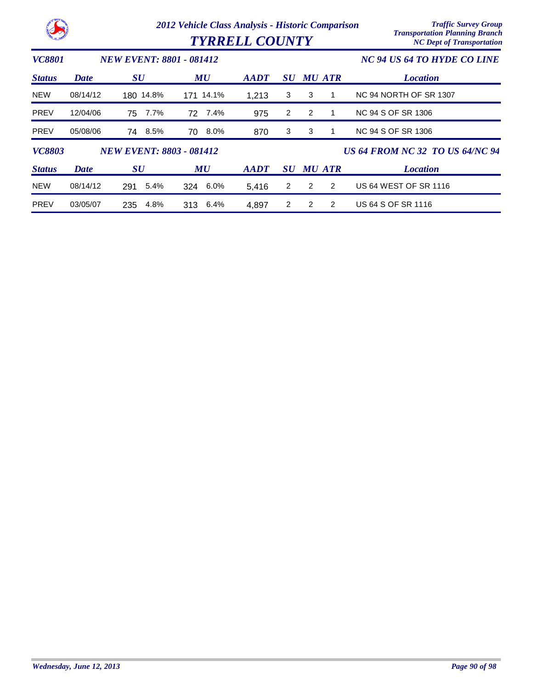|               |             |                                 | 2012 Vehicle Class Analysis - Historic Comparison<br><b>TYRRELL COUNTY</b> | <b>Traffic Survey Group</b><br><b>Transportation Planning Branch</b><br><b>NC Dept of Transportation</b> |                |                             |   |                                        |
|---------------|-------------|---------------------------------|----------------------------------------------------------------------------|----------------------------------------------------------------------------------------------------------|----------------|-----------------------------|---|----------------------------------------|
| <b>VC8801</b> |             | <b>NEW EVENT: 8801 - 081412</b> |                                                                            |                                                                                                          |                | NC 94 US 64 TO HYDE CO LINE |   |                                        |
| <b>Status</b> | Date        | $\boldsymbol{S}\boldsymbol{U}$  | MU                                                                         | <b>AADT</b>                                                                                              | <b>SU</b>      | <b>MU ATR</b>               |   | <b>Location</b>                        |
| <b>NEW</b>    | 08/14/12    | 180 14.8%                       | 171 14.1%                                                                  | 1,213                                                                                                    | 3              | 3                           |   | NC 94 NORTH OF SR 1307                 |
| <b>PREV</b>   | 12/04/06    | 7.7%<br>75                      | 7.4%<br>72                                                                 | 975                                                                                                      | $\overline{2}$ | $\overline{2}$              |   | NC 94 S OF SR 1306                     |
| <b>PREV</b>   | 05/08/06    | 74 8.5%                         | 8.0%<br>70                                                                 | 870                                                                                                      | 3              | 3                           |   | NC 94 S OF SR 1306                     |
| <b>VC8803</b> |             | <b>NEW EVENT: 8803 - 081412</b> |                                                                            |                                                                                                          |                |                             |   | <b>US 64 FROM NC 32 TO US 64/NC 94</b> |
| <b>Status</b> | <b>Date</b> | <b>SU</b>                       | MU                                                                         | $A$ <i>ADT</i>                                                                                           | <b>SU</b>      | <b>MU ATR</b>               |   | <b>Location</b>                        |
| <b>NEW</b>    | 08/14/12    | 5.4%<br>291                     | 324 6.0%                                                                   | 5,416                                                                                                    | $\overline{2}$ | 2                           | 2 | <b>US 64 WEST OF SR 1116</b>           |
| <b>PREV</b>   | 03/05/07    | 4.8%<br>235                     | 313 6.4%                                                                   | 4,897                                                                                                    | $\overline{2}$ | 2                           | 2 | US 64 S OF SR 1116                     |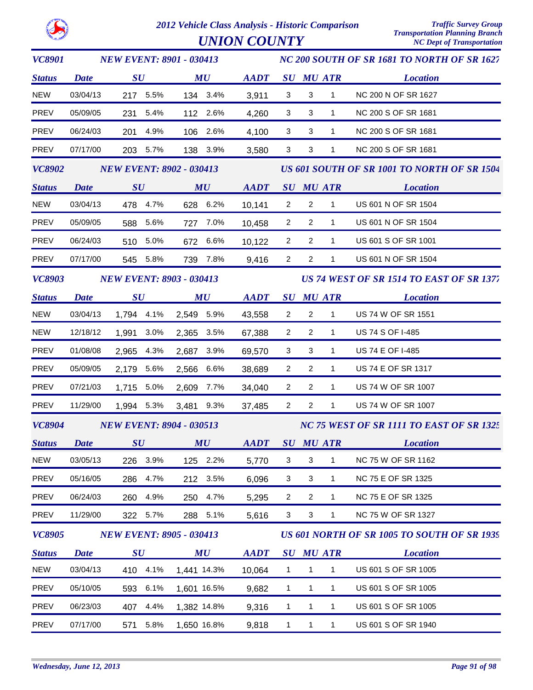

| <b>VC8901</b>        |                                 | <b>NEW EVENT: 8901 - 030413</b> |          |             |                                |                |                                          |                | NC 200 SOUTH OF SR 1681 TO NORTH OF SR 1627 |                                             |  |
|----------------------|---------------------------------|---------------------------------|----------|-------------|--------------------------------|----------------|------------------------------------------|----------------|---------------------------------------------|---------------------------------------------|--|
| <b>Status</b>        | <b>Date</b>                     | SU                              |          |             | $\boldsymbol{M}\boldsymbol{U}$ | <b>AADT</b>    |                                          |                | <b>SU MU ATR</b>                            | <b>Location</b>                             |  |
| <b>NEW</b>           | 03/04/13                        |                                 | 217 5.5% |             | 134 3.4%                       | 3,911          | 3                                        | 3              | $\mathbf{1}$                                | NC 200 N OF SR 1627                         |  |
| <b>PREV</b>          | 05/09/05                        |                                 | 231 5.4% |             | 112 2.6%                       | 4,260          | 3                                        | 3              | $\mathbf{1}$                                | NC 200 S OF SR 1681                         |  |
| PREV                 | 06/24/03                        | 201                             | 4.9%     |             | 106 2.6%                       | 4,100          | 3                                        | 3              | $\mathbf{1}$                                | NC 200 S OF SR 1681                         |  |
| PREV                 | 07/17/00                        |                                 | 203 5.7% |             | 138 3.9%                       | 3,580          | 3                                        | 3              | $\mathbf{1}$                                | NC 200 S OF SR 1681                         |  |
| <b>VC8902</b>        | <b>NEW EVENT: 8902 - 030413</b> |                                 |          |             |                                |                |                                          |                | US 601 SOUTH OF SR 1001 TO NORTH OF SR 1504 |                                             |  |
| <b>Status</b>        | <b>Date</b>                     | SU                              |          |             | $\boldsymbol{M}\boldsymbol{U}$ | AADT SU MU ATR |                                          |                |                                             | <i>Location</i>                             |  |
| <b>NEW</b>           | 03/04/13                        |                                 | 478 4.7% |             | 628 6.2%                       | 10,141         | $\overline{2}$                           | $\overline{2}$ | $\mathbf{1}$                                | US 601 N OF SR 1504                         |  |
| PREV                 | 05/09/05                        |                                 | 588 5.6% |             | 727 7.0%                       | 10,458         | $\overline{2}$                           | $\overline{2}$ | $\mathbf{1}$                                | US 601 N OF SR 1504                         |  |
| PREV                 | 06/24/03                        |                                 | 510 5.0% |             | 672 6.6%                       | 10,122         | $\overline{2}$                           | $\overline{2}$ | $\mathbf{1}$                                | US 601 S OF SR 1001                         |  |
| <b>PREV</b>          | 07/17/00                        |                                 | 545 5.8% |             | 739 7.8%                       | 9,416          | $\overline{2}$                           | $\overline{2}$ | $\mathbf{1}$                                | US 601 N OF SR 1504                         |  |
| <b>VC8903</b>        | <b>NEW EVENT: 8903 - 030413</b> |                                 |          |             |                                |                |                                          |                |                                             | US 74 WEST OF SR 1514 TO EAST OF SR 1377    |  |
| <b>Status</b>        | <b>Date</b>                     | $\boldsymbol{S}\boldsymbol{U}$  |          |             | $\boldsymbol{M}\boldsymbol{U}$ | <b>AADT</b>    |                                          |                | SU MU ATR                                   | <b>Location</b>                             |  |
| <b>NEW</b>           | 03/04/13                        | 1,794 4.1%                      |          | 2,549 5.9%  |                                | 43,558         | $\overline{2}$                           | $\overline{2}$ | 1                                           | US 74 W OF SR 1551                          |  |
| NEW                  | 12/18/12                        | 1,991 3.0%                      |          | 2,365 3.5%  |                                | 67,388         | $\overline{2}$                           | $\overline{2}$ | $\mathbf{1}$                                | US 74 S OF I-485                            |  |
| PREV                 | 01/08/08                        | 2,965 4.3%                      |          | 2,687 3.9%  |                                | 69,570         | 3                                        | 3              | $\mathbf{1}$                                | US 74 E OF I-485                            |  |
| PREV                 | 05/09/05                        | 2,179 5.6%                      |          | 2,566 6.6%  |                                | 38,689         | $\overline{2}$                           | $\overline{2}$ | $\mathbf{1}$                                | US 74 E OF SR 1317                          |  |
| PREV                 | 07/21/03                        | 1,715 5.0%                      |          | 2,609 7.7%  |                                | 34,040         | $\overline{2}$                           | $\overline{2}$ | $\mathbf{1}$                                | US 74 W OF SR 1007                          |  |
| PREV                 | 11/29/00                        | 1,994 5.3%                      |          | 3,481 9.3%  |                                | 37,485         | $\overline{2}$                           | $\overline{2}$ | $\mathbf{1}$                                | US 74 W OF SR 1007                          |  |
| <b>VC8904</b>        |                                 | <b>NEW EVENT: 8904 - 030513</b> |          |             |                                |                | NC 75 WEST OF SR 1111 TO EAST OF SR 1325 |                |                                             |                                             |  |
| <i><b>Status</b></i> |                                 |                                 |          |             | Date SU MU                     |                |                                          |                |                                             | AADT SU MU ATR Location                     |  |
| <b>NEW</b>           | 03/05/13                        | 226                             | 3.9%     | 125         | 2.2%                           | 5,770          | 3                                        | 3              | 1                                           | <b>NC 75 W OF SR 1162</b>                   |  |
| PREV                 | 05/16/05                        | 286                             | 4.7%     |             | 212 3.5%                       | 6,096          | 3                                        | 3              | $\mathbf{1}$                                | NC 75 E OF SR 1325                          |  |
| PREV                 | 06/24/03                        | 260                             | 4.9%     |             | 250 4.7%                       | 5,295          | $\overline{2}$                           | $\overline{2}$ | $\mathbf{1}$                                | NC 75 E OF SR 1325                          |  |
| <b>PREV</b>          | 11/29/00                        |                                 | 322 5.7% |             | 288 5.1%                       | 5,616          | $\mathbf{3}$                             | 3              | $\mathbf{1}$                                | NC 75 W OF SR 1327                          |  |
| <b>VC8905</b>        |                                 | <b>NEW EVENT: 8905 - 030413</b> |          |             |                                |                |                                          |                |                                             | US 601 NORTH OF SR 1005 TO SOUTH OF SR 1939 |  |
| <b>Status</b>        | <b>Date</b>                     | $\boldsymbol{S}\boldsymbol{U}$  |          |             | MU                             | <b>AADT</b>    |                                          |                | <b>SU MU ATR</b>                            | <b>Location</b>                             |  |
| <b>NEW</b>           | 03/04/13                        |                                 | 410 4.1% | 1,441 14.3% |                                | 10,064         | $\mathbf{1}$                             | $\mathbf{1}$   | $\mathbf{1}$                                | US 601 S OF SR 1005                         |  |
| <b>PREV</b>          | 05/10/05                        | 593                             | 6.1%     | 1,601 16.5% |                                | 9,682          | $\mathbf{1}$                             | $\mathbf{1}$   | $\mathbf{1}$                                | US 601 S OF SR 1005                         |  |
| PREV                 | 06/23/03                        | 407                             | 4.4%     | 1,382 14.8% |                                | 9,316          | $\mathbf{1}$                             | 1              | 1                                           | US 601 S OF SR 1005                         |  |
| PREV                 | 07/17/00                        | 571                             | 5.8%     | 1,650 16.8% |                                | 9,818          | $\mathbf{1}$                             | $\mathbf{1}$   | $\mathbf{1}$                                | US 601 S OF SR 1940                         |  |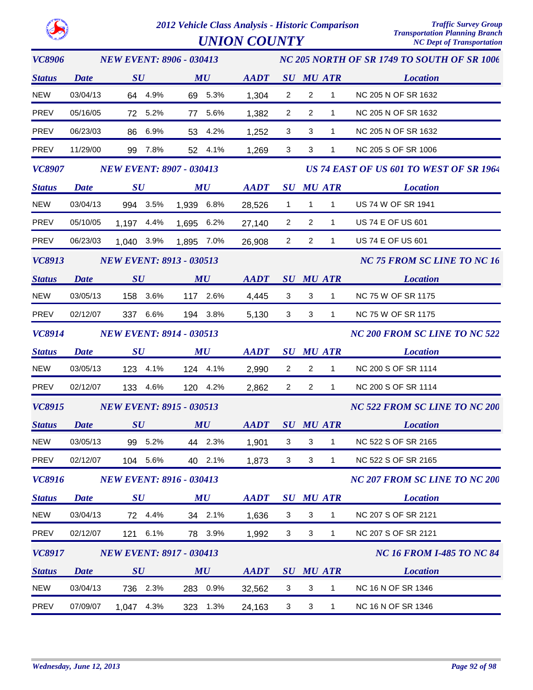

*UNION COUNTY* 

*VC8906 Status SU MU SU ATR Location AADT MU NC 205 NORTH OF SR 1749 TO SOUTH OF SR 1006 NEW EVENT: 8906 - 030413 Date* NEW 03/04/13 64 4.9% 69 5.3% 1,304 2 2 1 NC 205 N OF SR 1632 PREV 05/16/05 72 5.2% 77 5.6% 1,382 2 2 1 NC 205 N OF SR 1632 PREV 06/23/03 86 6.9% 53 4.2% 1,252 3 3 1 NC 205 N OF SR 1632 PREV 11/29/00 99 7.8% 52 4.1% 1,269 3 3 1 NC 205 S OF SR 1006 *VC8907 Status SU MU SU ATR Location US 74 EAST OF US 601 TO WEST OF SR 1964* **AADT** SU MU ATR *NEW EVENT: 8907 - 030413 Date* NEW 03/04/13 994 3.5% 1,939 6.8% 28,526 1 1 1 US 74 W OF SR 1941 PREV 05/10/05 1,197 4.4% 1,695 6.2% 27,140 2 2 1 US 74 E OF US 601 PREV 06/23/03 1,040 3.9% 1,895 7.0% 26,908 2 2 1 US 74 E OF US 601 *VC8913 Status SU MU SU ATR Location AADT MU NC 75 FROM SC LINE TO NC 16 NEW EVENT: 8913 - 030513 Date* NEW 03/05/13 158 3.6% 117 2.6% 3 4,445 3 1 NC 75 W OF SR 1175 PREV 02/12/07 337 6.6% 194 3.8% 3 5,130 3 1 NC 75 W OF SR 1175 *VC8914 Status SU MU SU ATR Location AADT MU NC 200 FROM SC LINE TO NC 522 NEW EVENT: 8914 - 030513 Date* NEW 03/05/13 123 4.1% 124 4.1% 2,990 2 2 1 NC 200 S OF SR 1114 PREV 02/12/07 133 4.6% 120 4.2% 2 2,862 2 1 NC 200 S OF SR 1114 *VC8915 Status SU MU SU ATR Location NC 522 FROM SC LINE TO NC 200* **AADT** SU MU ATR *NEW EVENT: 8915 - 030513 Date* NEW 03/05/13 99 5.2% 44 2.3% 1,901 3 3 1 NC 522 S OF SR 2165 PREV 02/12/07 104 5.6% 40 2.1% 1.873 3 3 1 NC 522 S OF SR 2165 *VC8916 Status SU MU SU ATR Location NC 207 FROM SC LINE TO NC 200* **AADT** SU MU ATR *NEW EVENT: 8916 - 030413 Date* NEW 03/04/13 72 4.4% 34 2.1% 1.636 3 3 1 NC 207 S OF SR 2121 PREV 02/12/07 121 6.1% 78 3.9% 1.992 3 3 1 NC 207 S OF SR 2121 *VC8917 Status SU MU SU ATR Location AADT MU NC 16 FROM I-485 TO NC 84 NEW EVENT: 8917 - 030413 Date* NEW 03/04/13 736 2.3% 283 0.9% 32,562 3 3 1 NC 16 N OF SR 1346 PREV 07/09/07 1,047 4.3% 323 1.3% 24,163 3 3 1 NC 16 N OF SR 1346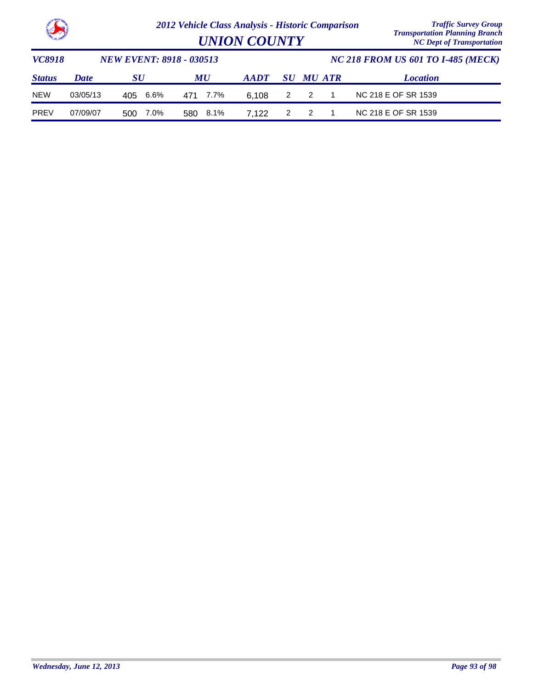

*Transportation Planning Branch UNION COUNTY NC Dept of Transportation*

| <i><b>VC8918</b></i> |             | <b>NEW EVENT: 8918 - 030513</b> |          | <b>NC 218 FROM US 601 TO 1-485 (MECK)</b> |  |                  |  |                     |
|----------------------|-------------|---------------------------------|----------|-------------------------------------------|--|------------------|--|---------------------|
| <b>Status</b>        | <b>Date</b> | SU                              | MU       | AADT                                      |  | <b>SU MU ATR</b> |  | <b>Location</b>     |
| <b>NEW</b>           | 03/05/13    | 405 6.6%                        | 471 7.7% | 6.108                                     |  | 2 2 1            |  | NC 218 E OF SR 1539 |
| <b>PREV</b>          | 07/09/07    | 7.0%<br>500                     | 580 8.1% | 7.122                                     |  | 2 2              |  | NC 218 E OF SR 1539 |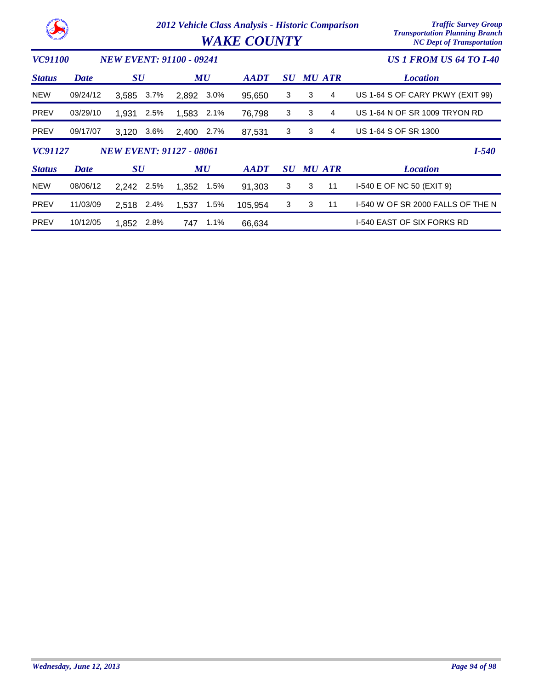| 53                                         |             |                                 |         | 2012 Vehicle Class Analysis - Historic Comparison | <b>WAKE COUNTY</b> | <b>Traffic Survey Group</b><br><b>Transportation Planning Branch</b><br><b>NC Dept of Transportation</b> |           |   |               |                                   |
|--------------------------------------------|-------------|---------------------------------|---------|---------------------------------------------------|--------------------|----------------------------------------------------------------------------------------------------------|-----------|---|---------------|-----------------------------------|
| VC91100<br><b>NEW EVENT: 91100 - 09241</b> |             |                                 |         |                                                   |                    |                                                                                                          |           |   |               | <b>US 1 FROM US 64 TO 1-40</b>    |
| <b>Status</b>                              | <b>Date</b> | $\boldsymbol{S}\boldsymbol{U}$  |         |                                                   | MU                 | <b>AADT</b>                                                                                              | SU        |   | <b>MU ATR</b> | <b>Location</b>                   |
| <b>NEW</b>                                 | 09/24/12    | 3,585                           | 3.7%    | 2,892                                             | 3.0%               | 95,650                                                                                                   | 3         | 3 | 4             | US 1-64 S OF CARY PKWY (EXIT 99)  |
| <b>PREV</b>                                | 03/29/10    | 1,931                           | 2.5%    | 1,583                                             | 2.1%               | 76,798                                                                                                   | 3         | 3 | 4             | US 1-64 N OF SR 1009 TRYON RD     |
| <b>PREV</b>                                | 09/17/07    | 3,120                           | $3.6\%$ | 2,400                                             | 2.7%               | 87,531                                                                                                   | 3         | 3 | 4             | US 1-64 S OF SR 1300              |
| VC91127                                    |             | <b>NEW EVENT: 91127 - 08061</b> |         |                                                   |                    |                                                                                                          |           |   |               | $I - 540$                         |
| <b>Status</b>                              | <b>Date</b> | $\boldsymbol{S}\boldsymbol{U}$  |         |                                                   | MU                 | <b>AADT</b>                                                                                              | <b>SU</b> |   | <b>MU ATR</b> | <b>Location</b>                   |
| <b>NEW</b>                                 | 08/06/12    | 2,242                           | 2.5%    | 1,352                                             | 1.5%               | 91,303                                                                                                   | 3         | 3 | 11            | I-540 E OF NC 50 (EXIT 9)         |
| <b>PREV</b>                                | 11/03/09    | 2,518                           | 2.4%    | 1,537                                             | 1.5%               | 105,954                                                                                                  | 3         | 3 | 11            | 1-540 W OF SR 2000 FALLS OF THE N |
| <b>PREV</b>                                | 10/12/05    | 1.852                           | 2.8%    | 747                                               | 1.1%               | 66,634                                                                                                   |           |   |               | I-540 EAST OF SIX FORKS RD        |

k.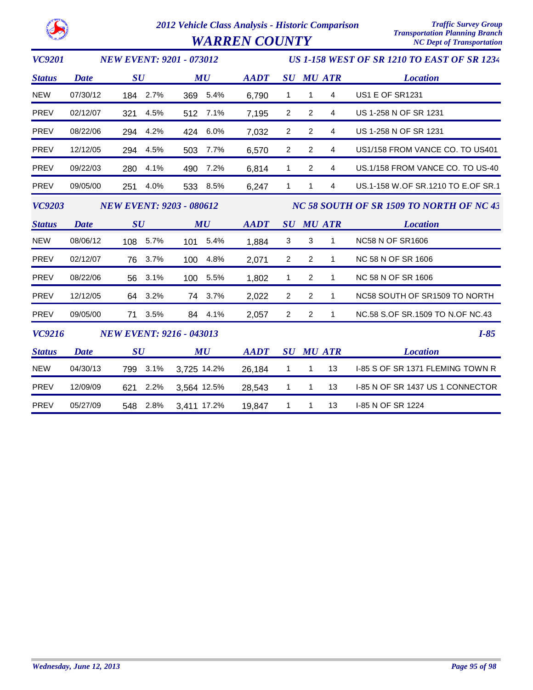*WARREN COUNTY* 

| <b>VC9201</b> | <b>NEW EVENT: 9201 - 073012</b> |     |          |                                 |          |             | <b>US 1-158 WEST OF SR 1210 TO EAST OF SR 1234</b> |                |                  |                                    |  |  |  |
|---------------|---------------------------------|-----|----------|---------------------------------|----------|-------------|----------------------------------------------------|----------------|------------------|------------------------------------|--|--|--|
| <b>Status</b> | <b>Date</b>                     | SU  |          |                                 | MU       | <b>AADT</b> |                                                    |                | <b>SU MU ATR</b> | <b>Location</b>                    |  |  |  |
| <b>NEW</b>    | 07/30/12                        |     | 184 2.7% |                                 | 369 5.4% | 6,790       | $\mathbf{1}$                                       | 1              | 4                | <b>US1 E OF SR1231</b>             |  |  |  |
| <b>PREV</b>   | 02/12/07                        | 321 | 4.5%     | 512                             | 7.1%     | 7,195       | 2                                                  | $\overline{2}$ | 4                | US 1-258 N OF SR 1231              |  |  |  |
| <b>PREV</b>   | 08/22/06                        | 294 | 4.2%     | 424                             | 6.0%     | 7,032       | 2                                                  | $\overline{2}$ | 4                | US 1-258 N OF SR 1231              |  |  |  |
| PREV          | 12/12/05                        | 294 | 4.5%     | 503                             | 7.7%     | 6,570       | $\overline{2}$                                     | $\overline{c}$ | 4                | US1/158 FROM VANCE CO. TO US401    |  |  |  |
| <b>PREV</b>   | 09/22/03                        | 280 | 4.1%     | 490                             | 7.2%     | 6,814       | $\mathbf{1}$                                       | 2              | 4                | US.1/158 FROM VANCE CO. TO US-40   |  |  |  |
| <b>PREV</b>   | 09/05/00                        | 251 | 4.0%     |                                 | 533 8.5% | 6,247       | $\mathbf{1}$                                       | 1              | 4                | US.1-158 W.OF SR.1210 TO E.OF SR.1 |  |  |  |
| <b>VC9203</b> |                                 |     |          | <b>NEW EVENT: 9203 - 080612</b> |          |             | NC 58 SOUTH OF SR 1509 TO NORTH OF NC 43           |                |                  |                                    |  |  |  |
| <b>Status</b> | <b>Date</b>                     | SU  |          |                                 | MU       | <b>AADT</b> |                                                    |                | <b>SU MU ATR</b> | <b>Location</b>                    |  |  |  |
| <b>NEW</b>    | 08/06/12                        |     | 108 5.7% |                                 | 101 5.4% | 1,884       | 3                                                  | 3              | 1                | <b>NC58 N OF SR1606</b>            |  |  |  |
| <b>PREV</b>   | 02/12/07                        |     | 76 3.7%  |                                 | 100 4.8% | 2,071       | $\overline{2}$                                     | 2              | 1                | NC 58 N OF SR 1606                 |  |  |  |
| <b>PREV</b>   | 08/22/06                        | 56  | 3.1%     |                                 | 100 5.5% | 1,802       | $\mathbf{1}$                                       | 2              | 1                | NC 58 N OF SR 1606                 |  |  |  |
| <b>PREV</b>   | 12/12/05                        |     | 64 3.2%  |                                 | 74 3.7%  | 2,022       | $\boldsymbol{2}$                                   | $\overline{2}$ | 1                | NC58 SOUTH OF SR1509 TO NORTH      |  |  |  |
| <b>PREV</b>   | 09/05/00                        | 71  | 3.5%     |                                 | 84 4.1%  | 2,057       | $\overline{2}$                                     | $\overline{2}$ | $\mathbf{1}$     | NC.58 S.OF SR.1509 TO N.OF NC.43   |  |  |  |
| <b>VC9216</b> | <b>NEW EVENT: 9216 - 043013</b> |     |          |                                 |          |             |                                                    |                |                  | $I-85$                             |  |  |  |
| <b>Status</b> | <b>Date</b>                     | SU  |          |                                 | MU       | <b>AADT</b> |                                                    |                | <b>SU MU ATR</b> | <b>Location</b>                    |  |  |  |
| <b>NEW</b>    | 04/30/13                        | 799 | 3.1%     | 3,725 14.2%                     |          | 26,184      | $\mathbf{1}$                                       | 1              | 13               | I-85 S OF SR 1371 FLEMING TOWN R   |  |  |  |
| <b>PREV</b>   | 12/09/09                        | 621 | 2.2%     | 3,564 12.5%                     |          | 28,543      | $\mathbf{1}$                                       | 1              | 13               | 1-85 N OF SR 1437 US 1 CONNECTOR   |  |  |  |
| PREV          | 05/27/09                        | 548 | 2.8%     | 3,411 17.2%                     |          | 19,847      | 1                                                  | $\mathbf{1}$   | 13               | I-85 N OF SR 1224                  |  |  |  |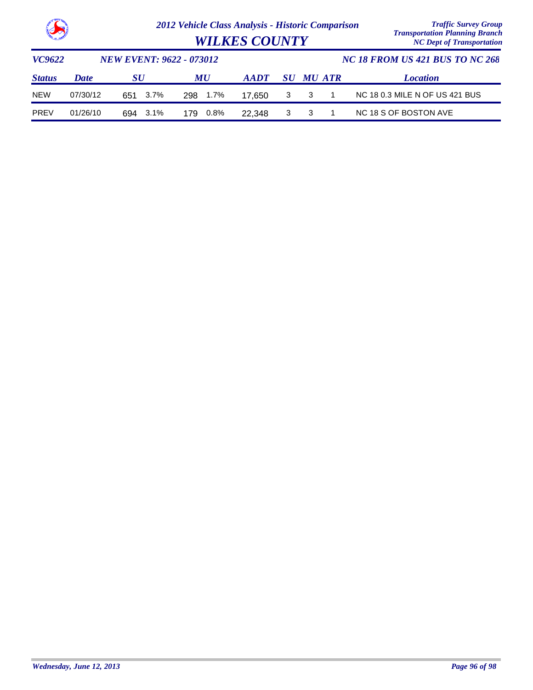

| <b>WILKES COUNTY</b> | <b>Transportation Planning Branch</b><br><b>NC Dept of Transportation</b> |
|----------------------|---------------------------------------------------------------------------|
|                      | $MC$ 10 EDOM HE 421 DHE TO MC 268                                         |

| VC9622        |             | <b>NEW EVENT: 9622 - 073012</b> |           |             | <b>NC 18 FROM US 421 BUS TO NC 268</b> |                  |  |                                |  |
|---------------|-------------|---------------------------------|-----------|-------------|----------------------------------------|------------------|--|--------------------------------|--|
| <b>Status</b> | <b>Date</b> | SU                              | <b>MU</b> | <b>AADT</b> |                                        | <b>SU MU ATR</b> |  | <i>Location</i>                |  |
| <b>NEW</b>    | 07/30/12    | 651 3.7%                        | 298 1.7%  | - 17.650    |                                        | 3 3 1            |  | NC 18 0.3 MILE N OF US 421 BUS |  |
| <b>PREV</b>   | 01/26/10    | 694 3.1%                        | 179  0.8% | 22.348      |                                        | 3 3              |  | NC 18 S OF BOSTON AVE          |  |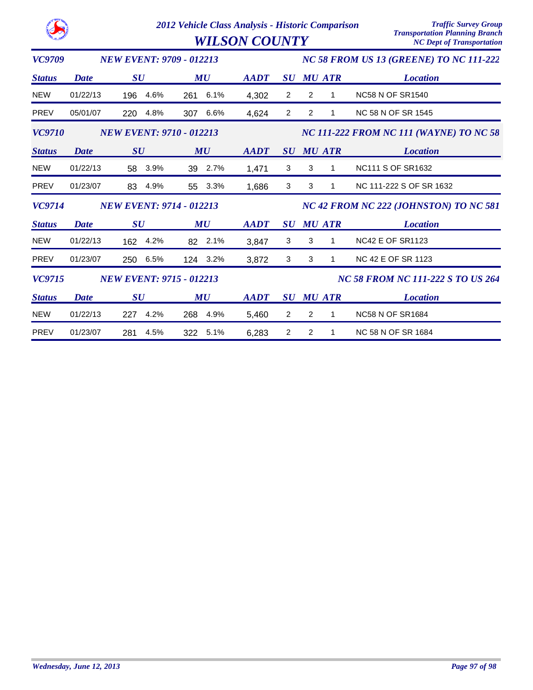|               |             |                                 | <b>Traffic Survey Group</b><br>2012 Vehicle Class Analysis - Historic Comparison<br><b>Transportation Planning Branch</b><br><b>NC Dept of Transportation</b> |             |                                        |                     |                                          |  |  |
|---------------|-------------|---------------------------------|---------------------------------------------------------------------------------------------------------------------------------------------------------------|-------------|----------------------------------------|---------------------|------------------------------------------|--|--|
| VC9709        |             | <b>NEW EVENT: 9709 - 012213</b> |                                                                                                                                                               |             |                                        |                     | NC 58 FROM US 13 (GREENE) TO NC 111-222  |  |  |
| <b>Status</b> | Date        | $\boldsymbol{S}\boldsymbol{U}$  | MU                                                                                                                                                            | <b>AADT</b> | $\boldsymbol{S}\boldsymbol{U}$         | <b>MU ATR</b>       | <b>Location</b>                          |  |  |
| <b>NEW</b>    | 01/22/13    | 4.6%<br>196                     | 6.1%<br>261                                                                                                                                                   | 4,302       | 2                                      | 2<br>1              | <b>NC58 N OF SR1540</b>                  |  |  |
| <b>PREV</b>   | 05/01/07    | 220<br>4.8%                     | 6.6%<br>307                                                                                                                                                   | 4,624       | $\overline{2}$                         | $\overline{2}$<br>1 | <b>NC 58 N OF SR 1545</b>                |  |  |
| <b>VC9710</b> |             | <b>NEW EVENT: 9710 - 012213</b> |                                                                                                                                                               |             |                                        |                     | NC 111-222 FROM NC 111 (WAYNE) TO NC 58  |  |  |
| <b>Status</b> | <b>Date</b> | SU                              | MU                                                                                                                                                            | <b>AADT</b> |                                        | <b>SU MU ATR</b>    | <b>Location</b>                          |  |  |
| <b>NEW</b>    | 01/22/13    | 3.9%<br>58                      | 2.7%<br>39                                                                                                                                                    | 1,471       | 3                                      | 3<br>1              | <b>NC111 S OF SR1632</b>                 |  |  |
| PREV          | 01/23/07    | 83<br>4.9%                      | 3.3%<br>55                                                                                                                                                    | 1,686       | 3                                      | 3<br>1              | NC 111-222 S OF SR 1632                  |  |  |
| <b>VC9714</b> |             | <b>NEW EVENT: 9714 - 012213</b> |                                                                                                                                                               |             | NC 42 FROM NC 222 (JOHNSTON) TO NC 581 |                     |                                          |  |  |
| <b>Status</b> | <b>Date</b> | $\boldsymbol{S}\boldsymbol{U}$  | MU                                                                                                                                                            | <b>AADT</b> | $\boldsymbol{S}\boldsymbol{U}$         | <b>MU ATR</b>       | <b>Location</b>                          |  |  |
| <b>NEW</b>    | 01/22/13    | 4.2%<br>162                     | 2.1%<br>82                                                                                                                                                    | 3,847       | 3                                      | 3<br>1              | <b>NC42 E OF SR1123</b>                  |  |  |
| <b>PREV</b>   | 01/23/07    | 6.5%<br>250                     | 3.2%<br>124                                                                                                                                                   | 3,872       | 3                                      | 3<br>1              | <b>NC 42 E OF SR 1123</b>                |  |  |
| <b>VC9715</b> |             | <b>NEW EVENT: 9715 - 012213</b> |                                                                                                                                                               |             |                                        |                     | <b>NC 58 FROM NC 111-222 S TO US 264</b> |  |  |
| <b>Status</b> | <b>Date</b> | SU                              | MU                                                                                                                                                            | <b>AADT</b> |                                        | <b>SU MU ATR</b>    | <b>Location</b>                          |  |  |
| <b>NEW</b>    | 01/22/13    | 4.2%<br>227                     | 4.9%<br>268                                                                                                                                                   | 5,460       | $\overline{c}$                         | 2<br>1              | <b>NC58 N OF SR1684</b>                  |  |  |
| <b>PREV</b>   | 01/23/07    | 4.5%<br>281                     | 322<br>5.1%                                                                                                                                                   | 6,283       | 2                                      | 2<br>1              | NC 58 N OF SR 1684                       |  |  |